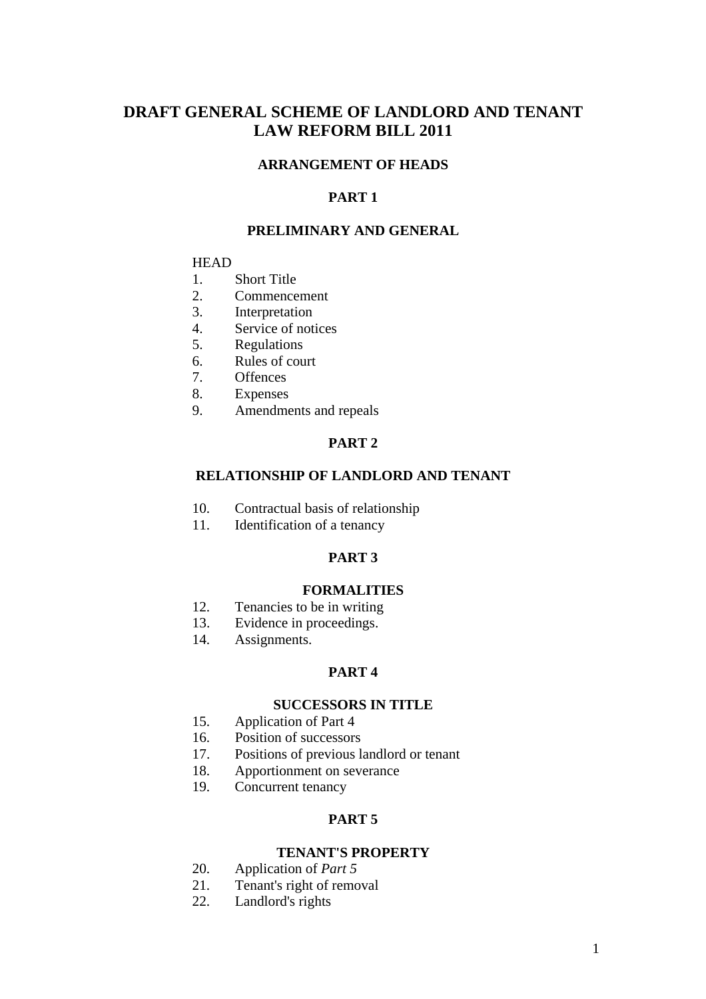# **DRAFT GENERAL SCHEME OF LANDLORD AND TENANT LAW REFORM BILL 2011**

# **ARRANGEMENT OF HEADS**

## **PART 1**

### **PRELIMINARY AND GENERAL**

#### **HEAD**

- 1. Short Title
- 2. Commencement
- 3. Interpretation
- 4. Service of notices
- 5. Regulations
- 6. Rules of court
- 7. Offences
- 8. Expenses
- 9. Amendments and repeals

# **PART 2**

## **RELATIONSHIP OF LANDLORD AND TENANT**

- 10. Contractual basis of relationship
- 11. Identification of a tenancy

#### **PART 3**

#### **FORMALITIES**

- 12. Tenancies to be in writing
- 13. Evidence in proceedings.
- 14. Assignments.

# **PART 4**

### **SUCCESSORS IN TITLE**

- 15. Application of Part 4
- 16. Position of successors
- 17. Positions of previous landlord or tenant
- 18. Apportionment on severance
- 19. Concurrent tenancy

#### **PART 5**

#### **TENANT'S PROPERTY**

- 20. Application of *Part 5*
- 21. Tenant's right of removal
- 22. Landlord's rights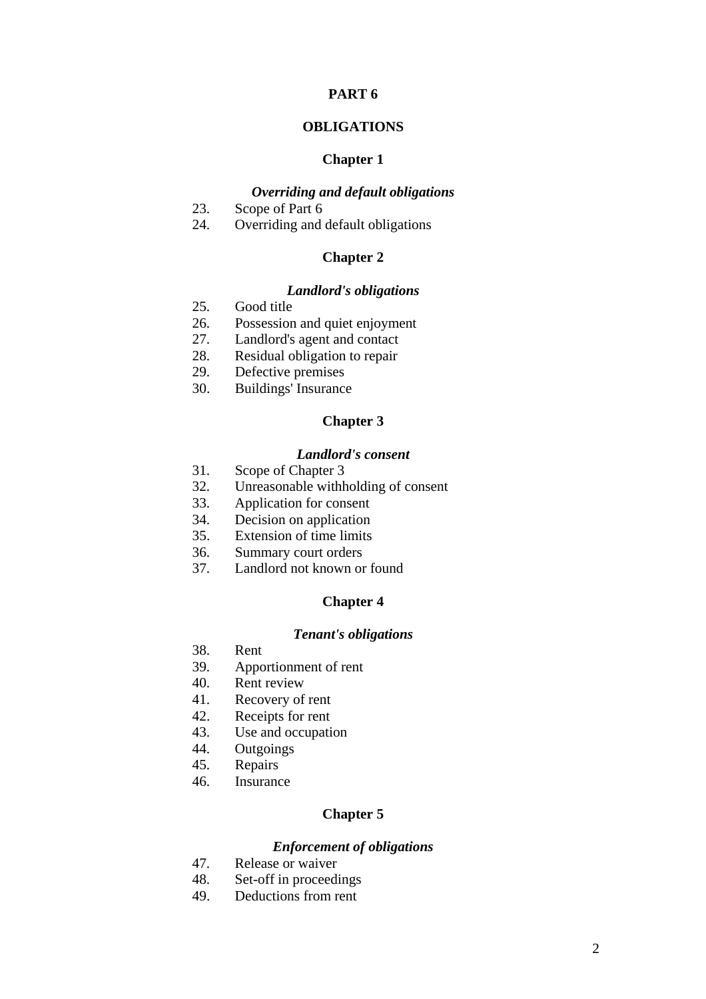#### **OBLIGATIONS**

#### **Chapter 1**

## *Overriding and default obligations*

- 23. Scope of Part 6
- 24. Overriding and default obligations

### **Chapter 2**

#### *Landlord's obligations*

- 25. Good title
- 26. Possession and quiet enjoyment
- 27. Landlord's agent and contact
- 28. Residual obligation to repair
- 29. Defective premises
- 30. Buildings' Insurance

## **Chapter 3**

#### *Landlord's consent*

- 31. Scope of Chapter 3
- 32. Unreasonable withholding of consent
- 33. Application for consent
- 34. Decision on application
- 35. Extension of time limits
- 36. Summary court orders
- 37. Landlord not known or found

#### **Chapter 4**

#### *Tenant's obligations*

- 38. Rent
- 39. Apportionment of rent
- 40. Rent review
- 41. Recovery of rent
- 42. Receipts for rent
- 43. Use and occupation
- 44. Outgoings
- 45. Repairs
- 46. Insurance

## **Chapter 5**

## *Enforcement of obligations*

- 47. Release or waiver
- 48. Set-off in proceedings
- 49. Deductions from rent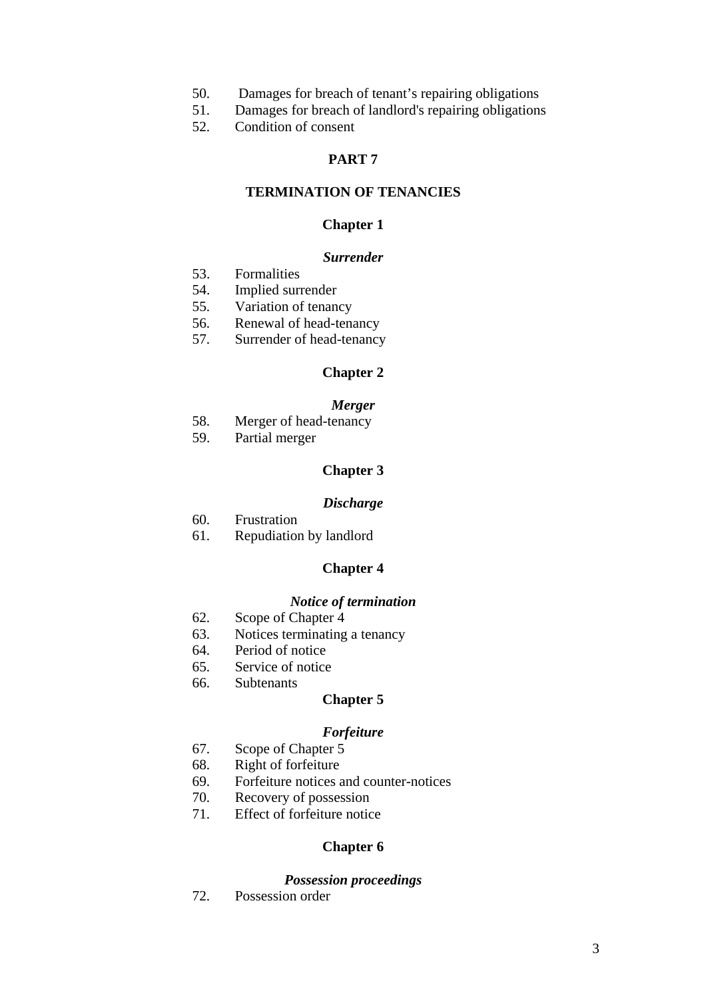- 50. Damages for breach of tenant's repairing obligations
- 51. Damages for breach of landlord's repairing obligations
- 52. Condition of consent

## **TERMINATION OF TENANCIES**

#### **Chapter 1**

#### *Surrender*

- 53. Formalities
- 54. Implied surrender
- 55. Variation of tenancy
- 56. Renewal of head-tenancy
- 57. Surrender of head-tenancy

#### **Chapter 2**

#### *Merger*

- 58. Merger of head-tenancy
- 59. Partial merger

#### **Chapter 3**

#### *Discharge*

- 60. Frustration
- 61. Repudiation by landlord

#### **Chapter 4**

#### *Notice of termination*

- 62. Scope of Chapter 4
- 63. Notices terminating a tenancy
- 64. Period of notice
- 65. Service of notice
- 66. Subtenants

#### **Chapter 5**

## *Forfeiture*

- 67. Scope of Chapter 5
- 68. Right of forfeiture
- 69. Forfeiture notices and counter-notices
- 70. Recovery of possession
- 71. Effect of forfeiture notice

#### **Chapter 6**

#### *Possession proceedings*

72. Possession order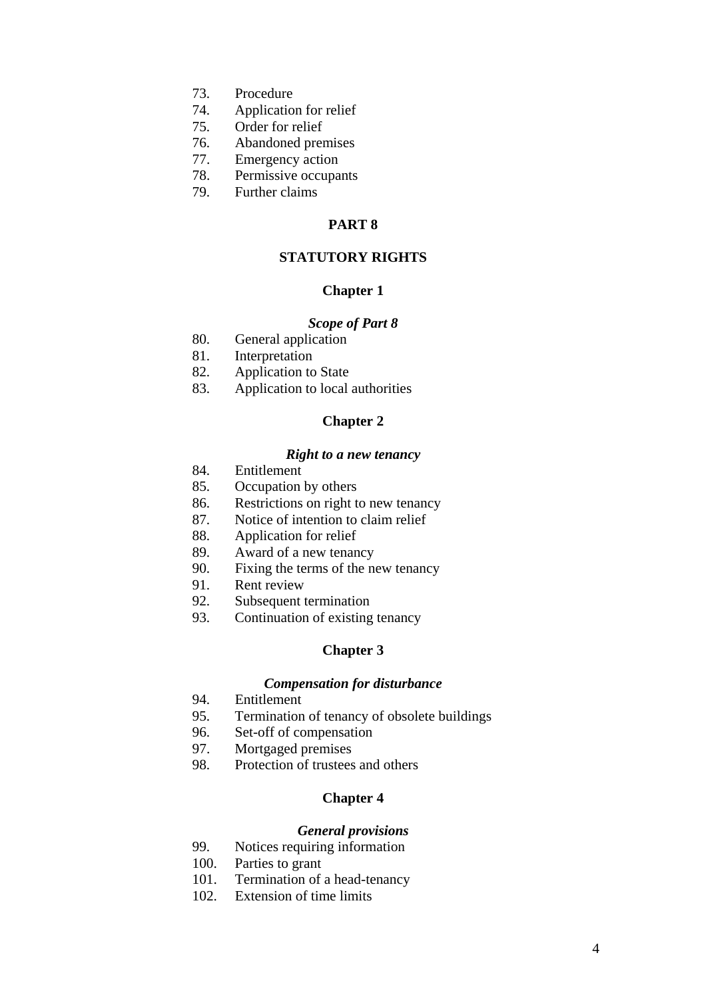- 73. Procedure
- 74. Application for relief
- 75. Order for relief
- 76. Abandoned premises
- 77. Emergency action
- 78. Permissive occupants
- 79. Further claims

## **STATUTORY RIGHTS**

#### **Chapter 1**

#### *Scope of Part 8*

- 80. General application
- 81. Interpretation
- 82. Application to State
- 83. Application to local authorities

## **Chapter 2**

#### *Right to a new tenancy*

- 84. Entitlement
- 85. Occupation by others
- 86. Restrictions on right to new tenancy
- 87. Notice of intention to claim relief
- 88. Application for relief
- 89. Award of a new tenancy
- 90. Fixing the terms of the new tenancy
- 91. Rent review
- 92. Subsequent termination
- 93. Continuation of existing tenancy

## **Chapter 3**

## *Compensation for disturbance*

- 94. Entitlement
- 95. Termination of tenancy of obsolete buildings
- 96. Set-off of compensation
- 97. Mortgaged premises
- 98. Protection of trustees and others

## **Chapter 4**

#### *General provisions*

- 99. Notices requiring information
- 100. Parties to grant
- 101. Termination of a head-tenancy
- 102. Extension of time limits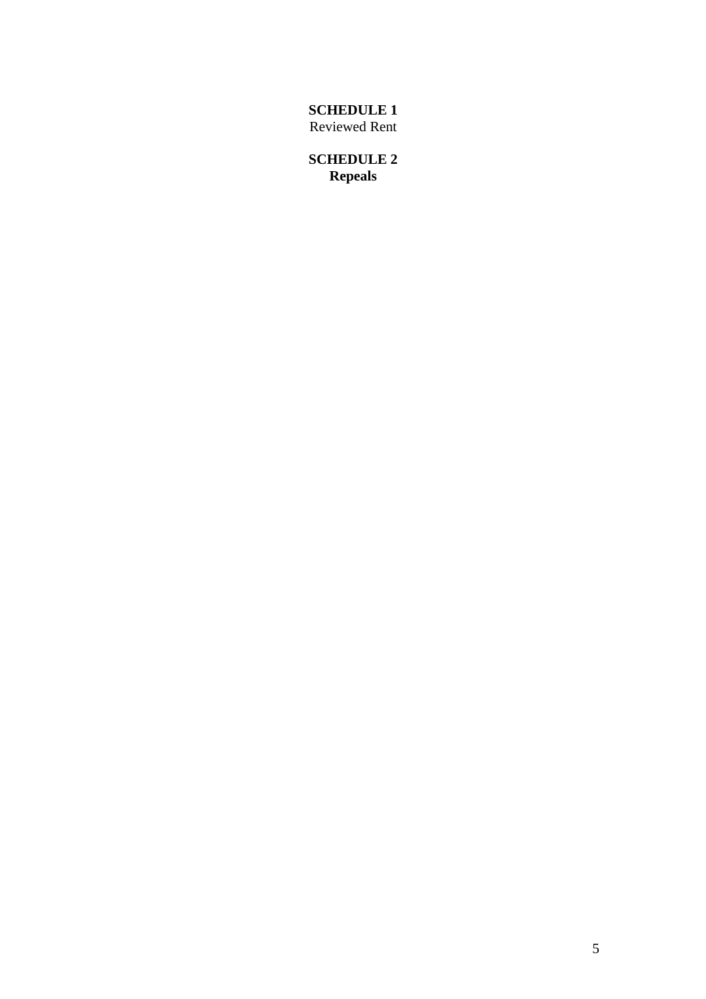**SCHEDULE 1**  Reviewed Rent

**SCHEDULE 2 Repeals**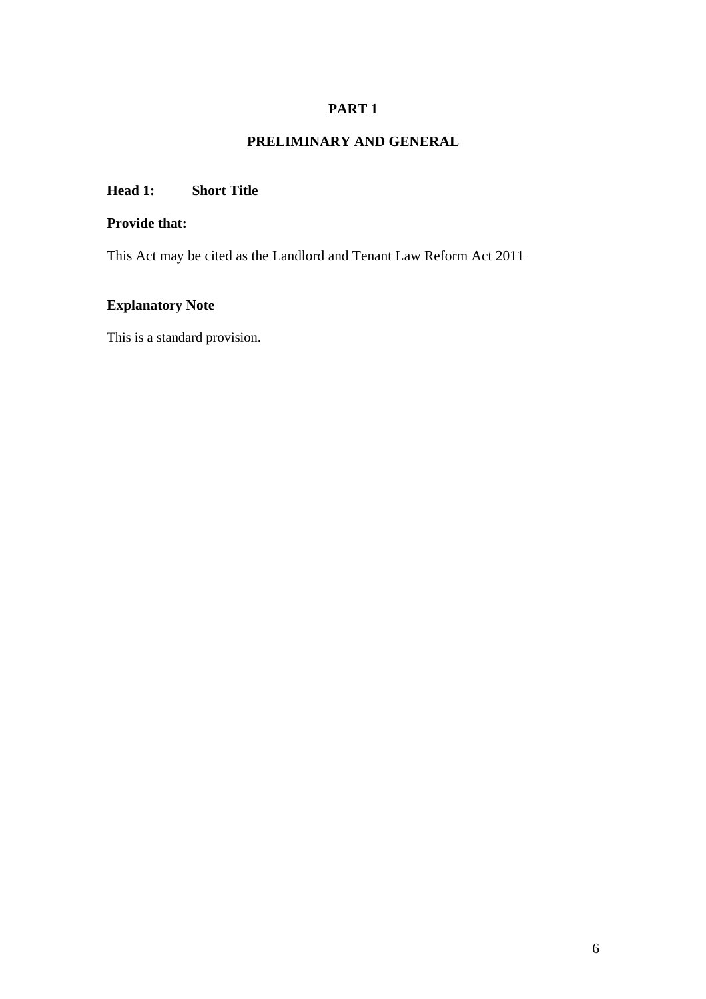# **PRELIMINARY AND GENERAL**

# **Head 1: Short Title**

# **Provide that:**

This Act may be cited as the Landlord and Tenant Law Reform Act 2011

# **Explanatory Note**

This is a standard provision.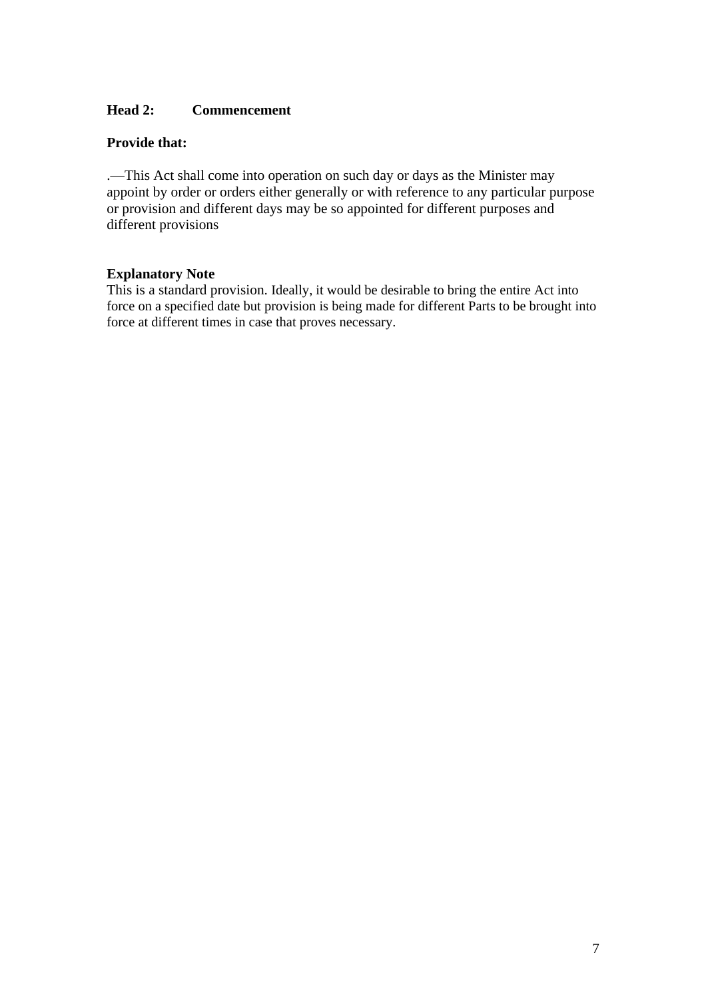## **Head 2: Commencement**

## **Provide that:**

.—This Act shall come into operation on such day or days as the Minister may appoint by order or orders either generally or with reference to any particular purpose or provision and different days may be so appointed for different purposes and different provisions

### **Explanatory Note**

This is a standard provision. Ideally, it would be desirable to bring the entire Act into force on a specified date but provision is being made for different Parts to be brought into force at different times in case that proves necessary.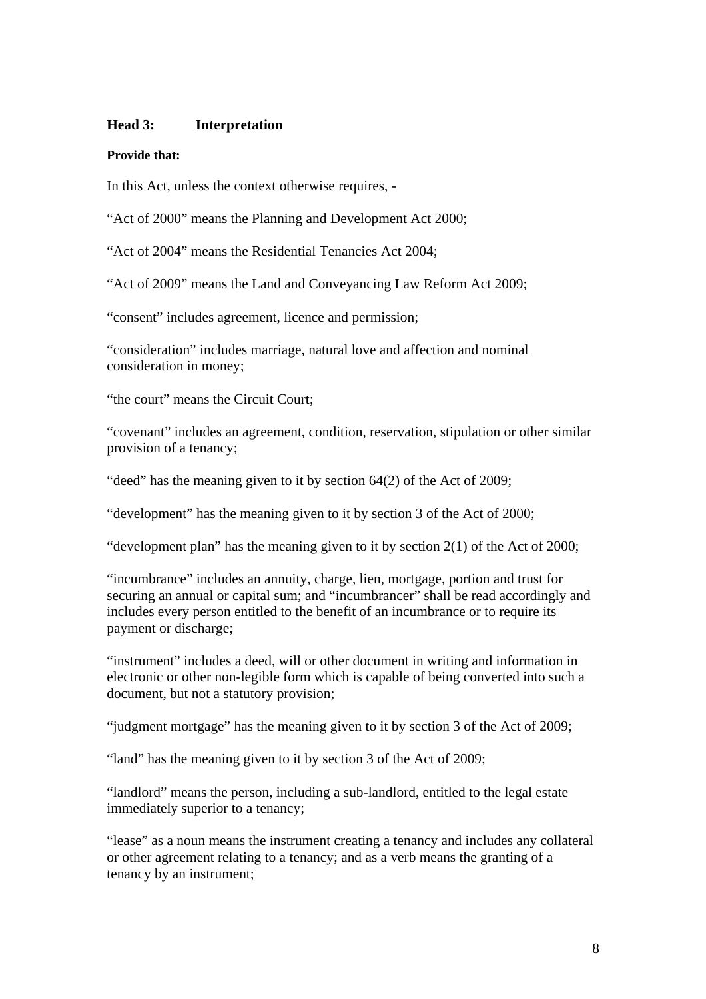### **Head 3: Interpretation**

#### **Provide that:**

In this Act, unless the context otherwise requires, -

"Act of 2000" means the Planning and Development Act 2000;

"Act of 2004" means the Residential Tenancies Act 2004;

"Act of 2009" means the Land and Conveyancing Law Reform Act 2009;

"consent" includes agreement, licence and permission;

"consideration" includes marriage, natural love and affection and nominal consideration in money;

"the court" means the Circuit Court;

"covenant" includes an agreement, condition, reservation, stipulation or other similar provision of a tenancy;

"deed" has the meaning given to it by section 64(2) of the Act of 2009;

"development" has the meaning given to it by section 3 of the Act of 2000;

"development plan" has the meaning given to it by section 2(1) of the Act of 2000;

"incumbrance" includes an annuity, charge, lien, mortgage, portion and trust for securing an annual or capital sum; and "incumbrancer" shall be read accordingly and includes every person entitled to the benefit of an incumbrance or to require its payment or discharge;

"instrument" includes a deed, will or other document in writing and information in electronic or other non-legible form which is capable of being converted into such a document, but not a statutory provision;

"judgment mortgage" has the meaning given to it by section 3 of the Act of 2009;

"land" has the meaning given to it by section 3 of the Act of 2009;

"landlord" means the person, including a sub-landlord, entitled to the legal estate immediately superior to a tenancy;

"lease" as a noun means the instrument creating a tenancy and includes any collateral or other agreement relating to a tenancy; and as a verb means the granting of a tenancy by an instrument;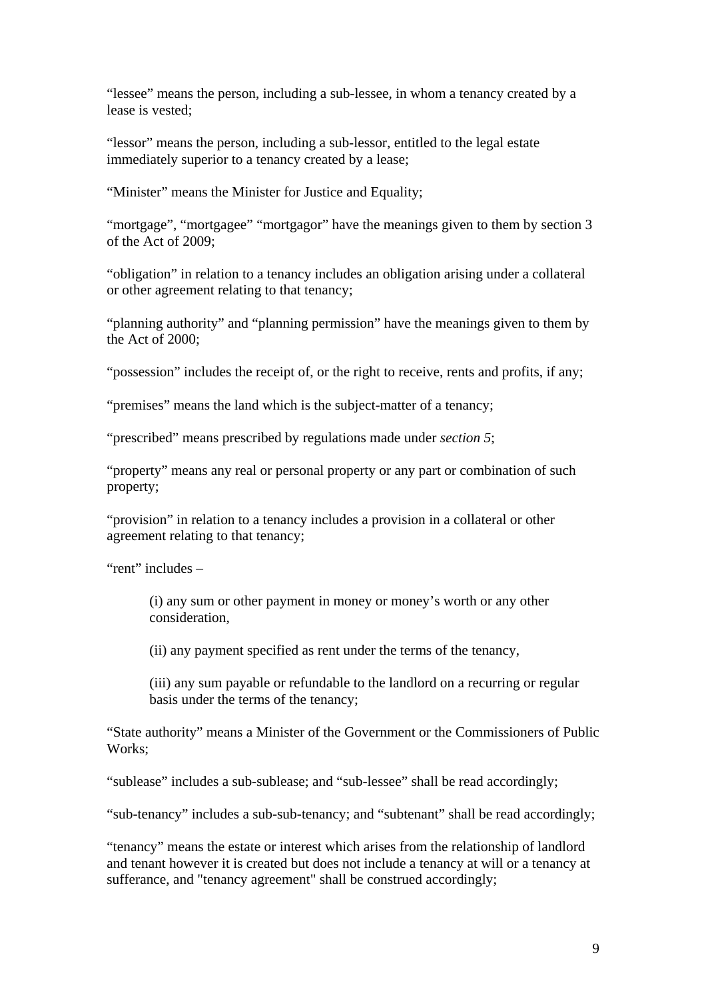"lessee" means the person, including a sub-lessee, in whom a tenancy created by a lease is vested;

"lessor" means the person, including a sub-lessor, entitled to the legal estate immediately superior to a tenancy created by a lease;

"Minister" means the Minister for Justice and Equality;

"mortgage", "mortgagee" "mortgagor" have the meanings given to them by section 3 of the Act of 2009;

"obligation" in relation to a tenancy includes an obligation arising under a collateral or other agreement relating to that tenancy;

"planning authority" and "planning permission" have the meanings given to them by the Act of 2000;

"possession" includes the receipt of, or the right to receive, rents and profits, if any;

"premises" means the land which is the subject-matter of a tenancy;

"prescribed" means prescribed by regulations made under *section 5*;

"property" means any real or personal property or any part or combination of such property;

"provision" in relation to a tenancy includes a provision in a collateral or other agreement relating to that tenancy;

"rent" includes –

(i) any sum or other payment in money or money's worth or any other consideration,

(ii) any payment specified as rent under the terms of the tenancy,

(iii) any sum payable or refundable to the landlord on a recurring or regular basis under the terms of the tenancy;

"State authority" means a Minister of the Government or the Commissioners of Public Works;

"sublease" includes a sub-sublease; and "sub-lessee" shall be read accordingly;

"sub-tenancy" includes a sub-sub-tenancy; and "subtenant" shall be read accordingly;

"tenancy" means the estate or interest which arises from the relationship of landlord and tenant however it is created but does not include a tenancy at will or a tenancy at sufferance, and "tenancy agreement" shall be construed accordingly;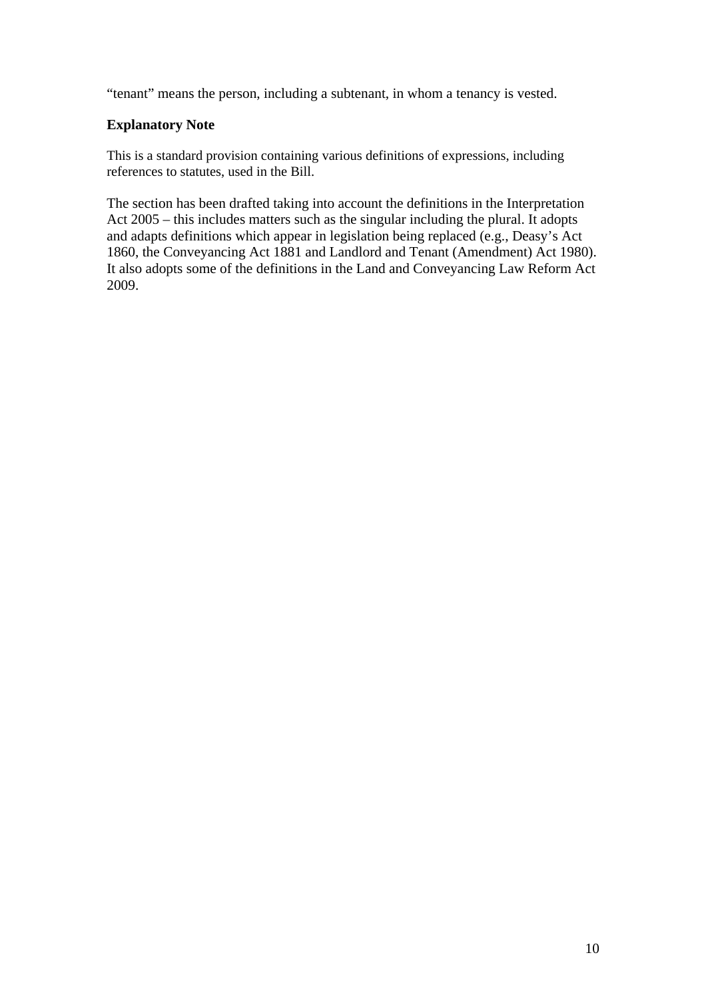"tenant" means the person, including a subtenant, in whom a tenancy is vested.

# **Explanatory Note**

This is a standard provision containing various definitions of expressions, including references to statutes, used in the Bill.

The section has been drafted taking into account the definitions in the Interpretation Act 2005 – this includes matters such as the singular including the plural. It adopts and adapts definitions which appear in legislation being replaced (e.g., Deasy's Act 1860, the Conveyancing Act 1881 and Landlord and Tenant (Amendment) Act 1980). It also adopts some of the definitions in the Land and Conveyancing Law Reform Act 2009.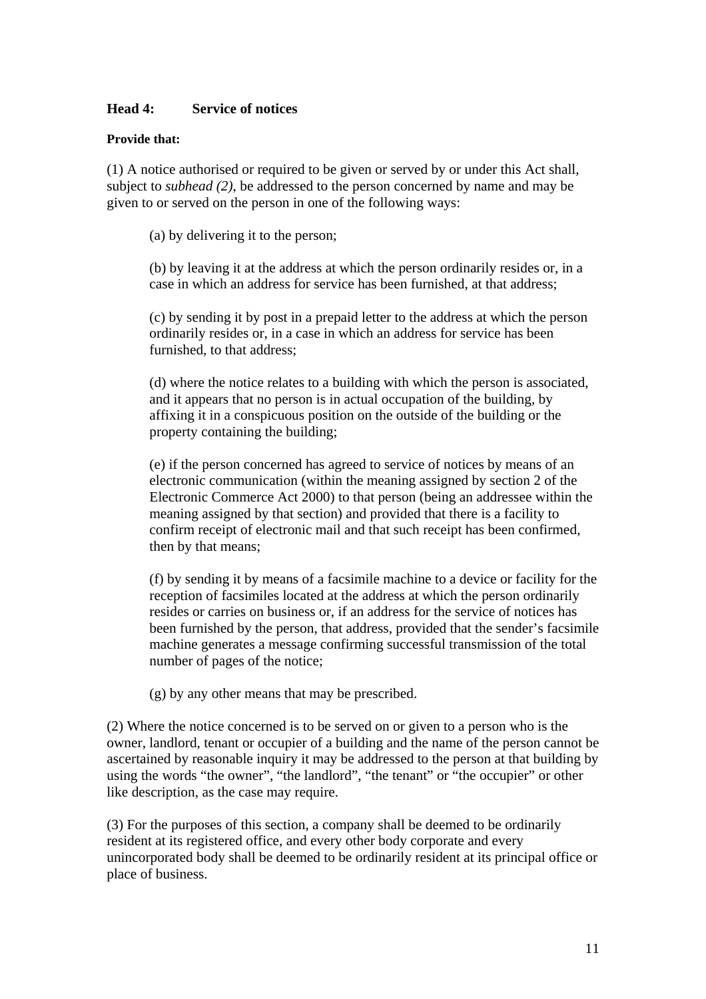### **Head 4: Service of notices**

### **Provide that:**

(1) A notice authorised or required to be given or served by or under this Act shall, subject to *subhead (2)*, be addressed to the person concerned by name and may be given to or served on the person in one of the following ways:

(a) by delivering it to the person;

(b) by leaving it at the address at which the person ordinarily resides or, in a case in which an address for service has been furnished, at that address;

(c) by sending it by post in a prepaid letter to the address at which the person ordinarily resides or, in a case in which an address for service has been furnished, to that address;

(d) where the notice relates to a building with which the person is associated, and it appears that no person is in actual occupation of the building, by affixing it in a conspicuous position on the outside of the building or the property containing the building;

(e) if the person concerned has agreed to service of notices by means of an electronic communication (within the meaning assigned by section 2 of the Electronic Commerce Act 2000) to that person (being an addressee within the meaning assigned by that section) and provided that there is a facility to confirm receipt of electronic mail and that such receipt has been confirmed, then by that means;

(f) by sending it by means of a facsimile machine to a device or facility for the reception of facsimiles located at the address at which the person ordinarily resides or carries on business or, if an address for the service of notices has been furnished by the person, that address, provided that the sender's facsimile machine generates a message confirming successful transmission of the total number of pages of the notice;

(g) by any other means that may be prescribed.

(2) Where the notice concerned is to be served on or given to a person who is the owner, landlord, tenant or occupier of a building and the name of the person cannot be ascertained by reasonable inquiry it may be addressed to the person at that building by using the words "the owner", "the landlord", "the tenant" or "the occupier" or other like description, as the case may require.

(3) For the purposes of this section, a company shall be deemed to be ordinarily resident at its registered office, and every other body corporate and every unincorporated body shall be deemed to be ordinarily resident at its principal office or place of business.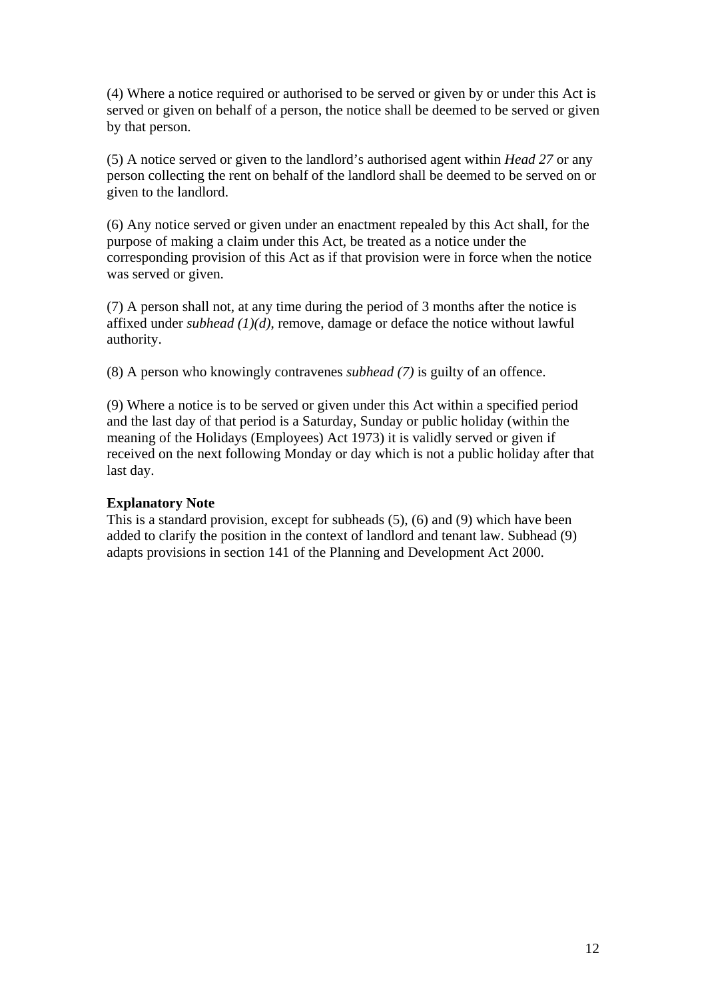(4) Where a notice required or authorised to be served or given by or under this Act is served or given on behalf of a person, the notice shall be deemed to be served or given by that person.

(5) A notice served or given to the landlord's authorised agent within *Head 27* or any person collecting the rent on behalf of the landlord shall be deemed to be served on or given to the landlord.

(6) Any notice served or given under an enactment repealed by this Act shall, for the purpose of making a claim under this Act, be treated as a notice under the corresponding provision of this Act as if that provision were in force when the notice was served or given.

(7) A person shall not, at any time during the period of 3 months after the notice is affixed under *subhead (1)(d)*, remove, damage or deface the notice without lawful authority.

(8) A person who knowingly contravenes *subhead (7)* is guilty of an offence.

(9) Where a notice is to be served or given under this Act within a specified period and the last day of that period is a Saturday, Sunday or public holiday (within the meaning of the Holidays (Employees) Act 1973) it is validly served or given if received on the next following Monday or day which is not a public holiday after that last day.

### **Explanatory Note**

This is a standard provision, except for subheads (5), (6) and (9) which have been added to clarify the position in the context of landlord and tenant law. Subhead (9) adapts provisions in section 141 of the Planning and Development Act 2000.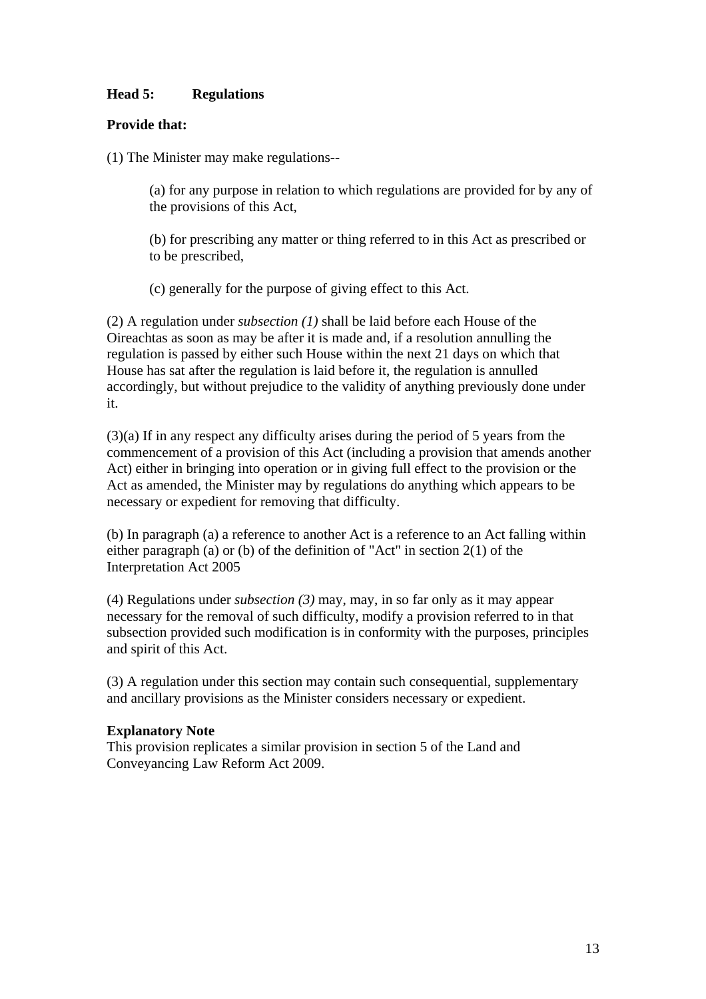# **Head 5: Regulations**

## **Provide that:**

(1) The Minister may make regulations--

(a) for any purpose in relation to which regulations are provided for by any of the provisions of this Act,

(b) for prescribing any matter or thing referred to in this Act as prescribed or to be prescribed,

(c) generally for the purpose of giving effect to this Act.

(2) A regulation under *subsection (1)* shall be laid before each House of the Oireachtas as soon as may be after it is made and, if a resolution annulling the regulation is passed by either such House within the next 21 days on which that House has sat after the regulation is laid before it, the regulation is annulled accordingly, but without prejudice to the validity of anything previously done under it.

(3)(a) If in any respect any difficulty arises during the period of 5 years from the commencement of a provision of this Act (including a provision that amends another Act) either in bringing into operation or in giving full effect to the provision or the Act as amended, the Minister may by regulations do anything which appears to be necessary or expedient for removing that difficulty.

(b) In paragraph (a) a reference to another Act is a reference to an Act falling within either paragraph (a) or (b) of the definition of "Act" in section 2(1) of the Interpretation Act 2005

(4) Regulations under *subsection (3)* may, may, in so far only as it may appear necessary for the removal of such difficulty, modify a provision referred to in that subsection provided such modification is in conformity with the purposes, principles and spirit of this Act.

(3) A regulation under this section may contain such consequential, supplementary and ancillary provisions as the Minister considers necessary or expedient.

### **Explanatory Note**

This provision replicates a similar provision in section 5 of the Land and Conveyancing Law Reform Act 2009.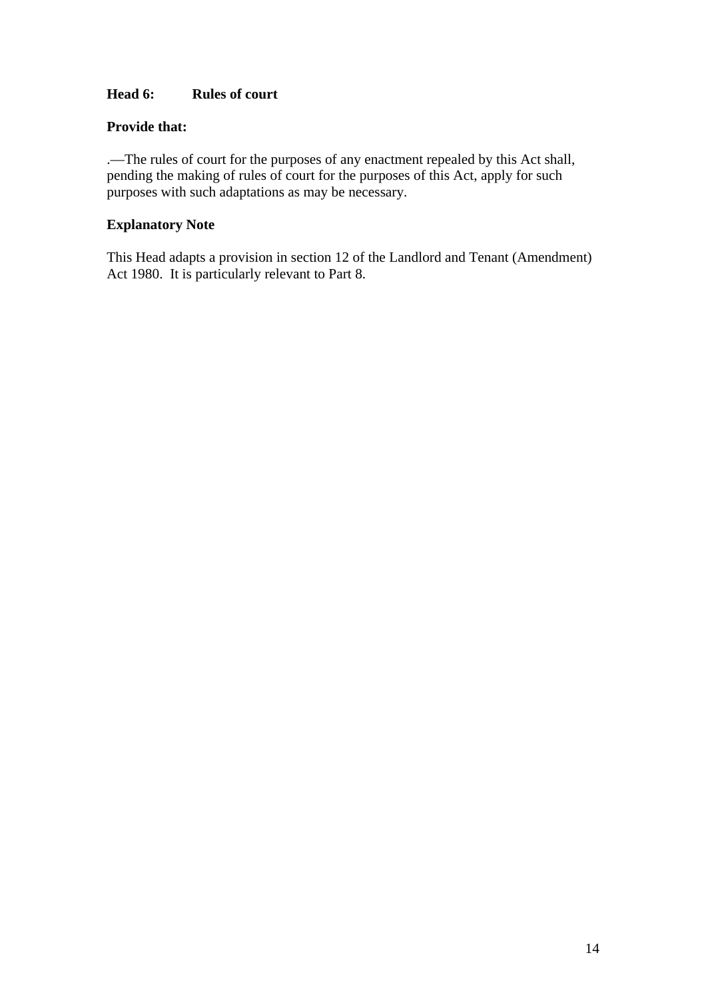# **Head 6: Rules of court**

## **Provide that:**

.—The rules of court for the purposes of any enactment repealed by this Act shall, pending the making of rules of court for the purposes of this Act, apply for such purposes with such adaptations as may be necessary.

# **Explanatory Note**

This Head adapts a provision in section 12 of the Landlord and Tenant (Amendment) Act 1980. It is particularly relevant to Part 8.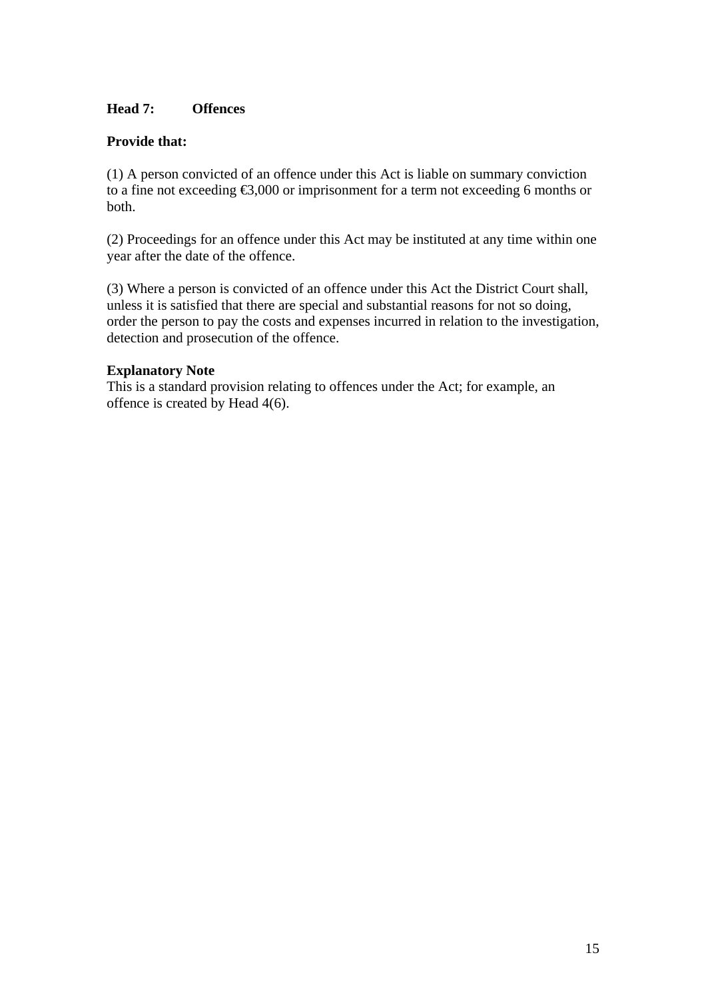## **Head 7: Offences**

### **Provide that:**

(1) A person convicted of an offence under this Act is liable on summary conviction to a fine not exceeding €3,000 or imprisonment for a term not exceeding 6 months or both.

(2) Proceedings for an offence under this Act may be instituted at any time within one year after the date of the offence.

(3) Where a person is convicted of an offence under this Act the District Court shall, unless it is satisfied that there are special and substantial reasons for not so doing, order the person to pay the costs and expenses incurred in relation to the investigation, detection and prosecution of the offence.

## **Explanatory Note**

This is a standard provision relating to offences under the Act; for example, an offence is created by Head 4(6).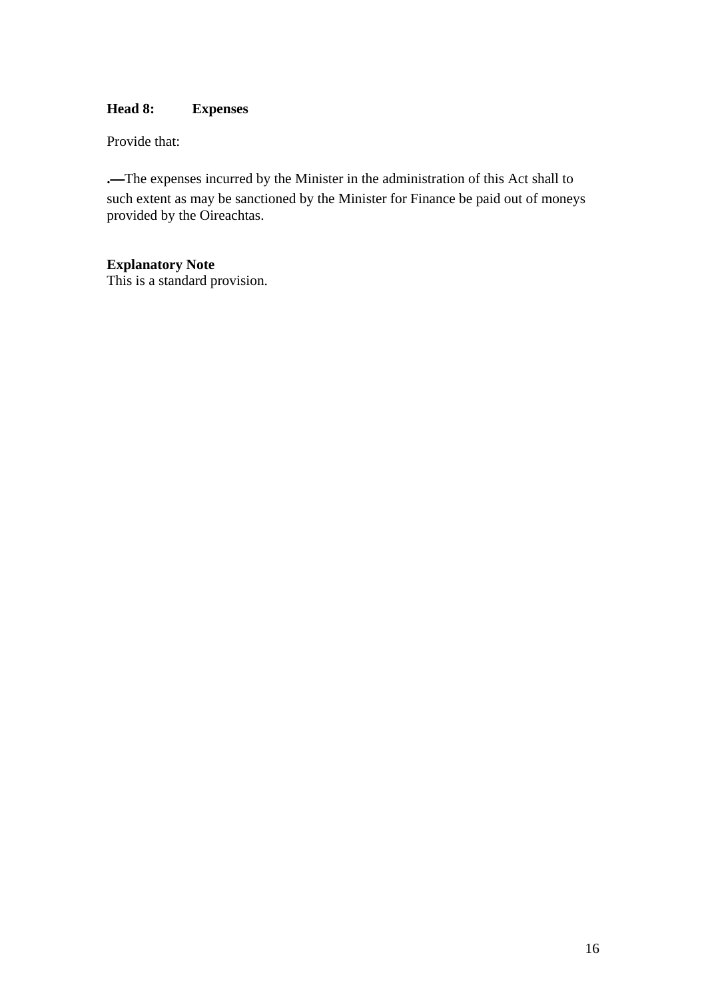# **Head 8: Expenses**

Provide that:

**.**—The expenses incurred by the Minister in the administration of this Act shall to such extent as may be sanctioned by the Minister for Finance be paid out of moneys provided by the Oireachtas.

# **Explanatory Note**

This is a standard provision.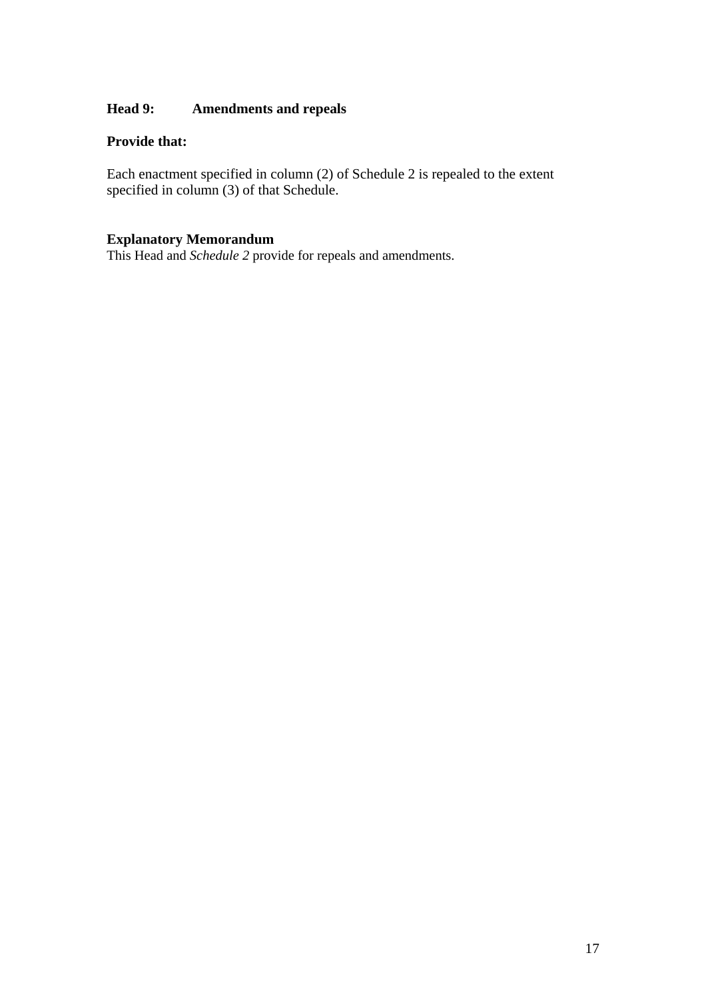# **Head 9: Amendments and repeals**

### **Provide that:**

Each enactment specified in column (2) of Schedule 2 is repealed to the extent specified in column (3) of that Schedule.

## **Explanatory Memorandum**

This Head and *Schedule 2* provide for repeals and amendments.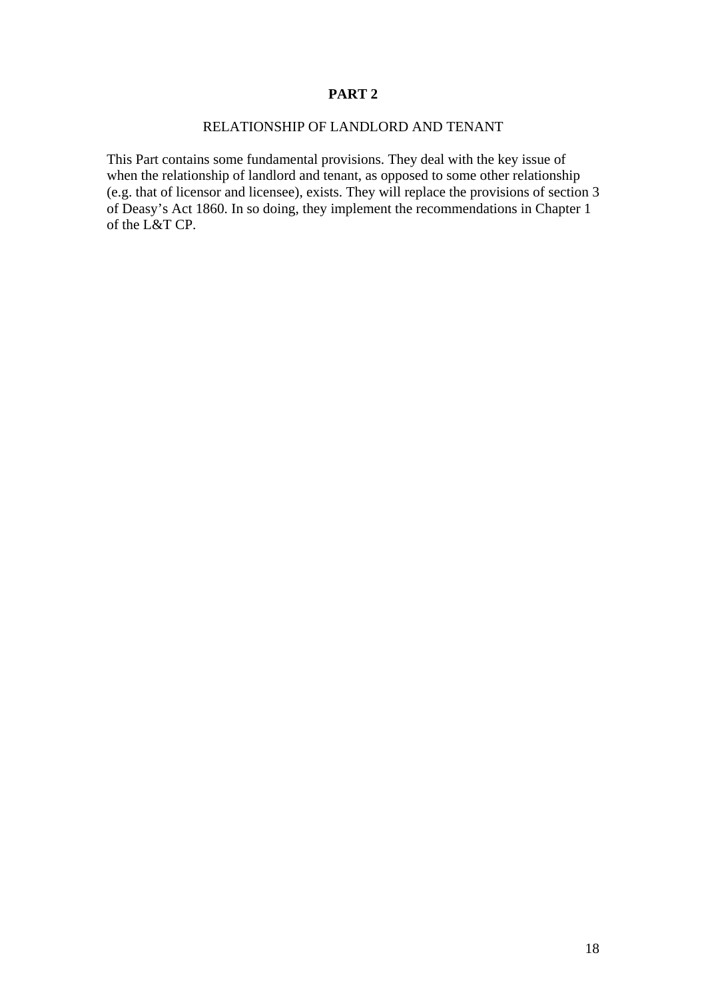## RELATIONSHIP OF LANDLORD AND TENANT

This Part contains some fundamental provisions. They deal with the key issue of when the relationship of landlord and tenant, as opposed to some other relationship (e.g. that of licensor and licensee), exists. They will replace the provisions of section 3 of Deasy's Act 1860. In so doing, they implement the recommendations in Chapter 1 of the L&T CP.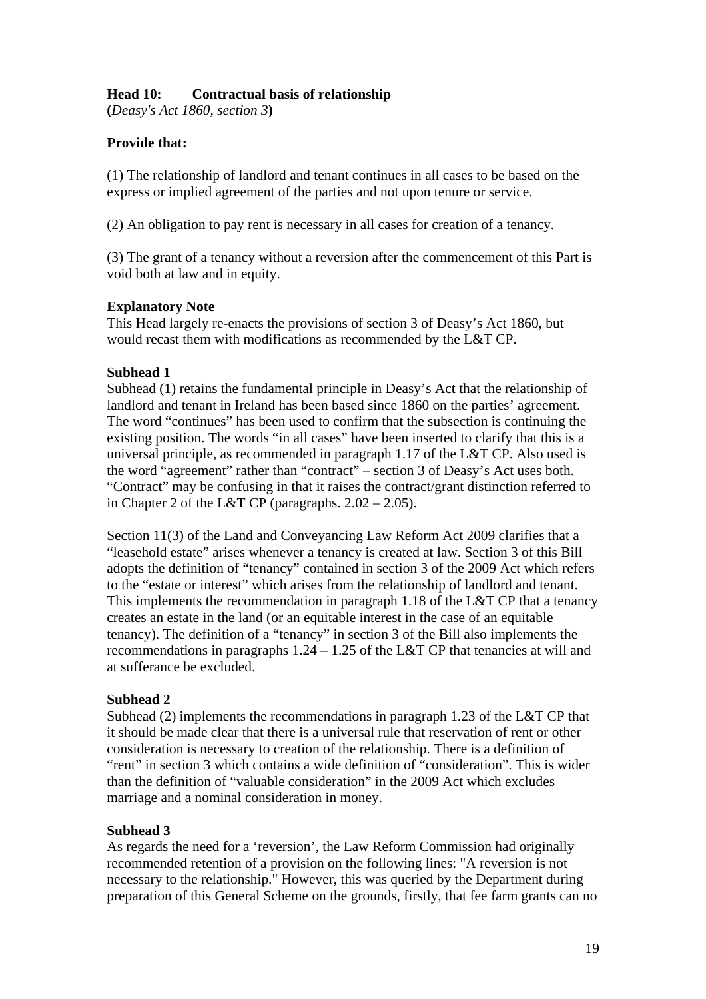# **Head 10: Contractual basis of relationship**

**(***Deasy's Act 1860, section 3***)** 

# **Provide that:**

(1) The relationship of landlord and tenant continues in all cases to be based on the express or implied agreement of the parties and not upon tenure or service.

(2) An obligation to pay rent is necessary in all cases for creation of a tenancy.

(3) The grant of a tenancy without a reversion after the commencement of this Part is void both at law and in equity.

## **Explanatory Note**

This Head largely re-enacts the provisions of section 3 of Deasy's Act 1860, but would recast them with modifications as recommended by the L&T CP.

## **Subhead 1**

Subhead (1) retains the fundamental principle in Deasy's Act that the relationship of landlord and tenant in Ireland has been based since 1860 on the parties' agreement. The word "continues" has been used to confirm that the subsection is continuing the existing position. The words "in all cases" have been inserted to clarify that this is a universal principle, as recommended in paragraph 1.17 of the L&T CP. Also used is the word "agreement" rather than "contract" – section 3 of Deasy's Act uses both. "Contract" may be confusing in that it raises the contract/grant distinction referred to in Chapter 2 of the L&T CP (paragraphs.  $2.02 - 2.05$ ).

Section 11(3) of the Land and Conveyancing Law Reform Act 2009 clarifies that a "leasehold estate" arises whenever a tenancy is created at law. Section 3 of this Bill adopts the definition of "tenancy" contained in section 3 of the 2009 Act which refers to the "estate or interest" which arises from the relationship of landlord and tenant. This implements the recommendation in paragraph 1.18 of the L&T CP that a tenancy creates an estate in the land (or an equitable interest in the case of an equitable tenancy). The definition of a "tenancy" in section 3 of the Bill also implements the recommendations in paragraphs 1.24 – 1.25 of the L&T CP that tenancies at will and at sufferance be excluded.

## **Subhead 2**

Subhead (2) implements the recommendations in paragraph 1.23 of the L&T CP that it should be made clear that there is a universal rule that reservation of rent or other consideration is necessary to creation of the relationship. There is a definition of "rent" in section 3 which contains a wide definition of "consideration". This is wider than the definition of "valuable consideration" in the 2009 Act which excludes marriage and a nominal consideration in money.

## **Subhead 3**

As regards the need for a 'reversion', the Law Reform Commission had originally recommended retention of a provision on the following lines: "A reversion is not necessary to the relationship." However, this was queried by the Department during preparation of this General Scheme on the grounds, firstly, that fee farm grants can no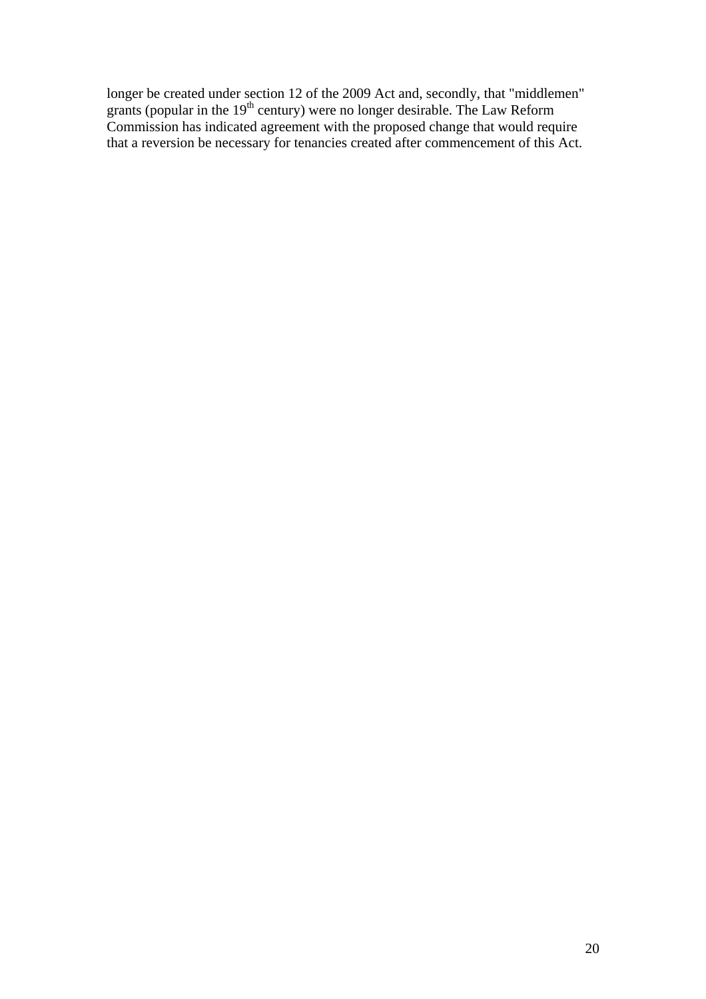longer be created under section 12 of the 2009 Act and, secondly, that "middlemen" grants (popular in the  $19<sup>th</sup>$  century) were no longer desirable. The Law Reform Commission has indicated agreement with the proposed change that would require that a reversion be necessary for tenancies created after commencement of this Act.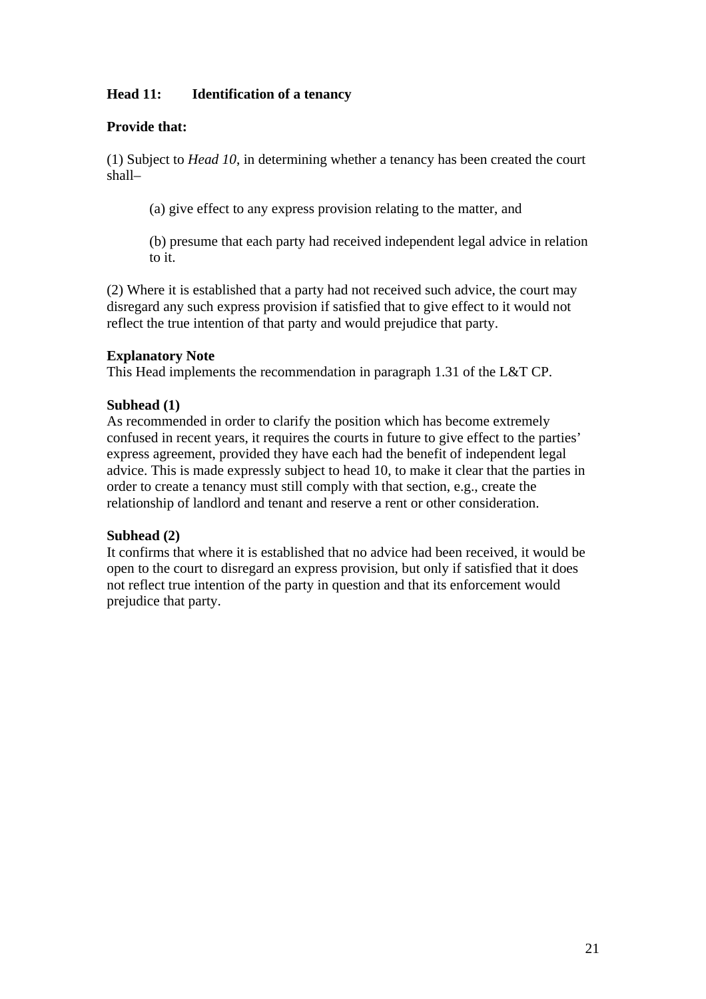# **Head 11: Identification of a tenancy**

## **Provide that:**

(1) Subject to *Head 10*, in determining whether a tenancy has been created the court shall–

(a) give effect to any express provision relating to the matter, and

(b) presume that each party had received independent legal advice in relation to it.

(2) Where it is established that a party had not received such advice, the court may disregard any such express provision if satisfied that to give effect to it would not reflect the true intention of that party and would prejudice that party.

## **Explanatory Note**

This Head implements the recommendation in paragraph 1.31 of the L&T CP.

### **Subhead (1)**

As recommended in order to clarify the position which has become extremely confused in recent years, it requires the courts in future to give effect to the parties' express agreement, provided they have each had the benefit of independent legal advice. This is made expressly subject to head 10, to make it clear that the parties in order to create a tenancy must still comply with that section, e.g., create the relationship of landlord and tenant and reserve a rent or other consideration.

## **Subhead (2)**

It confirms that where it is established that no advice had been received, it would be open to the court to disregard an express provision, but only if satisfied that it does not reflect true intention of the party in question and that its enforcement would prejudice that party.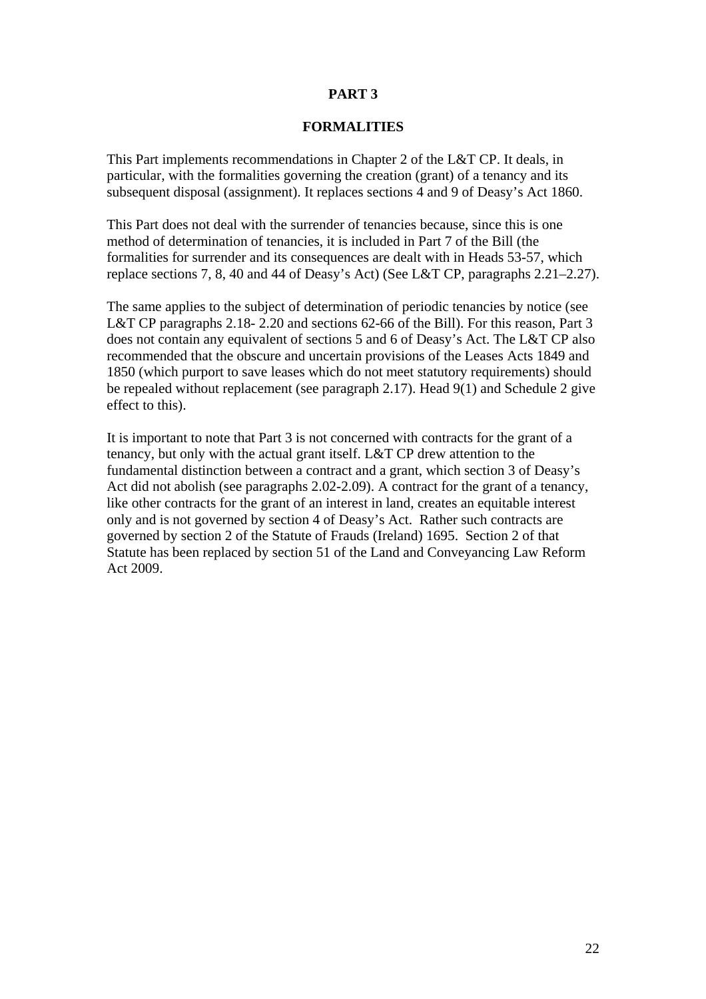#### **FORMALITIES**

This Part implements recommendations in Chapter 2 of the L&T CP. It deals, in particular, with the formalities governing the creation (grant) of a tenancy and its subsequent disposal (assignment). It replaces sections 4 and 9 of Deasy's Act 1860.

This Part does not deal with the surrender of tenancies because, since this is one method of determination of tenancies, it is included in Part 7 of the Bill (the formalities for surrender and its consequences are dealt with in Heads 53-57, which replace sections 7, 8, 40 and 44 of Deasy's Act) (See L&T CP, paragraphs 2.21–2.27).

The same applies to the subject of determination of periodic tenancies by notice (see L&T CP paragraphs 2.18- 2.20 and sections 62-66 of the Bill). For this reason, Part 3 does not contain any equivalent of sections 5 and 6 of Deasy's Act. The L&T CP also recommended that the obscure and uncertain provisions of the Leases Acts 1849 and 1850 (which purport to save leases which do not meet statutory requirements) should be repealed without replacement (see paragraph 2.17). Head 9(1) and Schedule 2 give effect to this).

It is important to note that Part 3 is not concerned with contracts for the grant of a tenancy, but only with the actual grant itself. L&T CP drew attention to the fundamental distinction between a contract and a grant, which section 3 of Deasy's Act did not abolish (see paragraphs 2.02-2.09). A contract for the grant of a tenancy, like other contracts for the grant of an interest in land, creates an equitable interest only and is not governed by section 4 of Deasy's Act. Rather such contracts are governed by section 2 of the Statute of Frauds (Ireland) 1695. Section 2 of that Statute has been replaced by section 51 of the Land and Conveyancing Law Reform Act 2009.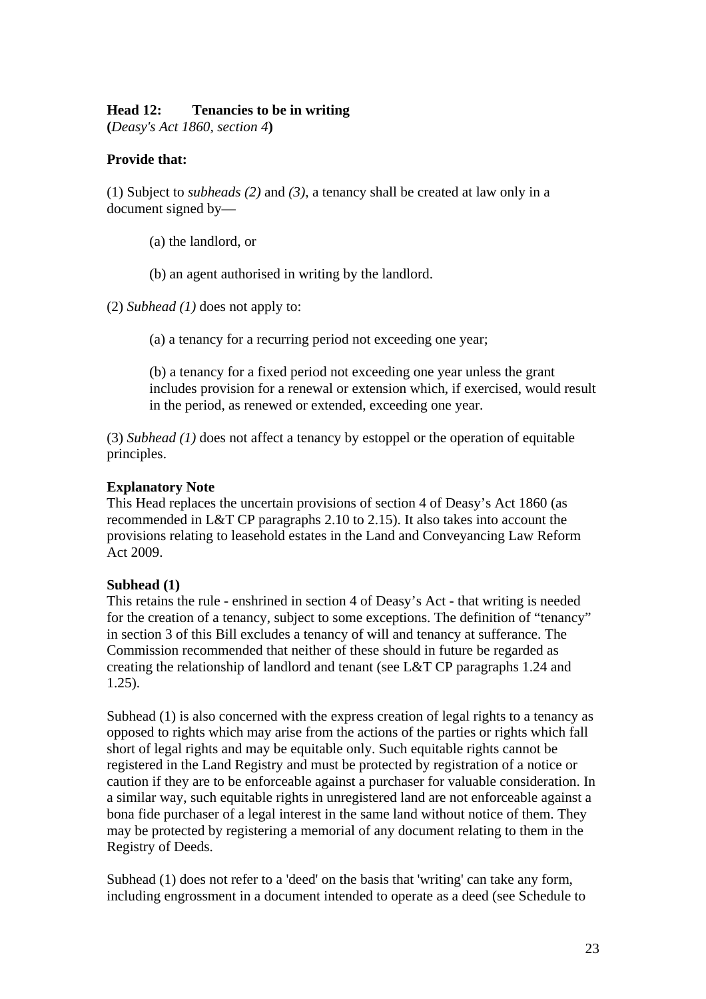## **Head 12: Tenancies to be in writing**

**(***Deasy's Act 1860, section 4***)** 

## **Provide that:**

(1) Subject to *subheads (2)* and *(3)*, a tenancy shall be created at law only in a document signed by—

(a) the landlord, or

(b) an agent authorised in writing by the landlord.

(2) *Subhead (1)* does not apply to:

(a) a tenancy for a recurring period not exceeding one year;

(b) a tenancy for a fixed period not exceeding one year unless the grant includes provision for a renewal or extension which, if exercised, would result in the period, as renewed or extended, exceeding one year.

(3) *Subhead (1)* does not affect a tenancy by estoppel or the operation of equitable principles.

### **Explanatory Note**

This Head replaces the uncertain provisions of section 4 of Deasy's Act 1860 (as recommended in L&T CP paragraphs 2.10 to 2.15). It also takes into account the provisions relating to leasehold estates in the Land and Conveyancing Law Reform Act 2009.

### **Subhead (1)**

This retains the rule - enshrined in section 4 of Deasy's Act - that writing is needed for the creation of a tenancy, subject to some exceptions. The definition of "tenancy" in section 3 of this Bill excludes a tenancy of will and tenancy at sufferance. The Commission recommended that neither of these should in future be regarded as creating the relationship of landlord and tenant (see L&T CP paragraphs 1.24 and 1.25).

Subhead (1) is also concerned with the express creation of legal rights to a tenancy as opposed to rights which may arise from the actions of the parties or rights which fall short of legal rights and may be equitable only. Such equitable rights cannot be registered in the Land Registry and must be protected by registration of a notice or caution if they are to be enforceable against a purchaser for valuable consideration. In a similar way, such equitable rights in unregistered land are not enforceable against a bona fide purchaser of a legal interest in the same land without notice of them. They may be protected by registering a memorial of any document relating to them in the Registry of Deeds.

Subhead (1) does not refer to a 'deed' on the basis that 'writing' can take any form, including engrossment in a document intended to operate as a deed (see Schedule to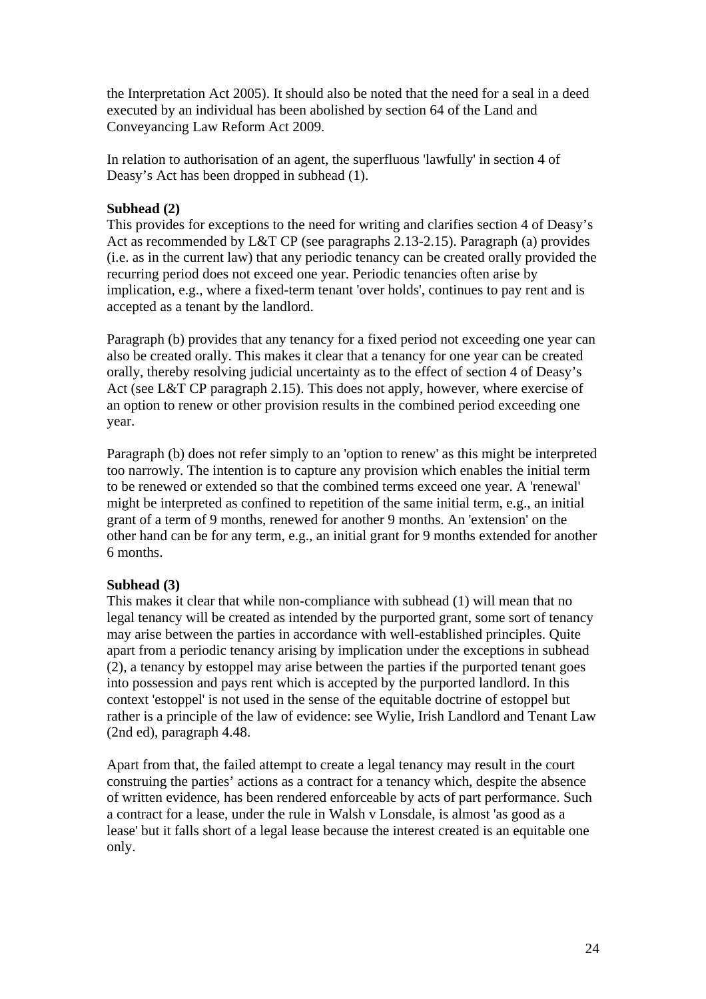the Interpretation Act 2005). It should also be noted that the need for a seal in a deed executed by an individual has been abolished by section 64 of the Land and Conveyancing Law Reform Act 2009.

In relation to authorisation of an agent, the superfluous 'lawfully' in section 4 of Deasy's Act has been dropped in subhead  $(1)$ .

### **Subhead (2)**

This provides for exceptions to the need for writing and clarifies section 4 of Deasy's Act as recommended by L&T CP (see paragraphs 2.13-2.15). Paragraph (a) provides (i.e. as in the current law) that any periodic tenancy can be created orally provided the recurring period does not exceed one year. Periodic tenancies often arise by implication, e.g., where a fixed-term tenant 'over holds', continues to pay rent and is accepted as a tenant by the landlord.

Paragraph (b) provides that any tenancy for a fixed period not exceeding one year can also be created orally. This makes it clear that a tenancy for one year can be created orally, thereby resolving judicial uncertainty as to the effect of section 4 of Deasy's Act (see L&T CP paragraph 2.15). This does not apply, however, where exercise of an option to renew or other provision results in the combined period exceeding one year.

Paragraph (b) does not refer simply to an 'option to renew' as this might be interpreted too narrowly. The intention is to capture any provision which enables the initial term to be renewed or extended so that the combined terms exceed one year. A 'renewal' might be interpreted as confined to repetition of the same initial term, e.g., an initial grant of a term of 9 months, renewed for another 9 months. An 'extension' on the other hand can be for any term, e.g., an initial grant for 9 months extended for another 6 months.

## **Subhead (3)**

This makes it clear that while non-compliance with subhead (1) will mean that no legal tenancy will be created as intended by the purported grant, some sort of tenancy may arise between the parties in accordance with well-established principles. Quite apart from a periodic tenancy arising by implication under the exceptions in subhead (2), a tenancy by estoppel may arise between the parties if the purported tenant goes into possession and pays rent which is accepted by the purported landlord. In this context 'estoppel' is not used in the sense of the equitable doctrine of estoppel but rather is a principle of the law of evidence: see Wylie, Irish Landlord and Tenant Law (2nd ed), paragraph 4.48.

Apart from that, the failed attempt to create a legal tenancy may result in the court construing the parties' actions as a contract for a tenancy which, despite the absence of written evidence, has been rendered enforceable by acts of part performance. Such a contract for a lease, under the rule in Walsh v Lonsdale, is almost 'as good as a lease' but it falls short of a legal lease because the interest created is an equitable one only.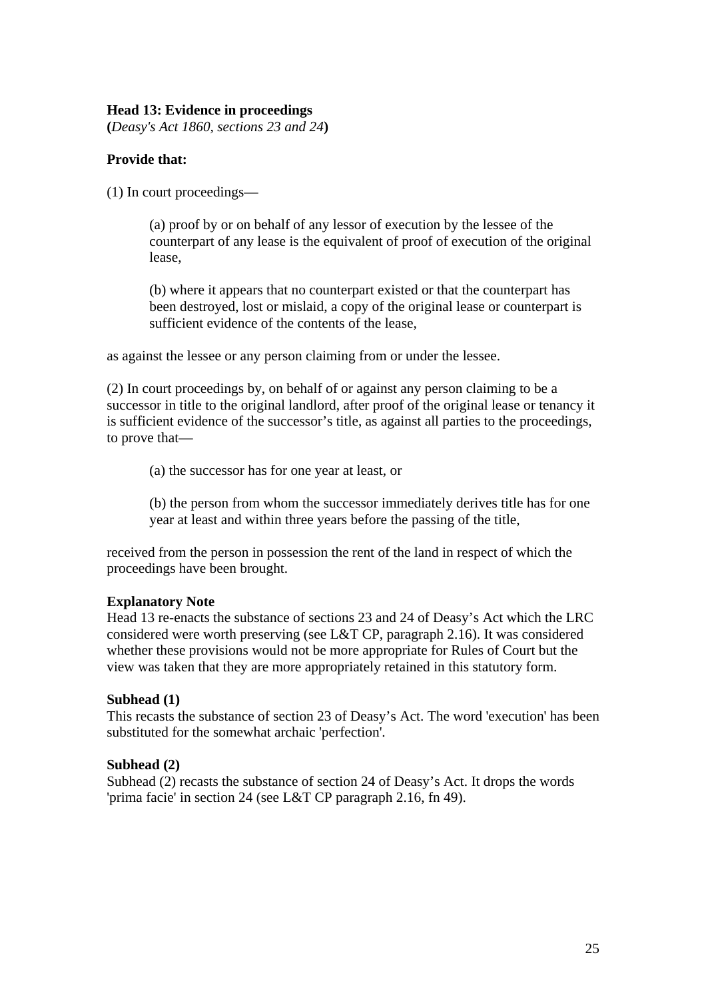## **Head 13: Evidence in proceedings**

**(***Deasy's Act 1860, sections 23 and 24***)** 

## **Provide that:**

(1) In court proceedings—

(a) proof by or on behalf of any lessor of execution by the lessee of the counterpart of any lease is the equivalent of proof of execution of the original lease,

(b) where it appears that no counterpart existed or that the counterpart has been destroyed, lost or mislaid, a copy of the original lease or counterpart is sufficient evidence of the contents of the lease,

as against the lessee or any person claiming from or under the lessee.

(2) In court proceedings by, on behalf of or against any person claiming to be a successor in title to the original landlord, after proof of the original lease or tenancy it is sufficient evidence of the successor's title, as against all parties to the proceedings, to prove that—

(a) the successor has for one year at least, or

(b) the person from whom the successor immediately derives title has for one year at least and within three years before the passing of the title,

received from the person in possession the rent of the land in respect of which the proceedings have been brought.

### **Explanatory Note**

Head 13 re-enacts the substance of sections 23 and 24 of Deasy's Act which the LRC considered were worth preserving (see L&T CP, paragraph 2.16). It was considered whether these provisions would not be more appropriate for Rules of Court but the view was taken that they are more appropriately retained in this statutory form.

#### **Subhead (1)**

This recasts the substance of section 23 of Deasy's Act. The word 'execution' has been substituted for the somewhat archaic 'perfection'.

### **Subhead (2)**

Subhead (2) recasts the substance of section 24 of Deasy's Act. It drops the words 'prima facie' in section 24 (see L&T CP paragraph 2.16, fn 49).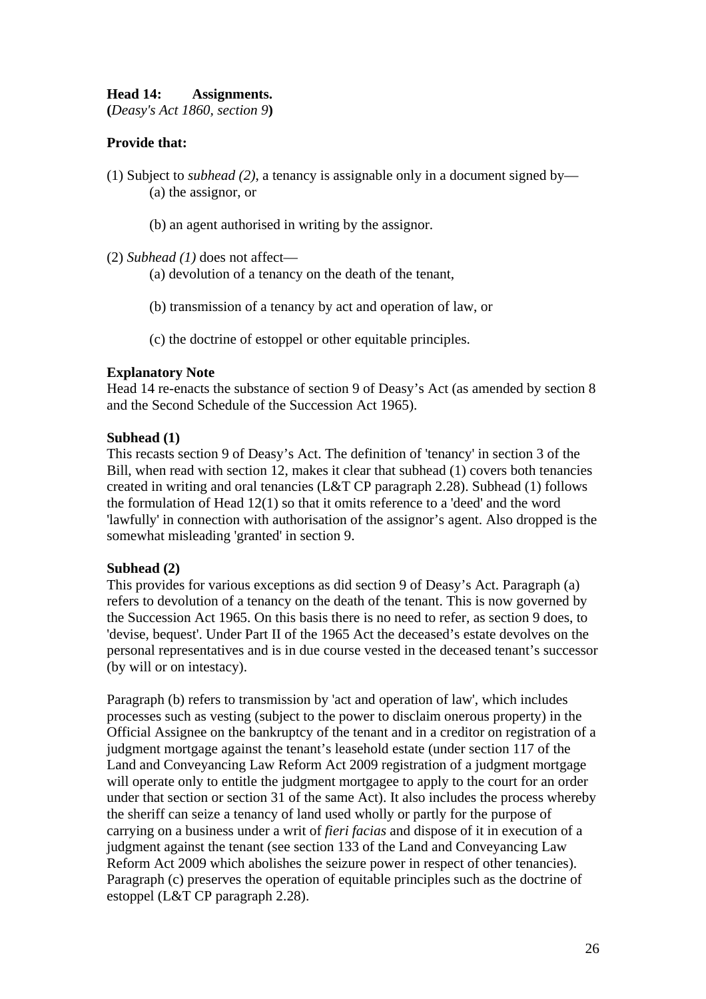# **Head 14: Assignments.**

**(***Deasy's Act 1860, section 9***)** 

## **Provide that:**

- (1) Subject to *subhead (2)*, a tenancy is assignable only in a document signed by— (a) the assignor, or
	- (b) an agent authorised in writing by the assignor.

(2) *Subhead (1)* does not affect—

(a) devolution of a tenancy on the death of the tenant,

- (b) transmission of a tenancy by act and operation of law, or
- (c) the doctrine of estoppel or other equitable principles.

### **Explanatory Note**

Head 14 re-enacts the substance of section 9 of Deasy's Act (as amended by section 8 and the Second Schedule of the Succession Act 1965).

#### **Subhead (1)**

This recasts section 9 of Deasy's Act. The definition of 'tenancy' in section 3 of the Bill, when read with section 12, makes it clear that subhead (1) covers both tenancies created in writing and oral tenancies (L&T CP paragraph 2.28). Subhead (1) follows the formulation of Head 12(1) so that it omits reference to a 'deed' and the word 'lawfully' in connection with authorisation of the assignor's agent. Also dropped is the somewhat misleading 'granted' in section 9.

### **Subhead (2)**

This provides for various exceptions as did section 9 of Deasy's Act. Paragraph (a) refers to devolution of a tenancy on the death of the tenant. This is now governed by the Succession Act 1965. On this basis there is no need to refer, as section 9 does, to 'devise, bequest'. Under Part II of the 1965 Act the deceased's estate devolves on the personal representatives and is in due course vested in the deceased tenant's successor (by will or on intestacy).

Paragraph (b) refers to transmission by 'act and operation of law', which includes processes such as vesting (subject to the power to disclaim onerous property) in the Official Assignee on the bankruptcy of the tenant and in a creditor on registration of a judgment mortgage against the tenant's leasehold estate (under section 117 of the Land and Conveyancing Law Reform Act 2009 registration of a judgment mortgage will operate only to entitle the judgment mortgagee to apply to the court for an order under that section or section 31 of the same Act). It also includes the process whereby the sheriff can seize a tenancy of land used wholly or partly for the purpose of carrying on a business under a writ of *fieri facias* and dispose of it in execution of a judgment against the tenant (see section 133 of the Land and Conveyancing Law Reform Act 2009 which abolishes the seizure power in respect of other tenancies). Paragraph (c) preserves the operation of equitable principles such as the doctrine of estoppel (L&T CP paragraph 2.28).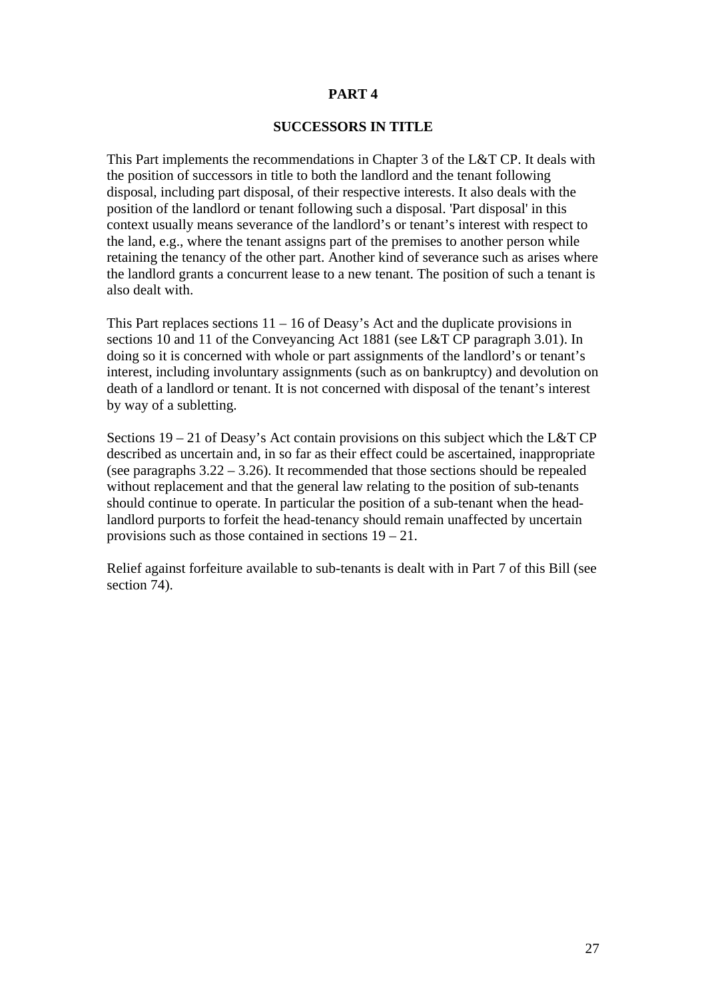#### **SUCCESSORS IN TITLE**

This Part implements the recommendations in Chapter 3 of the L&T CP. It deals with the position of successors in title to both the landlord and the tenant following disposal, including part disposal, of their respective interests. It also deals with the position of the landlord or tenant following such a disposal. 'Part disposal' in this context usually means severance of the landlord's or tenant's interest with respect to the land, e.g., where the tenant assigns part of the premises to another person while retaining the tenancy of the other part. Another kind of severance such as arises where the landlord grants a concurrent lease to a new tenant. The position of such a tenant is also dealt with.

This Part replaces sections  $11 - 16$  of Deasy's Act and the duplicate provisions in sections 10 and 11 of the Conveyancing Act 1881 (see L&T CP paragraph 3.01). In doing so it is concerned with whole or part assignments of the landlord's or tenant's interest, including involuntary assignments (such as on bankruptcy) and devolution on death of a landlord or tenant. It is not concerned with disposal of the tenant's interest by way of a subletting.

Sections 19 – 21 of Deasy's Act contain provisions on this subject which the L&T CP described as uncertain and, in so far as their effect could be ascertained, inappropriate (see paragraphs 3.22 – 3.26). It recommended that those sections should be repealed without replacement and that the general law relating to the position of sub-tenants should continue to operate. In particular the position of a sub-tenant when the headlandlord purports to forfeit the head-tenancy should remain unaffected by uncertain provisions such as those contained in sections 19 – 21.

Relief against forfeiture available to sub-tenants is dealt with in Part 7 of this Bill (see section 74).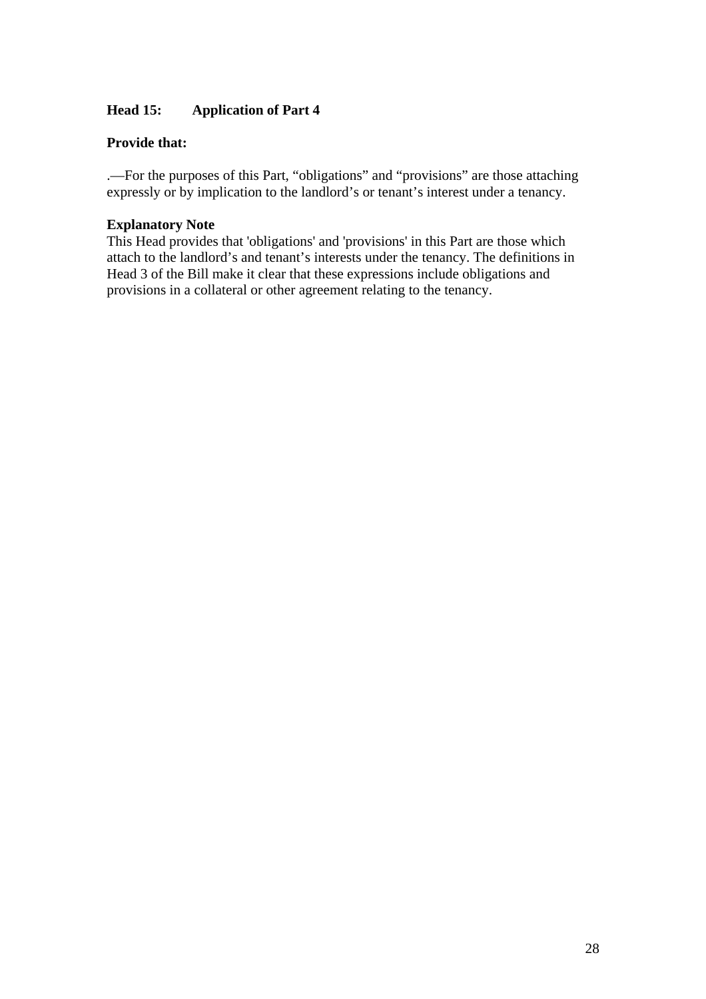## **Head 15: Application of Part 4**

## **Provide that:**

.—For the purposes of this Part, "obligations" and "provisions" are those attaching expressly or by implication to the landlord's or tenant's interest under a tenancy.

## **Explanatory Note**

This Head provides that 'obligations' and 'provisions' in this Part are those which attach to the landlord's and tenant's interests under the tenancy. The definitions in Head 3 of the Bill make it clear that these expressions include obligations and provisions in a collateral or other agreement relating to the tenancy.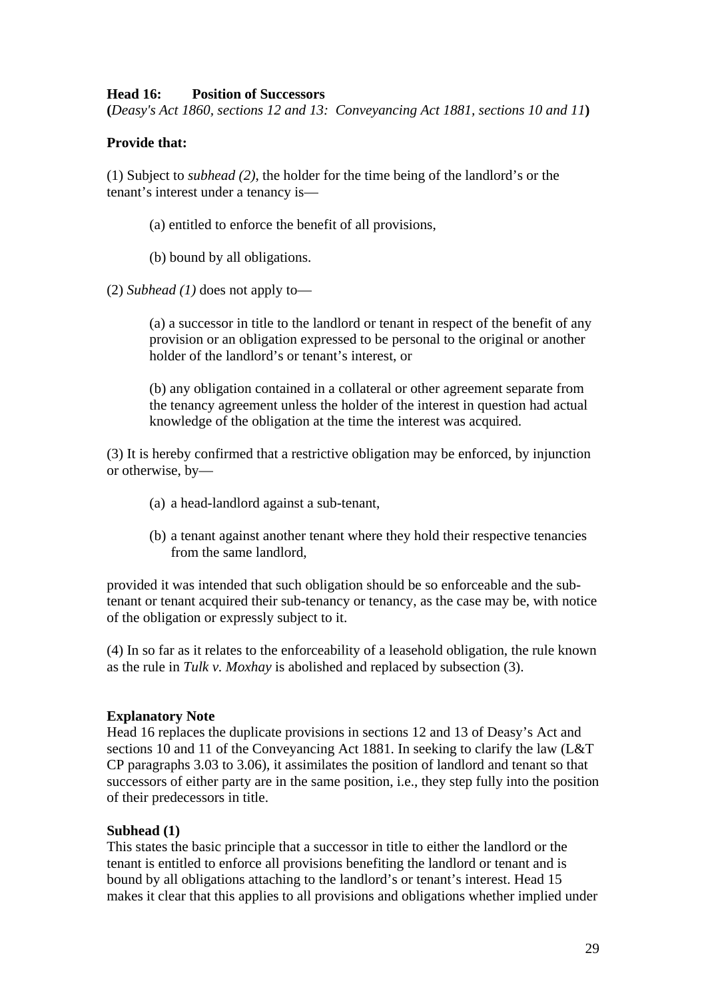## **Head 16: Position of Successors**

**(***Deasy's Act 1860, sections 12 and 13: Conveyancing Act 1881, sections 10 and 11***)** 

## **Provide that:**

(1) Subject to *subhead (2)*, the holder for the time being of the landlord's or the tenant's interest under a tenancy is—

(a) entitled to enforce the benefit of all provisions,

(b) bound by all obligations.

(2) *Subhead (1)* does not apply to—

(a) a successor in title to the landlord or tenant in respect of the benefit of any provision or an obligation expressed to be personal to the original or another holder of the landlord's or tenant's interest, or

(b) any obligation contained in a collateral or other agreement separate from the tenancy agreement unless the holder of the interest in question had actual knowledge of the obligation at the time the interest was acquired.

(3) It is hereby confirmed that a restrictive obligation may be enforced, by injunction or otherwise, by—

- (a) a head-landlord against a sub-tenant,
- (b) a tenant against another tenant where they hold their respective tenancies from the same landlord,

provided it was intended that such obligation should be so enforceable and the subtenant or tenant acquired their sub-tenancy or tenancy, as the case may be, with notice of the obligation or expressly subject to it.

(4) In so far as it relates to the enforceability of a leasehold obligation, the rule known as the rule in *Tulk v. Moxhay* is abolished and replaced by subsection (3).

## **Explanatory Note**

Head 16 replaces the duplicate provisions in sections 12 and 13 of Deasy's Act and sections 10 and 11 of the Conveyancing Act 1881. In seeking to clarify the law (L&T CP paragraphs 3.03 to 3.06), it assimilates the position of landlord and tenant so that successors of either party are in the same position, i.e., they step fully into the position of their predecessors in title.

### **Subhead (1)**

This states the basic principle that a successor in title to either the landlord or the tenant is entitled to enforce all provisions benefiting the landlord or tenant and is bound by all obligations attaching to the landlord's or tenant's interest. Head 15 makes it clear that this applies to all provisions and obligations whether implied under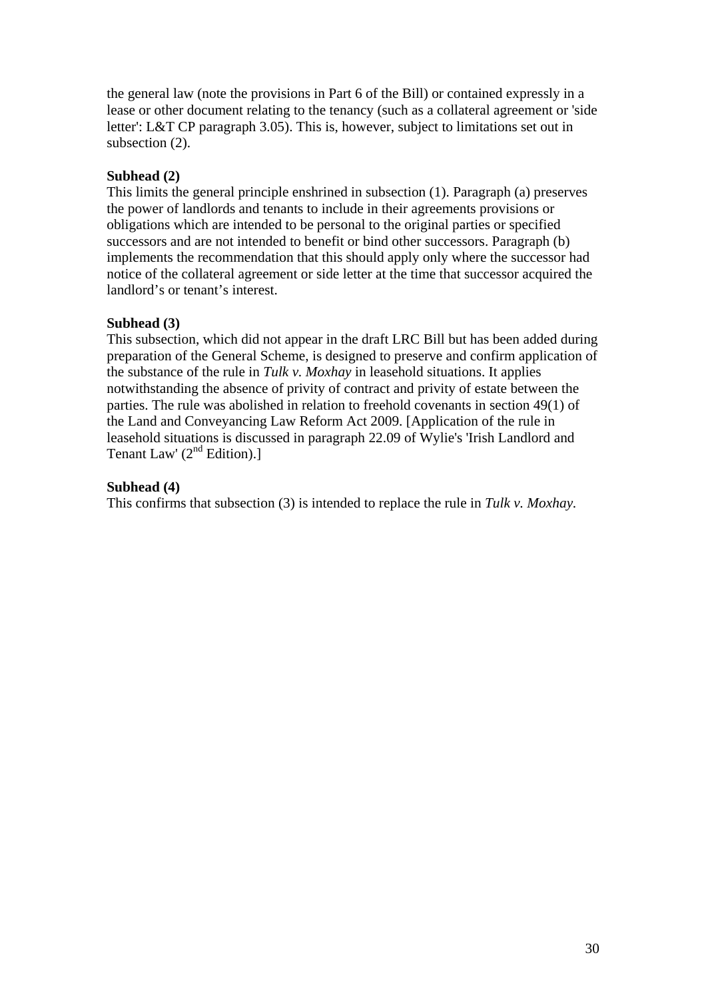the general law (note the provisions in Part 6 of the Bill) or contained expressly in a lease or other document relating to the tenancy (such as a collateral agreement or 'side letter': L&T CP paragraph 3.05). This is, however, subject to limitations set out in subsection (2).

## **Subhead (2)**

This limits the general principle enshrined in subsection (1). Paragraph (a) preserves the power of landlords and tenants to include in their agreements provisions or obligations which are intended to be personal to the original parties or specified successors and are not intended to benefit or bind other successors. Paragraph (b) implements the recommendation that this should apply only where the successor had notice of the collateral agreement or side letter at the time that successor acquired the landlord's or tenant's interest.

## **Subhead (3)**

This subsection, which did not appear in the draft LRC Bill but has been added during preparation of the General Scheme, is designed to preserve and confirm application of the substance of the rule in *Tulk v. Moxhay* in leasehold situations. It applies notwithstanding the absence of privity of contract and privity of estate between the parties. The rule was abolished in relation to freehold covenants in section 49(1) of the Land and Conveyancing Law Reform Act 2009. [Application of the rule in leasehold situations is discussed in paragraph 22.09 of Wylie's 'Irish Landlord and Tenant Law'  $(2<sup>nd</sup> Edition).$ ]

## **Subhead (4)**

This confirms that subsection (3) is intended to replace the rule in *Tulk v. Moxhay.*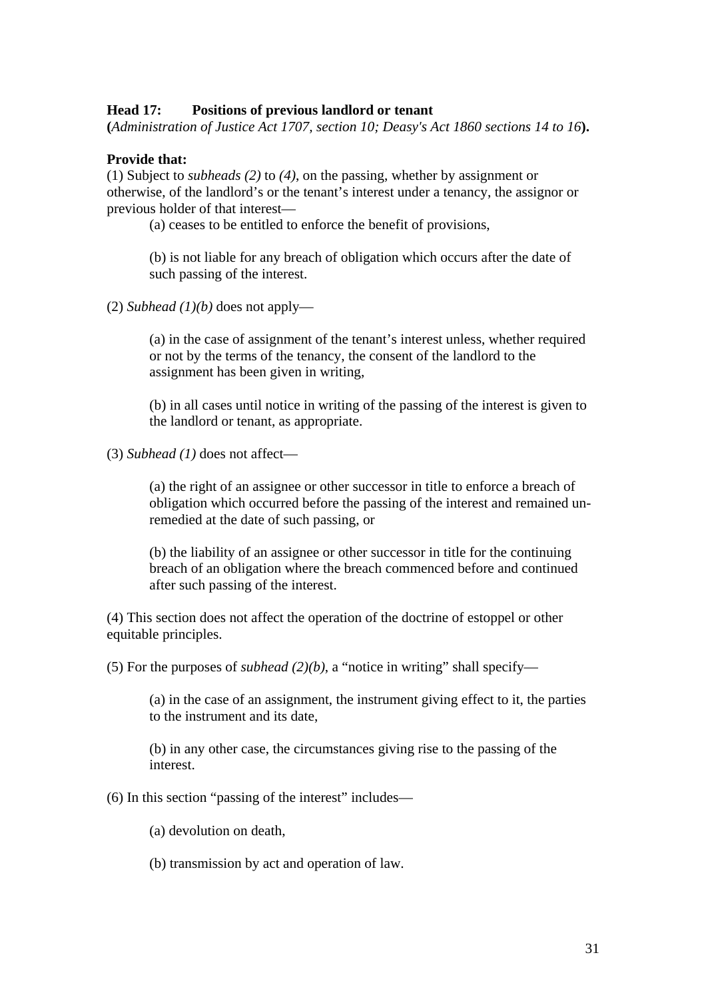### **Head 17: Positions of previous landlord or tenant**

**(***Administration of Justice Act 1707, section 10; Deasy's Act 1860 sections 14 to 16***).** 

#### **Provide that:**

(1) Subject to *subheads (2)* to *(4)*, on the passing, whether by assignment or otherwise, of the landlord's or the tenant's interest under a tenancy, the assignor or previous holder of that interest—

(a) ceases to be entitled to enforce the benefit of provisions,

(b) is not liable for any breach of obligation which occurs after the date of such passing of the interest.

(2) *Subhead*  $(1)(b)$  does not apply—

(a) in the case of assignment of the tenant's interest unless, whether required or not by the terms of the tenancy, the consent of the landlord to the assignment has been given in writing,

(b) in all cases until notice in writing of the passing of the interest is given to the landlord or tenant, as appropriate.

(3) *Subhead (1)* does not affect—

(a) the right of an assignee or other successor in title to enforce a breach of obligation which occurred before the passing of the interest and remained unremedied at the date of such passing, or

(b) the liability of an assignee or other successor in title for the continuing breach of an obligation where the breach commenced before and continued after such passing of the interest.

(4) This section does not affect the operation of the doctrine of estoppel or other equitable principles.

(5) For the purposes of *subhead* (2)(b), a "notice in writing" shall specify—

(a) in the case of an assignment, the instrument giving effect to it, the parties to the instrument and its date,

(b) in any other case, the circumstances giving rise to the passing of the interest.

(6) In this section "passing of the interest" includes—

(a) devolution on death,

(b) transmission by act and operation of law.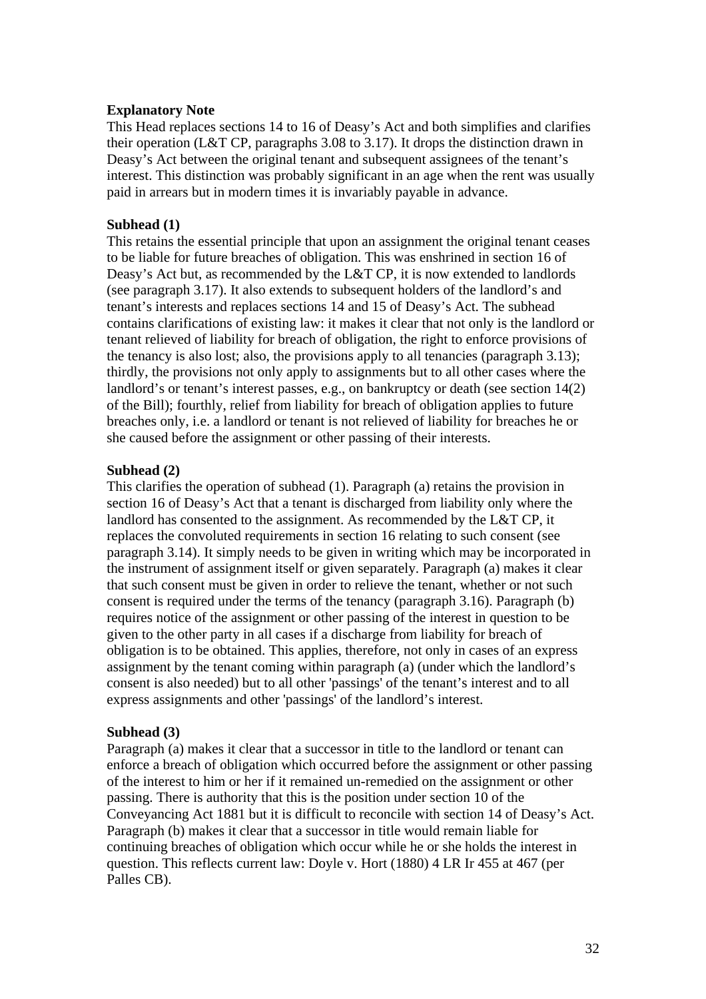### **Explanatory Note**

This Head replaces sections 14 to 16 of Deasy's Act and both simplifies and clarifies their operation (L&T CP, paragraphs 3.08 to 3.17). It drops the distinction drawn in Deasy's Act between the original tenant and subsequent assignees of the tenant's interest. This distinction was probably significant in an age when the rent was usually paid in arrears but in modern times it is invariably payable in advance.

#### **Subhead (1)**

This retains the essential principle that upon an assignment the original tenant ceases to be liable for future breaches of obligation. This was enshrined in section 16 of Deasy's Act but, as recommended by the L&T CP, it is now extended to landlords (see paragraph 3.17). It also extends to subsequent holders of the landlord's and tenant's interests and replaces sections 14 and 15 of Deasy's Act. The subhead contains clarifications of existing law: it makes it clear that not only is the landlord or tenant relieved of liability for breach of obligation, the right to enforce provisions of the tenancy is also lost; also, the provisions apply to all tenancies (paragraph 3.13); thirdly, the provisions not only apply to assignments but to all other cases where the landlord's or tenant's interest passes, e.g., on bankruptcy or death (see section 14(2) of the Bill); fourthly, relief from liability for breach of obligation applies to future breaches only, i.e. a landlord or tenant is not relieved of liability for breaches he or she caused before the assignment or other passing of their interests.

### **Subhead (2)**

This clarifies the operation of subhead (1). Paragraph (a) retains the provision in section 16 of Deasy's Act that a tenant is discharged from liability only where the landlord has consented to the assignment. As recommended by the L&T CP, it replaces the convoluted requirements in section 16 relating to such consent (see paragraph 3.14). It simply needs to be given in writing which may be incorporated in the instrument of assignment itself or given separately. Paragraph (a) makes it clear that such consent must be given in order to relieve the tenant, whether or not such consent is required under the terms of the tenancy (paragraph 3.16). Paragraph (b) requires notice of the assignment or other passing of the interest in question to be given to the other party in all cases if a discharge from liability for breach of obligation is to be obtained. This applies, therefore, not only in cases of an express assignment by the tenant coming within paragraph (a) (under which the landlord's consent is also needed) but to all other 'passings' of the tenant's interest and to all express assignments and other 'passings' of the landlord's interest.

#### **Subhead (3)**

Paragraph (a) makes it clear that a successor in title to the landlord or tenant can enforce a breach of obligation which occurred before the assignment or other passing of the interest to him or her if it remained un-remedied on the assignment or other passing. There is authority that this is the position under section 10 of the Conveyancing Act 1881 but it is difficult to reconcile with section 14 of Deasy's Act. Paragraph (b) makes it clear that a successor in title would remain liable for continuing breaches of obligation which occur while he or she holds the interest in question. This reflects current law: Doyle v. Hort (1880) 4 LR Ir 455 at 467 (per Palles CB).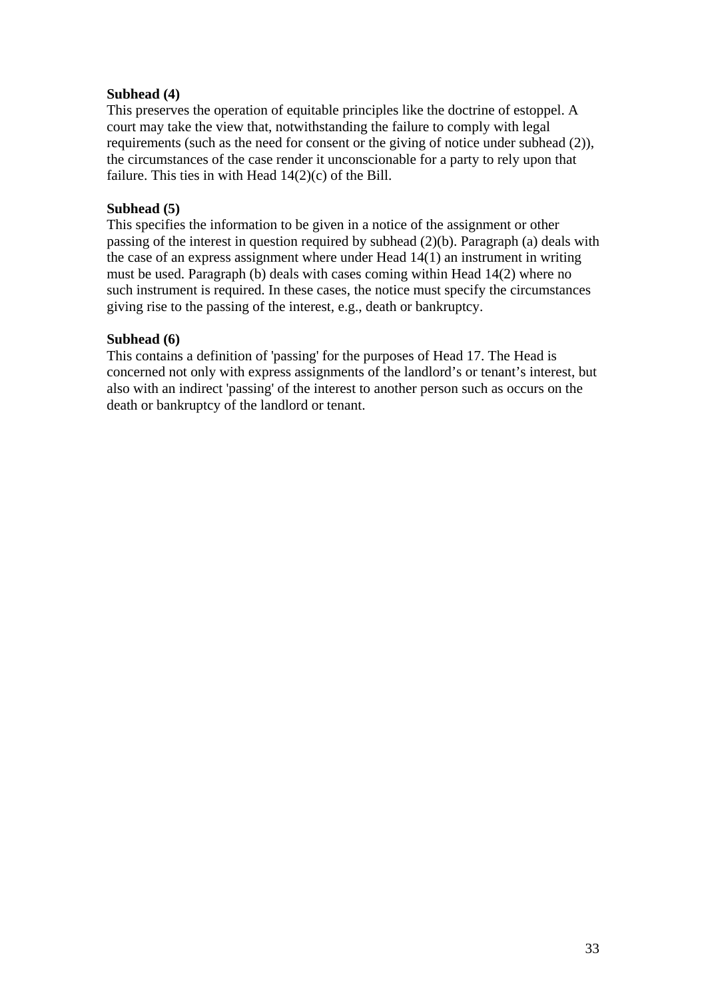## **Subhead (4)**

This preserves the operation of equitable principles like the doctrine of estoppel. A court may take the view that, notwithstanding the failure to comply with legal requirements (such as the need for consent or the giving of notice under subhead (2)), the circumstances of the case render it unconscionable for a party to rely upon that failure. This ties in with Head  $14(2)(c)$  of the Bill.

### **Subhead (5)**

This specifies the information to be given in a notice of the assignment or other passing of the interest in question required by subhead (2)(b). Paragraph (a) deals with the case of an express assignment where under Head 14(1) an instrument in writing must be used. Paragraph (b) deals with cases coming within Head 14(2) where no such instrument is required. In these cases, the notice must specify the circumstances giving rise to the passing of the interest, e.g., death or bankruptcy.

## **Subhead (6)**

This contains a definition of 'passing' for the purposes of Head 17. The Head is concerned not only with express assignments of the landlord's or tenant's interest, but also with an indirect 'passing' of the interest to another person such as occurs on the death or bankruptcy of the landlord or tenant.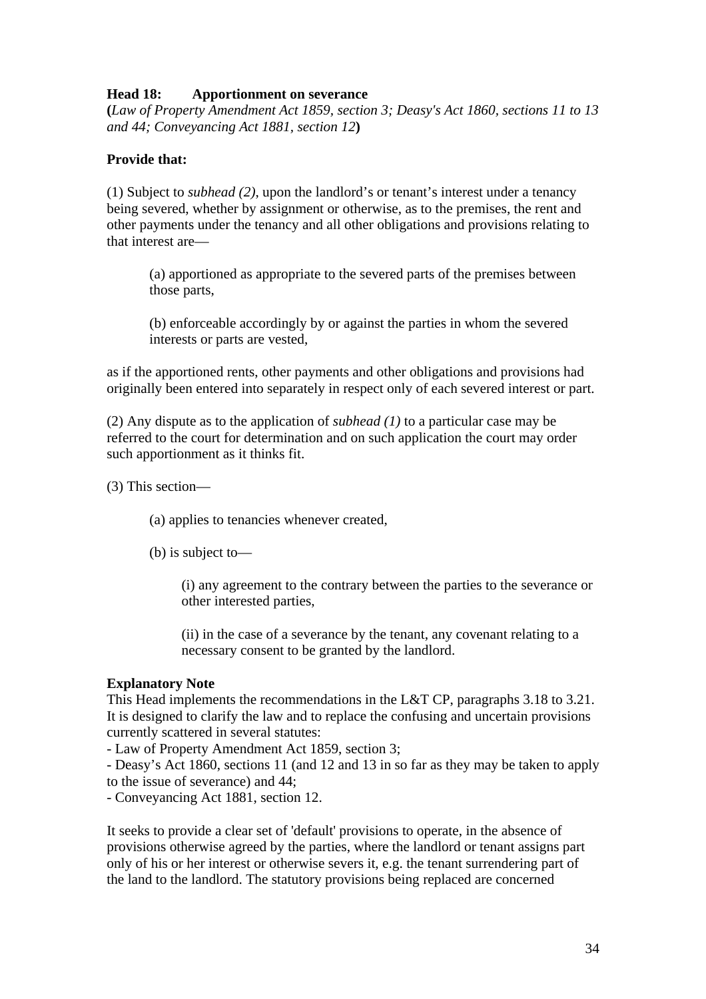## **Head 18: Apportionment on severance**

**(***Law of Property Amendment Act 1859, section 3; Deasy's Act 1860, sections 11 to 13 and 44; Conveyancing Act 1881, section 12***)** 

# **Provide that:**

(1) Subject to *subhead (2)*, upon the landlord's or tenant's interest under a tenancy being severed, whether by assignment or otherwise, as to the premises, the rent and other payments under the tenancy and all other obligations and provisions relating to that interest are—

(a) apportioned as appropriate to the severed parts of the premises between those parts,

(b) enforceable accordingly by or against the parties in whom the severed interests or parts are vested,

as if the apportioned rents, other payments and other obligations and provisions had originally been entered into separately in respect only of each severed interest or part.

(2) Any dispute as to the application of *subhead (1)* to a particular case may be referred to the court for determination and on such application the court may order such apportionment as it thinks fit.

(3) This section—

(a) applies to tenancies whenever created,

(b) is subject to—

(i) any agreement to the contrary between the parties to the severance or other interested parties,

(ii) in the case of a severance by the tenant, any covenant relating to a necessary consent to be granted by the landlord.

## **Explanatory Note**

This Head implements the recommendations in the L&T CP, paragraphs 3.18 to 3.21. It is designed to clarify the law and to replace the confusing and uncertain provisions currently scattered in several statutes:

- Law of Property Amendment Act 1859, section 3;

- Deasy's Act 1860, sections 11 (and 12 and 13 in so far as they may be taken to apply to the issue of severance) and 44;

- Conveyancing Act 1881, section 12.

It seeks to provide a clear set of 'default' provisions to operate, in the absence of provisions otherwise agreed by the parties, where the landlord or tenant assigns part only of his or her interest or otherwise severs it, e.g. the tenant surrendering part of the land to the landlord. The statutory provisions being replaced are concerned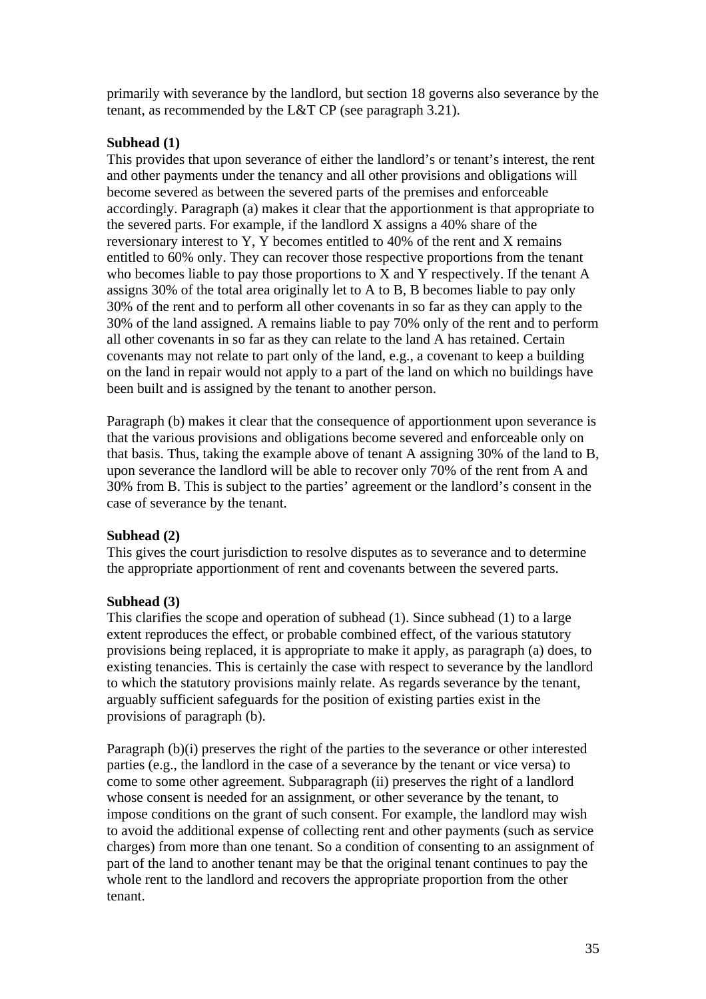primarily with severance by the landlord, but section 18 governs also severance by the tenant, as recommended by the L&T CP (see paragraph 3.21).

# **Subhead (1)**

This provides that upon severance of either the landlord's or tenant's interest, the rent and other payments under the tenancy and all other provisions and obligations will become severed as between the severed parts of the premises and enforceable accordingly. Paragraph (a) makes it clear that the apportionment is that appropriate to the severed parts. For example, if the landlord X assigns a 40% share of the reversionary interest to Y, Y becomes entitled to 40% of the rent and X remains entitled to 60% only. They can recover those respective proportions from the tenant who becomes liable to pay those proportions to X and Y respectively. If the tenant A assigns 30% of the total area originally let to A to B, B becomes liable to pay only 30% of the rent and to perform all other covenants in so far as they can apply to the 30% of the land assigned. A remains liable to pay 70% only of the rent and to perform all other covenants in so far as they can relate to the land A has retained. Certain covenants may not relate to part only of the land, e.g., a covenant to keep a building on the land in repair would not apply to a part of the land on which no buildings have been built and is assigned by the tenant to another person.

Paragraph (b) makes it clear that the consequence of apportionment upon severance is that the various provisions and obligations become severed and enforceable only on that basis. Thus, taking the example above of tenant A assigning 30% of the land to B, upon severance the landlord will be able to recover only 70% of the rent from A and 30% from B. This is subject to the parties' agreement or the landlord's consent in the case of severance by the tenant.

# **Subhead (2)**

This gives the court jurisdiction to resolve disputes as to severance and to determine the appropriate apportionment of rent and covenants between the severed parts.

# **Subhead (3)**

This clarifies the scope and operation of subhead (1). Since subhead (1) to a large extent reproduces the effect, or probable combined effect, of the various statutory provisions being replaced, it is appropriate to make it apply, as paragraph (a) does, to existing tenancies. This is certainly the case with respect to severance by the landlord to which the statutory provisions mainly relate. As regards severance by the tenant, arguably sufficient safeguards for the position of existing parties exist in the provisions of paragraph (b).

Paragraph (b)(i) preserves the right of the parties to the severance or other interested parties (e.g., the landlord in the case of a severance by the tenant or vice versa) to come to some other agreement. Subparagraph (ii) preserves the right of a landlord whose consent is needed for an assignment, or other severance by the tenant, to impose conditions on the grant of such consent. For example, the landlord may wish to avoid the additional expense of collecting rent and other payments (such as service charges) from more than one tenant. So a condition of consenting to an assignment of part of the land to another tenant may be that the original tenant continues to pay the whole rent to the landlord and recovers the appropriate proportion from the other tenant.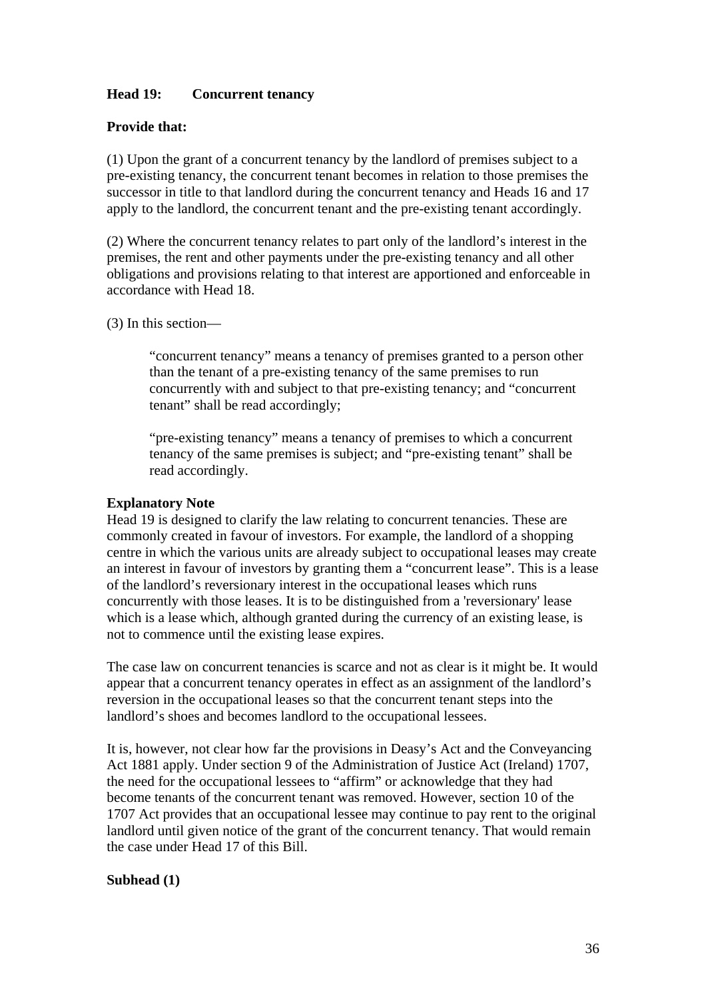## **Head 19: Concurrent tenancy**

### **Provide that:**

(1) Upon the grant of a concurrent tenancy by the landlord of premises subject to a pre-existing tenancy, the concurrent tenant becomes in relation to those premises the successor in title to that landlord during the concurrent tenancy and Heads 16 and 17 apply to the landlord, the concurrent tenant and the pre-existing tenant accordingly.

(2) Where the concurrent tenancy relates to part only of the landlord's interest in the premises, the rent and other payments under the pre-existing tenancy and all other obligations and provisions relating to that interest are apportioned and enforceable in accordance with Head 18.

(3) In this section—

"concurrent tenancy" means a tenancy of premises granted to a person other than the tenant of a pre-existing tenancy of the same premises to run concurrently with and subject to that pre-existing tenancy; and "concurrent tenant" shall be read accordingly;

"pre-existing tenancy" means a tenancy of premises to which a concurrent tenancy of the same premises is subject; and "pre-existing tenant" shall be read accordingly.

#### **Explanatory Note**

Head 19 is designed to clarify the law relating to concurrent tenancies. These are commonly created in favour of investors. For example, the landlord of a shopping centre in which the various units are already subject to occupational leases may create an interest in favour of investors by granting them a "concurrent lease". This is a lease of the landlord's reversionary interest in the occupational leases which runs concurrently with those leases. It is to be distinguished from a 'reversionary' lease which is a lease which, although granted during the currency of an existing lease, is not to commence until the existing lease expires.

The case law on concurrent tenancies is scarce and not as clear is it might be. It would appear that a concurrent tenancy operates in effect as an assignment of the landlord's reversion in the occupational leases so that the concurrent tenant steps into the landlord's shoes and becomes landlord to the occupational lessees.

It is, however, not clear how far the provisions in Deasy's Act and the Conveyancing Act 1881 apply. Under section 9 of the Administration of Justice Act (Ireland) 1707, the need for the occupational lessees to "affirm" or acknowledge that they had become tenants of the concurrent tenant was removed. However, section 10 of the 1707 Act provides that an occupational lessee may continue to pay rent to the original landlord until given notice of the grant of the concurrent tenancy. That would remain the case under Head 17 of this Bill.

### **Subhead (1)**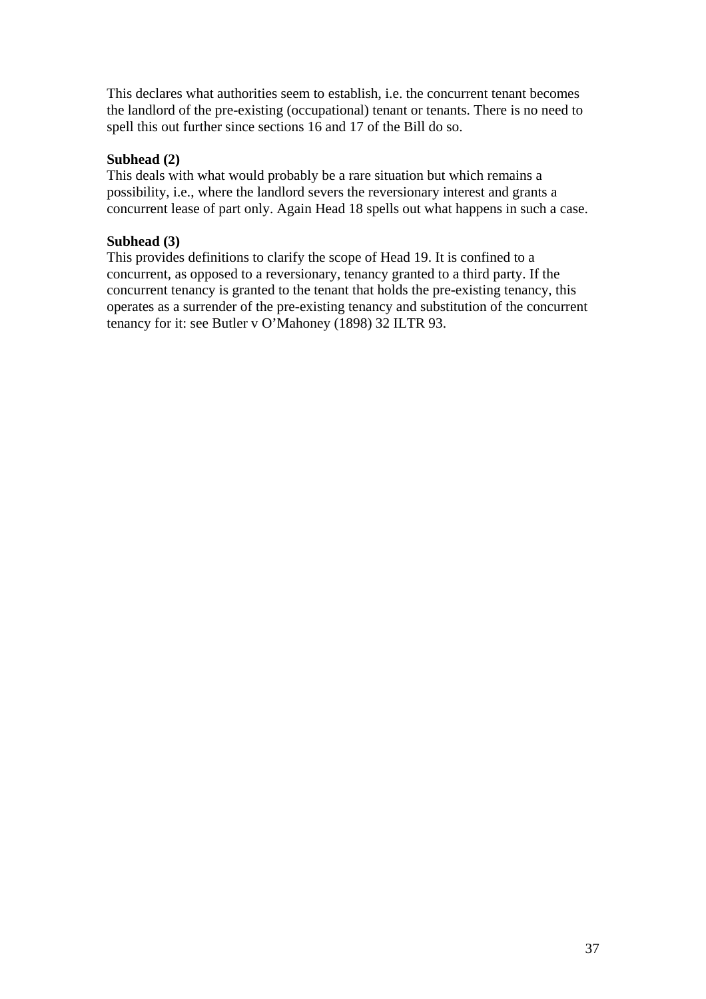This declares what authorities seem to establish, i.e. the concurrent tenant becomes the landlord of the pre-existing (occupational) tenant or tenants. There is no need to spell this out further since sections 16 and 17 of the Bill do so.

## **Subhead (2)**

This deals with what would probably be a rare situation but which remains a possibility, i.e., where the landlord severs the reversionary interest and grants a concurrent lease of part only. Again Head 18 spells out what happens in such a case.

## **Subhead (3)**

This provides definitions to clarify the scope of Head 19. It is confined to a concurrent, as opposed to a reversionary, tenancy granted to a third party. If the concurrent tenancy is granted to the tenant that holds the pre-existing tenancy, this operates as a surrender of the pre-existing tenancy and substitution of the concurrent tenancy for it: see Butler v O'Mahoney (1898) 32 ILTR 93.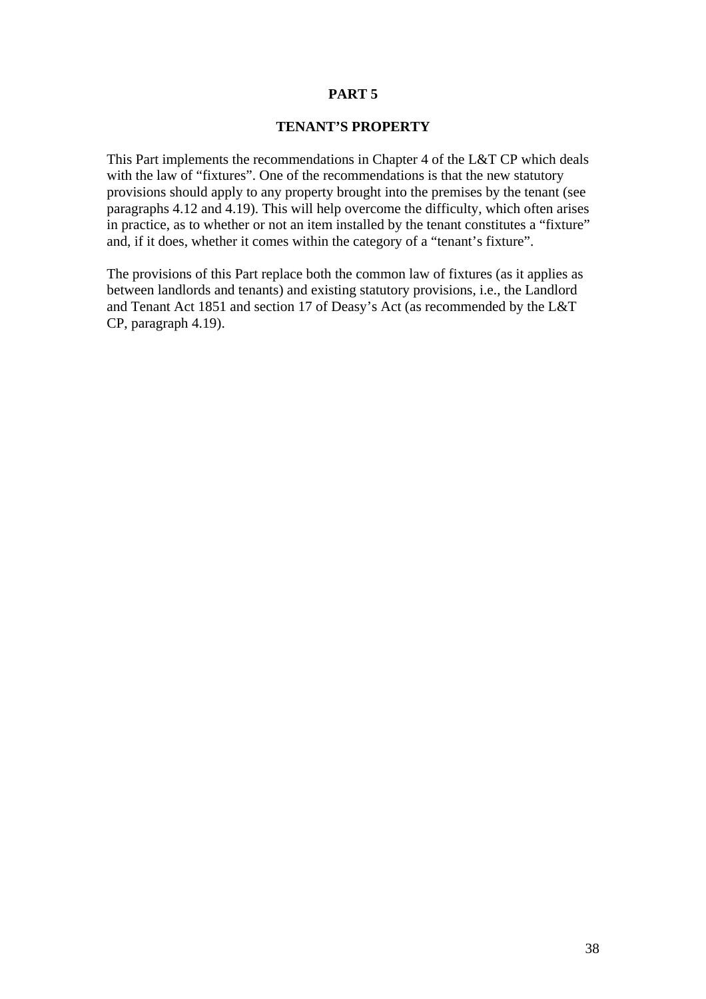### **PART 5**

## **TENANT'S PROPERTY**

This Part implements the recommendations in Chapter 4 of the L&T CP which deals with the law of "fixtures". One of the recommendations is that the new statutory provisions should apply to any property brought into the premises by the tenant (see paragraphs 4.12 and 4.19). This will help overcome the difficulty, which often arises in practice, as to whether or not an item installed by the tenant constitutes a "fixture" and, if it does, whether it comes within the category of a "tenant's fixture".

The provisions of this Part replace both the common law of fixtures (as it applies as between landlords and tenants) and existing statutory provisions, i.e., the Landlord and Tenant Act 1851 and section 17 of Deasy's Act (as recommended by the L&T CP, paragraph 4.19).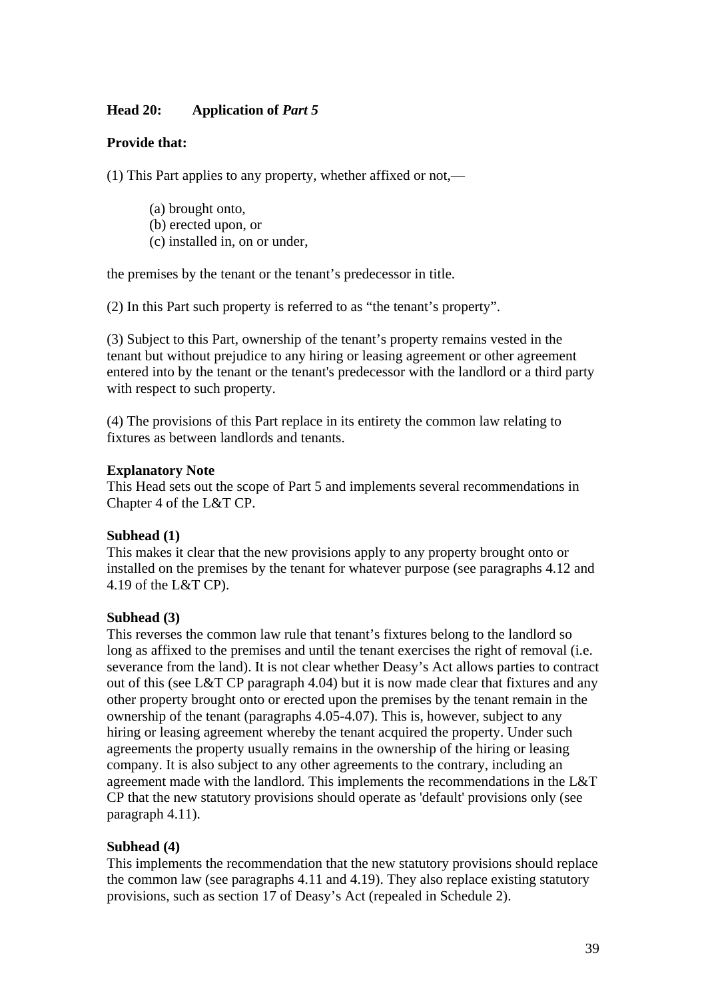## **Head 20:** Application of *Part 5*

## **Provide that:**

(1) This Part applies to any property, whether affixed or not,—

(a) brought onto, (b) erected upon, or (c) installed in, on or under,

the premises by the tenant or the tenant's predecessor in title.

(2) In this Part such property is referred to as "the tenant's property".

(3) Subject to this Part, ownership of the tenant's property remains vested in the tenant but without prejudice to any hiring or leasing agreement or other agreement entered into by the tenant or the tenant's predecessor with the landlord or a third party with respect to such property.

(4) The provisions of this Part replace in its entirety the common law relating to fixtures as between landlords and tenants.

#### **Explanatory Note**

This Head sets out the scope of Part 5 and implements several recommendations in Chapter 4 of the L&T CP.

### **Subhead (1)**

This makes it clear that the new provisions apply to any property brought onto or installed on the premises by the tenant for whatever purpose (see paragraphs 4.12 and 4.19 of the L&T CP).

### **Subhead (3)**

This reverses the common law rule that tenant's fixtures belong to the landlord so long as affixed to the premises and until the tenant exercises the right of removal (i.e. severance from the land). It is not clear whether Deasy's Act allows parties to contract out of this (see L&T CP paragraph 4.04) but it is now made clear that fixtures and any other property brought onto or erected upon the premises by the tenant remain in the ownership of the tenant (paragraphs 4.05-4.07). This is, however, subject to any hiring or leasing agreement whereby the tenant acquired the property. Under such agreements the property usually remains in the ownership of the hiring or leasing company. It is also subject to any other agreements to the contrary, including an agreement made with the landlord. This implements the recommendations in the L&T CP that the new statutory provisions should operate as 'default' provisions only (see paragraph 4.11).

### **Subhead (4)**

This implements the recommendation that the new statutory provisions should replace the common law (see paragraphs 4.11 and 4.19). They also replace existing statutory provisions, such as section 17 of Deasy's Act (repealed in Schedule 2).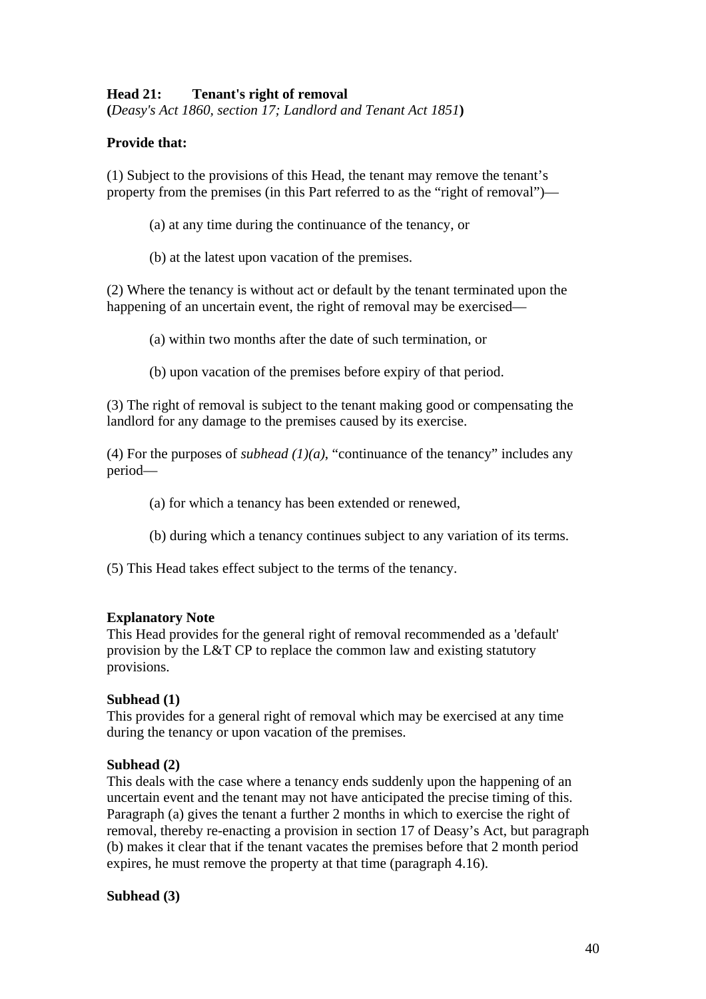## **Head 21: Tenant's right of removal**

**(***Deasy's Act 1860, section 17; Landlord and Tenant Act 1851***)** 

## **Provide that:**

(1) Subject to the provisions of this Head, the tenant may remove the tenant's property from the premises (in this Part referred to as the "right of removal")—

- (a) at any time during the continuance of the tenancy, or
- (b) at the latest upon vacation of the premises.

(2) Where the tenancy is without act or default by the tenant terminated upon the happening of an uncertain event, the right of removal may be exercised—

- (a) within two months after the date of such termination, or
- (b) upon vacation of the premises before expiry of that period.

(3) The right of removal is subject to the tenant making good or compensating the landlord for any damage to the premises caused by its exercise.

(4) For the purposes of *subhead*  $(1)(a)$ , "continuance of the tenancy" includes any period—

(a) for which a tenancy has been extended or renewed,

- (b) during which a tenancy continues subject to any variation of its terms.
- (5) This Head takes effect subject to the terms of the tenancy.

#### **Explanatory Note**

This Head provides for the general right of removal recommended as a 'default' provision by the L&T CP to replace the common law and existing statutory provisions.

### **Subhead (1)**

This provides for a general right of removal which may be exercised at any time during the tenancy or upon vacation of the premises.

### **Subhead (2)**

This deals with the case where a tenancy ends suddenly upon the happening of an uncertain event and the tenant may not have anticipated the precise timing of this. Paragraph (a) gives the tenant a further 2 months in which to exercise the right of removal, thereby re-enacting a provision in section 17 of Deasy's Act, but paragraph (b) makes it clear that if the tenant vacates the premises before that 2 month period expires, he must remove the property at that time (paragraph 4.16).

### **Subhead (3)**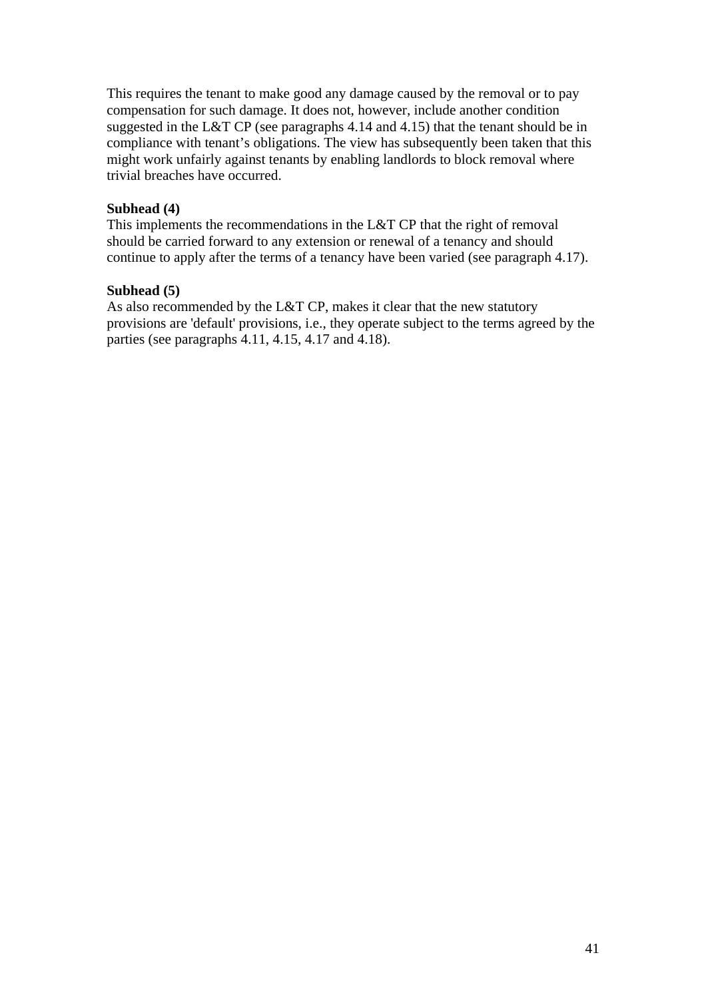This requires the tenant to make good any damage caused by the removal or to pay compensation for such damage. It does not, however, include another condition suggested in the L&T CP (see paragraphs 4.14 and 4.15) that the tenant should be in compliance with tenant's obligations. The view has subsequently been taken that this might work unfairly against tenants by enabling landlords to block removal where trivial breaches have occurred.

### **Subhead (4)**

This implements the recommendations in the L&T CP that the right of removal should be carried forward to any extension or renewal of a tenancy and should continue to apply after the terms of a tenancy have been varied (see paragraph 4.17).

## **Subhead (5)**

As also recommended by the L&T CP, makes it clear that the new statutory provisions are 'default' provisions, i.e., they operate subject to the terms agreed by the parties (see paragraphs 4.11, 4.15, 4.17 and 4.18).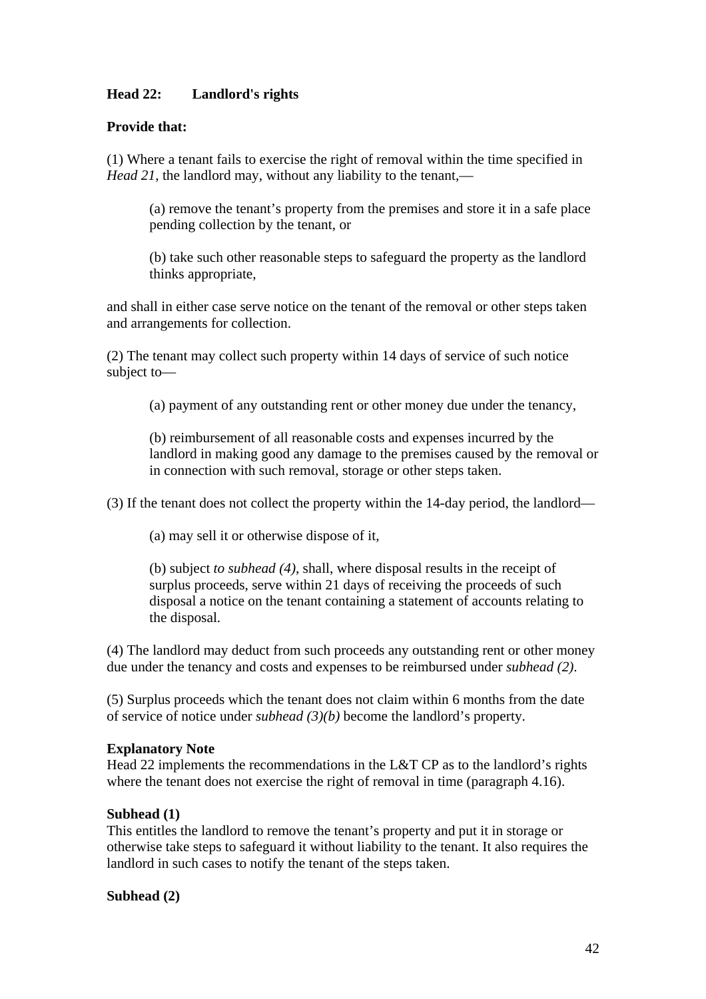# **Head 22: Landlord's rights**

## **Provide that:**

(1) Where a tenant fails to exercise the right of removal within the time specified in *Head 21*, the landlord may, without any liability to the tenant,—

(a) remove the tenant's property from the premises and store it in a safe place pending collection by the tenant, or

(b) take such other reasonable steps to safeguard the property as the landlord thinks appropriate,

and shall in either case serve notice on the tenant of the removal or other steps taken and arrangements for collection.

(2) The tenant may collect such property within 14 days of service of such notice subject to—

(a) payment of any outstanding rent or other money due under the tenancy,

(b) reimbursement of all reasonable costs and expenses incurred by the landlord in making good any damage to the premises caused by the removal or in connection with such removal, storage or other steps taken.

(3) If the tenant does not collect the property within the 14-day period, the landlord—

(a) may sell it or otherwise dispose of it,

(b) subject *to subhead (4)*, shall, where disposal results in the receipt of surplus proceeds, serve within 21 days of receiving the proceeds of such disposal a notice on the tenant containing a statement of accounts relating to the disposal.

(4) The landlord may deduct from such proceeds any outstanding rent or other money due under the tenancy and costs and expenses to be reimbursed under *subhead (2)*.

(5) Surplus proceeds which the tenant does not claim within 6 months from the date of service of notice under *subhead (3)(b)* become the landlord's property.

### **Explanatory Note**

Head 22 implements the recommendations in the L&T CP as to the landlord's rights where the tenant does not exercise the right of removal in time (paragraph 4.16).

### **Subhead (1)**

This entitles the landlord to remove the tenant's property and put it in storage or otherwise take steps to safeguard it without liability to the tenant. It also requires the landlord in such cases to notify the tenant of the steps taken.

### **Subhead (2)**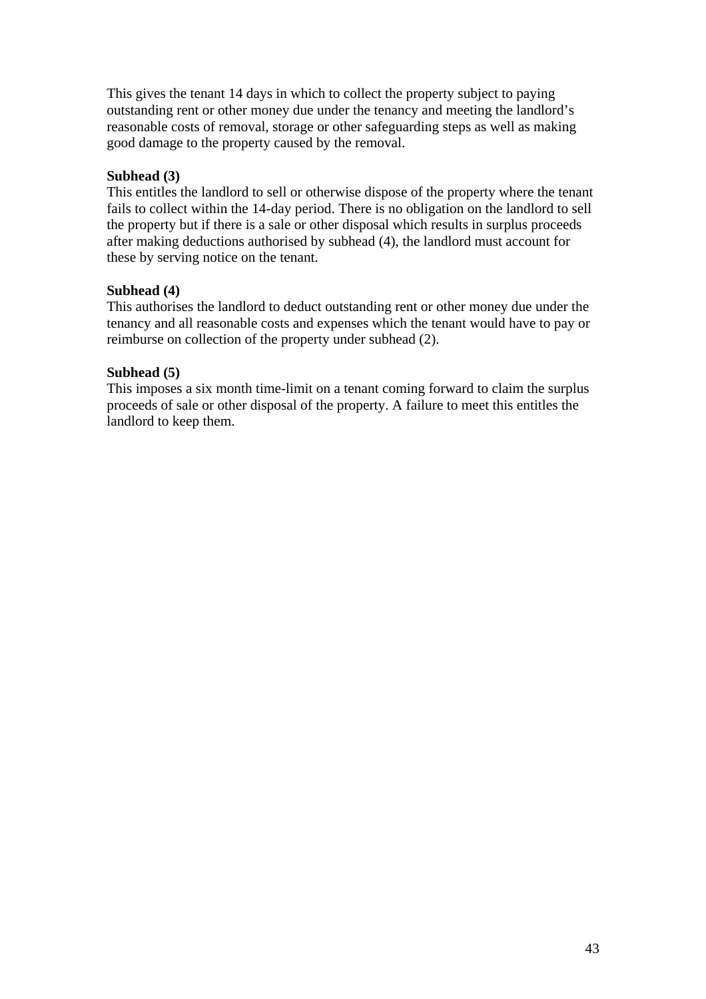This gives the tenant 14 days in which to collect the property subject to paying outstanding rent or other money due under the tenancy and meeting the landlord's reasonable costs of removal, storage or other safeguarding steps as well as making good damage to the property caused by the removal.

## **Subhead (3)**

This entitles the landlord to sell or otherwise dispose of the property where the tenant fails to collect within the 14-day period. There is no obligation on the landlord to sell the property but if there is a sale or other disposal which results in surplus proceeds after making deductions authorised by subhead (4), the landlord must account for these by serving notice on the tenant.

## **Subhead (4)**

This authorises the landlord to deduct outstanding rent or other money due under the tenancy and all reasonable costs and expenses which the tenant would have to pay or reimburse on collection of the property under subhead (2).

## **Subhead (5)**

This imposes a six month time-limit on a tenant coming forward to claim the surplus proceeds of sale or other disposal of the property. A failure to meet this entitles the landlord to keep them.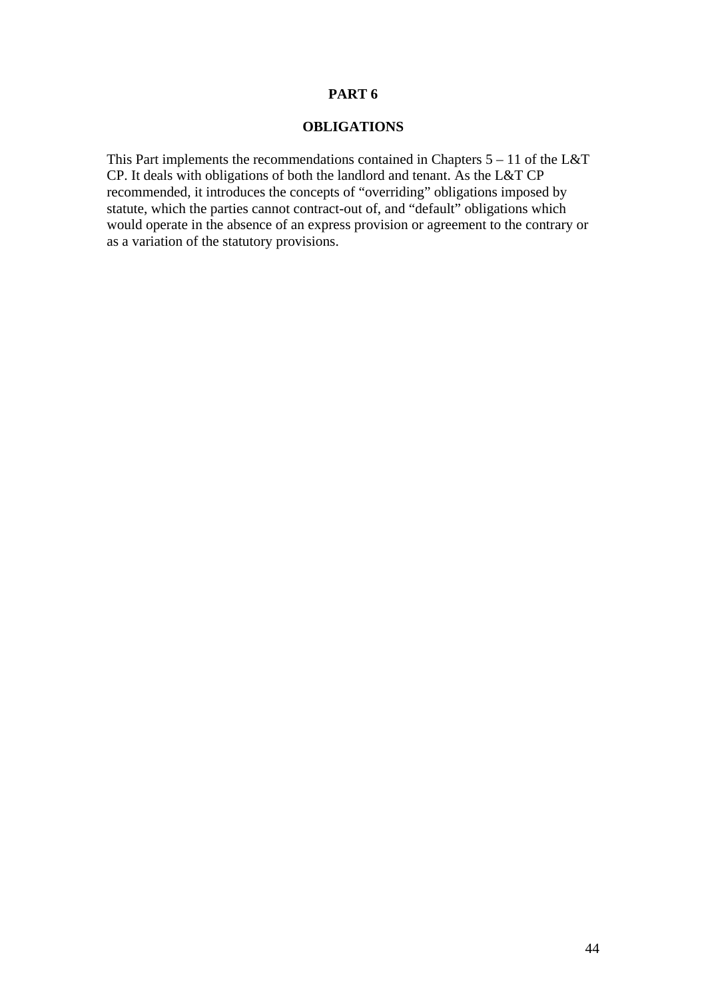## **PART 6**

## **OBLIGATIONS**

This Part implements the recommendations contained in Chapters  $5 - 11$  of the L&T CP. It deals with obligations of both the landlord and tenant. As the L&T CP recommended, it introduces the concepts of "overriding" obligations imposed by statute, which the parties cannot contract-out of, and "default" obligations which would operate in the absence of an express provision or agreement to the contrary or as a variation of the statutory provisions.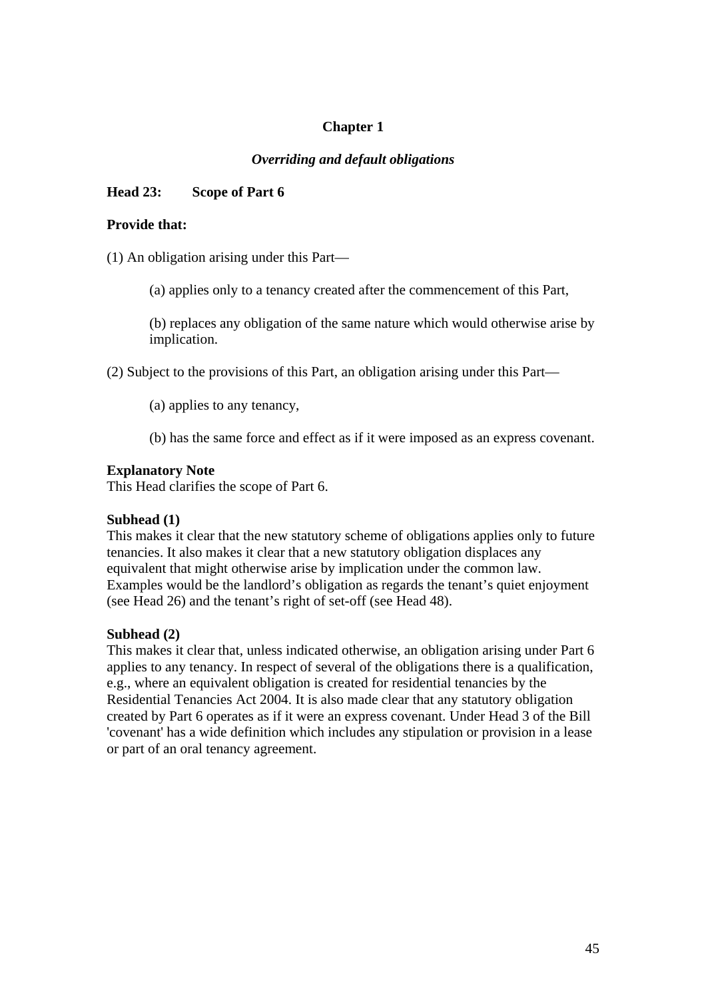# **Chapter 1**

## *Overriding and default obligations*

## **Head 23: Scope of Part 6**

#### **Provide that:**

(1) An obligation arising under this Part—

(a) applies only to a tenancy created after the commencement of this Part,

(b) replaces any obligation of the same nature which would otherwise arise by implication.

(2) Subject to the provisions of this Part, an obligation arising under this Part—

(a) applies to any tenancy,

(b) has the same force and effect as if it were imposed as an express covenant.

#### **Explanatory Note**

This Head clarifies the scope of Part 6.

### **Subhead (1)**

This makes it clear that the new statutory scheme of obligations applies only to future tenancies. It also makes it clear that a new statutory obligation displaces any equivalent that might otherwise arise by implication under the common law. Examples would be the landlord's obligation as regards the tenant's quiet enjoyment (see Head 26) and the tenant's right of set-off (see Head 48).

### **Subhead (2)**

This makes it clear that, unless indicated otherwise, an obligation arising under Part 6 applies to any tenancy. In respect of several of the obligations there is a qualification, e.g., where an equivalent obligation is created for residential tenancies by the Residential Tenancies Act 2004. It is also made clear that any statutory obligation created by Part 6 operates as if it were an express covenant. Under Head 3 of the Bill 'covenant' has a wide definition which includes any stipulation or provision in a lease or part of an oral tenancy agreement.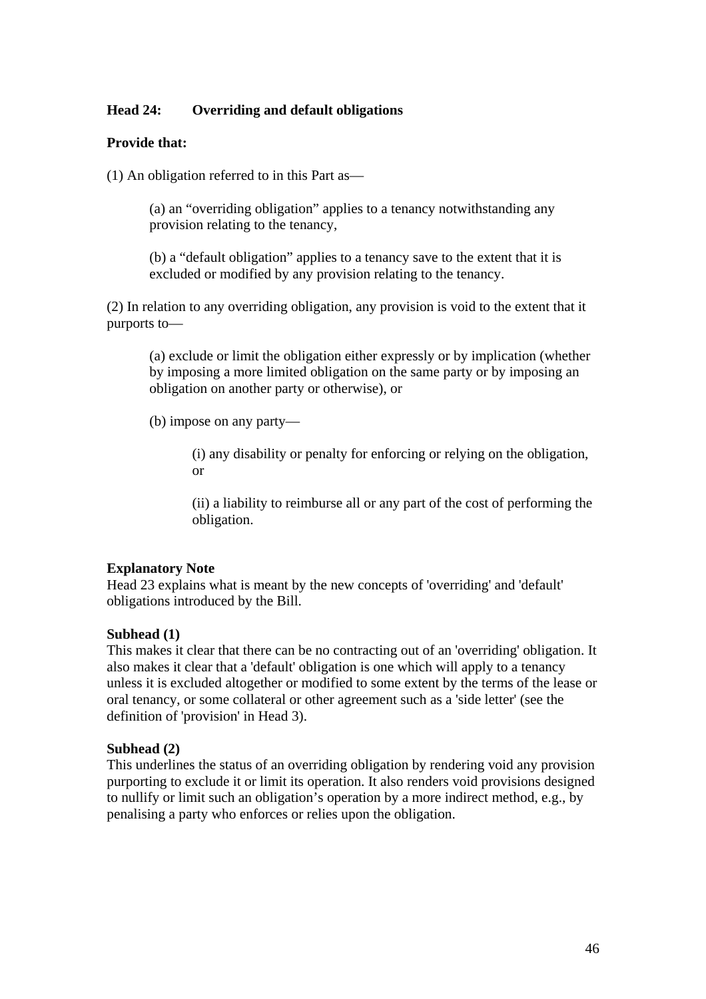## **Head 24: Overriding and default obligations**

### **Provide that:**

(1) An obligation referred to in this Part as—

(a) an "overriding obligation" applies to a tenancy notwithstanding any provision relating to the tenancy,

(b) a "default obligation" applies to a tenancy save to the extent that it is excluded or modified by any provision relating to the tenancy.

(2) In relation to any overriding obligation, any provision is void to the extent that it purports to—

(a) exclude or limit the obligation either expressly or by implication (whether by imposing a more limited obligation on the same party or by imposing an obligation on another party or otherwise), or

(b) impose on any party—

(i) any disability or penalty for enforcing or relying on the obligation, or

(ii) a liability to reimburse all or any part of the cost of performing the obligation.

#### **Explanatory Note**

Head 23 explains what is meant by the new concepts of 'overriding' and 'default' obligations introduced by the Bill.

#### **Subhead (1)**

This makes it clear that there can be no contracting out of an 'overriding' obligation. It also makes it clear that a 'default' obligation is one which will apply to a tenancy unless it is excluded altogether or modified to some extent by the terms of the lease or oral tenancy, or some collateral or other agreement such as a 'side letter' (see the definition of 'provision' in Head 3).

#### **Subhead (2)**

This underlines the status of an overriding obligation by rendering void any provision purporting to exclude it or limit its operation. It also renders void provisions designed to nullify or limit such an obligation's operation by a more indirect method, e.g., by penalising a party who enforces or relies upon the obligation.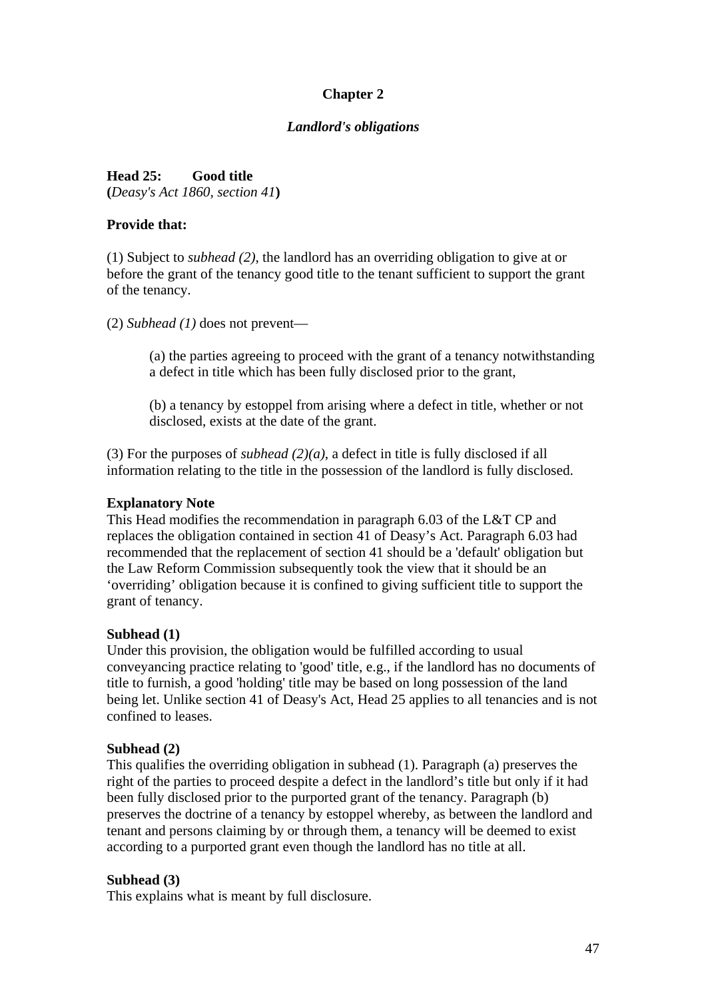# **Chapter 2**

## *Landlord's obligations*

**Head 25: Good title (***Deasy's Act 1860, section 41***)** 

### **Provide that:**

(1) Subject to *subhead (2)*, the landlord has an overriding obligation to give at or before the grant of the tenancy good title to the tenant sufficient to support the grant of the tenancy.

(2) *Subhead (1)* does not prevent—

(a) the parties agreeing to proceed with the grant of a tenancy notwithstanding a defect in title which has been fully disclosed prior to the grant,

(b) a tenancy by estoppel from arising where a defect in title, whether or not disclosed, exists at the date of the grant.

(3) For the purposes of *subhead (2)(a)*, a defect in title is fully disclosed if all information relating to the title in the possession of the landlord is fully disclosed.

### **Explanatory Note**

This Head modifies the recommendation in paragraph 6.03 of the L&T CP and replaces the obligation contained in section 41 of Deasy's Act. Paragraph 6.03 had recommended that the replacement of section 41 should be a 'default' obligation but the Law Reform Commission subsequently took the view that it should be an 'overriding' obligation because it is confined to giving sufficient title to support the grant of tenancy.

## **Subhead (1)**

Under this provision, the obligation would be fulfilled according to usual conveyancing practice relating to 'good' title, e.g., if the landlord has no documents of title to furnish, a good 'holding' title may be based on long possession of the land being let. Unlike section 41 of Deasy's Act, Head 25 applies to all tenancies and is not confined to leases.

## **Subhead (2)**

This qualifies the overriding obligation in subhead (1). Paragraph (a) preserves the right of the parties to proceed despite a defect in the landlord's title but only if it had been fully disclosed prior to the purported grant of the tenancy. Paragraph (b) preserves the doctrine of a tenancy by estoppel whereby, as between the landlord and tenant and persons claiming by or through them, a tenancy will be deemed to exist according to a purported grant even though the landlord has no title at all.

### **Subhead (3)**

This explains what is meant by full disclosure.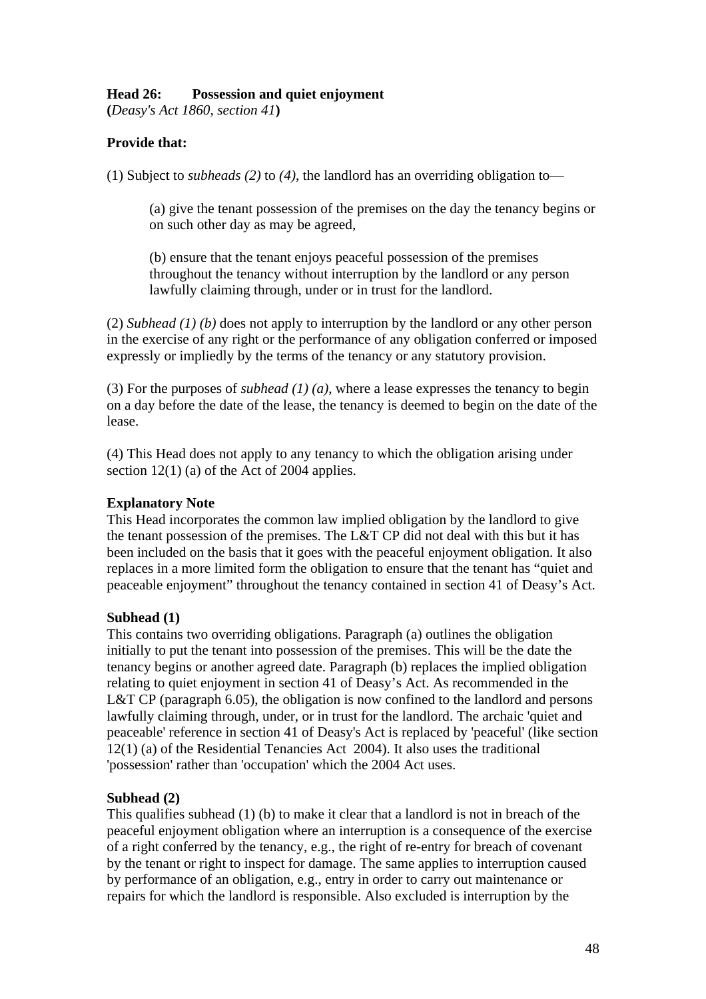## **Head 26: Possession and quiet enjoyment**

**(***Deasy's Act 1860, section 41***)** 

# **Provide that:**

(1) Subject to *subheads (2)* to *(4)*, the landlord has an overriding obligation to—

(a) give the tenant possession of the premises on the day the tenancy begins or on such other day as may be agreed,

(b) ensure that the tenant enjoys peaceful possession of the premises throughout the tenancy without interruption by the landlord or any person lawfully claiming through, under or in trust for the landlord.

(2) *Subhead (1) (b)* does not apply to interruption by the landlord or any other person in the exercise of any right or the performance of any obligation conferred or imposed expressly or impliedly by the terms of the tenancy or any statutory provision.

(3) For the purposes of *subhead (1) (a)*, where a lease expresses the tenancy to begin on a day before the date of the lease, the tenancy is deemed to begin on the date of the lease.

(4) This Head does not apply to any tenancy to which the obligation arising under section 12(1) (a) of the Act of 2004 applies.

## **Explanatory Note**

This Head incorporates the common law implied obligation by the landlord to give the tenant possession of the premises. The L&T CP did not deal with this but it has been included on the basis that it goes with the peaceful enjoyment obligation. It also replaces in a more limited form the obligation to ensure that the tenant has "quiet and peaceable enjoyment" throughout the tenancy contained in section 41 of Deasy's Act.

## **Subhead (1)**

This contains two overriding obligations. Paragraph (a) outlines the obligation initially to put the tenant into possession of the premises. This will be the date the tenancy begins or another agreed date. Paragraph (b) replaces the implied obligation relating to quiet enjoyment in section 41 of Deasy's Act. As recommended in the L&T CP (paragraph 6.05), the obligation is now confined to the landlord and persons lawfully claiming through, under, or in trust for the landlord. The archaic 'quiet and peaceable' reference in section 41 of Deasy's Act is replaced by 'peaceful' (like section 12(1) (a) of the Residential Tenancies Act 2004). It also uses the traditional 'possession' rather than 'occupation' which the 2004 Act uses.

## **Subhead (2)**

This qualifies subhead (1) (b) to make it clear that a landlord is not in breach of the peaceful enjoyment obligation where an interruption is a consequence of the exercise of a right conferred by the tenancy, e.g., the right of re-entry for breach of covenant by the tenant or right to inspect for damage. The same applies to interruption caused by performance of an obligation, e.g., entry in order to carry out maintenance or repairs for which the landlord is responsible. Also excluded is interruption by the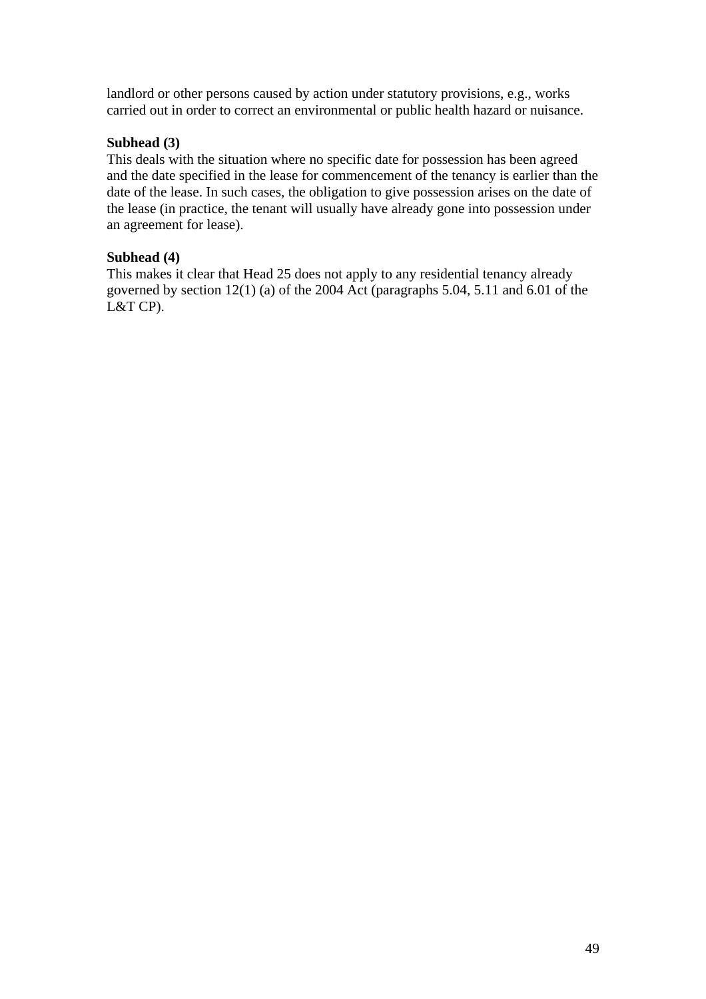landlord or other persons caused by action under statutory provisions, e.g., works carried out in order to correct an environmental or public health hazard or nuisance.

## **Subhead (3)**

This deals with the situation where no specific date for possession has been agreed and the date specified in the lease for commencement of the tenancy is earlier than the date of the lease. In such cases, the obligation to give possession arises on the date of the lease (in practice, the tenant will usually have already gone into possession under an agreement for lease).

## **Subhead (4)**

This makes it clear that Head 25 does not apply to any residential tenancy already governed by section 12(1) (a) of the 2004 Act (paragraphs 5.04, 5.11 and 6.01 of the L&T CP).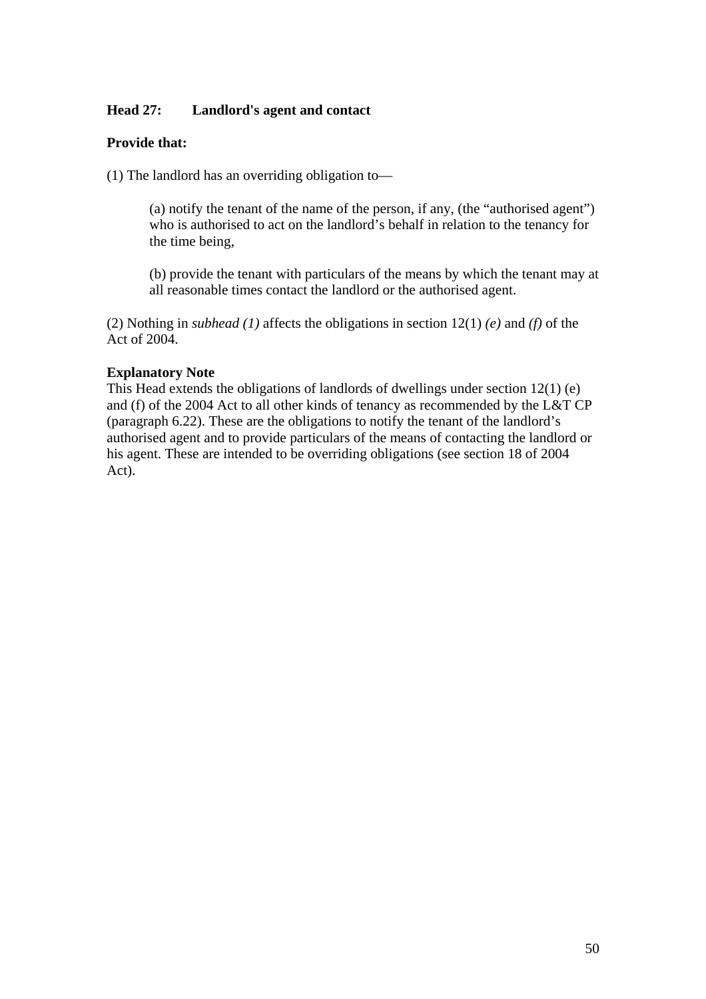## **Head 27: Landlord's agent and contact**

### **Provide that:**

(1) The landlord has an overriding obligation to—

(a) notify the tenant of the name of the person, if any, (the "authorised agent") who is authorised to act on the landlord's behalf in relation to the tenancy for the time being,

(b) provide the tenant with particulars of the means by which the tenant may at all reasonable times contact the landlord or the authorised agent.

(2) Nothing in *subhead (1)* affects the obligations in section 12(1) *(e)* and *(f)* of the Act of 2004.

### **Explanatory Note**

This Head extends the obligations of landlords of dwellings under section 12(1) (e) and (f) of the 2004 Act to all other kinds of tenancy as recommended by the L&T CP (paragraph 6.22). These are the obligations to notify the tenant of the landlord's authorised agent and to provide particulars of the means of contacting the landlord or his agent. These are intended to be overriding obligations (see section 18 of 2004 Act).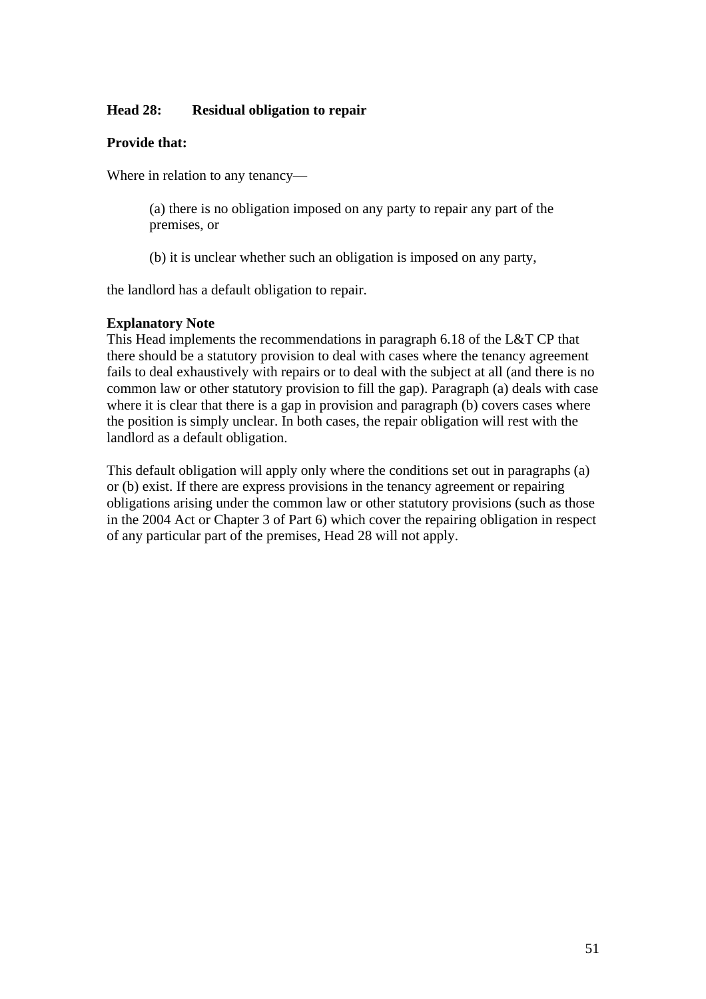## **Head 28: Residual obligation to repair**

### **Provide that:**

Where in relation to any tenancy—

(a) there is no obligation imposed on any party to repair any part of the premises, or

(b) it is unclear whether such an obligation is imposed on any party,

the landlord has a default obligation to repair.

## **Explanatory Note**

This Head implements the recommendations in paragraph 6.18 of the L&T CP that there should be a statutory provision to deal with cases where the tenancy agreement fails to deal exhaustively with repairs or to deal with the subject at all (and there is no common law or other statutory provision to fill the gap). Paragraph (a) deals with case where it is clear that there is a gap in provision and paragraph (b) covers cases where the position is simply unclear. In both cases, the repair obligation will rest with the landlord as a default obligation.

This default obligation will apply only where the conditions set out in paragraphs (a) or (b) exist. If there are express provisions in the tenancy agreement or repairing obligations arising under the common law or other statutory provisions (such as those in the 2004 Act or Chapter 3 of Part 6) which cover the repairing obligation in respect of any particular part of the premises, Head 28 will not apply.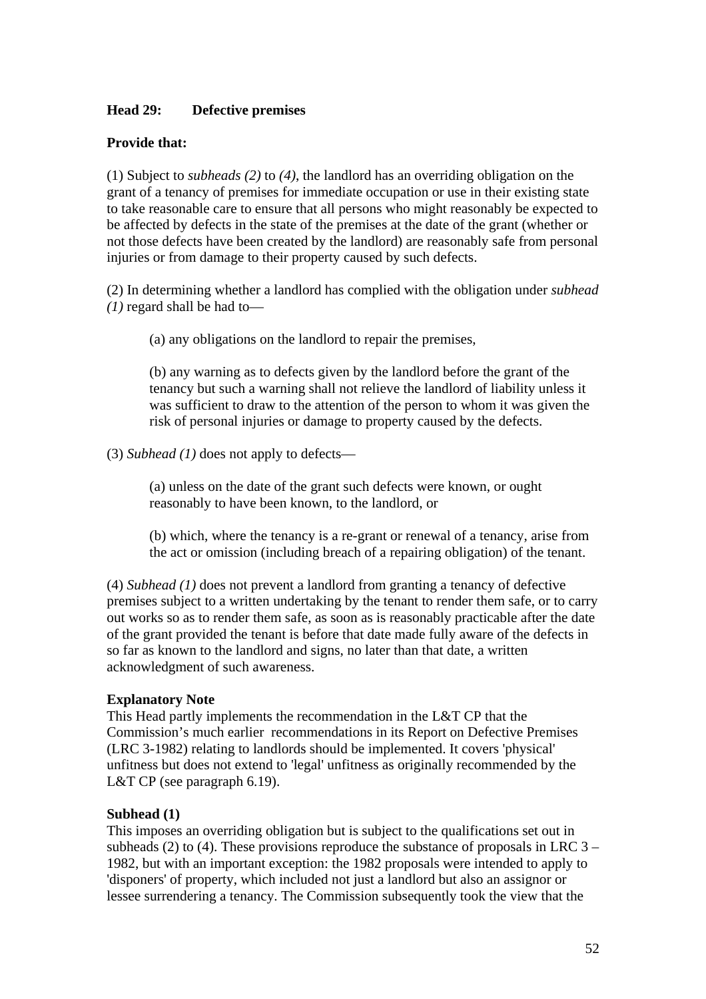### **Head 29: Defective premises**

### **Provide that:**

(1) Subject to *subheads (2)* to *(4)*, the landlord has an overriding obligation on the grant of a tenancy of premises for immediate occupation or use in their existing state to take reasonable care to ensure that all persons who might reasonably be expected to be affected by defects in the state of the premises at the date of the grant (whether or not those defects have been created by the landlord) are reasonably safe from personal injuries or from damage to their property caused by such defects.

(2) In determining whether a landlord has complied with the obligation under *subhead (1)* regard shall be had to—

(a) any obligations on the landlord to repair the premises,

(b) any warning as to defects given by the landlord before the grant of the tenancy but such a warning shall not relieve the landlord of liability unless it was sufficient to draw to the attention of the person to whom it was given the risk of personal injuries or damage to property caused by the defects.

(3) *Subhead (1)* does not apply to defects—

(a) unless on the date of the grant such defects were known, or ought reasonably to have been known, to the landlord, or

(b) which, where the tenancy is a re-grant or renewal of a tenancy, arise from the act or omission (including breach of a repairing obligation) of the tenant.

(4) *Subhead (1)* does not prevent a landlord from granting a tenancy of defective premises subject to a written undertaking by the tenant to render them safe, or to carry out works so as to render them safe, as soon as is reasonably practicable after the date of the grant provided the tenant is before that date made fully aware of the defects in so far as known to the landlord and signs, no later than that date, a written acknowledgment of such awareness.

### **Explanatory Note**

This Head partly implements the recommendation in the L&T CP that the Commission's much earlier recommendations in its Report on Defective Premises (LRC 3-1982) relating to landlords should be implemented. It covers 'physical' unfitness but does not extend to 'legal' unfitness as originally recommended by the L&T CP (see paragraph 6.19).

## **Subhead (1)**

This imposes an overriding obligation but is subject to the qualifications set out in subheads (2) to (4). These provisions reproduce the substance of proposals in LRC  $3 -$ 1982, but with an important exception: the 1982 proposals were intended to apply to 'disponers' of property, which included not just a landlord but also an assignor or lessee surrendering a tenancy. The Commission subsequently took the view that the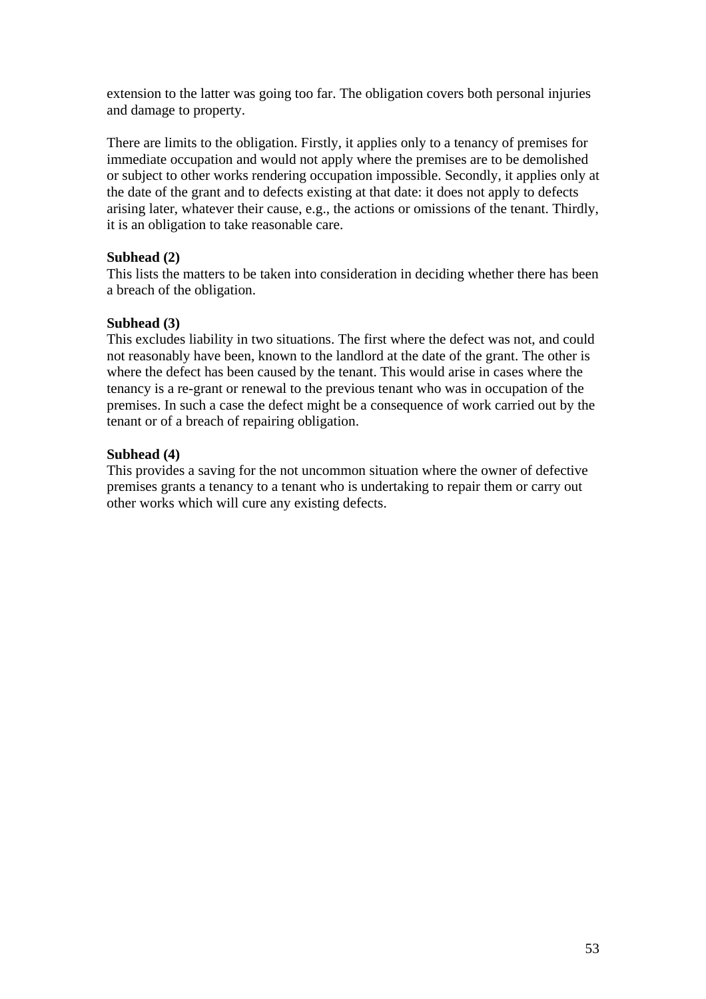extension to the latter was going too far. The obligation covers both personal injuries and damage to property.

There are limits to the obligation. Firstly, it applies only to a tenancy of premises for immediate occupation and would not apply where the premises are to be demolished or subject to other works rendering occupation impossible. Secondly, it applies only at the date of the grant and to defects existing at that date: it does not apply to defects arising later, whatever their cause, e.g., the actions or omissions of the tenant. Thirdly, it is an obligation to take reasonable care.

## **Subhead (2)**

This lists the matters to be taken into consideration in deciding whether there has been a breach of the obligation.

## **Subhead (3)**

This excludes liability in two situations. The first where the defect was not, and could not reasonably have been, known to the landlord at the date of the grant. The other is where the defect has been caused by the tenant. This would arise in cases where the tenancy is a re-grant or renewal to the previous tenant who was in occupation of the premises. In such a case the defect might be a consequence of work carried out by the tenant or of a breach of repairing obligation.

## **Subhead (4)**

This provides a saving for the not uncommon situation where the owner of defective premises grants a tenancy to a tenant who is undertaking to repair them or carry out other works which will cure any existing defects.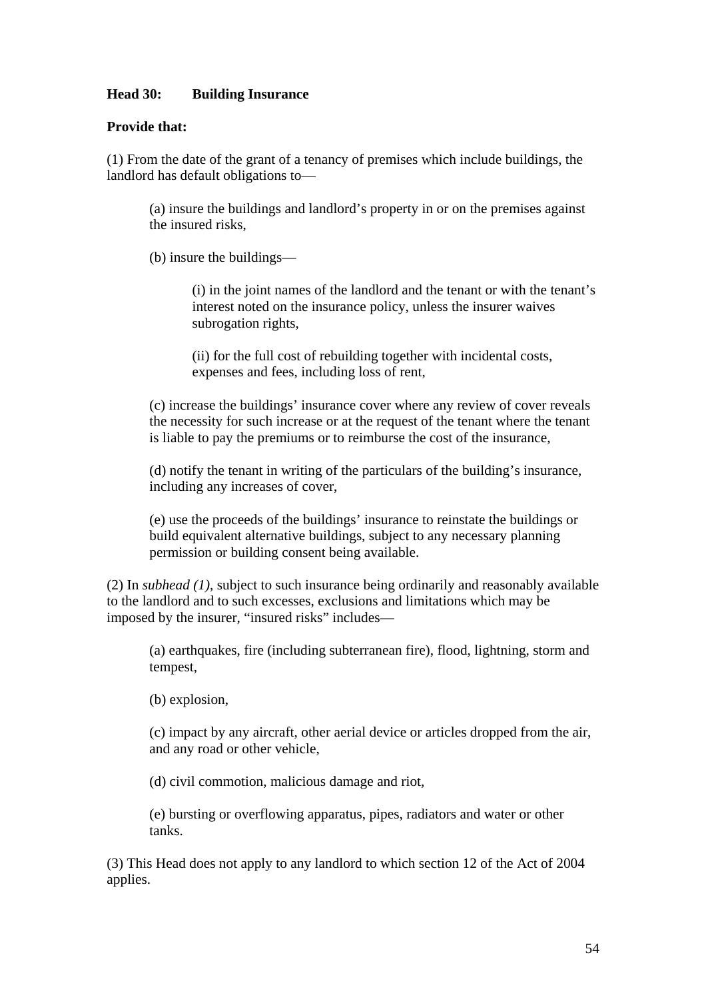## **Head 30: Building Insurance**

### **Provide that:**

(1) From the date of the grant of a tenancy of premises which include buildings, the landlord has default obligations to—

(a) insure the buildings and landlord's property in or on the premises against the insured risks,

(b) insure the buildings—

(i) in the joint names of the landlord and the tenant or with the tenant's interest noted on the insurance policy, unless the insurer waives subrogation rights,

(ii) for the full cost of rebuilding together with incidental costs, expenses and fees, including loss of rent,

(c) increase the buildings' insurance cover where any review of cover reveals the necessity for such increase or at the request of the tenant where the tenant is liable to pay the premiums or to reimburse the cost of the insurance,

(d) notify the tenant in writing of the particulars of the building's insurance, including any increases of cover,

(e) use the proceeds of the buildings' insurance to reinstate the buildings or build equivalent alternative buildings, subject to any necessary planning permission or building consent being available.

(2) In *subhead (1)*, subject to such insurance being ordinarily and reasonably available to the landlord and to such excesses, exclusions and limitations which may be imposed by the insurer, "insured risks" includes—

(a) earthquakes, fire (including subterranean fire), flood, lightning, storm and tempest,

(b) explosion,

(c) impact by any aircraft, other aerial device or articles dropped from the air, and any road or other vehicle,

(d) civil commotion, malicious damage and riot,

(e) bursting or overflowing apparatus, pipes, radiators and water or other tanks.

(3) This Head does not apply to any landlord to which section 12 of the Act of 2004 applies.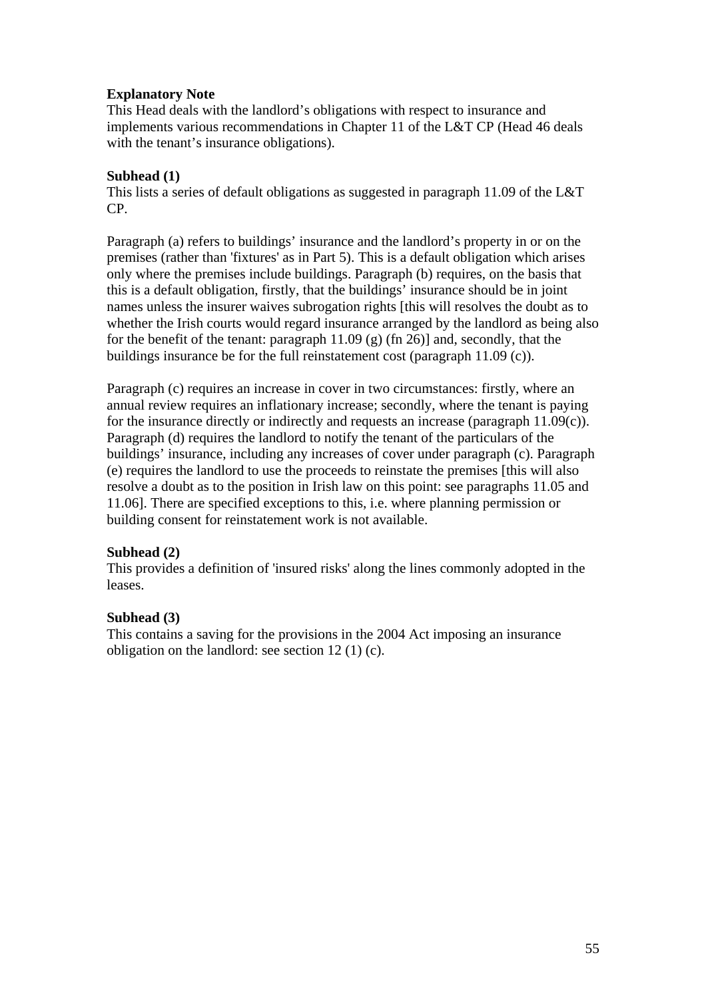## **Explanatory Note**

This Head deals with the landlord's obligations with respect to insurance and implements various recommendations in Chapter 11 of the L&T CP (Head 46 deals with the tenant's insurance obligations).

### **Subhead (1)**

This lists a series of default obligations as suggested in paragraph 11.09 of the L&T CP.

Paragraph (a) refers to buildings' insurance and the landlord's property in or on the premises (rather than 'fixtures' as in Part 5). This is a default obligation which arises only where the premises include buildings. Paragraph (b) requires, on the basis that this is a default obligation, firstly, that the buildings' insurance should be in joint names unless the insurer waives subrogation rights [this will resolves the doubt as to whether the Irish courts would regard insurance arranged by the landlord as being also for the benefit of the tenant: paragraph  $11.09$  (g) (fn 26)] and, secondly, that the buildings insurance be for the full reinstatement cost (paragraph 11.09 (c)).

Paragraph (c) requires an increase in cover in two circumstances: firstly, where an annual review requires an inflationary increase; secondly, where the tenant is paying for the insurance directly or indirectly and requests an increase (paragraph  $11.09(c)$ ). Paragraph (d) requires the landlord to notify the tenant of the particulars of the buildings' insurance, including any increases of cover under paragraph (c). Paragraph (e) requires the landlord to use the proceeds to reinstate the premises [this will also resolve a doubt as to the position in Irish law on this point: see paragraphs 11.05 and 11.06]. There are specified exceptions to this, i.e. where planning permission or building consent for reinstatement work is not available.

## **Subhead (2)**

This provides a definition of 'insured risks' along the lines commonly adopted in the leases.

## **Subhead (3)**

This contains a saving for the provisions in the 2004 Act imposing an insurance obligation on the landlord: see section 12 (1) (c).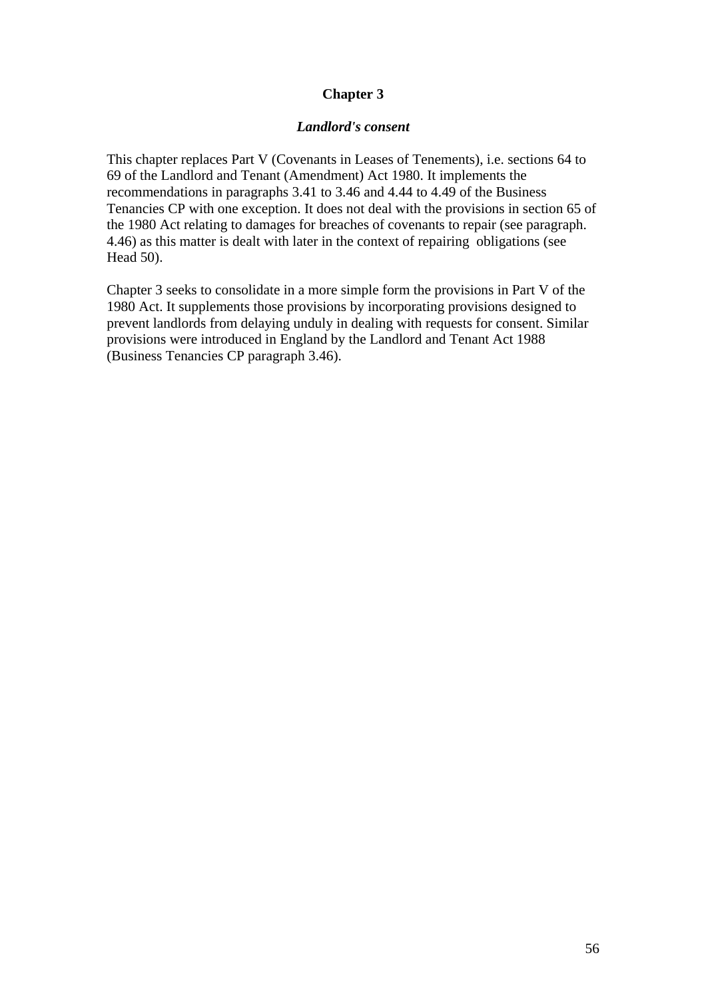# **Chapter 3**

#### *Landlord's consent*

This chapter replaces Part V (Covenants in Leases of Tenements), i.e. sections 64 to 69 of the Landlord and Tenant (Amendment) Act 1980. It implements the recommendations in paragraphs 3.41 to 3.46 and 4.44 to 4.49 of the Business Tenancies CP with one exception. It does not deal with the provisions in section 65 of the 1980 Act relating to damages for breaches of covenants to repair (see paragraph. 4.46) as this matter is dealt with later in the context of repairing obligations (see Head 50).

Chapter 3 seeks to consolidate in a more simple form the provisions in Part V of the 1980 Act. It supplements those provisions by incorporating provisions designed to prevent landlords from delaying unduly in dealing with requests for consent. Similar provisions were introduced in England by the Landlord and Tenant Act 1988 (Business Tenancies CP paragraph 3.46).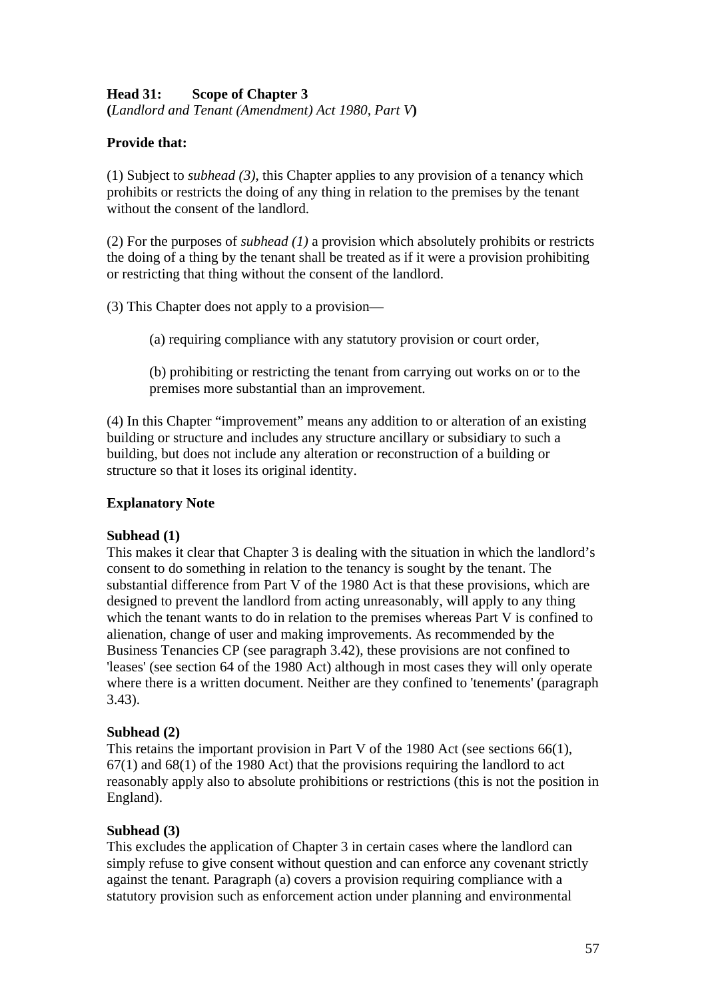## **Head 31: Scope of Chapter 3 (***Landlord and Tenant (Amendment) Act 1980, Part V***)**

# **Provide that:**

(1) Subject to *subhead (3)*, this Chapter applies to any provision of a tenancy which prohibits or restricts the doing of any thing in relation to the premises by the tenant without the consent of the landlord.

(2) For the purposes of *subhead (1)* a provision which absolutely prohibits or restricts the doing of a thing by the tenant shall be treated as if it were a provision prohibiting or restricting that thing without the consent of the landlord.

(3) This Chapter does not apply to a provision—

(a) requiring compliance with any statutory provision or court order,

(b) prohibiting or restricting the tenant from carrying out works on or to the premises more substantial than an improvement.

(4) In this Chapter "improvement" means any addition to or alteration of an existing building or structure and includes any structure ancillary or subsidiary to such a building, but does not include any alteration or reconstruction of a building or structure so that it loses its original identity.

# **Explanatory Note**

## **Subhead (1)**

This makes it clear that Chapter 3 is dealing with the situation in which the landlord's consent to do something in relation to the tenancy is sought by the tenant. The substantial difference from Part V of the 1980 Act is that these provisions, which are designed to prevent the landlord from acting unreasonably, will apply to any thing which the tenant wants to do in relation to the premises whereas Part V is confined to alienation, change of user and making improvements. As recommended by the Business Tenancies CP (see paragraph 3.42), these provisions are not confined to 'leases' (see section 64 of the 1980 Act) although in most cases they will only operate where there is a written document. Neither are they confined to 'tenements' (paragraph 3.43).

# **Subhead (2)**

This retains the important provision in Part V of the 1980 Act (see sections 66(1),  $67(1)$  and  $68(1)$  of the 1980 Act) that the provisions requiring the landlord to act reasonably apply also to absolute prohibitions or restrictions (this is not the position in England).

# **Subhead (3)**

This excludes the application of Chapter 3 in certain cases where the landlord can simply refuse to give consent without question and can enforce any covenant strictly against the tenant. Paragraph (a) covers a provision requiring compliance with a statutory provision such as enforcement action under planning and environmental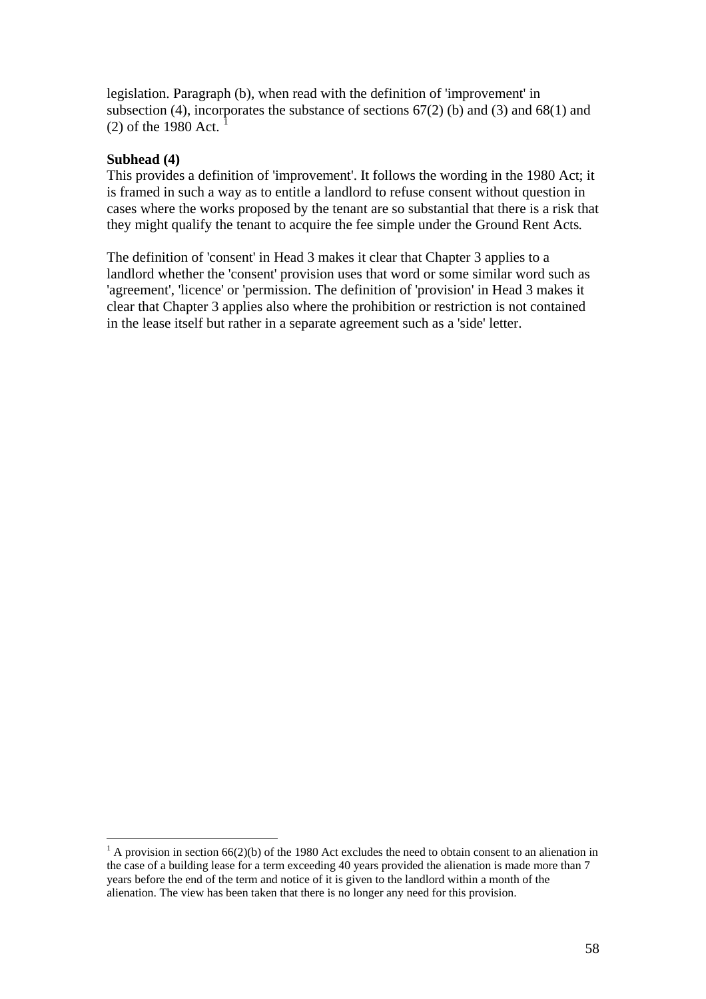legislation. Paragraph (b), when read with the definition of 'improvement' in subsection (4), incorporates the substance of sections  $67(2)$  (b) and (3) and  $68(1)$  and  $(2)$  of the [1](#page-57-0)980 Act.

## **Subhead (4)**

 $\overline{a}$ 

This provides a definition of 'improvement'. It follows the wording in the 1980 Act; it is framed in such a way as to entitle a landlord to refuse consent without question in cases where the works proposed by the tenant are so substantial that there is a risk that they might qualify the tenant to acquire the fee simple under the Ground Rent Acts*.* 

The definition of 'consent' in Head 3 makes it clear that Chapter 3 applies to a landlord whether the 'consent' provision uses that word or some similar word such as 'agreement', 'licence' or 'permission. The definition of 'provision' in Head 3 makes it clear that Chapter 3 applies also where the prohibition or restriction is not contained in the lease itself but rather in a separate agreement such as a 'side' letter.

<span id="page-57-0"></span><sup>&</sup>lt;sup>1</sup> A provision in section 66(2)(b) of the 1980 Act excludes the need to obtain consent to an alienation in the case of a building lease for a term exceeding 40 years provided the alienation is made more than 7 years before the end of the term and notice of it is given to the landlord within a month of the alienation. The view has been taken that there is no longer any need for this provision.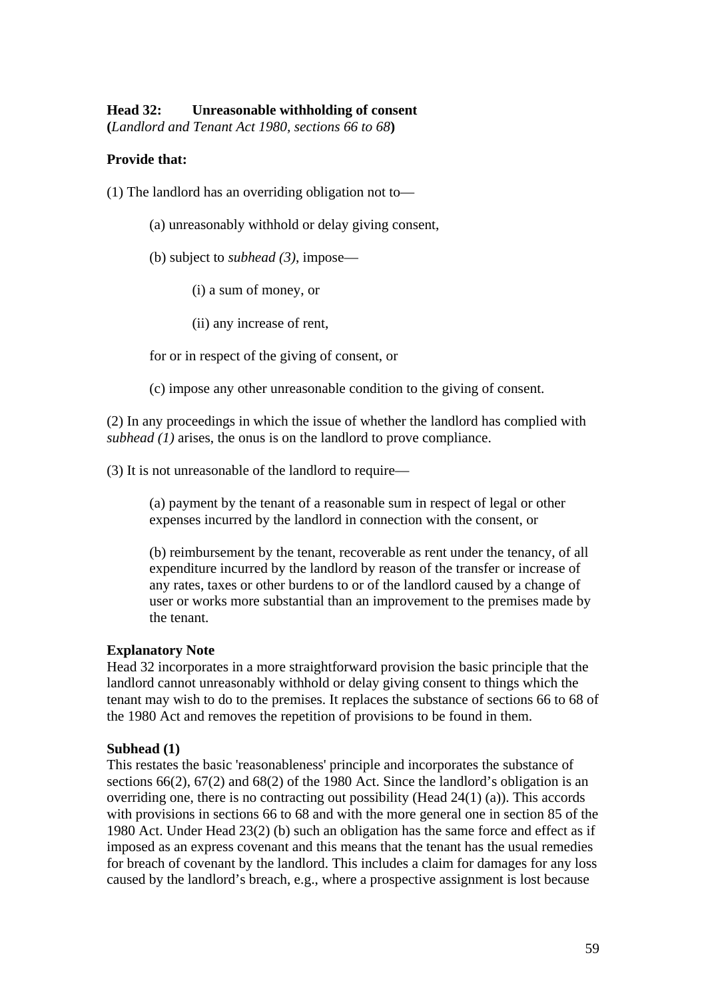#### **Head 32: Unreasonable withholding of consent**

**(***Landlord and Tenant Act 1980, sections 66 to 68***)** 

### **Provide that:**

(1) The landlord has an overriding obligation not to—

- (a) unreasonably withhold or delay giving consent,
- (b) subject to *subhead (3)*, impose—
	- (i) a sum of money, or
	- (ii) any increase of rent,

for or in respect of the giving of consent, or

(c) impose any other unreasonable condition to the giving of consent.

(2) In any proceedings in which the issue of whether the landlord has complied with *subhead (1)* arises, the onus is on the landlord to prove compliance.

(3) It is not unreasonable of the landlord to require—

(a) payment by the tenant of a reasonable sum in respect of legal or other expenses incurred by the landlord in connection with the consent, or

(b) reimbursement by the tenant, recoverable as rent under the tenancy, of all expenditure incurred by the landlord by reason of the transfer or increase of any rates, taxes or other burdens to or of the landlord caused by a change of user or works more substantial than an improvement to the premises made by the tenant.

#### **Explanatory Note**

Head 32 incorporates in a more straightforward provision the basic principle that the landlord cannot unreasonably withhold or delay giving consent to things which the tenant may wish to do to the premises. It replaces the substance of sections 66 to 68 of the 1980 Act and removes the repetition of provisions to be found in them.

### **Subhead (1)**

This restates the basic 'reasonableness' principle and incorporates the substance of sections 66(2), 67(2) and 68(2) of the 1980 Act. Since the landlord's obligation is an overriding one, there is no contracting out possibility (Head 24(1) (a)). This accords with provisions in sections 66 to 68 and with the more general one in section 85 of the 1980 Act. Under Head 23(2) (b) such an obligation has the same force and effect as if imposed as an express covenant and this means that the tenant has the usual remedies for breach of covenant by the landlord. This includes a claim for damages for any loss caused by the landlord's breach, e.g., where a prospective assignment is lost because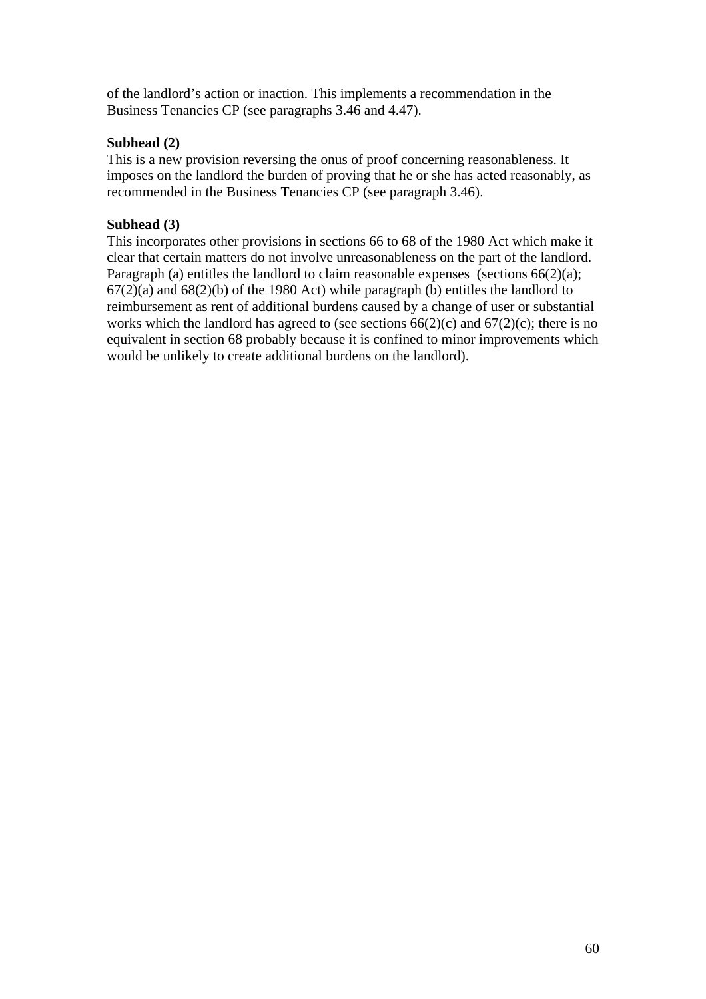of the landlord's action or inaction. This implements a recommendation in the Business Tenancies CP (see paragraphs 3.46 and 4.47).

## **Subhead (2)**

This is a new provision reversing the onus of proof concerning reasonableness. It imposes on the landlord the burden of proving that he or she has acted reasonably, as recommended in the Business Tenancies CP (see paragraph 3.46).

## **Subhead (3)**

This incorporates other provisions in sections 66 to 68 of the 1980 Act which make it clear that certain matters do not involve unreasonableness on the part of the landlord. Paragraph (a) entitles the landlord to claim reasonable expenses (sections  $66(2)(a)$ ; 67(2)(a) and 68(2)(b) of the 1980 Act) while paragraph (b) entitles the landlord to reimbursement as rent of additional burdens caused by a change of user or substantial works which the landlord has agreed to (see sections  $66(2)(c)$  and  $67(2)(c)$ ; there is no equivalent in section 68 probably because it is confined to minor improvements which would be unlikely to create additional burdens on the landlord).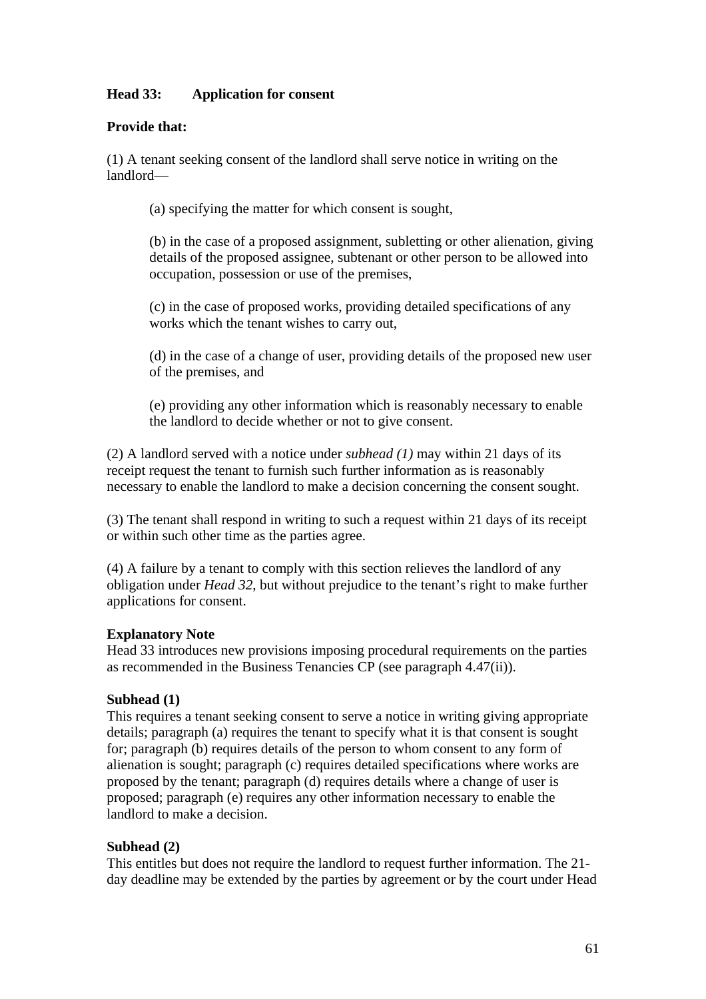# **Head 33: Application for consent**

## **Provide that:**

(1) A tenant seeking consent of the landlord shall serve notice in writing on the landlord—

(a) specifying the matter for which consent is sought,

(b) in the case of a proposed assignment, subletting or other alienation, giving details of the proposed assignee, subtenant or other person to be allowed into occupation, possession or use of the premises,

(c) in the case of proposed works, providing detailed specifications of any works which the tenant wishes to carry out,

(d) in the case of a change of user, providing details of the proposed new user of the premises, and

(e) providing any other information which is reasonably necessary to enable the landlord to decide whether or not to give consent.

(2) A landlord served with a notice under *subhead (1)* may within 21 days of its receipt request the tenant to furnish such further information as is reasonably necessary to enable the landlord to make a decision concerning the consent sought.

(3) The tenant shall respond in writing to such a request within 21 days of its receipt or within such other time as the parties agree.

(4) A failure by a tenant to comply with this section relieves the landlord of any obligation under *Head 32*, but without prejudice to the tenant's right to make further applications for consent.

### **Explanatory Note**

Head 33 introduces new provisions imposing procedural requirements on the parties as recommended in the Business Tenancies CP (see paragraph 4.47(ii)).

## **Subhead (1)**

This requires a tenant seeking consent to serve a notice in writing giving appropriate details; paragraph (a) requires the tenant to specify what it is that consent is sought for; paragraph (b) requires details of the person to whom consent to any form of alienation is sought; paragraph (c) requires detailed specifications where works are proposed by the tenant; paragraph (d) requires details where a change of user is proposed; paragraph (e) requires any other information necessary to enable the landlord to make a decision.

## **Subhead (2)**

This entitles but does not require the landlord to request further information. The 21 day deadline may be extended by the parties by agreement or by the court under Head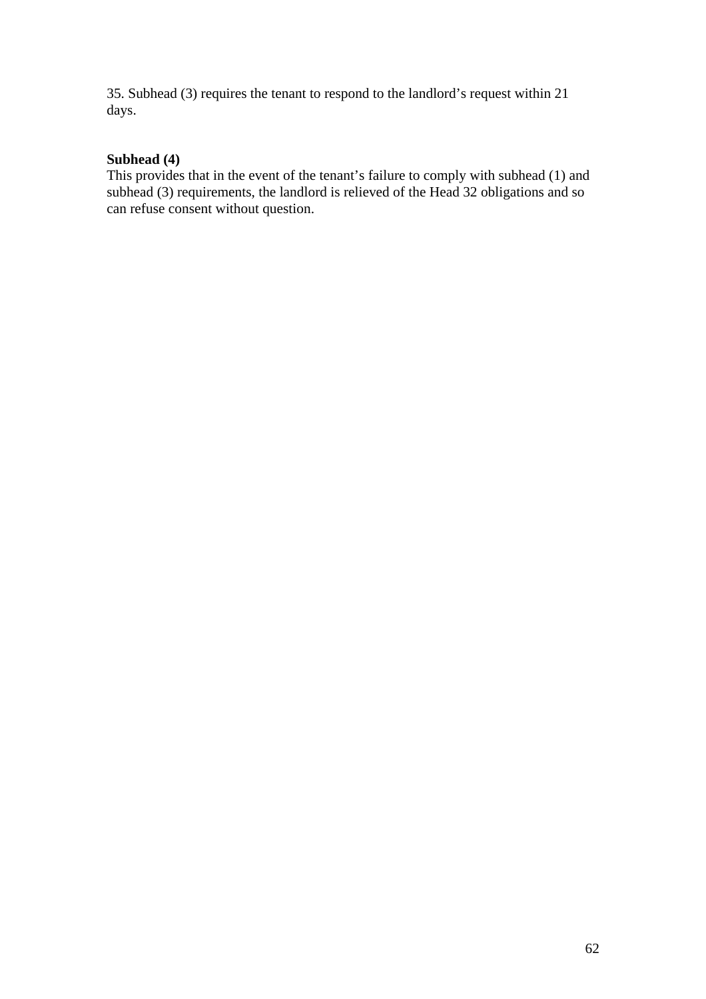35. Subhead (3) requires the tenant to respond to the landlord's request within 21 days.

# **Subhead (4)**

This provides that in the event of the tenant's failure to comply with subhead (1) and subhead (3) requirements, the landlord is relieved of the Head 32 obligations and so can refuse consent without question.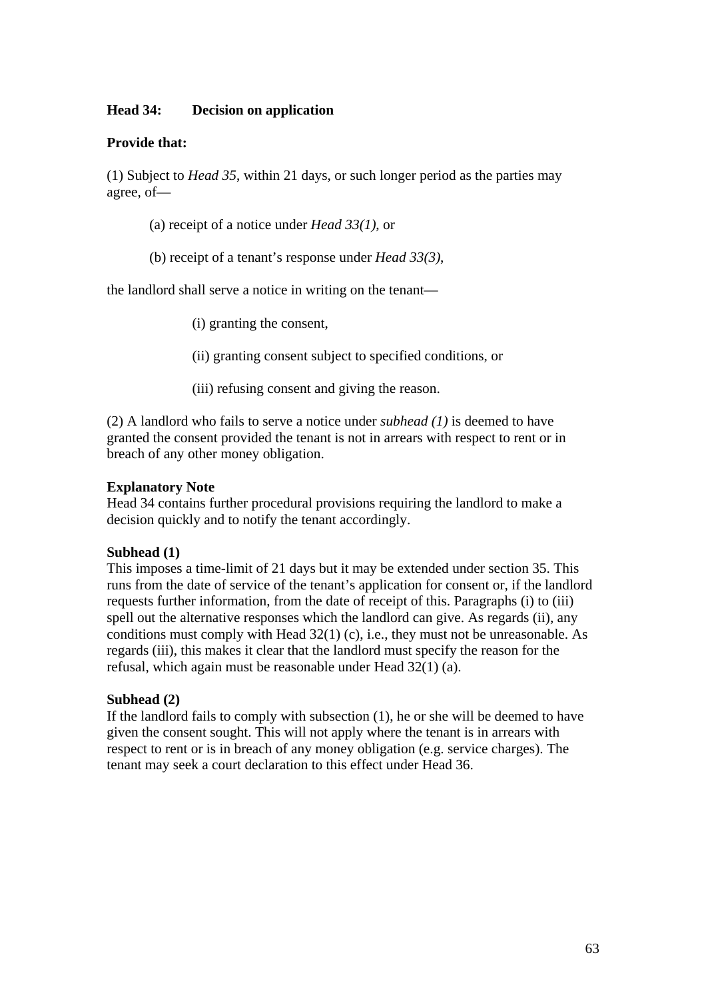#### **Head 34: Decision on application**

#### **Provide that:**

(1) Subject to *Head 35*, within 21 days, or such longer period as the parties may agree, of—

- (a) receipt of a notice under *Head 33(1)*, or
- (b) receipt of a tenant's response under *Head 33(3)*,

the landlord shall serve a notice in writing on the tenant—

(i) granting the consent,

(ii) granting consent subject to specified conditions, or

(iii) refusing consent and giving the reason.

(2) A landlord who fails to serve a notice under *subhead (1)* is deemed to have granted the consent provided the tenant is not in arrears with respect to rent or in breach of any other money obligation.

#### **Explanatory Note**

Head 34 contains further procedural provisions requiring the landlord to make a decision quickly and to notify the tenant accordingly.

#### **Subhead (1)**

This imposes a time-limit of 21 days but it may be extended under section 35. This runs from the date of service of the tenant's application for consent or, if the landlord requests further information, from the date of receipt of this. Paragraphs (i) to (iii) spell out the alternative responses which the landlord can give. As regards (ii), any conditions must comply with Head 32(1) (c), i.e., they must not be unreasonable. As regards (iii), this makes it clear that the landlord must specify the reason for the refusal, which again must be reasonable under Head 32(1) (a).

#### **Subhead (2)**

If the landlord fails to comply with subsection (1), he or she will be deemed to have given the consent sought. This will not apply where the tenant is in arrears with respect to rent or is in breach of any money obligation (e.g. service charges). The tenant may seek a court declaration to this effect under Head 36.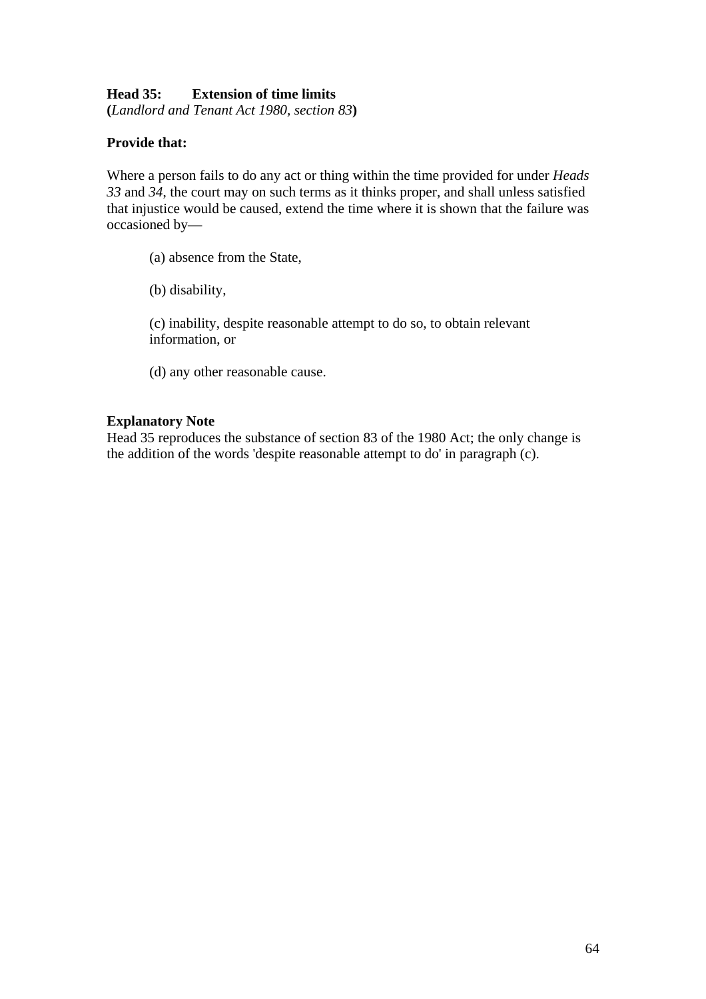## **Head 35: Extension of time limits**

**(***Landlord and Tenant Act 1980, section 83***)** 

### **Provide that:**

Where a person fails to do any act or thing within the time provided for under *Heads 33* and *34*, the court may on such terms as it thinks proper, and shall unless satisfied that injustice would be caused, extend the time where it is shown that the failure was occasioned by—

- (a) absence from the State,
- (b) disability,

(c) inability, despite reasonable attempt to do so, to obtain relevant information, or

(d) any other reasonable cause.

### **Explanatory Note**

Head 35 reproduces the substance of section 83 of the 1980 Act; the only change is the addition of the words 'despite reasonable attempt to do' in paragraph (c).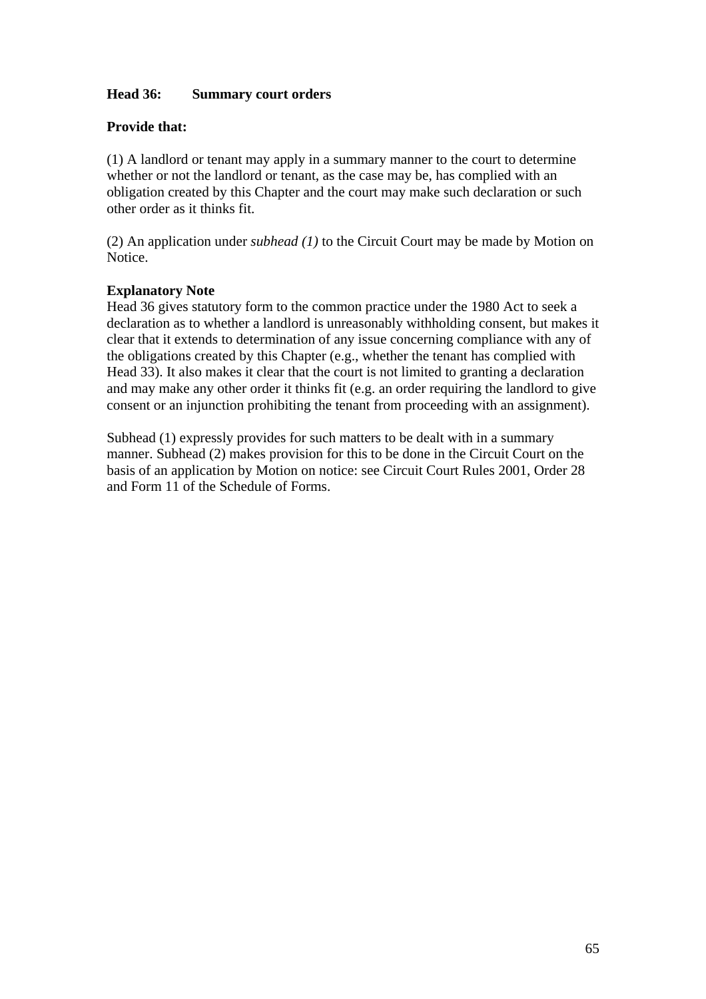## **Head 36: Summary court orders**

## **Provide that:**

(1) A landlord or tenant may apply in a summary manner to the court to determine whether or not the landlord or tenant, as the case may be, has complied with an obligation created by this Chapter and the court may make such declaration or such other order as it thinks fit.

(2) An application under *subhead (1)* to the Circuit Court may be made by Motion on Notice.

### **Explanatory Note**

Head 36 gives statutory form to the common practice under the 1980 Act to seek a declaration as to whether a landlord is unreasonably withholding consent, but makes it clear that it extends to determination of any issue concerning compliance with any of the obligations created by this Chapter (e.g., whether the tenant has complied with Head 33). It also makes it clear that the court is not limited to granting a declaration and may make any other order it thinks fit (e.g. an order requiring the landlord to give consent or an injunction prohibiting the tenant from proceeding with an assignment).

Subhead (1) expressly provides for such matters to be dealt with in a summary manner. Subhead (2) makes provision for this to be done in the Circuit Court on the basis of an application by Motion on notice: see Circuit Court Rules 2001, Order 28 and Form 11 of the Schedule of Forms.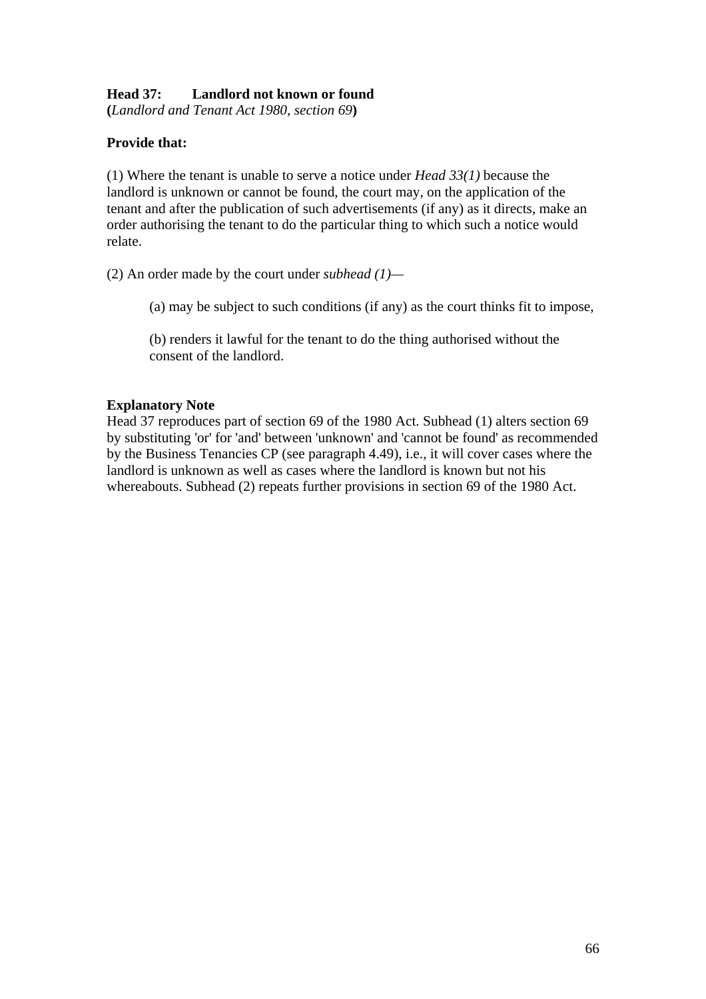# **Head 37: Landlord not known or found**

**(***Landlord and Tenant Act 1980, section 69***)** 

# **Provide that:**

(1) Where the tenant is unable to serve a notice under *Head 33(1)* because the landlord is unknown or cannot be found, the court may, on the application of the tenant and after the publication of such advertisements (if any) as it directs, make an order authorising the tenant to do the particular thing to which such a notice would relate.

(2) An order made by the court under *subhead (1)—*

(a) may be subject to such conditions (if any) as the court thinks fit to impose,

(b) renders it lawful for the tenant to do the thing authorised without the consent of the landlord.

## **Explanatory Note**

Head 37 reproduces part of section 69 of the 1980 Act. Subhead (1) alters section 69 by substituting 'or' for 'and' between 'unknown' and 'cannot be found' as recommended by the Business Tenancies CP (see paragraph 4.49), i.e., it will cover cases where the landlord is unknown as well as cases where the landlord is known but not his whereabouts. Subhead (2) repeats further provisions in section 69 of the 1980 Act.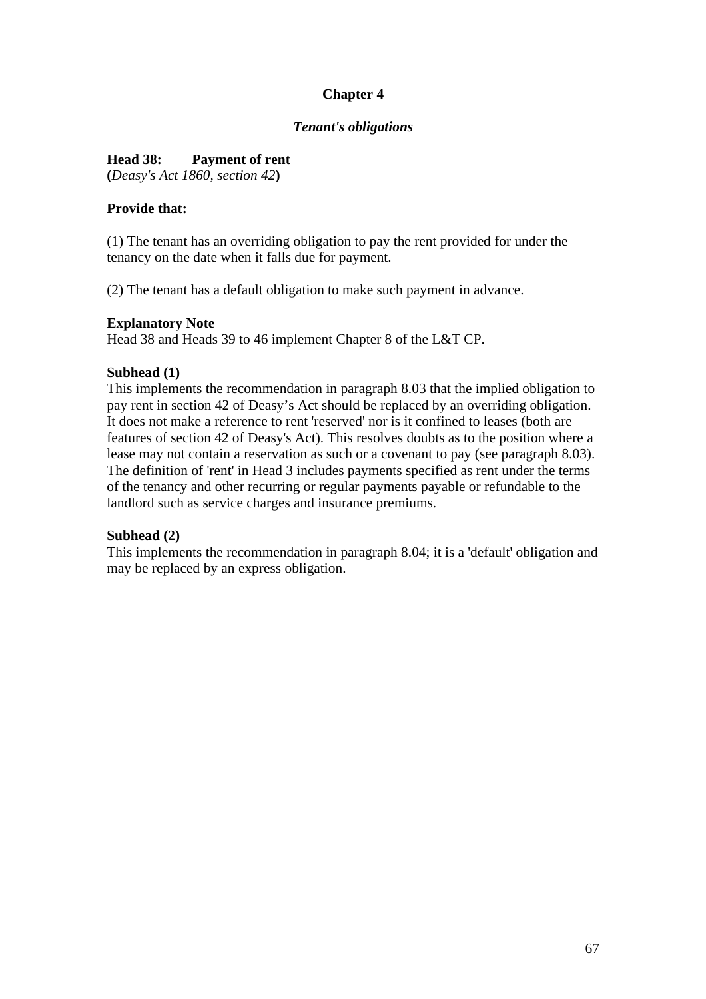# **Chapter 4**

### *Tenant's obligations*

## **Head 38: Payment of rent**

**(***Deasy's Act 1860, section 42***)** 

## **Provide that:**

(1) The tenant has an overriding obligation to pay the rent provided for under the tenancy on the date when it falls due for payment.

(2) The tenant has a default obligation to make such payment in advance.

## **Explanatory Note**

Head 38 and Heads 39 to 46 implement Chapter 8 of the L&T CP.

## **Subhead (1)**

This implements the recommendation in paragraph 8.03 that the implied obligation to pay rent in section 42 of Deasy's Act should be replaced by an overriding obligation. It does not make a reference to rent 'reserved' nor is it confined to leases (both are features of section 42 of Deasy's Act). This resolves doubts as to the position where a lease may not contain a reservation as such or a covenant to pay (see paragraph 8.03). The definition of 'rent' in Head 3 includes payments specified as rent under the terms of the tenancy and other recurring or regular payments payable or refundable to the landlord such as service charges and insurance premiums.

### **Subhead (2)**

This implements the recommendation in paragraph 8.04; it is a 'default' obligation and may be replaced by an express obligation.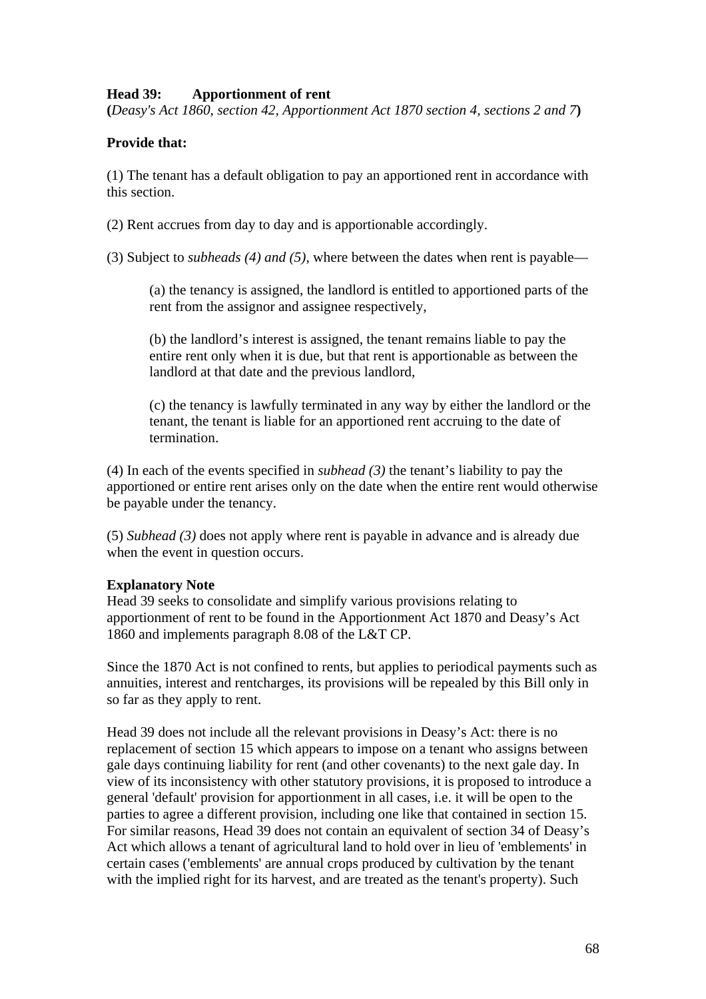## **Head 39: Apportionment of rent**

**(***Deasy's Act 1860, section 42, Apportionment Act 1870 section 4, sections 2 and 7***)** 

## **Provide that:**

(1) The tenant has a default obligation to pay an apportioned rent in accordance with this section.

(2) Rent accrues from day to day and is apportionable accordingly.

(3) Subject to *subheads (4) and (5)*, where between the dates when rent is payable—

(a) the tenancy is assigned, the landlord is entitled to apportioned parts of the rent from the assignor and assignee respectively,

(b) the landlord's interest is assigned, the tenant remains liable to pay the entire rent only when it is due, but that rent is apportionable as between the landlord at that date and the previous landlord,

(c) the tenancy is lawfully terminated in any way by either the landlord or the tenant, the tenant is liable for an apportioned rent accruing to the date of termination.

(4) In each of the events specified in *subhead (3)* the tenant's liability to pay the apportioned or entire rent arises only on the date when the entire rent would otherwise be payable under the tenancy.

(5) *Subhead (3)* does not apply where rent is payable in advance and is already due when the event in question occurs.

### **Explanatory Note**

Head 39 seeks to consolidate and simplify various provisions relating to apportionment of rent to be found in the Apportionment Act 1870 and Deasy's Act 1860 and implements paragraph 8.08 of the L&T CP.

Since the 1870 Act is not confined to rents, but applies to periodical payments such as annuities, interest and rentcharges, its provisions will be repealed by this Bill only in so far as they apply to rent.

Head 39 does not include all the relevant provisions in Deasy's Act: there is no replacement of section 15 which appears to impose on a tenant who assigns between gale days continuing liability for rent (and other covenants) to the next gale day. In view of its inconsistency with other statutory provisions, it is proposed to introduce a general 'default' provision for apportionment in all cases, i.e. it will be open to the parties to agree a different provision, including one like that contained in section 15. For similar reasons, Head 39 does not contain an equivalent of section 34 of Deasy's Act which allows a tenant of agricultural land to hold over in lieu of 'emblements' in certain cases ('emblements' are annual crops produced by cultivation by the tenant with the implied right for its harvest, and are treated as the tenant's property). Such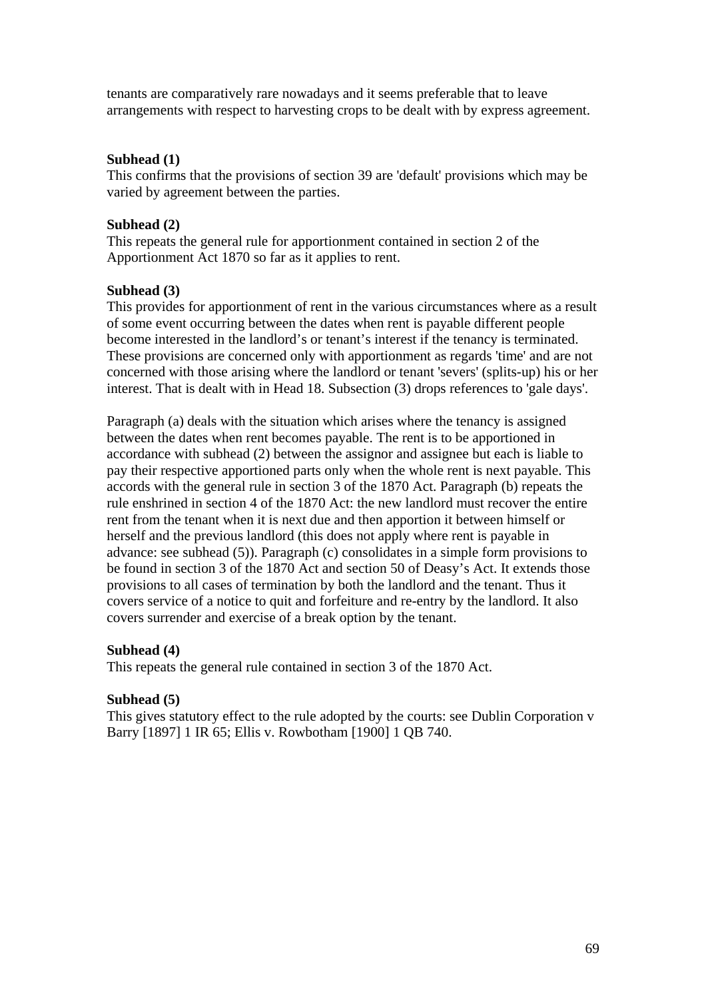tenants are comparatively rare nowadays and it seems preferable that to leave arrangements with respect to harvesting crops to be dealt with by express agreement.

#### **Subhead (1)**

This confirms that the provisions of section 39 are 'default' provisions which may be varied by agreement between the parties.

#### **Subhead (2)**

This repeats the general rule for apportionment contained in section 2 of the Apportionment Act 1870 so far as it applies to rent.

#### **Subhead (3)**

This provides for apportionment of rent in the various circumstances where as a result of some event occurring between the dates when rent is payable different people become interested in the landlord's or tenant's interest if the tenancy is terminated. These provisions are concerned only with apportionment as regards 'time' and are not concerned with those arising where the landlord or tenant 'severs' (splits-up) his or her interest. That is dealt with in Head 18. Subsection (3) drops references to 'gale days'.

Paragraph (a) deals with the situation which arises where the tenancy is assigned between the dates when rent becomes payable. The rent is to be apportioned in accordance with subhead (2) between the assignor and assignee but each is liable to pay their respective apportioned parts only when the whole rent is next payable. This accords with the general rule in section 3 of the 1870 Act. Paragraph (b) repeats the rule enshrined in section 4 of the 1870 Act: the new landlord must recover the entire rent from the tenant when it is next due and then apportion it between himself or herself and the previous landlord (this does not apply where rent is payable in advance: see subhead (5)). Paragraph (c) consolidates in a simple form provisions to be found in section 3 of the 1870 Act and section 50 of Deasy's Act. It extends those provisions to all cases of termination by both the landlord and the tenant. Thus it covers service of a notice to quit and forfeiture and re-entry by the landlord. It also covers surrender and exercise of a break option by the tenant.

#### **Subhead (4)**

This repeats the general rule contained in section 3 of the 1870 Act.

#### **Subhead (5)**

This gives statutory effect to the rule adopted by the courts: see Dublin Corporation v Barry [1897] 1 IR 65; Ellis v. Rowbotham [1900] 1 QB 740.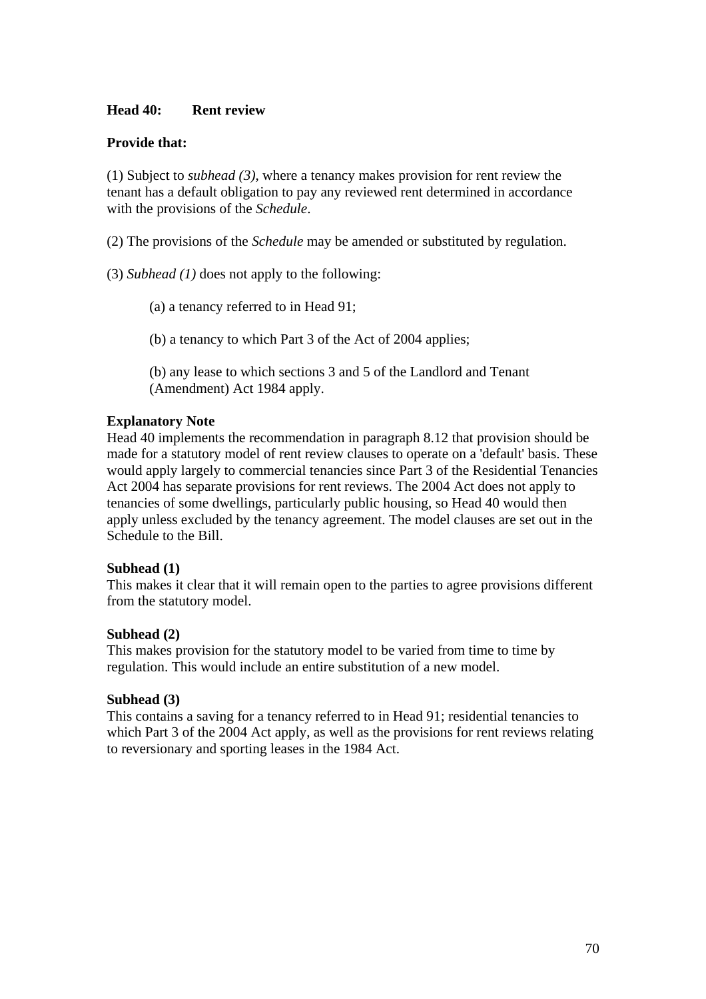### **Head 40: Rent review**

## **Provide that:**

(1) Subject to *subhead (3)*, where a tenancy makes provision for rent review the tenant has a default obligation to pay any reviewed rent determined in accordance with the provisions of the *Schedule*.

(2) The provisions of the *Schedule* may be amended or substituted by regulation.

(3) *Subhead (1)* does not apply to the following:

(a) a tenancy referred to in Head 91;

(b) a tenancy to which Part 3 of the Act of 2004 applies;

(b) any lease to which sections 3 and 5 of the Landlord and Tenant (Amendment) Act 1984 apply.

## **Explanatory Note**

Head 40 implements the recommendation in paragraph 8.12 that provision should be made for a statutory model of rent review clauses to operate on a 'default' basis. These would apply largely to commercial tenancies since Part 3 of the Residential Tenancies Act 2004 has separate provisions for rent reviews. The 2004 Act does not apply to tenancies of some dwellings, particularly public housing, so Head 40 would then apply unless excluded by the tenancy agreement. The model clauses are set out in the Schedule to the Bill.

### **Subhead (1)**

This makes it clear that it will remain open to the parties to agree provisions different from the statutory model.

### **Subhead (2)**

This makes provision for the statutory model to be varied from time to time by regulation. This would include an entire substitution of a new model.

### **Subhead (3)**

This contains a saving for a tenancy referred to in Head 91; residential tenancies to which Part 3 of the 2004 Act apply, as well as the provisions for rent reviews relating to reversionary and sporting leases in the 1984 Act.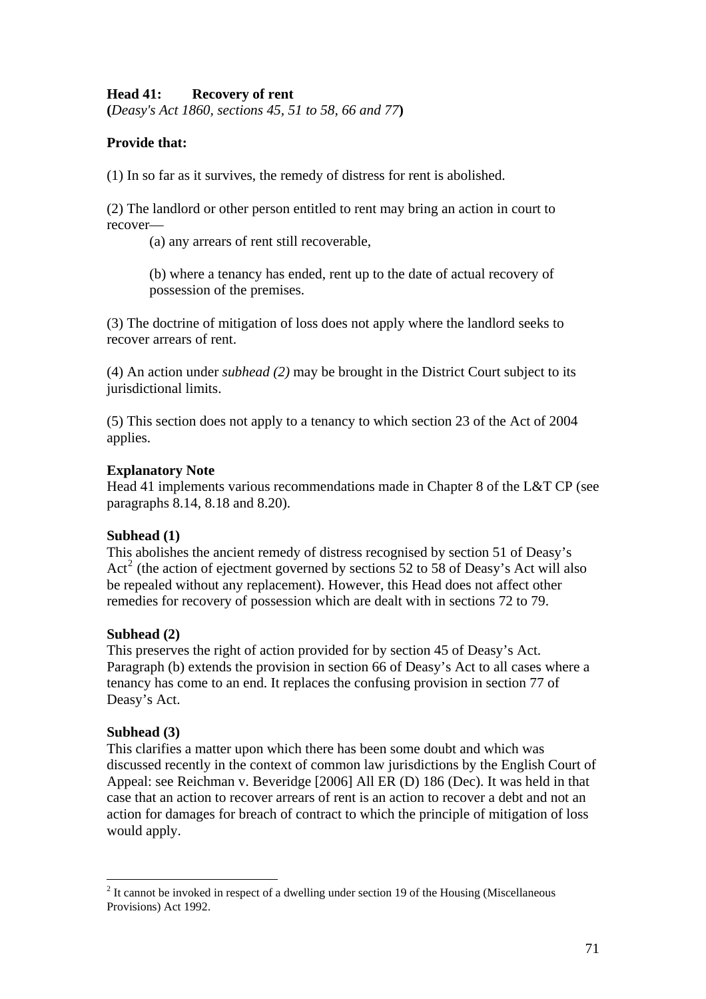## **Head 41: Recovery of rent**

**(***Deasy's Act 1860, sections 45, 51 to 58, 66 and 77***)** 

## **Provide that:**

(1) In so far as it survives, the remedy of distress for rent is abolished.

(2) The landlord or other person entitled to rent may bring an action in court to recover—

(a) any arrears of rent still recoverable,

(b) where a tenancy has ended, rent up to the date of actual recovery of possession of the premises.

(3) The doctrine of mitigation of loss does not apply where the landlord seeks to recover arrears of rent.

(4) An action under *subhead (2)* may be brought in the District Court subject to its jurisdictional limits.

(5) This section does not apply to a tenancy to which section 23 of the Act of 2004 applies.

#### **Explanatory Note**

Head 41 implements various recommendations made in Chapter 8 of the L&T CP (see paragraphs 8.14, 8.18 and 8.20).

### **Subhead (1)**

This abolishes the ancient remedy of distress recognised by section 51 of Deasy's Act<sup>[2](#page-70-0)</sup> (the action of ejectment governed by sections 52 to 58 of Deasy's Act will also be repealed without any replacement). However, this Head does not affect other remedies for recovery of possession which are dealt with in sections 72 to 79.

### **Subhead (2)**

This preserves the right of action provided for by section 45 of Deasy's Act. Paragraph (b) extends the provision in section 66 of Deasy's Act to all cases where a tenancy has come to an end. It replaces the confusing provision in section 77 of Deasy's Act.

### **Subhead (3)**

 $\overline{a}$ 

This clarifies a matter upon which there has been some doubt and which was discussed recently in the context of common law jurisdictions by the English Court of Appeal: see Reichman v. Beveridge [2006] All ER (D) 186 (Dec). It was held in that case that an action to recover arrears of rent is an action to recover a debt and not an action for damages for breach of contract to which the principle of mitigation of loss would apply.

<span id="page-70-0"></span> $2<sup>2</sup>$  It cannot be invoked in respect of a dwelling under section 19 of the Housing (Miscellaneous Provisions) Act 1992.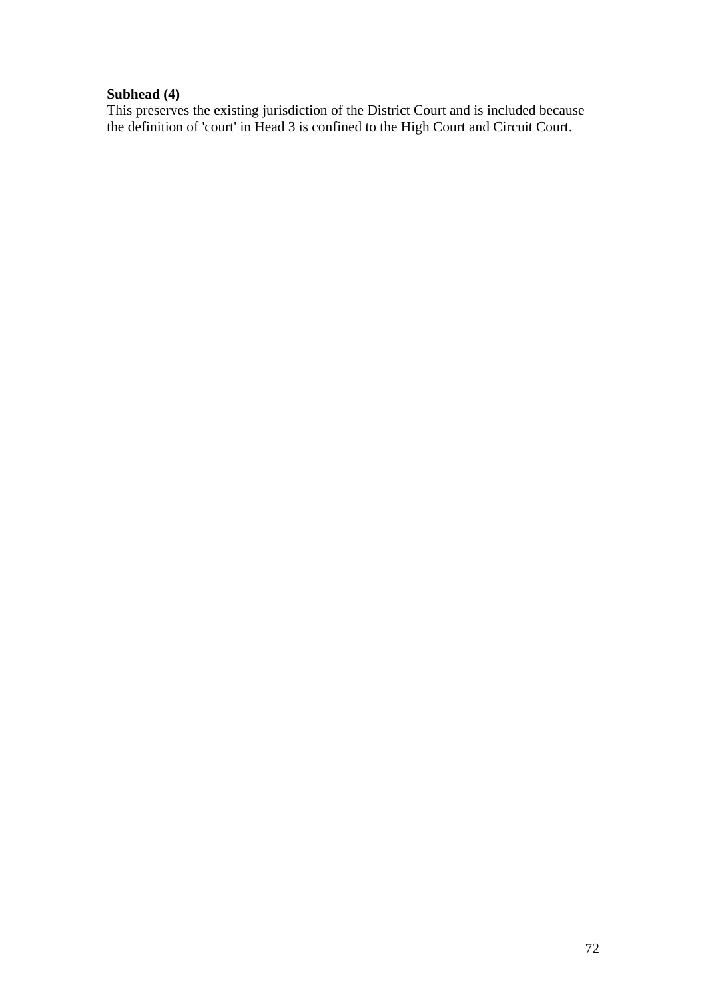# **Subhead (4)**

This preserves the existing jurisdiction of the District Court and is included because the definition of 'court' in Head 3 is confined to the High Court and Circuit Court.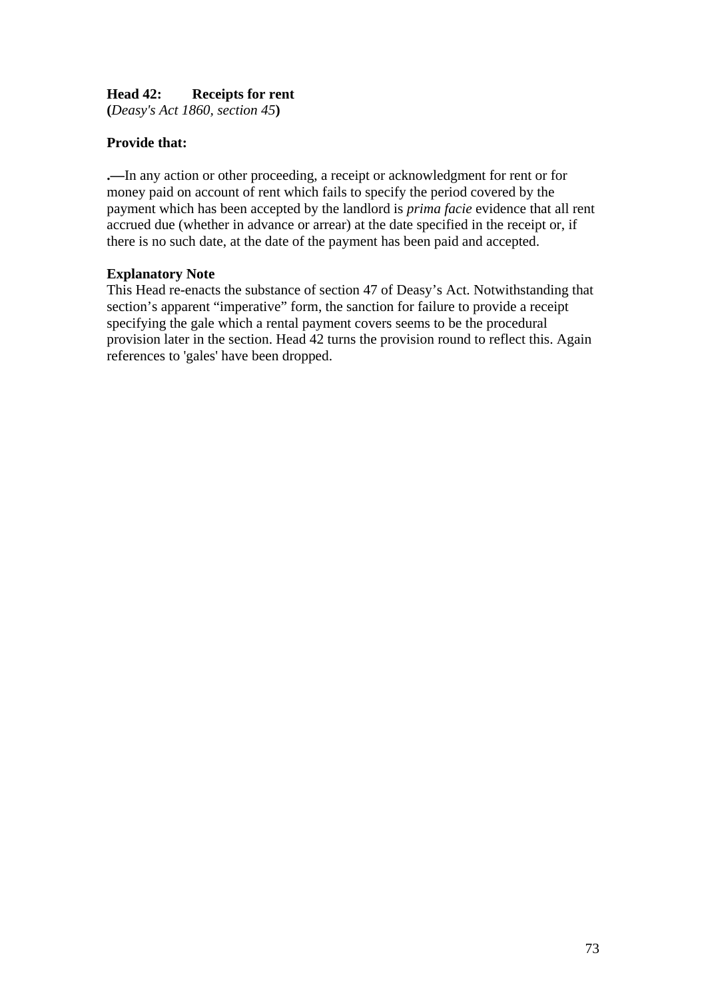# **Head 42: Receipts for rent**

**(***Deasy's Act 1860, section 45***)** 

# **Provide that:**

**.—**In any action or other proceeding, a receipt or acknowledgment for rent or for money paid on account of rent which fails to specify the period covered by the payment which has been accepted by the landlord is *prima facie* evidence that all rent accrued due (whether in advance or arrear) at the date specified in the receipt or, if there is no such date, at the date of the payment has been paid and accepted.

## **Explanatory Note**

This Head re-enacts the substance of section 47 of Deasy's Act. Notwithstanding that section's apparent "imperative" form, the sanction for failure to provide a receipt specifying the gale which a rental payment covers seems to be the procedural provision later in the section. Head 42 turns the provision round to reflect this. Again references to 'gales' have been dropped.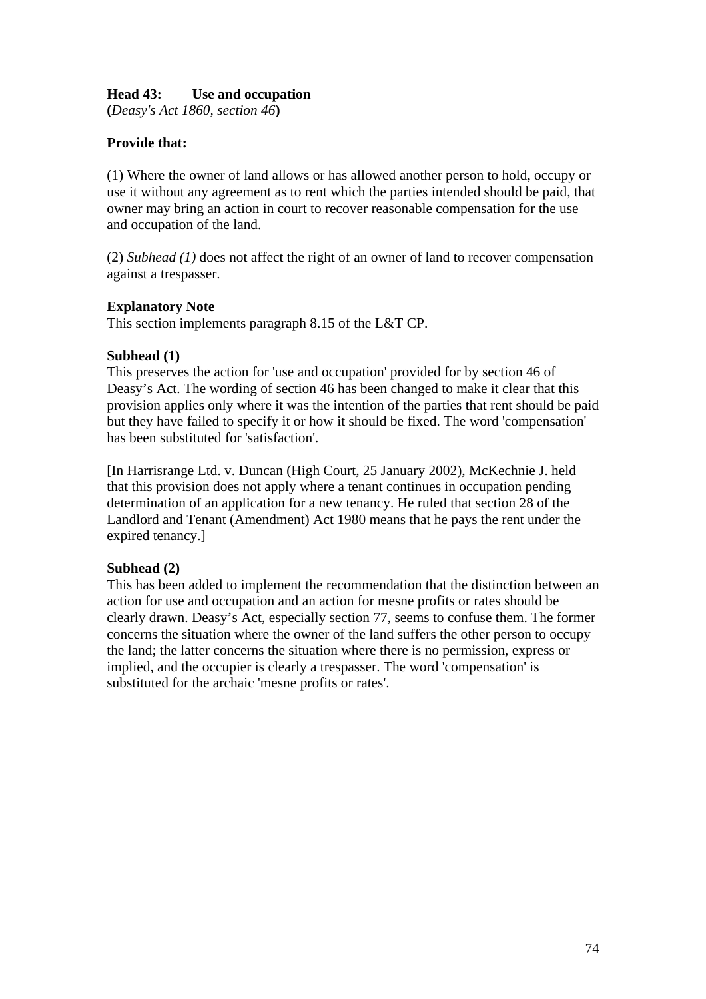## **Head 43: Use and occupation**

**(***Deasy's Act 1860, section 46***)** 

## **Provide that:**

(1) Where the owner of land allows or has allowed another person to hold, occupy or use it without any agreement as to rent which the parties intended should be paid, that owner may bring an action in court to recover reasonable compensation for the use and occupation of the land.

(2) *Subhead (1)* does not affect the right of an owner of land to recover compensation against a trespasser.

#### **Explanatory Note**

This section implements paragraph 8.15 of the L&T CP.

### **Subhead (1)**

This preserves the action for 'use and occupation' provided for by section 46 of Deasy's Act. The wording of section 46 has been changed to make it clear that this provision applies only where it was the intention of the parties that rent should be paid but they have failed to specify it or how it should be fixed. The word 'compensation' has been substituted for 'satisfaction'.

[In Harrisrange Ltd. v. Duncan (High Court, 25 January 2002), McKechnie J. held that this provision does not apply where a tenant continues in occupation pending determination of an application for a new tenancy. He ruled that section 28 of the Landlord and Tenant (Amendment) Act 1980 means that he pays the rent under the expired tenancy.]

#### **Subhead (2)**

This has been added to implement the recommendation that the distinction between an action for use and occupation and an action for mesne profits or rates should be clearly drawn. Deasy's Act, especially section 77, seems to confuse them. The former concerns the situation where the owner of the land suffers the other person to occupy the land; the latter concerns the situation where there is no permission, express or implied, and the occupier is clearly a trespasser. The word 'compensation' is substituted for the archaic 'mesne profits or rates'.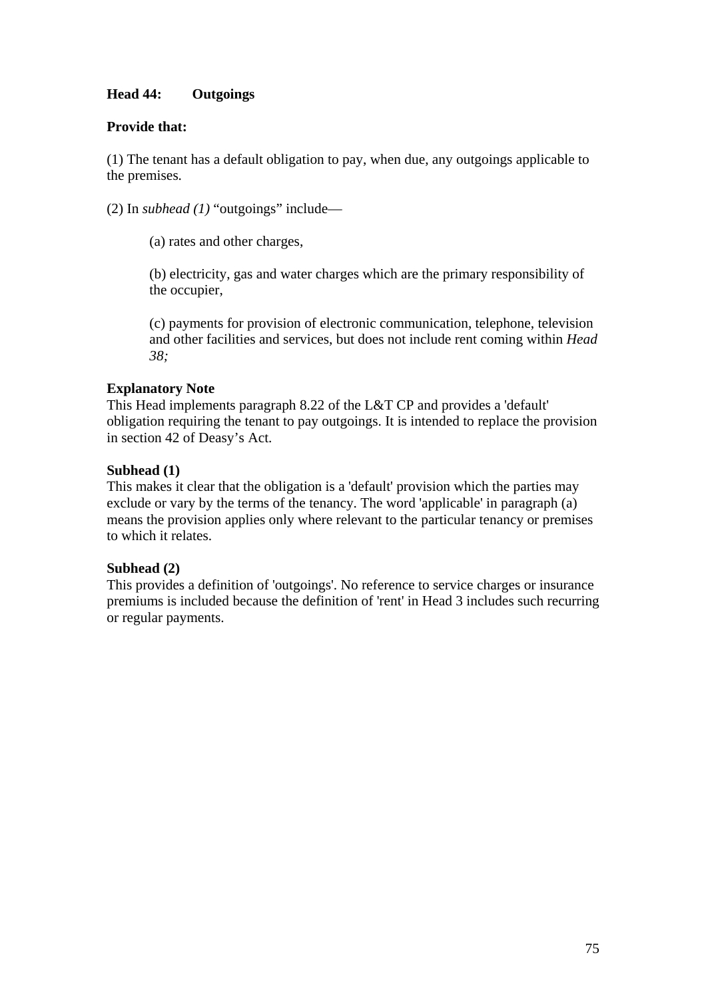# **Head 44: Outgoings**

## **Provide that:**

(1) The tenant has a default obligation to pay, when due, any outgoings applicable to the premises.

(2) In *subhead (1)* "outgoings" include—

(a) rates and other charges,

(b) electricity, gas and water charges which are the primary responsibility of the occupier,

(c) payments for provision of electronic communication, telephone, television and other facilities and services, but does not include rent coming within *Head 38;* 

### **Explanatory Note**

This Head implements paragraph 8.22 of the L&T CP and provides a 'default' obligation requiring the tenant to pay outgoings. It is intended to replace the provision in section 42 of Deasy's Act.

### **Subhead (1)**

This makes it clear that the obligation is a 'default' provision which the parties may exclude or vary by the terms of the tenancy. The word 'applicable' in paragraph (a) means the provision applies only where relevant to the particular tenancy or premises to which it relates.

#### **Subhead (2)**

This provides a definition of 'outgoings'. No reference to service charges or insurance premiums is included because the definition of 'rent' in Head 3 includes such recurring or regular payments.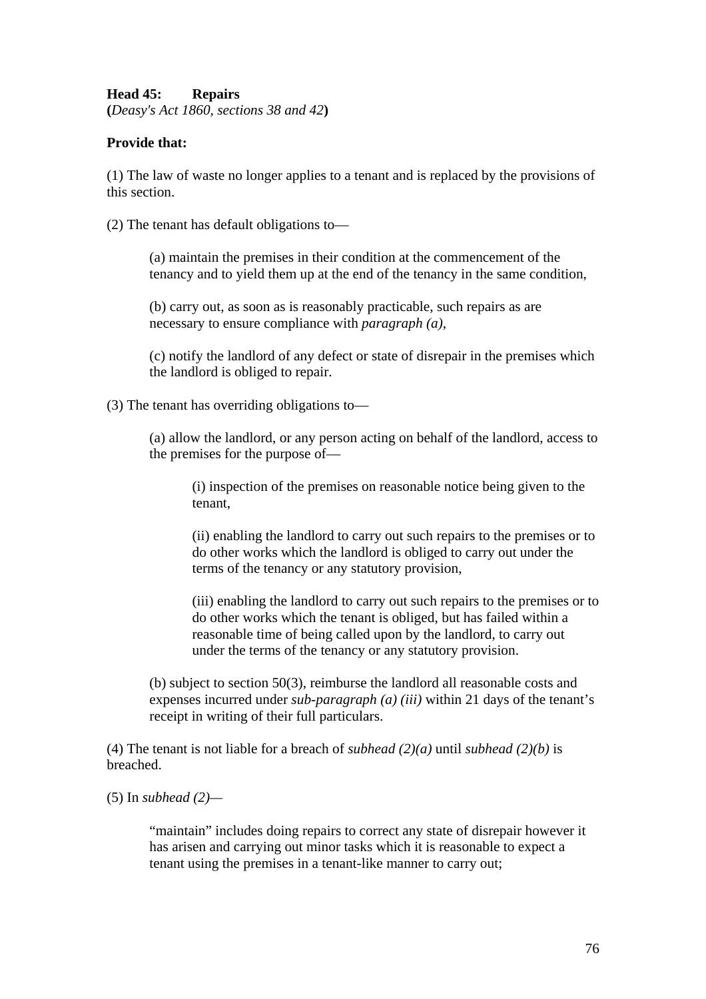### **Head 45: Repairs**

**(***Deasy's Act 1860, sections 38 and 42***)** 

### **Provide that:**

(1) The law of waste no longer applies to a tenant and is replaced by the provisions of this section.

(2) The tenant has default obligations to—

(a) maintain the premises in their condition at the commencement of the tenancy and to yield them up at the end of the tenancy in the same condition,

(b) carry out, as soon as is reasonably practicable, such repairs as are necessary to ensure compliance with *paragraph (a)*,

(c) notify the landlord of any defect or state of disrepair in the premises which the landlord is obliged to repair.

(3) The tenant has overriding obligations to—

(a) allow the landlord, or any person acting on behalf of the landlord, access to the premises for the purpose of—

(i) inspection of the premises on reasonable notice being given to the tenant,

(ii) enabling the landlord to carry out such repairs to the premises or to do other works which the landlord is obliged to carry out under the terms of the tenancy or any statutory provision,

(iii) enabling the landlord to carry out such repairs to the premises or to do other works which the tenant is obliged, but has failed within a reasonable time of being called upon by the landlord, to carry out under the terms of the tenancy or any statutory provision.

(b) subject to section 50(3), reimburse the landlord all reasonable costs and expenses incurred under *sub-paragraph (a) (iii)* within 21 days of the tenant's receipt in writing of their full particulars.

(4) The tenant is not liable for a breach of *subhead (2)(a)* until *subhead (2)(b)* is breached.

(5) In *subhead (2)—*

"maintain" includes doing repairs to correct any state of disrepair however it has arisen and carrying out minor tasks which it is reasonable to expect a tenant using the premises in a tenant-like manner to carry out;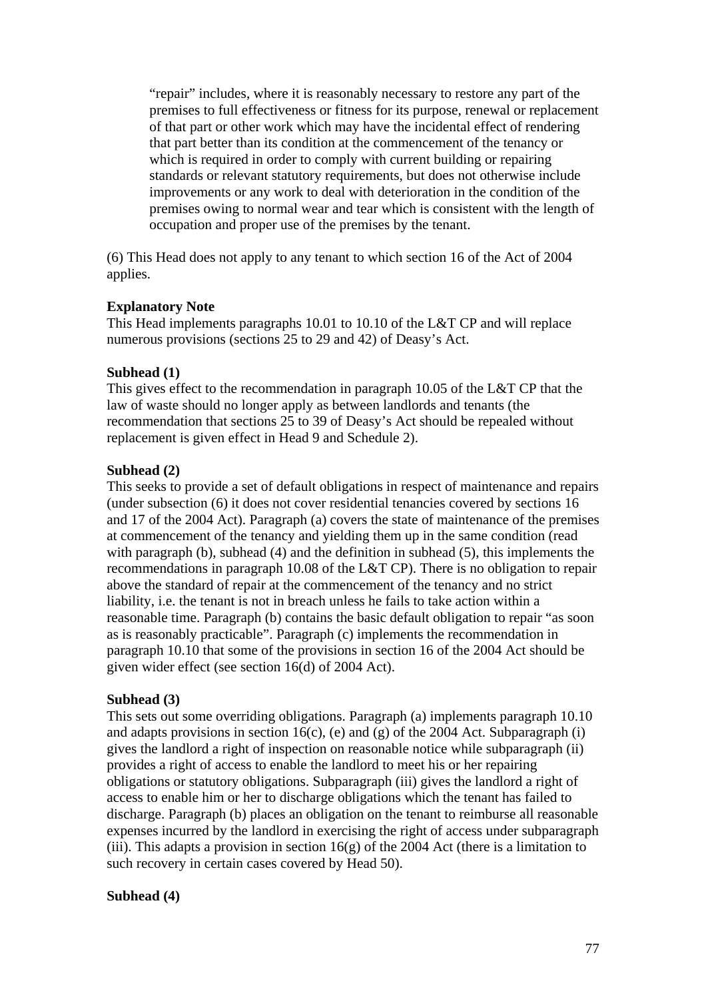"repair" includes, where it is reasonably necessary to restore any part of the premises to full effectiveness or fitness for its purpose, renewal or replacement of that part or other work which may have the incidental effect of rendering that part better than its condition at the commencement of the tenancy or which is required in order to comply with current building or repairing standards or relevant statutory requirements, but does not otherwise include improvements or any work to deal with deterioration in the condition of the premises owing to normal wear and tear which is consistent with the length of occupation and proper use of the premises by the tenant.

(6) This Head does not apply to any tenant to which section 16 of the Act of 2004 applies.

#### **Explanatory Note**

This Head implements paragraphs 10.01 to 10.10 of the L&T CP and will replace numerous provisions (sections 25 to 29 and 42) of Deasy's Act.

#### **Subhead (1)**

This gives effect to the recommendation in paragraph 10.05 of the L&T CP that the law of waste should no longer apply as between landlords and tenants (the recommendation that sections 25 to 39 of Deasy's Act should be repealed without replacement is given effect in Head 9 and Schedule 2).

#### **Subhead (2)**

This seeks to provide a set of default obligations in respect of maintenance and repairs (under subsection (6) it does not cover residential tenancies covered by sections 16 and 17 of the 2004 Act). Paragraph (a) covers the state of maintenance of the premises at commencement of the tenancy and yielding them up in the same condition (read with paragraph (b), subhead (4) and the definition in subhead (5), this implements the recommendations in paragraph 10.08 of the L&T CP). There is no obligation to repair above the standard of repair at the commencement of the tenancy and no strict liability, i.e. the tenant is not in breach unless he fails to take action within a reasonable time. Paragraph (b) contains the basic default obligation to repair "as soon as is reasonably practicable". Paragraph (c) implements the recommendation in paragraph 10.10 that some of the provisions in section 16 of the 2004 Act should be given wider effect (see section 16(d) of 2004 Act).

#### **Subhead (3)**

This sets out some overriding obligations. Paragraph (a) implements paragraph 10.10 and adapts provisions in section 16(c), (e) and (g) of the 2004 Act. Subparagraph (i) gives the landlord a right of inspection on reasonable notice while subparagraph (ii) provides a right of access to enable the landlord to meet his or her repairing obligations or statutory obligations. Subparagraph (iii) gives the landlord a right of access to enable him or her to discharge obligations which the tenant has failed to discharge. Paragraph (b) places an obligation on the tenant to reimburse all reasonable expenses incurred by the landlord in exercising the right of access under subparagraph (iii). This adapts a provision in section  $16(g)$  of the 2004 Act (there is a limitation to such recovery in certain cases covered by Head 50).

#### **Subhead (4)**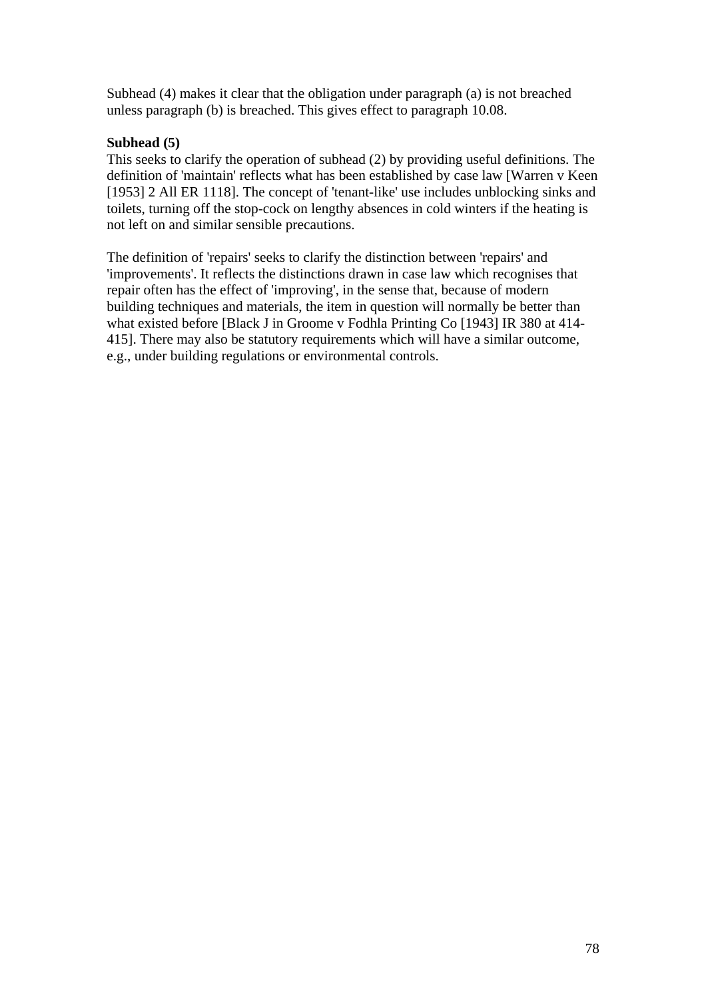Subhead (4) makes it clear that the obligation under paragraph (a) is not breached unless paragraph (b) is breached. This gives effect to paragraph 10.08.

## **Subhead (5)**

This seeks to clarify the operation of subhead (2) by providing useful definitions. The definition of 'maintain' reflects what has been established by case law [Warren v Keen [1953] 2 All ER 1118]. The concept of 'tenant-like' use includes unblocking sinks and toilets, turning off the stop-cock on lengthy absences in cold winters if the heating is not left on and similar sensible precautions.

The definition of 'repairs' seeks to clarify the distinction between 'repairs' and 'improvements'. It reflects the distinctions drawn in case law which recognises that repair often has the effect of 'improving', in the sense that, because of modern building techniques and materials, the item in question will normally be better than what existed before [Black J in Groome v Fodhla Printing Co [1943] IR 380 at 414-415]. There may also be statutory requirements which will have a similar outcome, e.g., under building regulations or environmental controls.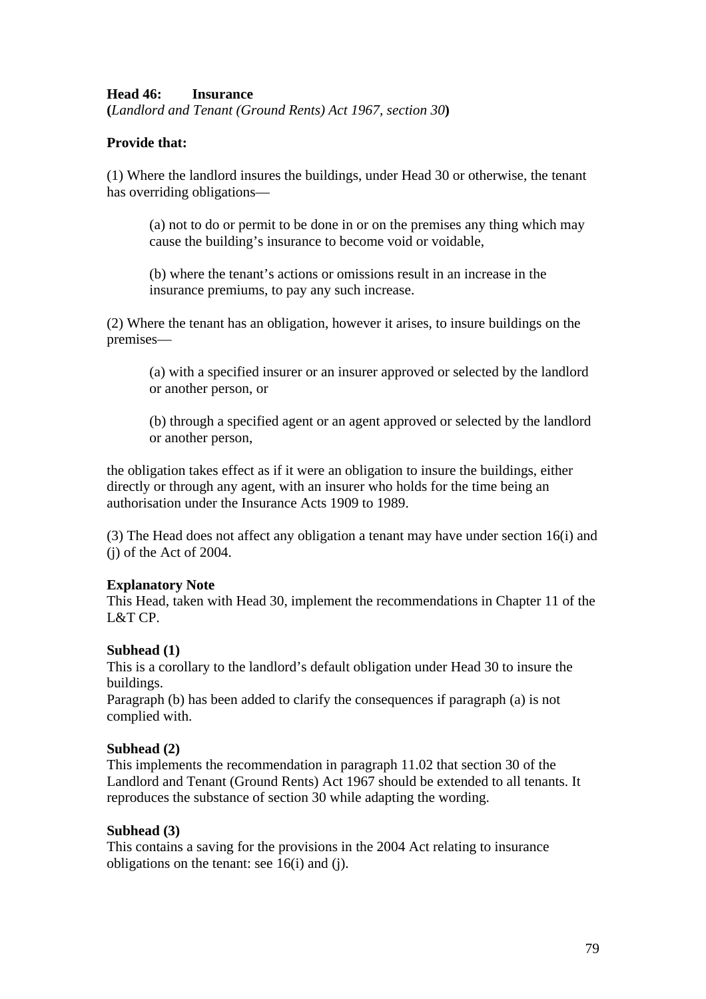### **Head 46: Insurance**

**(***Landlord and Tenant (Ground Rents) Act 1967, section 30***)**

### **Provide that:**

(1) Where the landlord insures the buildings, under Head 30 or otherwise, the tenant has overriding obligations—

(a) not to do or permit to be done in or on the premises any thing which may cause the building's insurance to become void or voidable,

(b) where the tenant's actions or omissions result in an increase in the insurance premiums, to pay any such increase.

(2) Where the tenant has an obligation, however it arises, to insure buildings on the premises—

(a) with a specified insurer or an insurer approved or selected by the landlord or another person, or

(b) through a specified agent or an agent approved or selected by the landlord or another person,

the obligation takes effect as if it were an obligation to insure the buildings, either directly or through any agent, with an insurer who holds for the time being an authorisation under the Insurance Acts 1909 to 1989.

(3) The Head does not affect any obligation a tenant may have under section 16(i) and (j) of the Act of 2004.

#### **Explanatory Note**

This Head, taken with Head 30, implement the recommendations in Chapter 11 of the L&T CP.

#### **Subhead (1)**

This is a corollary to the landlord's default obligation under Head 30 to insure the buildings.

Paragraph (b) has been added to clarify the consequences if paragraph (a) is not complied with.

#### **Subhead (2)**

This implements the recommendation in paragraph 11.02 that section 30 of the Landlord and Tenant (Ground Rents) Act 1967 should be extended to all tenants. It reproduces the substance of section 30 while adapting the wording.

#### **Subhead (3)**

This contains a saving for the provisions in the 2004 Act relating to insurance obligations on the tenant: see 16(i) and (j).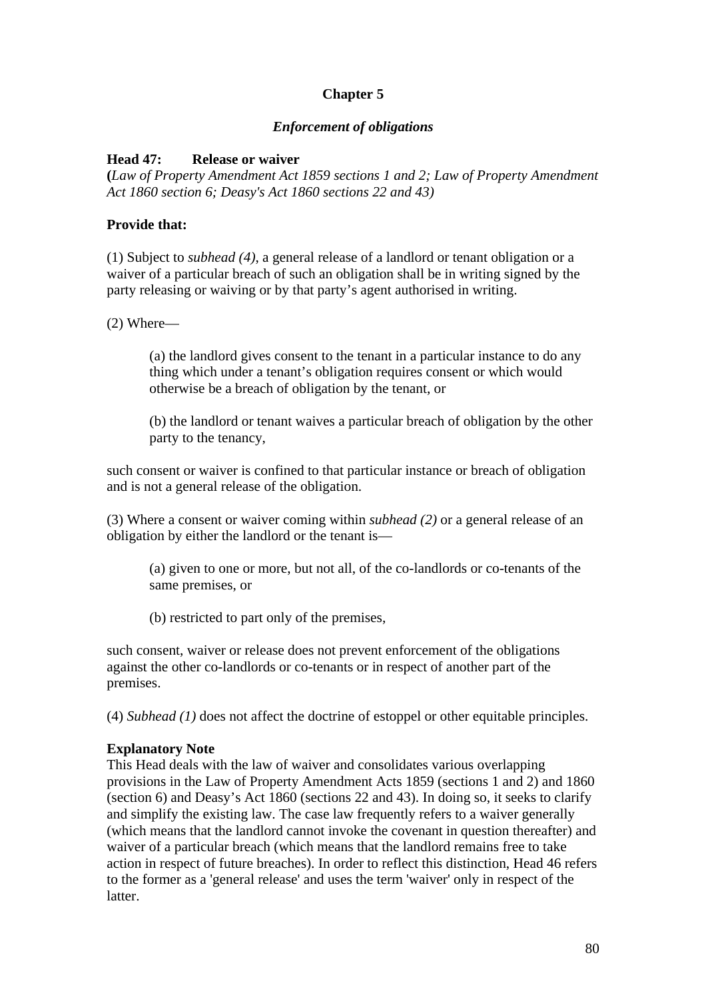# **Chapter 5**

## *Enforcement of obligations*

## **Head 47: Release or waiver**

**(***Law of Property Amendment Act 1859 sections 1 and 2; Law of Property Amendment Act 1860 section 6; Deasy's Act 1860 sections 22 and 43)*

### **Provide that:**

(1) Subject to *subhead (4)*, a general release of a landlord or tenant obligation or a waiver of a particular breach of such an obligation shall be in writing signed by the party releasing or waiving or by that party's agent authorised in writing.

(2) Where—

(a) the landlord gives consent to the tenant in a particular instance to do any thing which under a tenant's obligation requires consent or which would otherwise be a breach of obligation by the tenant, or

(b) the landlord or tenant waives a particular breach of obligation by the other party to the tenancy,

such consent or waiver is confined to that particular instance or breach of obligation and is not a general release of the obligation.

(3) Where a consent or waiver coming within *subhead (2)* or a general release of an obligation by either the landlord or the tenant is—

(a) given to one or more, but not all, of the co-landlords or co-tenants of the same premises, or

(b) restricted to part only of the premises,

such consent, waiver or release does not prevent enforcement of the obligations against the other co-landlords or co-tenants or in respect of another part of the premises.

(4) *Subhead (1)* does not affect the doctrine of estoppel or other equitable principles.

## **Explanatory Note**

This Head deals with the law of waiver and consolidates various overlapping provisions in the Law of Property Amendment Acts 1859 (sections 1 and 2) and 1860 (section 6) and Deasy's Act 1860 (sections 22 and 43). In doing so, it seeks to clarify and simplify the existing law. The case law frequently refers to a waiver generally (which means that the landlord cannot invoke the covenant in question thereafter) and waiver of a particular breach (which means that the landlord remains free to take action in respect of future breaches). In order to reflect this distinction, Head 46 refers to the former as a 'general release' and uses the term 'waiver' only in respect of the latter.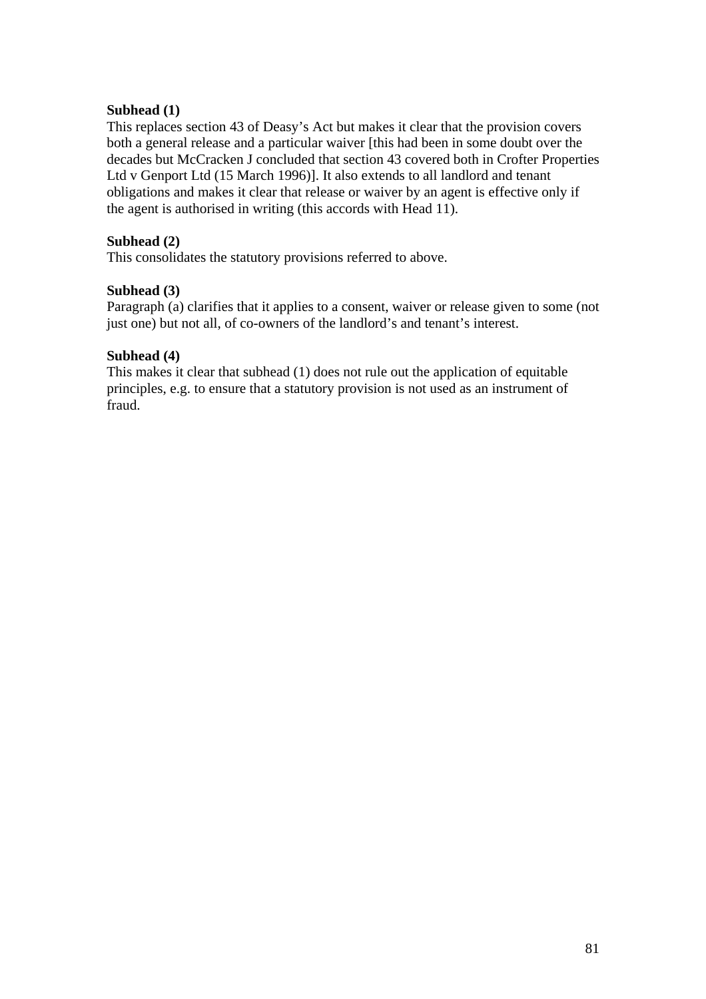### **Subhead (1)**

This replaces section 43 of Deasy's Act but makes it clear that the provision covers both a general release and a particular waiver [this had been in some doubt over the decades but McCracken J concluded that section 43 covered both in Crofter Properties Ltd v Genport Ltd (15 March 1996)]. It also extends to all landlord and tenant obligations and makes it clear that release or waiver by an agent is effective only if the agent is authorised in writing (this accords with Head 11).

### **Subhead (2)**

This consolidates the statutory provisions referred to above.

### **Subhead (3)**

Paragraph (a) clarifies that it applies to a consent, waiver or release given to some (not just one) but not all, of co-owners of the landlord's and tenant's interest.

### **Subhead (4)**

This makes it clear that subhead (1) does not rule out the application of equitable principles, e.g. to ensure that a statutory provision is not used as an instrument of fraud.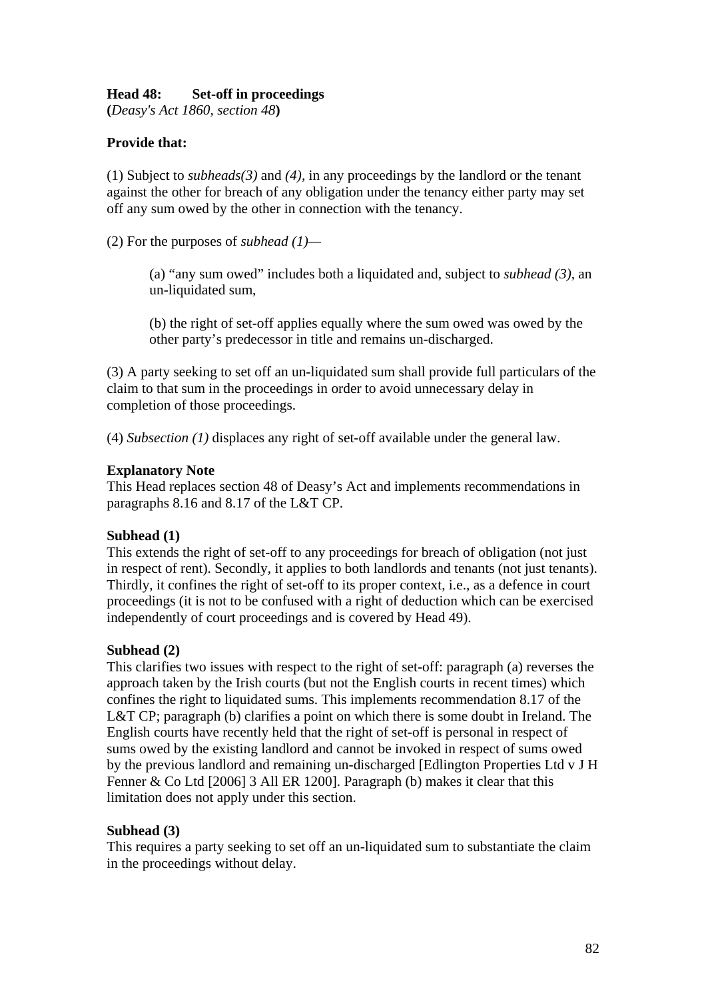## **Head 48: Set-off in proceedings**

**(***Deasy's Act 1860, section 48***)** 

## **Provide that:**

(1) Subject to *subheads(3)* and *(4),* in any proceedings by the landlord or the tenant against the other for breach of any obligation under the tenancy either party may set off any sum owed by the other in connection with the tenancy.

(2) For the purposes of *subhead (1)—* 

(a) "any sum owed" includes both a liquidated and, subject to *subhead (3)*, an un-liquidated sum,

(b) the right of set-off applies equally where the sum owed was owed by the other party's predecessor in title and remains un-discharged.

(3) A party seeking to set off an un-liquidated sum shall provide full particulars of the claim to that sum in the proceedings in order to avoid unnecessary delay in completion of those proceedings.

(4) *Subsection (1)* displaces any right of set-off available under the general law.

#### **Explanatory Note**

This Head replaces section 48 of Deasy's Act and implements recommendations in paragraphs 8.16 and 8.17 of the L&T CP.

#### **Subhead (1)**

This extends the right of set-off to any proceedings for breach of obligation (not just in respect of rent). Secondly, it applies to both landlords and tenants (not just tenants). Thirdly, it confines the right of set-off to its proper context, i.e., as a defence in court proceedings (it is not to be confused with a right of deduction which can be exercised independently of court proceedings and is covered by Head 49).

#### **Subhead (2)**

This clarifies two issues with respect to the right of set-off: paragraph (a) reverses the approach taken by the Irish courts (but not the English courts in recent times) which confines the right to liquidated sums. This implements recommendation 8.17 of the L&T CP; paragraph (b) clarifies a point on which there is some doubt in Ireland. The English courts have recently held that the right of set-off is personal in respect of sums owed by the existing landlord and cannot be invoked in respect of sums owed by the previous landlord and remaining un-discharged [Edlington Properties Ltd v J H Fenner & Co Ltd [2006] 3 All ER 1200]. Paragraph (b) makes it clear that this limitation does not apply under this section.

#### **Subhead (3)**

This requires a party seeking to set off an un-liquidated sum to substantiate the claim in the proceedings without delay.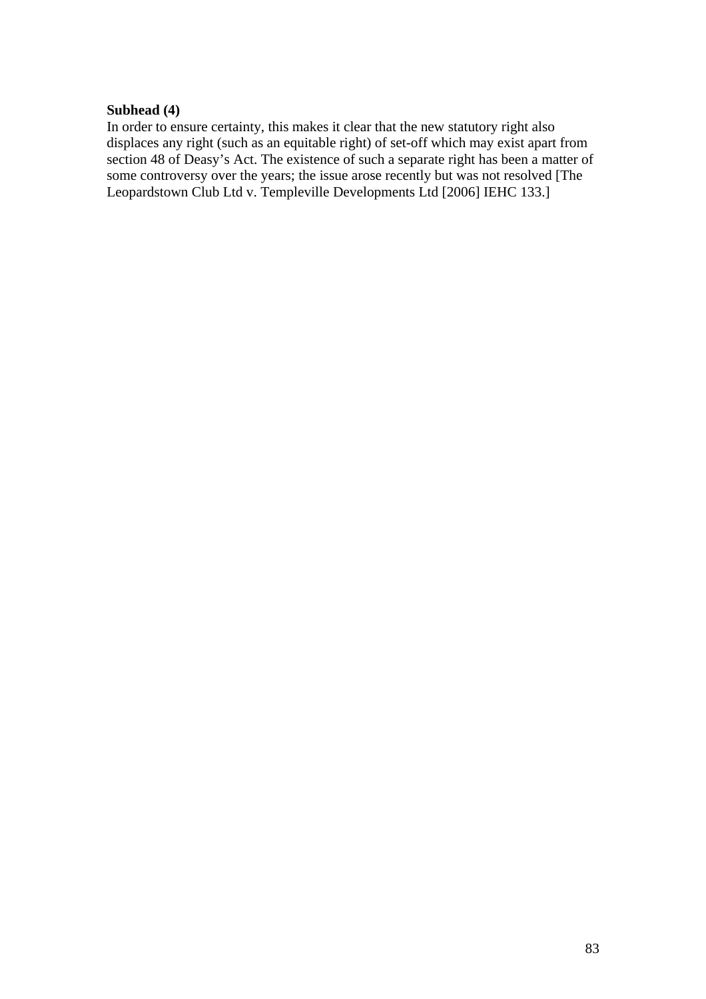#### **Subhead (4)**

In order to ensure certainty, this makes it clear that the new statutory right also displaces any right (such as an equitable right) of set-off which may exist apart from section 48 of Deasy's Act. The existence of such a separate right has been a matter of some controversy over the years; the issue arose recently but was not resolved [The Leopardstown Club Ltd v. Templeville Developments Ltd [2006] IEHC 133.]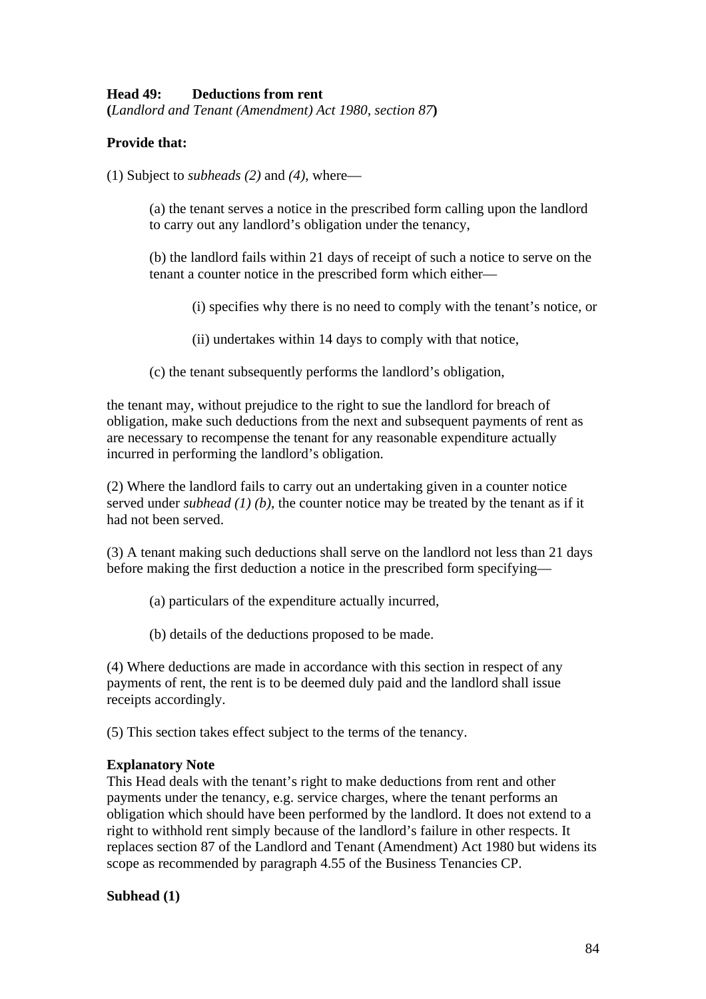## **Head 49: Deductions from rent**

**(***Landlord and Tenant (Amendment) Act 1980, section 87***)** 

## **Provide that:**

(1) Subject to *subheads (2)* and *(4)*, where—

(a) the tenant serves a notice in the prescribed form calling upon the landlord to carry out any landlord's obligation under the tenancy,

(b) the landlord fails within 21 days of receipt of such a notice to serve on the tenant a counter notice in the prescribed form which either—

(i) specifies why there is no need to comply with the tenant's notice, or

(ii) undertakes within 14 days to comply with that notice,

(c) the tenant subsequently performs the landlord's obligation,

the tenant may, without prejudice to the right to sue the landlord for breach of obligation, make such deductions from the next and subsequent payments of rent as are necessary to recompense the tenant for any reasonable expenditure actually incurred in performing the landlord's obligation.

(2) Where the landlord fails to carry out an undertaking given in a counter notice served under *subhead (1) (b)*, the counter notice may be treated by the tenant as if it had not been served.

(3) A tenant making such deductions shall serve on the landlord not less than 21 days before making the first deduction a notice in the prescribed form specifying—

(a) particulars of the expenditure actually incurred,

(b) details of the deductions proposed to be made.

(4) Where deductions are made in accordance with this section in respect of any payments of rent, the rent is to be deemed duly paid and the landlord shall issue receipts accordingly.

(5) This section takes effect subject to the terms of the tenancy.

#### **Explanatory Note**

This Head deals with the tenant's right to make deductions from rent and other payments under the tenancy, e.g. service charges, where the tenant performs an obligation which should have been performed by the landlord. It does not extend to a right to withhold rent simply because of the landlord's failure in other respects. It replaces section 87 of the Landlord and Tenant (Amendment) Act 1980 but widens its scope as recommended by paragraph 4.55 of the Business Tenancies CP.

## **Subhead (1)**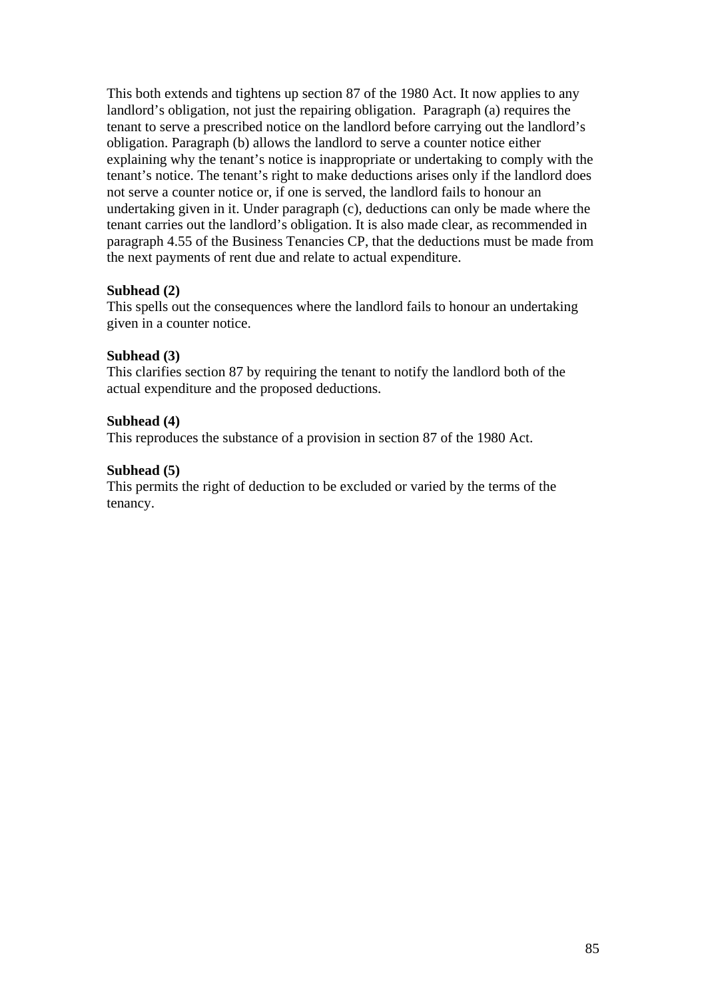This both extends and tightens up section 87 of the 1980 Act. It now applies to any landlord's obligation, not just the repairing obligation. Paragraph (a) requires the tenant to serve a prescribed notice on the landlord before carrying out the landlord's obligation. Paragraph (b) allows the landlord to serve a counter notice either explaining why the tenant's notice is inappropriate or undertaking to comply with the tenant's notice. The tenant's right to make deductions arises only if the landlord does not serve a counter notice or, if one is served, the landlord fails to honour an undertaking given in it. Under paragraph (c), deductions can only be made where the tenant carries out the landlord's obligation. It is also made clear, as recommended in paragraph 4.55 of the Business Tenancies CP, that the deductions must be made from the next payments of rent due and relate to actual expenditure.

### **Subhead (2)**

This spells out the consequences where the landlord fails to honour an undertaking given in a counter notice.

### **Subhead (3)**

This clarifies section 87 by requiring the tenant to notify the landlord both of the actual expenditure and the proposed deductions.

### **Subhead (4)**

This reproduces the substance of a provision in section 87 of the 1980 Act.

### **Subhead (5)**

This permits the right of deduction to be excluded or varied by the terms of the tenancy.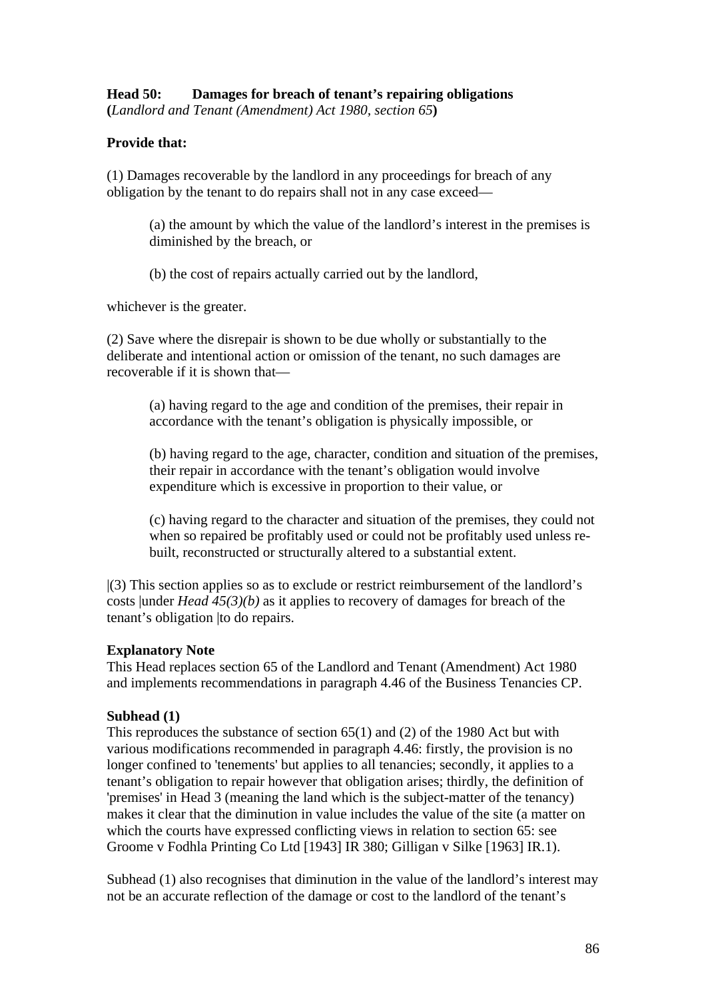**(***Landlord and Tenant (Amendment) Act 1980, section 65***)** 

### **Provide that:**

(1) Damages recoverable by the landlord in any proceedings for breach of any obligation by the tenant to do repairs shall not in any case exceed—

(a) the amount by which the value of the landlord's interest in the premises is diminished by the breach, or

(b) the cost of repairs actually carried out by the landlord,

whichever is the greater.

(2) Save where the disrepair is shown to be due wholly or substantially to the deliberate and intentional action or omission of the tenant, no such damages are recoverable if it is shown that—

(a) having regard to the age and condition of the premises, their repair in accordance with the tenant's obligation is physically impossible, or

(b) having regard to the age, character, condition and situation of the premises, their repair in accordance with the tenant's obligation would involve expenditure which is excessive in proportion to their value, or

(c) having regard to the character and situation of the premises, they could not when so repaired be profitably used or could not be profitably used unless rebuilt, reconstructed or structurally altered to a substantial extent.

|(3) This section applies so as to exclude or restrict reimbursement of the landlord's costs |under *Head 45(3)(b)* as it applies to recovery of damages for breach of the tenant's obligation |to do repairs.

#### **Explanatory Note**

This Head replaces section 65 of the Landlord and Tenant (Amendment) Act 1980 and implements recommendations in paragraph 4.46 of the Business Tenancies CP.

#### **Subhead (1)**

This reproduces the substance of section 65(1) and (2) of the 1980 Act but with various modifications recommended in paragraph 4.46: firstly, the provision is no longer confined to 'tenements' but applies to all tenancies; secondly, it applies to a tenant's obligation to repair however that obligation arises; thirdly, the definition of 'premises' in Head 3 (meaning the land which is the subject-matter of the tenancy) makes it clear that the diminution in value includes the value of the site (a matter on which the courts have expressed conflicting views in relation to section 65: see Groome v Fodhla Printing Co Ltd [1943] IR 380; Gilligan v Silke [1963] IR.1).

Subhead (1) also recognises that diminution in the value of the landlord's interest may not be an accurate reflection of the damage or cost to the landlord of the tenant's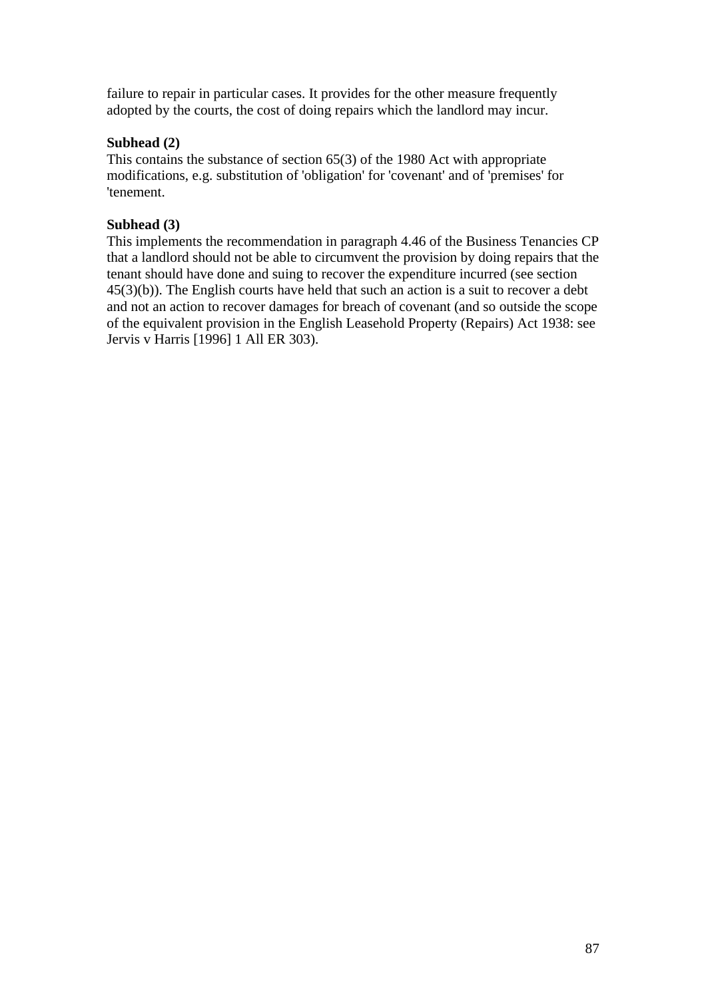failure to repair in particular cases. It provides for the other measure frequently adopted by the courts, the cost of doing repairs which the landlord may incur.

# **Subhead (2)**

This contains the substance of section 65(3) of the 1980 Act with appropriate modifications, e.g. substitution of 'obligation' for 'covenant' and of 'premises' for 'tenement.

# **Subhead (3)**

This implements the recommendation in paragraph 4.46 of the Business Tenancies CP that a landlord should not be able to circumvent the provision by doing repairs that the tenant should have done and suing to recover the expenditure incurred (see section 45(3)(b)). The English courts have held that such an action is a suit to recover a debt and not an action to recover damages for breach of covenant (and so outside the scope of the equivalent provision in the English Leasehold Property (Repairs) Act 1938: see Jervis v Harris [1996] 1 All ER 303).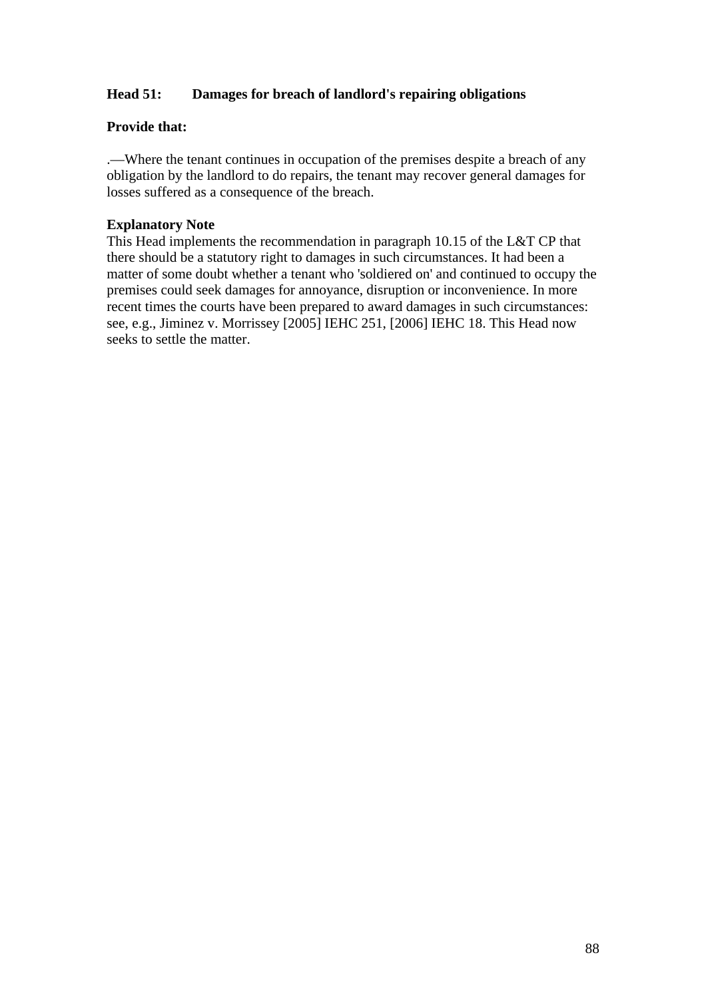# **Head 51: Damages for breach of landlord's repairing obligations**

## **Provide that:**

.—Where the tenant continues in occupation of the premises despite a breach of any obligation by the landlord to do repairs, the tenant may recover general damages for losses suffered as a consequence of the breach.

## **Explanatory Note**

This Head implements the recommendation in paragraph 10.15 of the L&T CP that there should be a statutory right to damages in such circumstances. It had been a matter of some doubt whether a tenant who 'soldiered on' and continued to occupy the premises could seek damages for annoyance, disruption or inconvenience. In more recent times the courts have been prepared to award damages in such circumstances: see, e.g., Jiminez v. Morrissey [2005] IEHC 251, [2006] IEHC 18. This Head now seeks to settle the matter.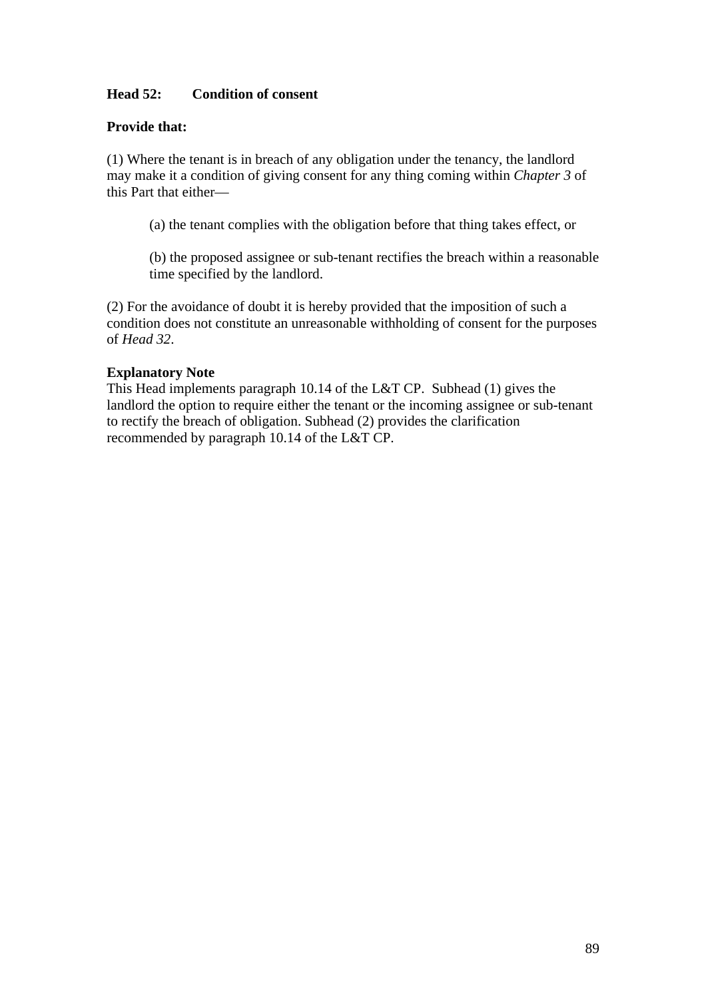## **Head 52: Condition of consent**

### **Provide that:**

(1) Where the tenant is in breach of any obligation under the tenancy, the landlord may make it a condition of giving consent for any thing coming within *Chapter 3* of this Part that either—

(a) the tenant complies with the obligation before that thing takes effect, or

(b) the proposed assignee or sub-tenant rectifies the breach within a reasonable time specified by the landlord.

(2) For the avoidance of doubt it is hereby provided that the imposition of such a condition does not constitute an unreasonable withholding of consent for the purposes of *Head 32*.

#### **Explanatory Note**

This Head implements paragraph 10.14 of the L&T CP. Subhead (1) gives the landlord the option to require either the tenant or the incoming assignee or sub-tenant to rectify the breach of obligation. Subhead (2) provides the clarification recommended by paragraph 10.14 of the L&T CP.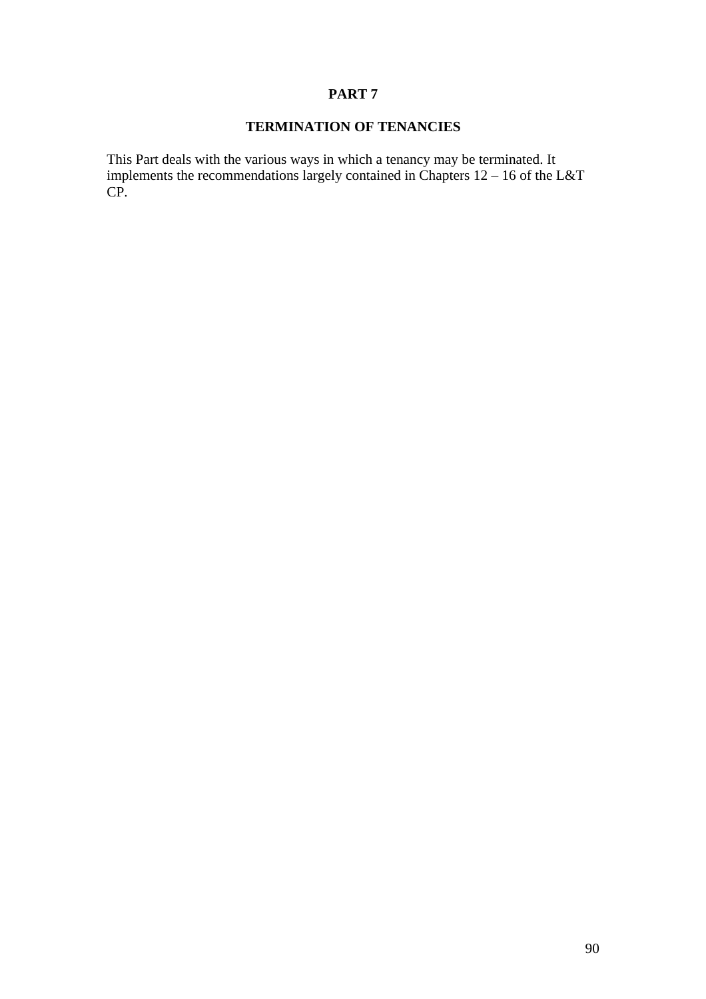### **PART 7**

# **TERMINATION OF TENANCIES**

This Part deals with the various ways in which a tenancy may be terminated. It implements the recommendations largely contained in Chapters  $12 - 16$  of the L&T CP.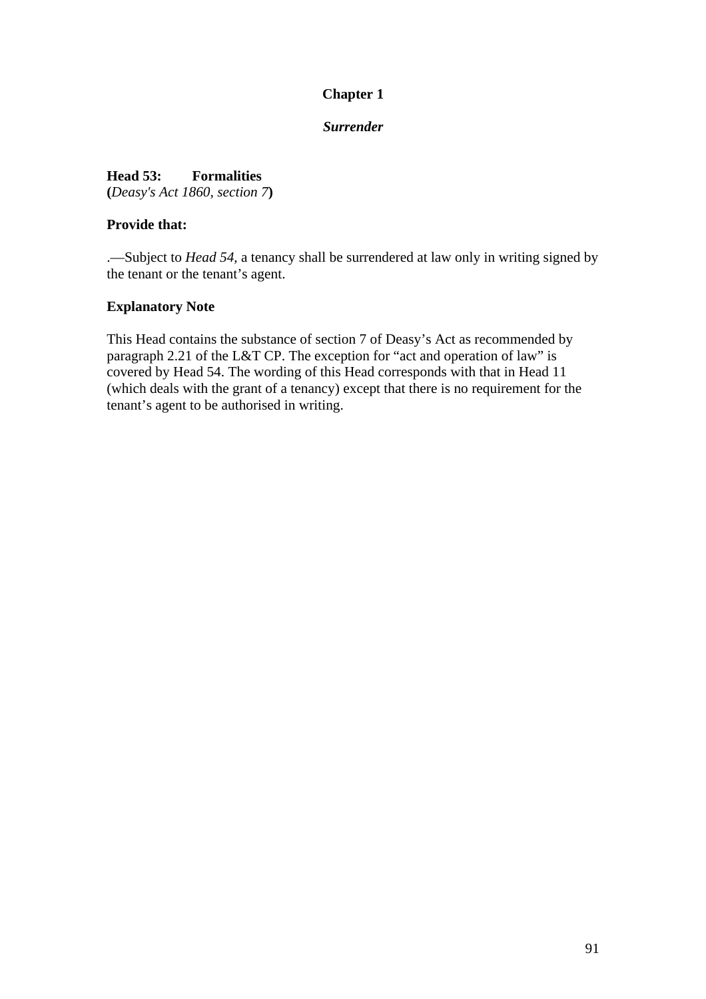# **Chapter 1**

### *Surrender*

**Head 53: Formalities (***Deasy's Act 1860, section 7***)** 

### **Provide that:**

.—Subject to *Head 54*, a tenancy shall be surrendered at law only in writing signed by the tenant or the tenant's agent.

### **Explanatory Note**

This Head contains the substance of section 7 of Deasy's Act as recommended by paragraph 2.21 of the L&T CP. The exception for "act and operation of law" is covered by Head 54. The wording of this Head corresponds with that in Head 11 (which deals with the grant of a tenancy) except that there is no requirement for the tenant's agent to be authorised in writing.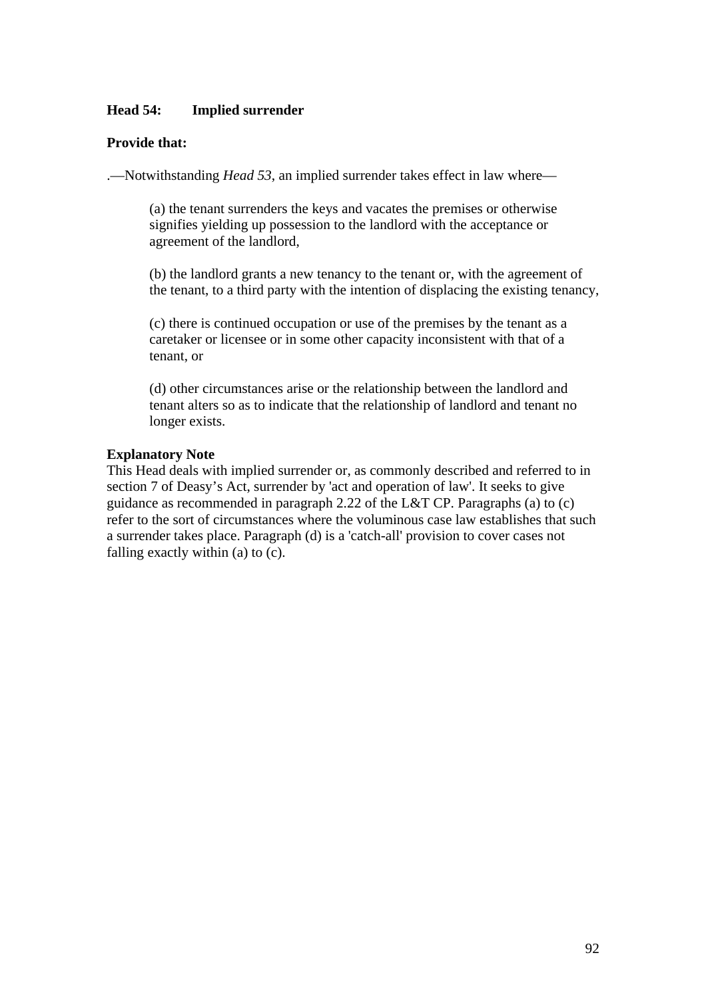#### **Head 54: Implied surrender**

### **Provide that:**

.—Notwithstanding *Head 53*, an implied surrender takes effect in law where—

(a) the tenant surrenders the keys and vacates the premises or otherwise signifies yielding up possession to the landlord with the acceptance or agreement of the landlord,

(b) the landlord grants a new tenancy to the tenant or, with the agreement of the tenant, to a third party with the intention of displacing the existing tenancy,

(c) there is continued occupation or use of the premises by the tenant as a caretaker or licensee or in some other capacity inconsistent with that of a tenant, or

(d) other circumstances arise or the relationship between the landlord and tenant alters so as to indicate that the relationship of landlord and tenant no longer exists.

### **Explanatory Note**

This Head deals with implied surrender or, as commonly described and referred to in section 7 of Deasy's Act, surrender by 'act and operation of law'. It seeks to give guidance as recommended in paragraph 2.22 of the L&T CP. Paragraphs (a) to (c) refer to the sort of circumstances where the voluminous case law establishes that such a surrender takes place. Paragraph (d) is a 'catch-all' provision to cover cases not falling exactly within (a) to (c).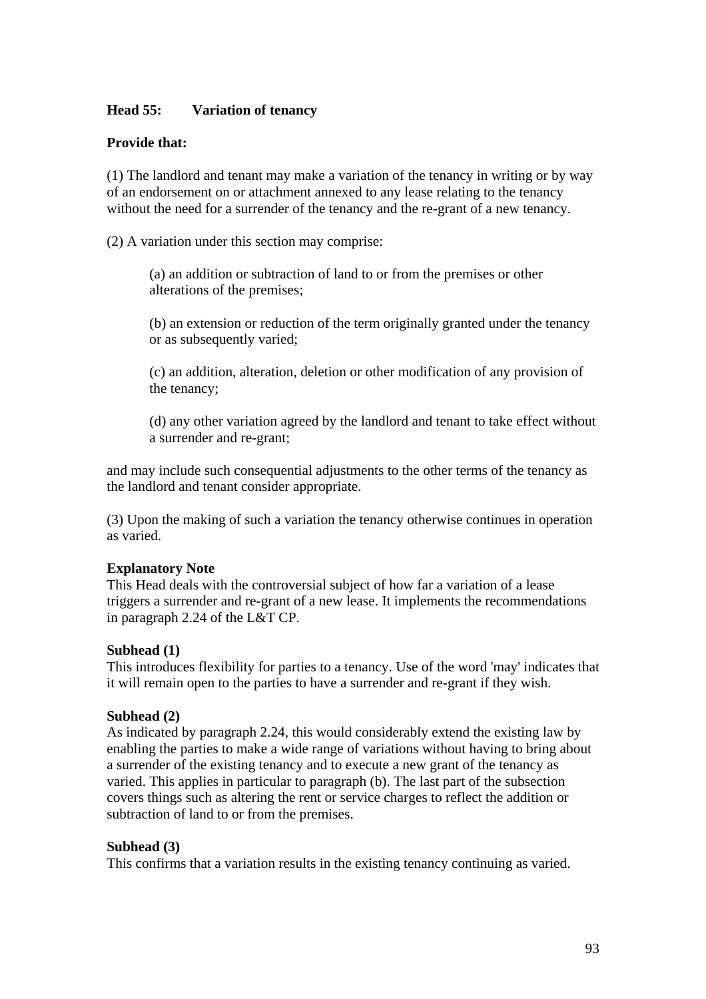### **Head 55: Variation of tenancy**

### **Provide that:**

(1) The landlord and tenant may make a variation of the tenancy in writing or by way of an endorsement on or attachment annexed to any lease relating to the tenancy without the need for a surrender of the tenancy and the re-grant of a new tenancy.

(2) A variation under this section may comprise:

(a) an addition or subtraction of land to or from the premises or other alterations of the premises;

(b) an extension or reduction of the term originally granted under the tenancy or as subsequently varied;

(c) an addition, alteration, deletion or other modification of any provision of the tenancy;

(d) any other variation agreed by the landlord and tenant to take effect without a surrender and re-grant;

and may include such consequential adjustments to the other terms of the tenancy as the landlord and tenant consider appropriate.

(3) Upon the making of such a variation the tenancy otherwise continues in operation as varied.

#### **Explanatory Note**

This Head deals with the controversial subject of how far a variation of a lease triggers a surrender and re-grant of a new lease. It implements the recommendations in paragraph 2.24 of the L&T CP.

#### **Subhead (1)**

This introduces flexibility for parties to a tenancy. Use of the word 'may' indicates that it will remain open to the parties to have a surrender and re-grant if they wish.

#### **Subhead (2)**

As indicated by paragraph 2.24, this would considerably extend the existing law by enabling the parties to make a wide range of variations without having to bring about a surrender of the existing tenancy and to execute a new grant of the tenancy as varied. This applies in particular to paragraph (b). The last part of the subsection covers things such as altering the rent or service charges to reflect the addition or subtraction of land to or from the premises.

#### **Subhead (3)**

This confirms that a variation results in the existing tenancy continuing as varied.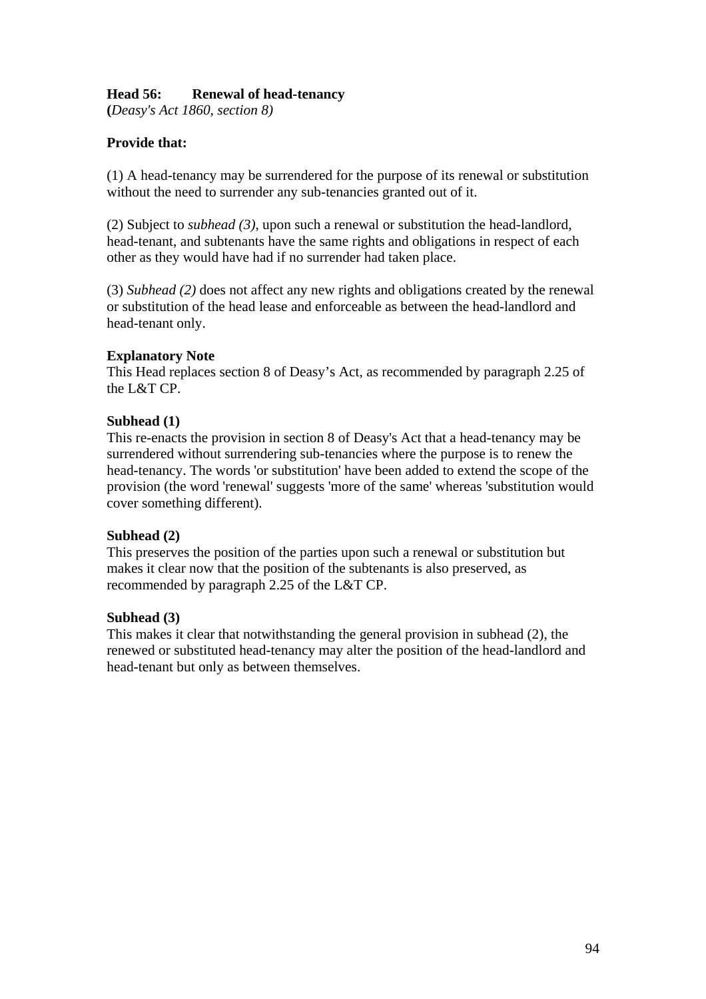## **Head 56: Renewal of head-tenancy**

**(***Deasy's Act 1860, section 8)*

### **Provide that:**

(1) A head-tenancy may be surrendered for the purpose of its renewal or substitution without the need to surrender any sub-tenancies granted out of it.

(2) Subject to *subhead (3)*, upon such a renewal or substitution the head-landlord, head-tenant, and subtenants have the same rights and obligations in respect of each other as they would have had if no surrender had taken place.

(3) *Subhead (2)* does not affect any new rights and obligations created by the renewal or substitution of the head lease and enforceable as between the head-landlord and head-tenant only.

#### **Explanatory Note**

This Head replaces section 8 of Deasy's Act, as recommended by paragraph 2.25 of the L&T CP.

#### **Subhead (1)**

This re-enacts the provision in section 8 of Deasy's Act that a head-tenancy may be surrendered without surrendering sub-tenancies where the purpose is to renew the head-tenancy. The words 'or substitution' have been added to extend the scope of the provision (the word 'renewal' suggests 'more of the same' whereas 'substitution would cover something different).

#### **Subhead (2)**

This preserves the position of the parties upon such a renewal or substitution but makes it clear now that the position of the subtenants is also preserved, as recommended by paragraph 2.25 of the L&T CP.

#### **Subhead (3)**

This makes it clear that notwithstanding the general provision in subhead (2), the renewed or substituted head-tenancy may alter the position of the head-landlord and head-tenant but only as between themselves.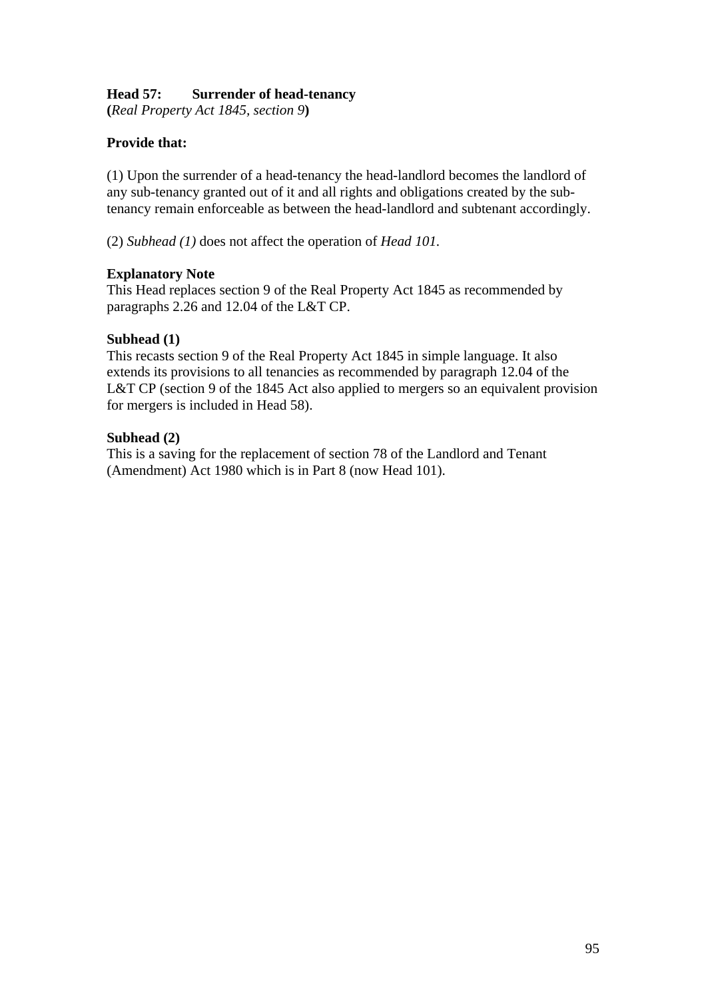# **Head 57: Surrender of head-tenancy**

**(***Real Property Act 1845, section 9***)** 

# **Provide that:**

(1) Upon the surrender of a head-tenancy the head-landlord becomes the landlord of any sub-tenancy granted out of it and all rights and obligations created by the subtenancy remain enforceable as between the head-landlord and subtenant accordingly.

(2) *Subhead (1)* does not affect the operation of *Head 101.* 

## **Explanatory Note**

This Head replaces section 9 of the Real Property Act 1845 as recommended by paragraphs 2.26 and 12.04 of the L&T CP.

### **Subhead (1)**

This recasts section 9 of the Real Property Act 1845 in simple language. It also extends its provisions to all tenancies as recommended by paragraph 12.04 of the L&T CP (section 9 of the 1845 Act also applied to mergers so an equivalent provision for mergers is included in Head 58).

## **Subhead (2)**

This is a saving for the replacement of section 78 of the Landlord and Tenant (Amendment) Act 1980 which is in Part 8 (now Head 101).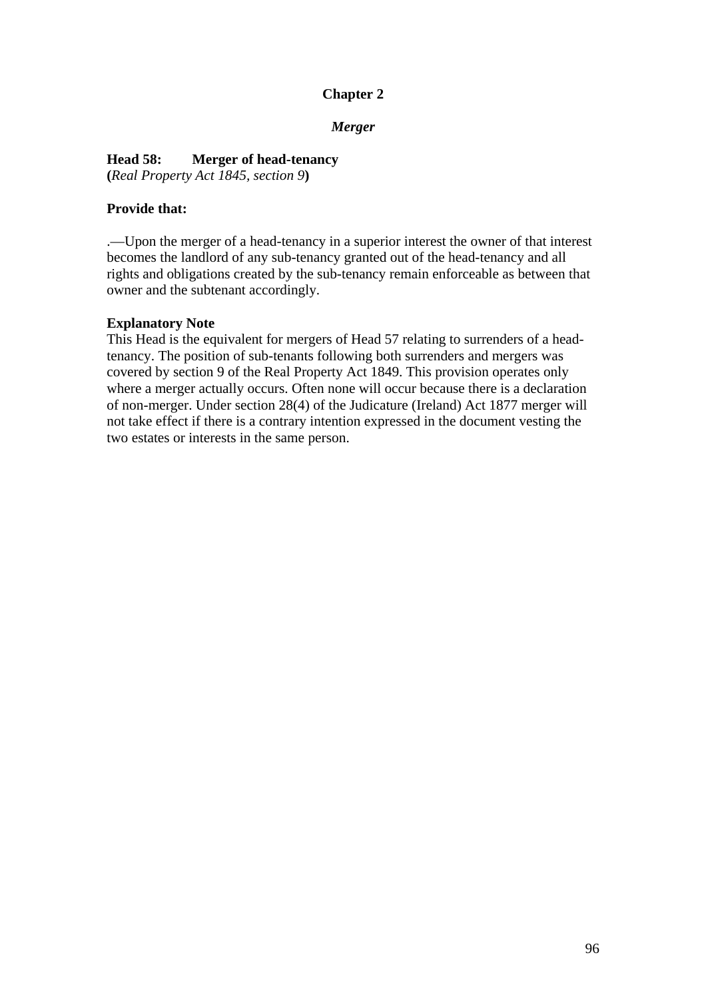# **Chapter 2**

*Merger* 

### **Head 58: Merger of head-tenancy**

**(***Real Property Act 1845, section 9***)** 

### **Provide that:**

.—Upon the merger of a head-tenancy in a superior interest the owner of that interest becomes the landlord of any sub-tenancy granted out of the head-tenancy and all rights and obligations created by the sub-tenancy remain enforceable as between that owner and the subtenant accordingly.

#### **Explanatory Note**

This Head is the equivalent for mergers of Head 57 relating to surrenders of a headtenancy. The position of sub-tenants following both surrenders and mergers was covered by section 9 of the Real Property Act 1849. This provision operates only where a merger actually occurs. Often none will occur because there is a declaration of non-merger. Under section 28(4) of the Judicature (Ireland) Act 1877 merger will not take effect if there is a contrary intention expressed in the document vesting the two estates or interests in the same person.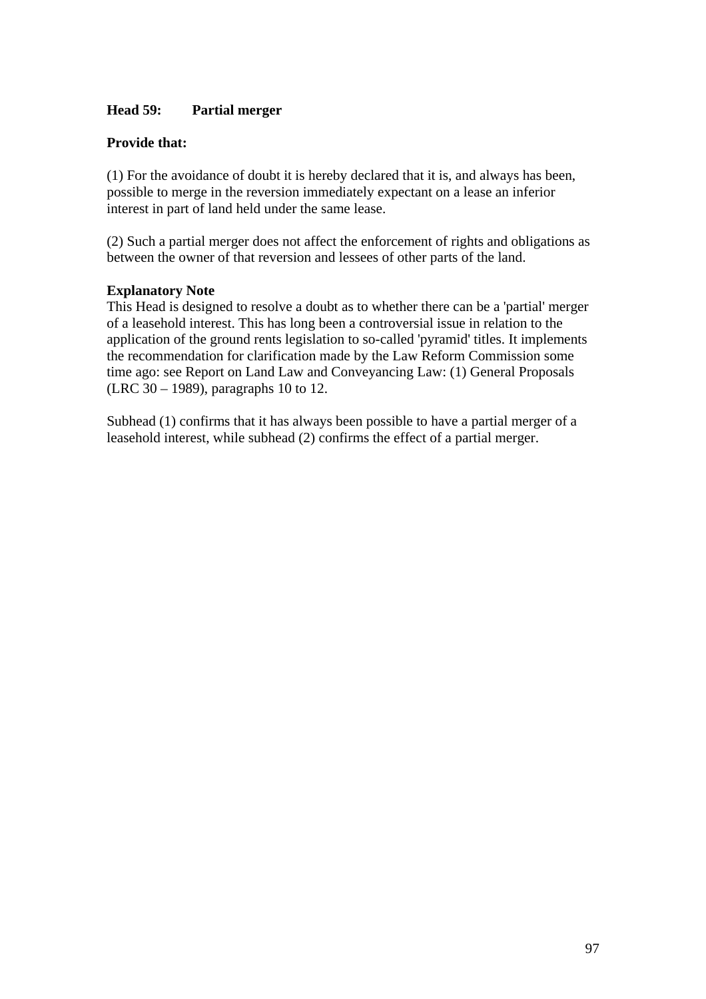## **Head 59: Partial merger**

### **Provide that:**

(1) For the avoidance of doubt it is hereby declared that it is, and always has been, possible to merge in the reversion immediately expectant on a lease an inferior interest in part of land held under the same lease.

(2) Such a partial merger does not affect the enforcement of rights and obligations as between the owner of that reversion and lessees of other parts of the land.

#### **Explanatory Note**

This Head is designed to resolve a doubt as to whether there can be a 'partial' merger of a leasehold interest. This has long been a controversial issue in relation to the application of the ground rents legislation to so-called 'pyramid' titles. It implements the recommendation for clarification made by the Law Reform Commission some time ago: see Report on Land Law and Conveyancing Law: (1) General Proposals (LRC 30 – 1989), paragraphs 10 to 12.

Subhead (1) confirms that it has always been possible to have a partial merger of a leasehold interest, while subhead (2) confirms the effect of a partial merger.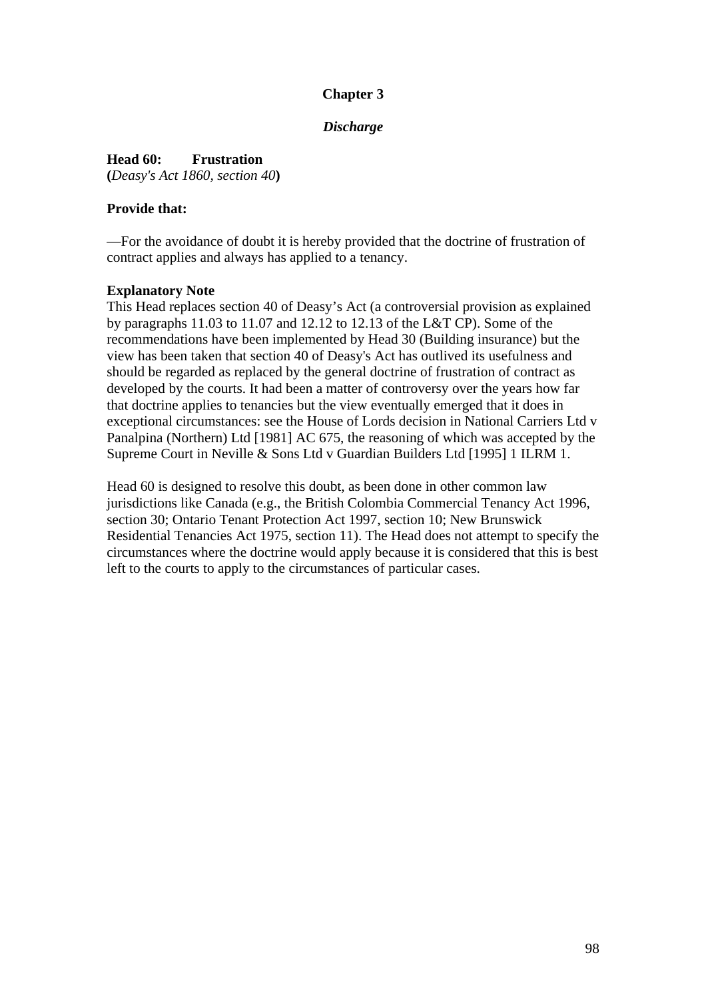# **Chapter 3**

### *Discharge*

**Head 60: Frustration (***Deasy's Act 1860, section 40***)** 

### **Provide that:**

—For the avoidance of doubt it is hereby provided that the doctrine of frustration of contract applies and always has applied to a tenancy.

### **Explanatory Note**

This Head replaces section 40 of Deasy's Act (a controversial provision as explained by paragraphs 11.03 to 11.07 and 12.12 to 12.13 of the L&T CP). Some of the recommendations have been implemented by Head 30 (Building insurance) but the view has been taken that section 40 of Deasy's Act has outlived its usefulness and should be regarded as replaced by the general doctrine of frustration of contract as developed by the courts. It had been a matter of controversy over the years how far that doctrine applies to tenancies but the view eventually emerged that it does in exceptional circumstances: see the House of Lords decision in National Carriers Ltd v Panalpina (Northern) Ltd [1981] AC 675, the reasoning of which was accepted by the Supreme Court in Neville & Sons Ltd v Guardian Builders Ltd [1995] 1 ILRM 1.

Head 60 is designed to resolve this doubt, as been done in other common law jurisdictions like Canada (e.g., the British Colombia Commercial Tenancy Act 1996, section 30; Ontario Tenant Protection Act 1997, section 10; New Brunswick Residential Tenancies Act 1975, section 11). The Head does not attempt to specify the circumstances where the doctrine would apply because it is considered that this is best left to the courts to apply to the circumstances of particular cases.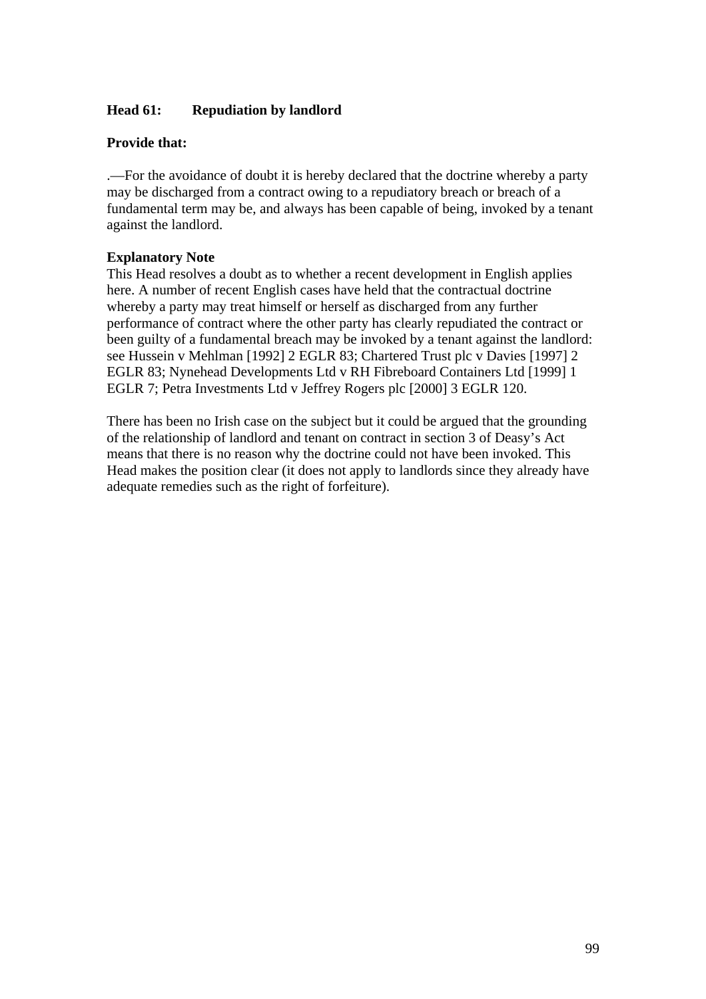## **Head 61: Repudiation by landlord**

#### **Provide that:**

.—For the avoidance of doubt it is hereby declared that the doctrine whereby a party may be discharged from a contract owing to a repudiatory breach or breach of a fundamental term may be, and always has been capable of being, invoked by a tenant against the landlord.

#### **Explanatory Note**

This Head resolves a doubt as to whether a recent development in English applies here. A number of recent English cases have held that the contractual doctrine whereby a party may treat himself or herself as discharged from any further performance of contract where the other party has clearly repudiated the contract or been guilty of a fundamental breach may be invoked by a tenant against the landlord: see Hussein v Mehlman [1992] 2 EGLR 83; Chartered Trust plc v Davies [1997] 2 EGLR 83; Nynehead Developments Ltd v RH Fibreboard Containers Ltd [1999] 1 EGLR 7; Petra Investments Ltd v Jeffrey Rogers plc [2000] 3 EGLR 120.

There has been no Irish case on the subject but it could be argued that the grounding of the relationship of landlord and tenant on contract in section 3 of Deasy's Act means that there is no reason why the doctrine could not have been invoked. This Head makes the position clear (it does not apply to landlords since they already have adequate remedies such as the right of forfeiture).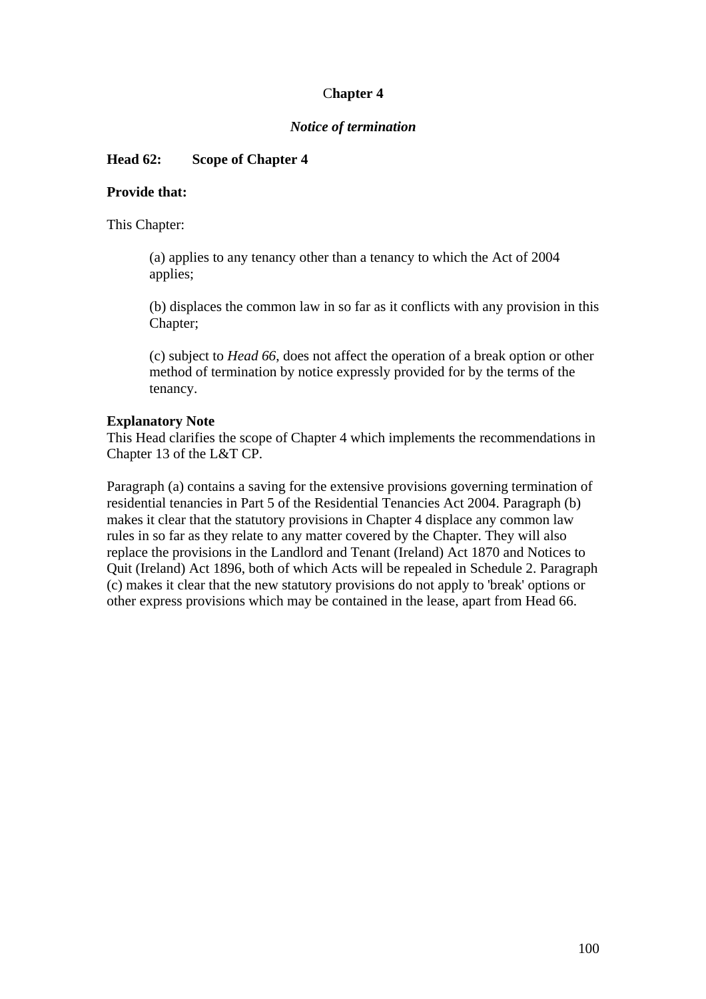## C**hapter 4**

### *Notice of termination*

## **Head 62: Scope of Chapter 4**

#### **Provide that:**

This Chapter:

(a) applies to any tenancy other than a tenancy to which the Act of 2004 applies;

(b) displaces the common law in so far as it conflicts with any provision in this Chapter;

(c) subject to *Head 66*, does not affect the operation of a break option or other method of termination by notice expressly provided for by the terms of the tenancy.

#### **Explanatory Note**

This Head clarifies the scope of Chapter 4 which implements the recommendations in Chapter 13 of the L&T CP.

Paragraph (a) contains a saving for the extensive provisions governing termination of residential tenancies in Part 5 of the Residential Tenancies Act 2004. Paragraph (b) makes it clear that the statutory provisions in Chapter 4 displace any common law rules in so far as they relate to any matter covered by the Chapter. They will also replace the provisions in the Landlord and Tenant (Ireland) Act 1870 and Notices to Quit (Ireland) Act 1896, both of which Acts will be repealed in Schedule 2. Paragraph (c) makes it clear that the new statutory provisions do not apply to 'break' options or other express provisions which may be contained in the lease, apart from Head 66.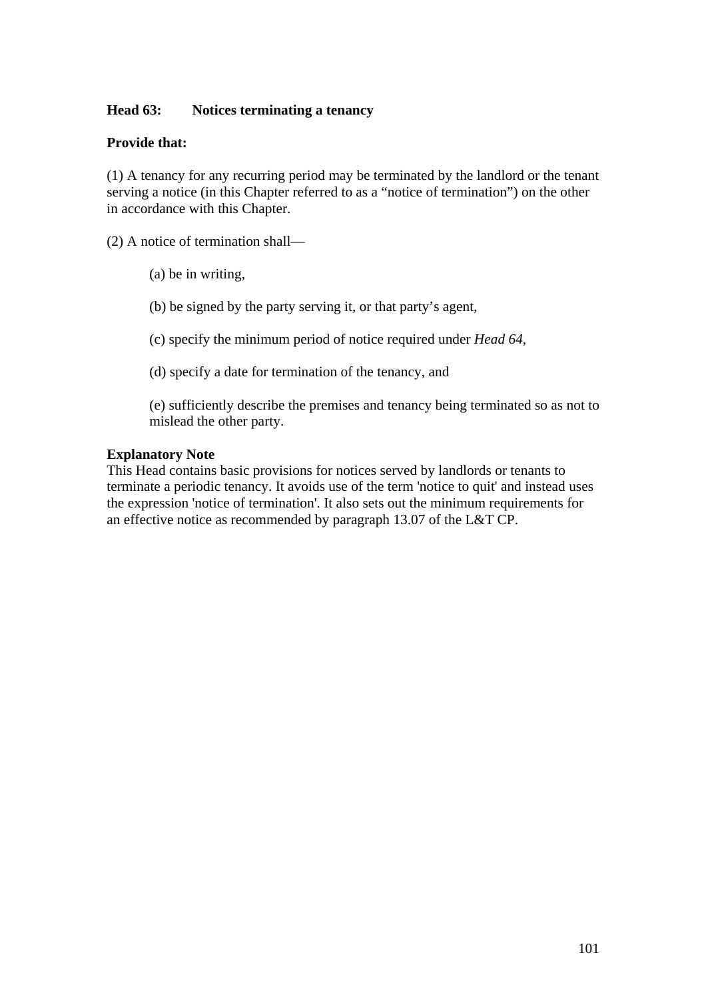## **Head 63: Notices terminating a tenancy**

### **Provide that:**

(1) A tenancy for any recurring period may be terminated by the landlord or the tenant serving a notice (in this Chapter referred to as a "notice of termination") on the other in accordance with this Chapter.

(2) A notice of termination shall—

(a) be in writing,

(b) be signed by the party serving it, or that party's agent,

(c) specify the minimum period of notice required under *Head 64,* 

(d) specify a date for termination of the tenancy, and

(e) sufficiently describe the premises and tenancy being terminated so as not to mislead the other party.

#### **Explanatory Note**

This Head contains basic provisions for notices served by landlords or tenants to terminate a periodic tenancy. It avoids use of the term 'notice to quit' and instead uses the expression 'notice of termination'. It also sets out the minimum requirements for an effective notice as recommended by paragraph 13.07 of the L&T CP.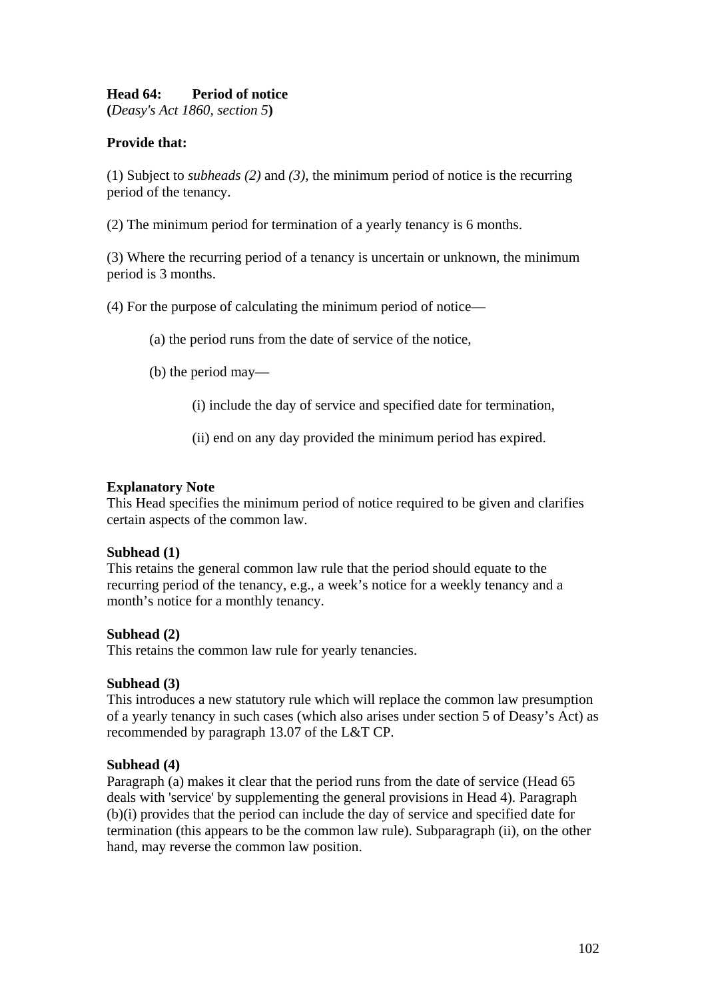## **Head 64: Period of notice**

**(***Deasy's Act 1860, section 5***)** 

## **Provide that:**

(1) Subject to *subheads (2)* and *(3)*, the minimum period of notice is the recurring period of the tenancy.

(2) The minimum period for termination of a yearly tenancy is 6 months.

(3) Where the recurring period of a tenancy is uncertain or unknown, the minimum period is 3 months.

(4) For the purpose of calculating the minimum period of notice—

(a) the period runs from the date of service of the notice,

(b) the period may—

(i) include the day of service and specified date for termination,

(ii) end on any day provided the minimum period has expired.

#### **Explanatory Note**

This Head specifies the minimum period of notice required to be given and clarifies certain aspects of the common law.

#### **Subhead (1)**

This retains the general common law rule that the period should equate to the recurring period of the tenancy, e.g., a week's notice for a weekly tenancy and a month's notice for a monthly tenancy.

#### **Subhead (2)**

This retains the common law rule for yearly tenancies.

#### **Subhead (3)**

This introduces a new statutory rule which will replace the common law presumption of a yearly tenancy in such cases (which also arises under section 5 of Deasy's Act) as recommended by paragraph 13.07 of the L&T CP.

#### **Subhead (4)**

Paragraph (a) makes it clear that the period runs from the date of service (Head 65 deals with 'service' by supplementing the general provisions in Head 4). Paragraph (b)(i) provides that the period can include the day of service and specified date for termination (this appears to be the common law rule). Subparagraph (ii), on the other hand, may reverse the common law position.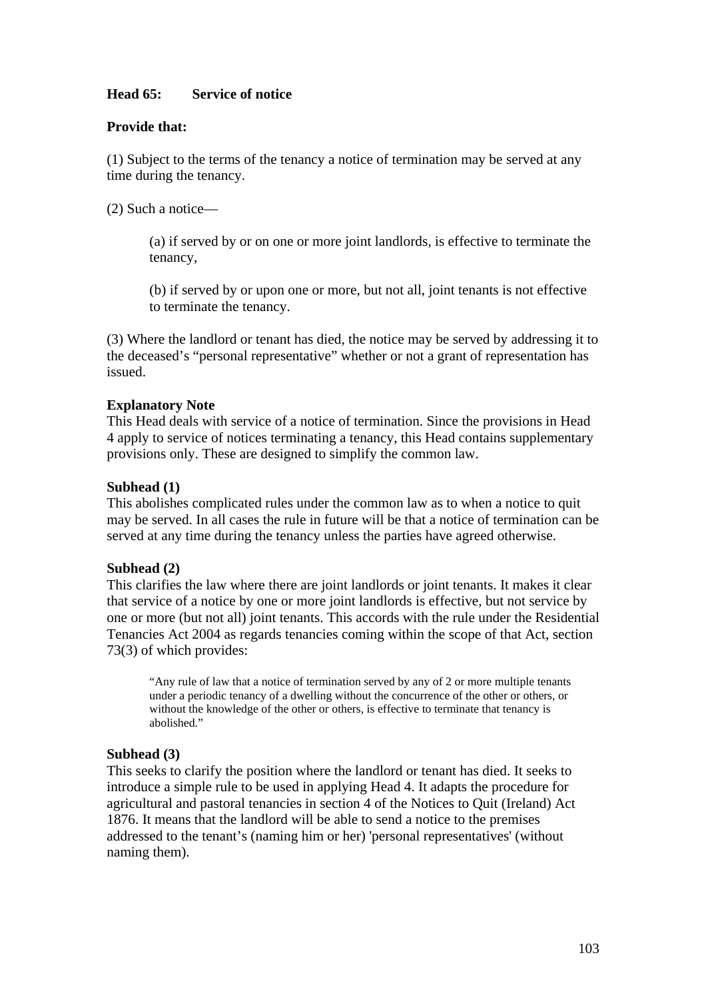## **Head 65: Service of notice**

#### **Provide that:**

(1) Subject to the terms of the tenancy a notice of termination may be served at any time during the tenancy.

(2) Such a notice—

(a) if served by or on one or more joint landlords, is effective to terminate the tenancy,

(b) if served by or upon one or more, but not all, joint tenants is not effective to terminate the tenancy.

(3) Where the landlord or tenant has died, the notice may be served by addressing it to the deceased's "personal representative" whether or not a grant of representation has issued.

#### **Explanatory Note**

This Head deals with service of a notice of termination. Since the provisions in Head 4 apply to service of notices terminating a tenancy, this Head contains supplementary provisions only. These are designed to simplify the common law.

#### **Subhead (1)**

This abolishes complicated rules under the common law as to when a notice to quit may be served. In all cases the rule in future will be that a notice of termination can be served at any time during the tenancy unless the parties have agreed otherwise.

#### **Subhead (2)**

This clarifies the law where there are joint landlords or joint tenants. It makes it clear that service of a notice by one or more joint landlords is effective, but not service by one or more (but not all) joint tenants. This accords with the rule under the Residential Tenancies Act 2004 as regards tenancies coming within the scope of that Act, section 73(3) of which provides:

"Any rule of law that a notice of termination served by any of 2 or more multiple tenants under a periodic tenancy of a dwelling without the concurrence of the other or others, or without the knowledge of the other or others, is effective to terminate that tenancy is abolished."

#### **Subhead (3)**

This seeks to clarify the position where the landlord or tenant has died. It seeks to introduce a simple rule to be used in applying Head 4. It adapts the procedure for agricultural and pastoral tenancies in section 4 of the Notices to Quit (Ireland) Act 1876. It means that the landlord will be able to send a notice to the premises addressed to the tenant's (naming him or her) 'personal representatives' (without naming them).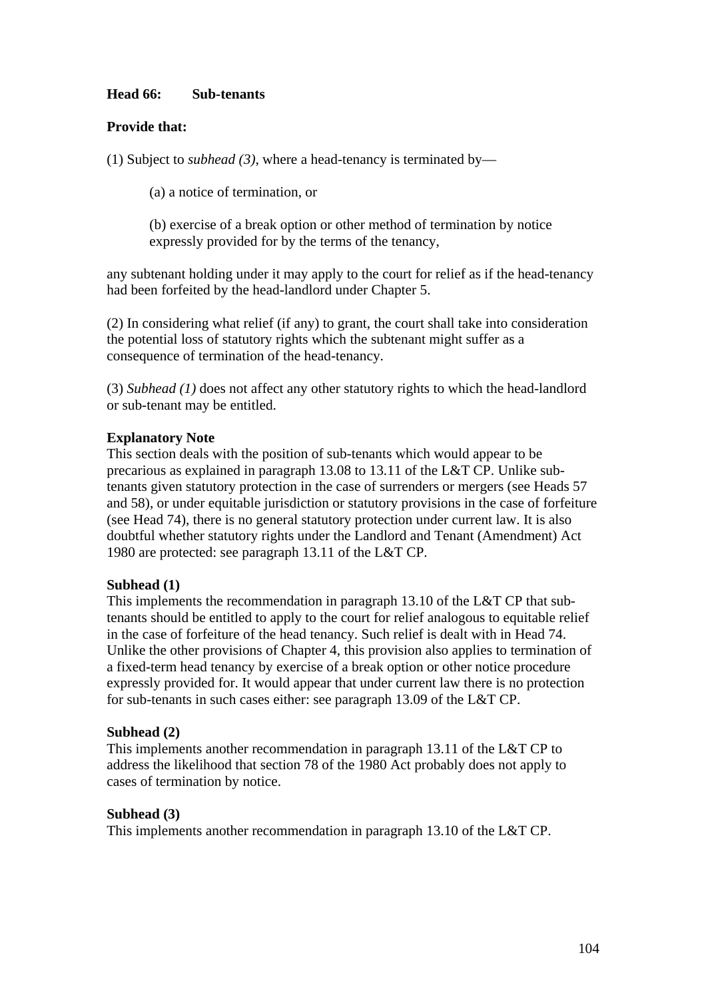## **Head 66: Sub-tenants**

### **Provide that:**

(1) Subject to *subhead (3)*, where a head-tenancy is terminated by—

(a) a notice of termination, or

(b) exercise of a break option or other method of termination by notice expressly provided for by the terms of the tenancy,

any subtenant holding under it may apply to the court for relief as if the head-tenancy had been forfeited by the head-landlord under Chapter 5.

(2) In considering what relief (if any) to grant, the court shall take into consideration the potential loss of statutory rights which the subtenant might suffer as a consequence of termination of the head-tenancy.

(3) *Subhead (1)* does not affect any other statutory rights to which the head-landlord or sub-tenant may be entitled.

### **Explanatory Note**

This section deals with the position of sub-tenants which would appear to be precarious as explained in paragraph 13.08 to 13.11 of the L&T CP. Unlike subtenants given statutory protection in the case of surrenders or mergers (see Heads 57 and 58), or under equitable jurisdiction or statutory provisions in the case of forfeiture (see Head 74), there is no general statutory protection under current law. It is also doubtful whether statutory rights under the Landlord and Tenant (Amendment) Act 1980 are protected: see paragraph 13.11 of the L&T CP.

#### **Subhead (1)**

This implements the recommendation in paragraph 13.10 of the L&T CP that subtenants should be entitled to apply to the court for relief analogous to equitable relief in the case of forfeiture of the head tenancy. Such relief is dealt with in Head 74. Unlike the other provisions of Chapter 4, this provision also applies to termination of a fixed-term head tenancy by exercise of a break option or other notice procedure expressly provided for. It would appear that under current law there is no protection for sub-tenants in such cases either: see paragraph 13.09 of the L&T CP.

#### **Subhead (2)**

This implements another recommendation in paragraph 13.11 of the L&T CP to address the likelihood that section 78 of the 1980 Act probably does not apply to cases of termination by notice.

## **Subhead (3)**

This implements another recommendation in paragraph 13.10 of the L&T CP.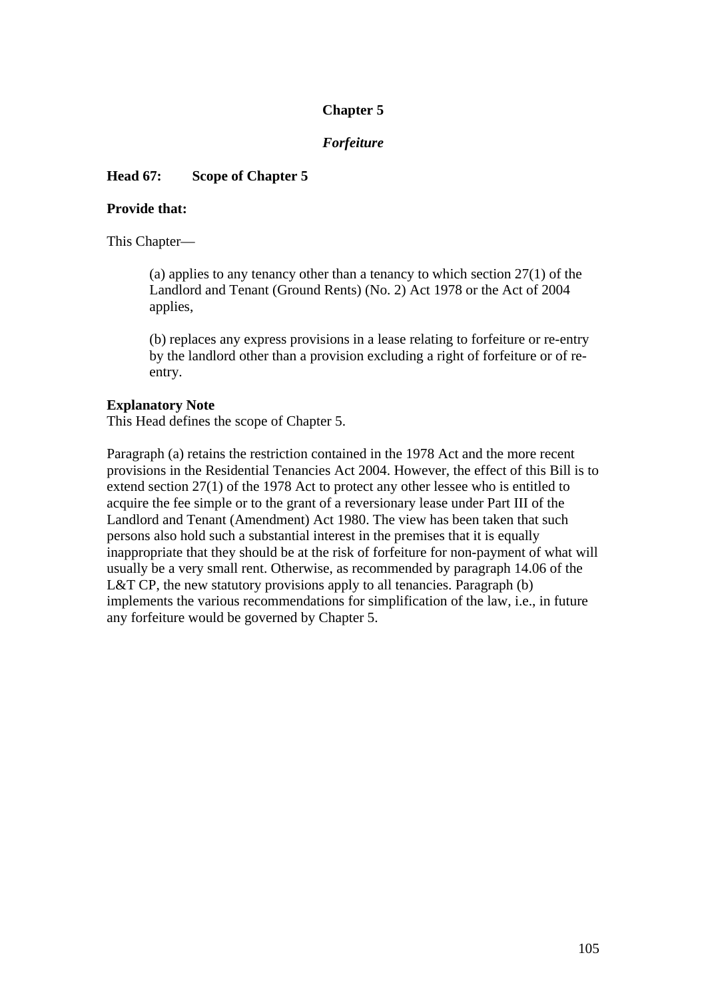# **Chapter 5**

## *Forfeiture*

## **Head 67: Scope of Chapter 5**

### **Provide that:**

This Chapter—

(a) applies to any tenancy other than a tenancy to which section 27(1) of the Landlord and Tenant (Ground Rents) (No. 2) Act 1978 or the Act of 2004 applies,

(b) replaces any express provisions in a lease relating to forfeiture or re-entry by the landlord other than a provision excluding a right of forfeiture or of reentry.

#### **Explanatory Note**

This Head defines the scope of Chapter 5.

Paragraph (a) retains the restriction contained in the 1978 Act and the more recent provisions in the Residential Tenancies Act 2004. However, the effect of this Bill is to extend section 27(1) of the 1978 Act to protect any other lessee who is entitled to acquire the fee simple or to the grant of a reversionary lease under Part III of the Landlord and Tenant (Amendment) Act 1980. The view has been taken that such persons also hold such a substantial interest in the premises that it is equally inappropriate that they should be at the risk of forfeiture for non-payment of what will usually be a very small rent. Otherwise, as recommended by paragraph 14.06 of the L&T CP, the new statutory provisions apply to all tenancies. Paragraph (b) implements the various recommendations for simplification of the law, i.e., in future any forfeiture would be governed by Chapter 5.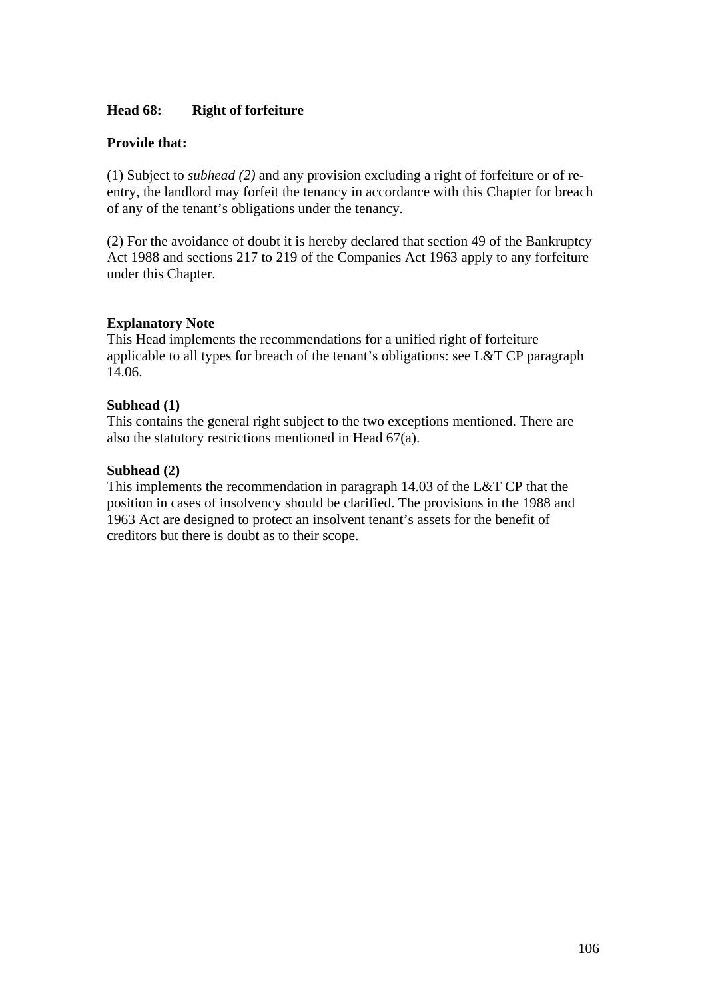### **Head 68: Right of forfeiture**

### **Provide that:**

(1) Subject to *subhead (2)* and any provision excluding a right of forfeiture or of reentry, the landlord may forfeit the tenancy in accordance with this Chapter for breach of any of the tenant's obligations under the tenancy.

(2) For the avoidance of doubt it is hereby declared that section 49 of the Bankruptcy Act 1988 and sections 217 to 219 of the Companies Act 1963 apply to any forfeiture under this Chapter.

### **Explanatory Note**

This Head implements the recommendations for a unified right of forfeiture applicable to all types for breach of the tenant's obligations: see L&T CP paragraph 14.06.

#### **Subhead (1)**

This contains the general right subject to the two exceptions mentioned. There are also the statutory restrictions mentioned in Head 67(a).

### **Subhead (2)**

This implements the recommendation in paragraph 14.03 of the L&T CP that the position in cases of insolvency should be clarified. The provisions in the 1988 and 1963 Act are designed to protect an insolvent tenant's assets for the benefit of creditors but there is doubt as to their scope.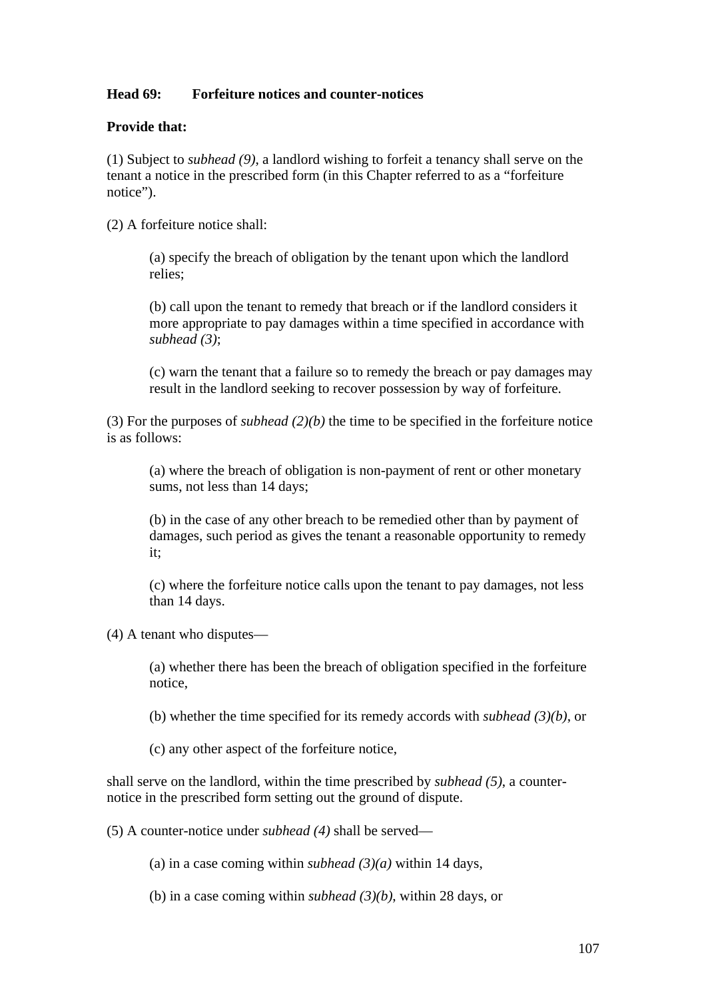## **Head 69: Forfeiture notices and counter-notices**

#### **Provide that:**

(1) Subject to *subhead (9)*, a landlord wishing to forfeit a tenancy shall serve on the tenant a notice in the prescribed form (in this Chapter referred to as a "forfeiture notice").

(2) A forfeiture notice shall:

(a) specify the breach of obligation by the tenant upon which the landlord relies;

(b) call upon the tenant to remedy that breach or if the landlord considers it more appropriate to pay damages within a time specified in accordance with *subhead (3)*;

(c) warn the tenant that a failure so to remedy the breach or pay damages may result in the landlord seeking to recover possession by way of forfeiture.

(3) For the purposes of *subhead (2)(b)* the time to be specified in the forfeiture notice is as follows:

(a) where the breach of obligation is non-payment of rent or other monetary sums, not less than 14 days;

(b) in the case of any other breach to be remedied other than by payment of damages, such period as gives the tenant a reasonable opportunity to remedy it;

(c) where the forfeiture notice calls upon the tenant to pay damages, not less than 14 days.

(4) A tenant who disputes—

(a) whether there has been the breach of obligation specified in the forfeiture notice,

(b) whether the time specified for its remedy accords with *subhead (3)(b)*, or

(c) any other aspect of the forfeiture notice,

shall serve on the landlord, within the time prescribed by *subhead (5)*, a counternotice in the prescribed form setting out the ground of dispute.

(5) A counter-notice under *subhead (4)* shall be served—

(a) in a case coming within *subhead*  $(3)(a)$  within 14 days,

(b) in a case coming within *subhead (3)(b)*, within 28 days, or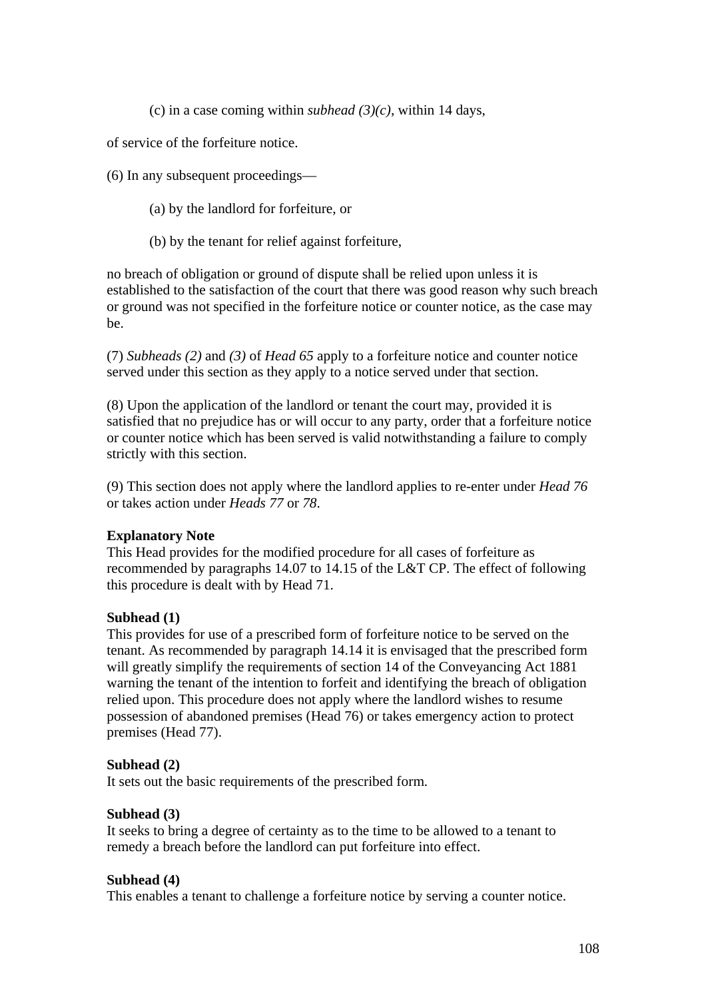(c) in a case coming within *subhead* (3)(c), within 14 days,

of service of the forfeiture notice.

(6) In any subsequent proceedings—

- (a) by the landlord for forfeiture, or
- (b) by the tenant for relief against forfeiture,

no breach of obligation or ground of dispute shall be relied upon unless it is established to the satisfaction of the court that there was good reason why such breach or ground was not specified in the forfeiture notice or counter notice, as the case may be.

(7) *Subheads (2)* and *(3)* of *Head 65* apply to a forfeiture notice and counter notice served under this section as they apply to a notice served under that section.

(8) Upon the application of the landlord or tenant the court may, provided it is satisfied that no prejudice has or will occur to any party, order that a forfeiture notice or counter notice which has been served is valid notwithstanding a failure to comply strictly with this section.

(9) This section does not apply where the landlord applies to re-enter under *Head 76*  or takes action under *Heads 77* or *78*.

#### **Explanatory Note**

This Head provides for the modified procedure for all cases of forfeiture as recommended by paragraphs 14.07 to 14.15 of the L&T CP. The effect of following this procedure is dealt with by Head 71.

#### **Subhead (1)**

This provides for use of a prescribed form of forfeiture notice to be served on the tenant. As recommended by paragraph 14.14 it is envisaged that the prescribed form will greatly simplify the requirements of section 14 of the Conveyancing Act 1881 warning the tenant of the intention to forfeit and identifying the breach of obligation relied upon. This procedure does not apply where the landlord wishes to resume possession of abandoned premises (Head 76) or takes emergency action to protect premises (Head 77).

#### **Subhead (2)**

It sets out the basic requirements of the prescribed form.

#### **Subhead (3)**

It seeks to bring a degree of certainty as to the time to be allowed to a tenant to remedy a breach before the landlord can put forfeiture into effect.

#### **Subhead (4)**

This enables a tenant to challenge a forfeiture notice by serving a counter notice.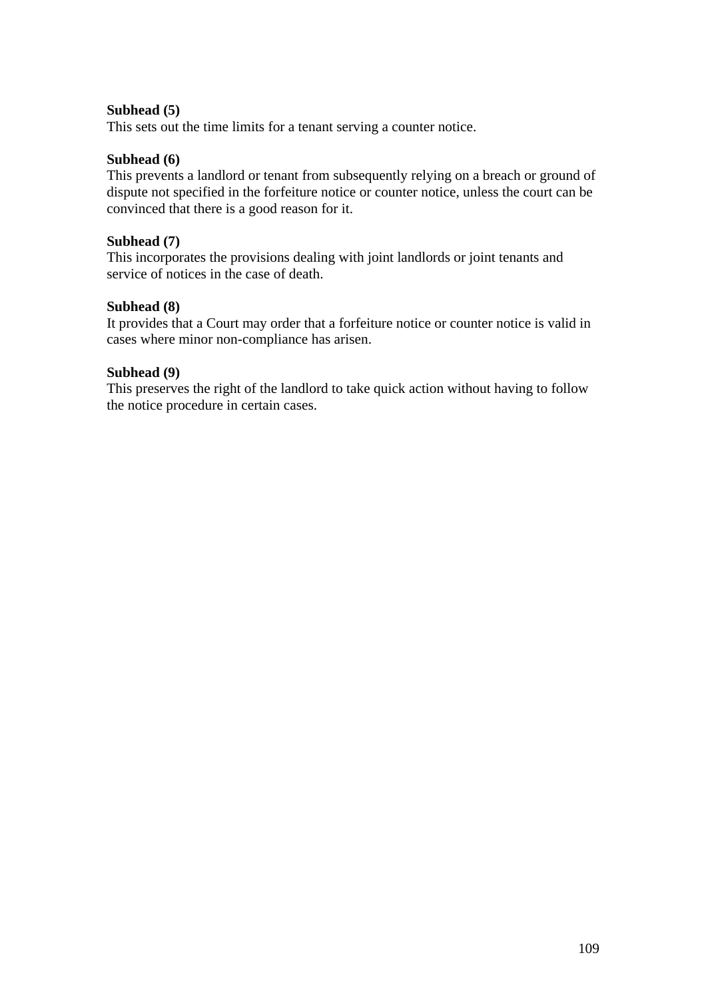## **Subhead (5)**

This sets out the time limits for a tenant serving a counter notice.

## **Subhead (6)**

This prevents a landlord or tenant from subsequently relying on a breach or ground of dispute not specified in the forfeiture notice or counter notice, unless the court can be convinced that there is a good reason for it.

## **Subhead (7)**

This incorporates the provisions dealing with joint landlords or joint tenants and service of notices in the case of death.

## **Subhead (8)**

It provides that a Court may order that a forfeiture notice or counter notice is valid in cases where minor non-compliance has arisen.

## **Subhead (9)**

This preserves the right of the landlord to take quick action without having to follow the notice procedure in certain cases.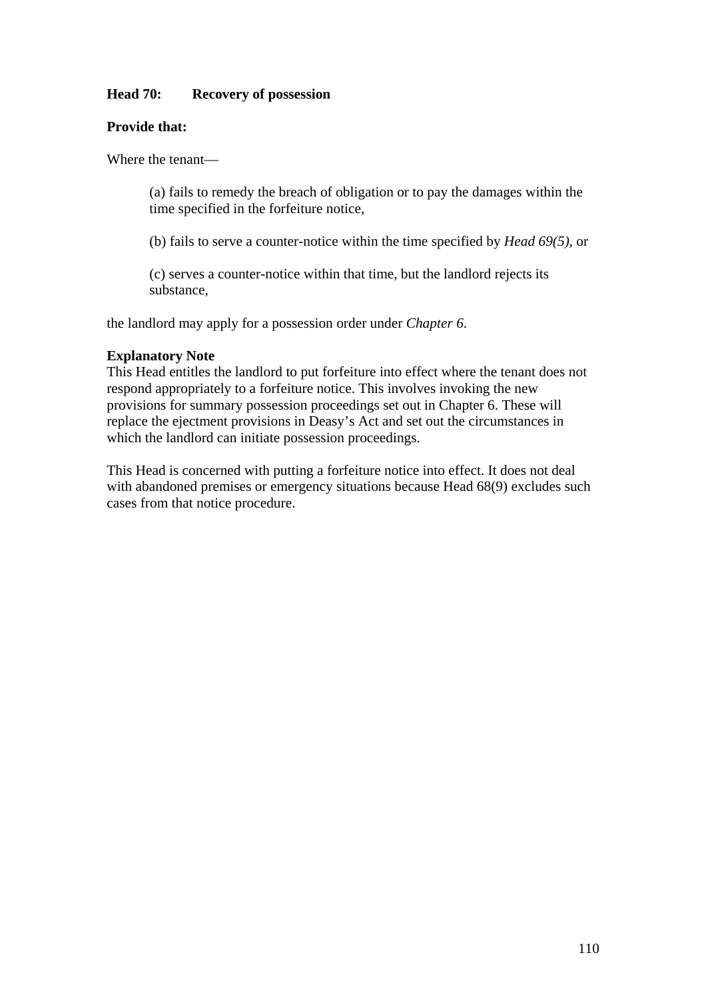## **Head 70: Recovery of possession**

## **Provide that:**

Where the tenant—

(a) fails to remedy the breach of obligation or to pay the damages within the time specified in the forfeiture notice,

(b) fails to serve a counter-notice within the time specified by *Head 69(5)*, or

(c) serves a counter-notice within that time, but the landlord rejects its substance,

the landlord may apply for a possession order under *Chapter 6*.

## **Explanatory Note**

This Head entitles the landlord to put forfeiture into effect where the tenant does not respond appropriately to a forfeiture notice. This involves invoking the new provisions for summary possession proceedings set out in Chapter 6. These will replace the ejectment provisions in Deasy's Act and set out the circumstances in which the landlord can initiate possession proceedings.

This Head is concerned with putting a forfeiture notice into effect. It does not deal with abandoned premises or emergency situations because Head  $68(9)$  excludes such cases from that notice procedure.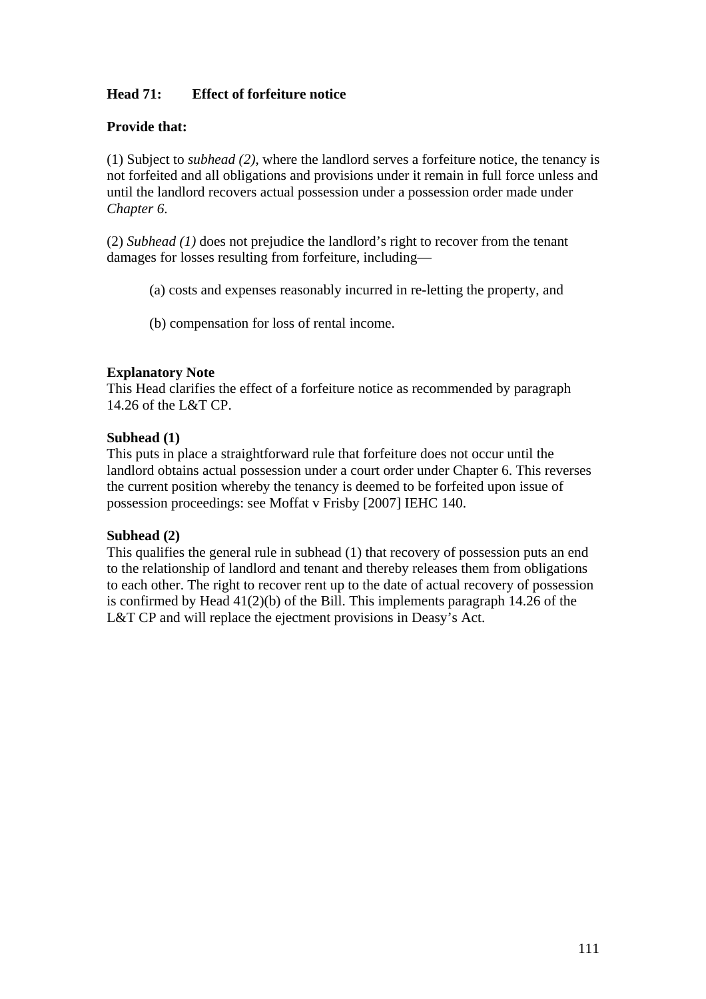# **Head 71: Effect of forfeiture notice**

## **Provide that:**

(1) Subject to *subhead (2)*, where the landlord serves a forfeiture notice, the tenancy is not forfeited and all obligations and provisions under it remain in full force unless and until the landlord recovers actual possession under a possession order made under *Chapter 6*.

(2) *Subhead (1)* does not prejudice the landlord's right to recover from the tenant damages for losses resulting from forfeiture, including—

- (a) costs and expenses reasonably incurred in re-letting the property, and
- (b) compensation for loss of rental income.

## **Explanatory Note**

This Head clarifies the effect of a forfeiture notice as recommended by paragraph 14.26 of the L&T CP.

## **Subhead (1)**

This puts in place a straightforward rule that forfeiture does not occur until the landlord obtains actual possession under a court order under Chapter 6. This reverses the current position whereby the tenancy is deemed to be forfeited upon issue of possession proceedings: see Moffat v Frisby [2007] IEHC 140.

### **Subhead (2)**

This qualifies the general rule in subhead (1) that recovery of possession puts an end to the relationship of landlord and tenant and thereby releases them from obligations to each other. The right to recover rent up to the date of actual recovery of possession is confirmed by Head 41(2)(b) of the Bill. This implements paragraph 14.26 of the L&T CP and will replace the ejectment provisions in Deasy's Act.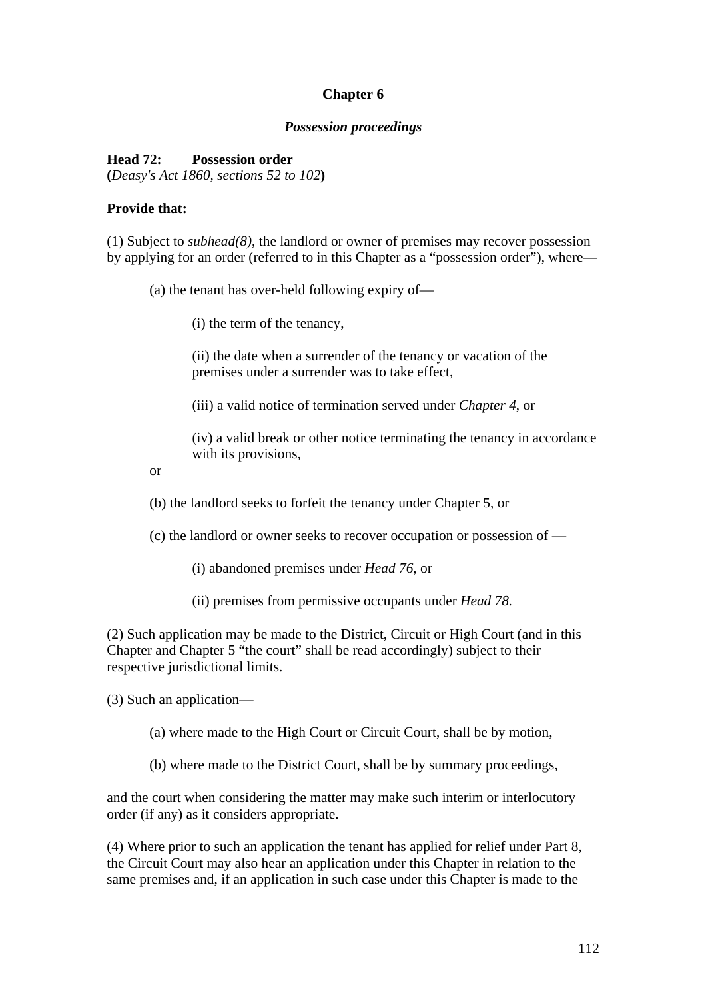# **Chapter 6**

#### *Possession proceedings*

## **Head 72: Possession order**

**(***Deasy's Act 1860, sections 52 to 102***)** 

### **Provide that:**

(1) Subject to *subhead(8)*, the landlord or owner of premises may recover possession by applying for an order (referred to in this Chapter as a "possession order"), where—

(a) the tenant has over-held following expiry of—

(i) the term of the tenancy,

(ii) the date when a surrender of the tenancy or vacation of the premises under a surrender was to take effect,

(iii) a valid notice of termination served under *Chapter 4*, or

(iv) a valid break or other notice terminating the tenancy in accordance with its provisions,

or

(b) the landlord seeks to forfeit the tenancy under Chapter 5, or

(c) the landlord or owner seeks to recover occupation or possession of —

(i) abandoned premises under *Head 76*, or

(ii) premises from permissive occupants under *Head 78.* 

(2) Such application may be made to the District, Circuit or High Court (and in this Chapter and Chapter 5 "the court" shall be read accordingly) subject to their respective jurisdictional limits.

(3) Such an application—

(a) where made to the High Court or Circuit Court, shall be by motion,

(b) where made to the District Court, shall be by summary proceedings,

and the court when considering the matter may make such interim or interlocutory order (if any) as it considers appropriate.

(4) Where prior to such an application the tenant has applied for relief under Part 8, the Circuit Court may also hear an application under this Chapter in relation to the same premises and, if an application in such case under this Chapter is made to the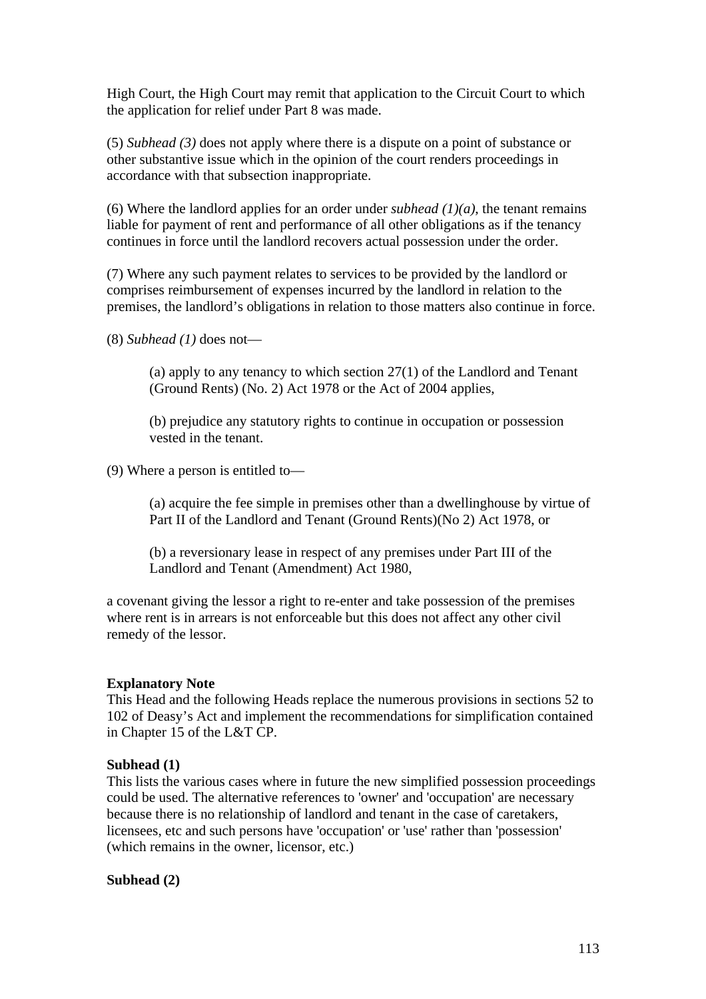High Court, the High Court may remit that application to the Circuit Court to which the application for relief under Part 8 was made.

(5) *Subhead (3)* does not apply where there is a dispute on a point of substance or other substantive issue which in the opinion of the court renders proceedings in accordance with that subsection inappropriate.

(6) Where the landlord applies for an order under *subhead*  $(1)(a)$ , the tenant remains liable for payment of rent and performance of all other obligations as if the tenancy continues in force until the landlord recovers actual possession under the order.

(7) Where any such payment relates to services to be provided by the landlord or comprises reimbursement of expenses incurred by the landlord in relation to the premises, the landlord's obligations in relation to those matters also continue in force.

(8) *Subhead (1)* does not—

(a) apply to any tenancy to which section 27(1) of the Landlord and Tenant (Ground Rents) (No. 2) Act 1978 or the Act of 2004 applies,

(b) prejudice any statutory rights to continue in occupation or possession vested in the tenant.

(9) Where a person is entitled to—

(a) acquire the fee simple in premises other than a dwellinghouse by virtue of Part II of the Landlord and Tenant (Ground Rents)(No 2) Act 1978, or

(b) a reversionary lease in respect of any premises under Part III of the Landlord and Tenant (Amendment) Act 1980,

a covenant giving the lessor a right to re-enter and take possession of the premises where rent is in arrears is not enforceable but this does not affect any other civil remedy of the lessor.

#### **Explanatory Note**

This Head and the following Heads replace the numerous provisions in sections 52 to 102 of Deasy's Act and implement the recommendations for simplification contained in Chapter 15 of the L&T CP.

#### **Subhead (1)**

This lists the various cases where in future the new simplified possession proceedings could be used. The alternative references to 'owner' and 'occupation' are necessary because there is no relationship of landlord and tenant in the case of caretakers, licensees, etc and such persons have 'occupation' or 'use' rather than 'possession' (which remains in the owner, licensor, etc.)

**Subhead (2)**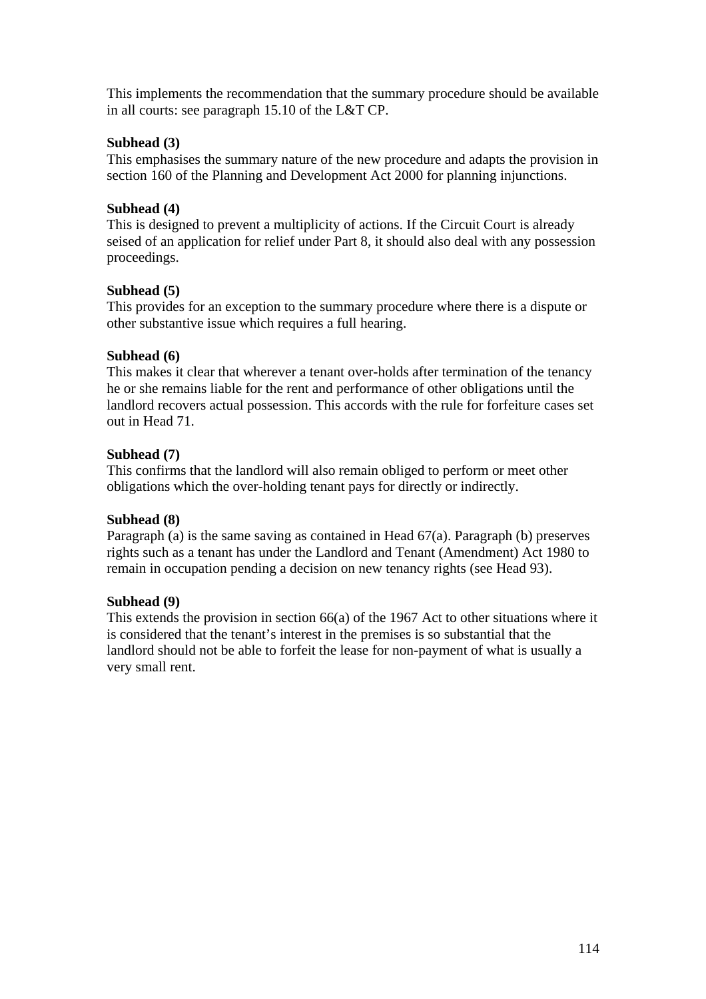This implements the recommendation that the summary procedure should be available in all courts: see paragraph 15.10 of the L&T CP.

# **Subhead (3)**

This emphasises the summary nature of the new procedure and adapts the provision in section 160 of the Planning and Development Act 2000 for planning injunctions.

## **Subhead (4)**

This is designed to prevent a multiplicity of actions. If the Circuit Court is already seised of an application for relief under Part 8, it should also deal with any possession proceedings.

## **Subhead (5)**

This provides for an exception to the summary procedure where there is a dispute or other substantive issue which requires a full hearing.

## **Subhead (6)**

This makes it clear that wherever a tenant over-holds after termination of the tenancy he or she remains liable for the rent and performance of other obligations until the landlord recovers actual possession. This accords with the rule for forfeiture cases set out in Head 71.

## **Subhead (7)**

This confirms that the landlord will also remain obliged to perform or meet other obligations which the over-holding tenant pays for directly or indirectly.

# **Subhead (8)**

Paragraph (a) is the same saving as contained in Head 67(a). Paragraph (b) preserves rights such as a tenant has under the Landlord and Tenant (Amendment) Act 1980 to remain in occupation pending a decision on new tenancy rights (see Head 93).

# **Subhead (9)**

This extends the provision in section 66(a) of the 1967 Act to other situations where it is considered that the tenant's interest in the premises is so substantial that the landlord should not be able to forfeit the lease for non-payment of what is usually a very small rent.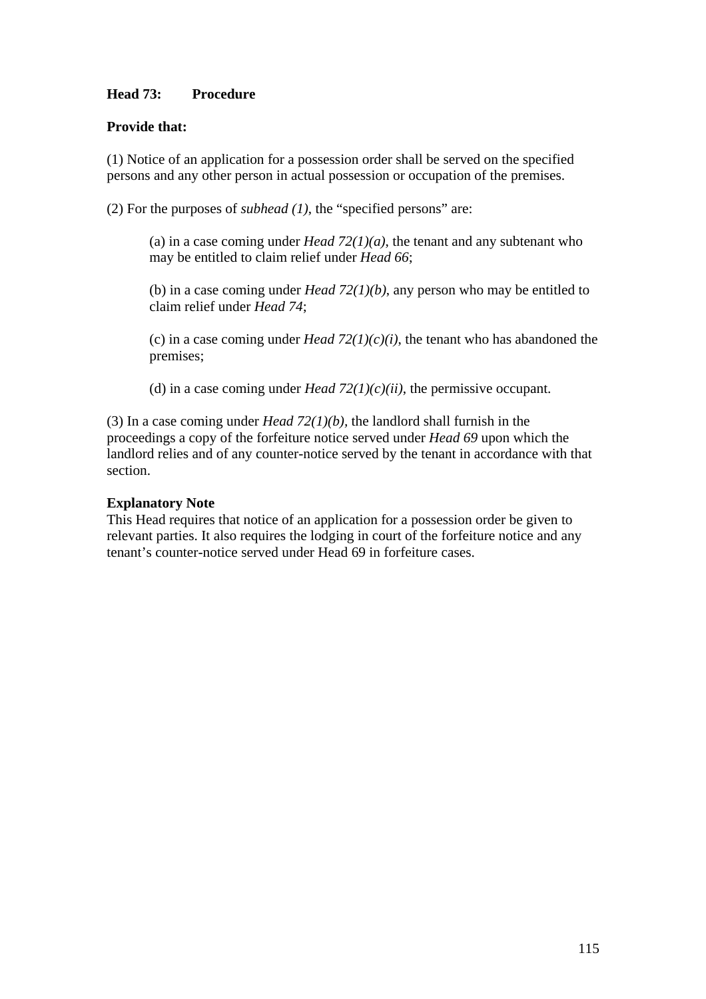# **Head 73: Procedure**

## **Provide that:**

(1) Notice of an application for a possession order shall be served on the specified persons and any other person in actual possession or occupation of the premises.

(2) For the purposes of *subhead (1)*, the "specified persons" are:

(a) in a case coming under *Head 72(1)(a)*, the tenant and any subtenant who may be entitled to claim relief under *Head 66*;

(b) in a case coming under *Head 72(1)(b)*, any person who may be entitled to claim relief under *Head 74*;

(c) in a case coming under *Head 72(1)(c)(i)*, the tenant who has abandoned the premises;

(d) in a case coming under *Head 72(1)(c)(ii)*, the permissive occupant.

(3) In a case coming under *Head 72(1)(b),* the landlord shall furnish in the proceedings a copy of the forfeiture notice served under *Head 69* upon which the landlord relies and of any counter-notice served by the tenant in accordance with that section.

## **Explanatory Note**

This Head requires that notice of an application for a possession order be given to relevant parties. It also requires the lodging in court of the forfeiture notice and any tenant's counter-notice served under Head 69 in forfeiture cases.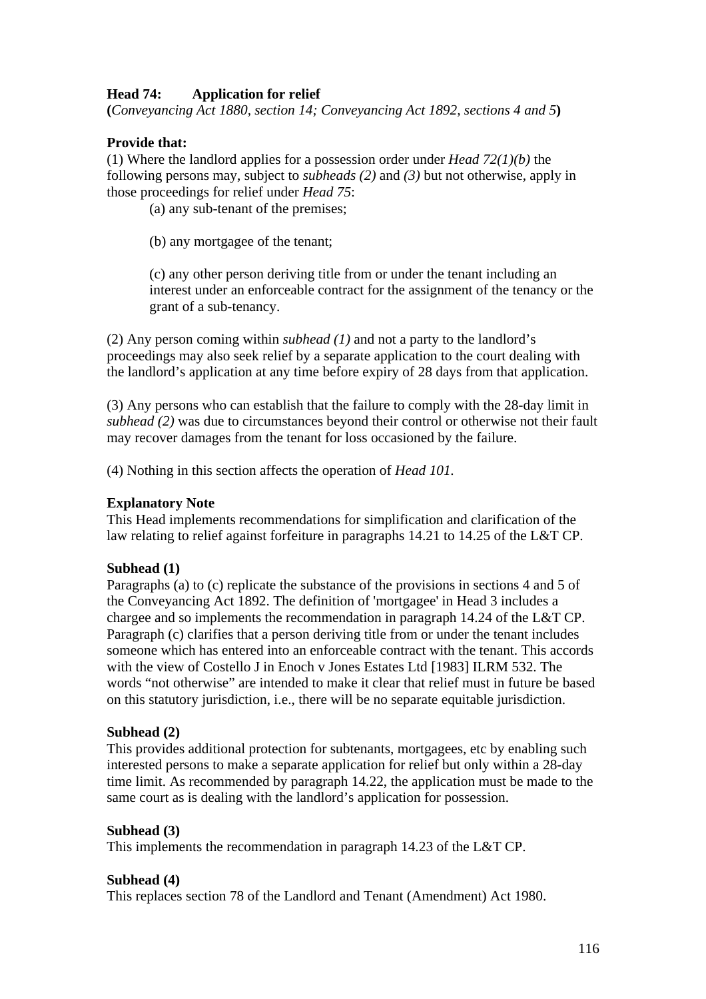# **Head 74: Application for relief**

**(***Conveyancing Act 1880, section 14; Conveyancing Act 1892, sections 4 and 5***)** 

## **Provide that:**

(1) Where the landlord applies for a possession order under *Head 72(1)(b)* the following persons may, subject to *subheads (2)* and *(3)* but not otherwise, apply in those proceedings for relief under *Head 75*:

(a) any sub-tenant of the premises;

(b) any mortgagee of the tenant;

(c) any other person deriving title from or under the tenant including an interest under an enforceable contract for the assignment of the tenancy or the grant of a sub-tenancy.

(2) Any person coming within *subhead (1)* and not a party to the landlord's proceedings may also seek relief by a separate application to the court dealing with the landlord's application at any time before expiry of 28 days from that application.

(3) Any persons who can establish that the failure to comply with the 28-day limit in *subhead (2)* was due to circumstances beyond their control or otherwise not their fault may recover damages from the tenant for loss occasioned by the failure.

(4) Nothing in this section affects the operation of *Head 101.* 

#### **Explanatory Note**

This Head implements recommendations for simplification and clarification of the law relating to relief against forfeiture in paragraphs 14.21 to 14.25 of the L&T CP.

### **Subhead (1)**

Paragraphs (a) to (c) replicate the substance of the provisions in sections 4 and 5 of the Conveyancing Act 1892. The definition of 'mortgagee' in Head 3 includes a chargee and so implements the recommendation in paragraph 14.24 of the L&T CP. Paragraph (c) clarifies that a person deriving title from or under the tenant includes someone which has entered into an enforceable contract with the tenant. This accords with the view of Costello J in Enoch v Jones Estates Ltd [1983] ILRM 532. The words "not otherwise" are intended to make it clear that relief must in future be based on this statutory jurisdiction, i.e., there will be no separate equitable jurisdiction.

### **Subhead (2)**

This provides additional protection for subtenants, mortgagees, etc by enabling such interested persons to make a separate application for relief but only within a 28-day time limit. As recommended by paragraph 14.22, the application must be made to the same court as is dealing with the landlord's application for possession.

### **Subhead (3)**

This implements the recommendation in paragraph 14.23 of the L&T CP.

#### **Subhead (4)**

This replaces section 78 of the Landlord and Tenant (Amendment) Act 1980.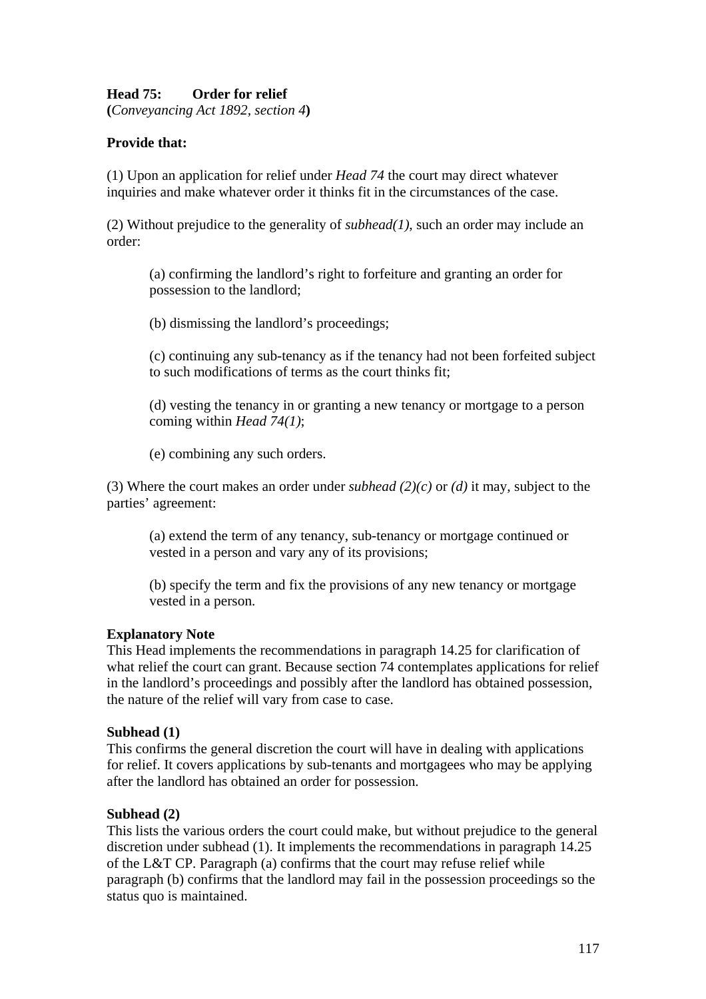# **Head 75: Order for relief**

**(***Conveyancing Act 1892, section 4***)** 

# **Provide that:**

(1) Upon an application for relief under *Head 74* the court may direct whatever inquiries and make whatever order it thinks fit in the circumstances of the case.

(2) Without prejudice to the generality of *subhead(1)*, such an order may include an order:

(a) confirming the landlord's right to forfeiture and granting an order for possession to the landlord;

(b) dismissing the landlord's proceedings;

(c) continuing any sub-tenancy as if the tenancy had not been forfeited subject to such modifications of terms as the court thinks fit;

(d) vesting the tenancy in or granting a new tenancy or mortgage to a person coming within *Head 74(1)*;

(e) combining any such orders.

(3) Where the court makes an order under *subhead (2)(c)* or *(d)* it may, subject to the parties' agreement:

(a) extend the term of any tenancy, sub-tenancy or mortgage continued or vested in a person and vary any of its provisions;

(b) specify the term and fix the provisions of any new tenancy or mortgage vested in a person.

### **Explanatory Note**

This Head implements the recommendations in paragraph 14.25 for clarification of what relief the court can grant. Because section 74 contemplates applications for relief in the landlord's proceedings and possibly after the landlord has obtained possession, the nature of the relief will vary from case to case.

### **Subhead (1)**

This confirms the general discretion the court will have in dealing with applications for relief. It covers applications by sub-tenants and mortgagees who may be applying after the landlord has obtained an order for possession.

# **Subhead (2)**

This lists the various orders the court could make, but without prejudice to the general discretion under subhead (1). It implements the recommendations in paragraph 14.25 of the L&T CP. Paragraph (a) confirms that the court may refuse relief while paragraph (b) confirms that the landlord may fail in the possession proceedings so the status quo is maintained.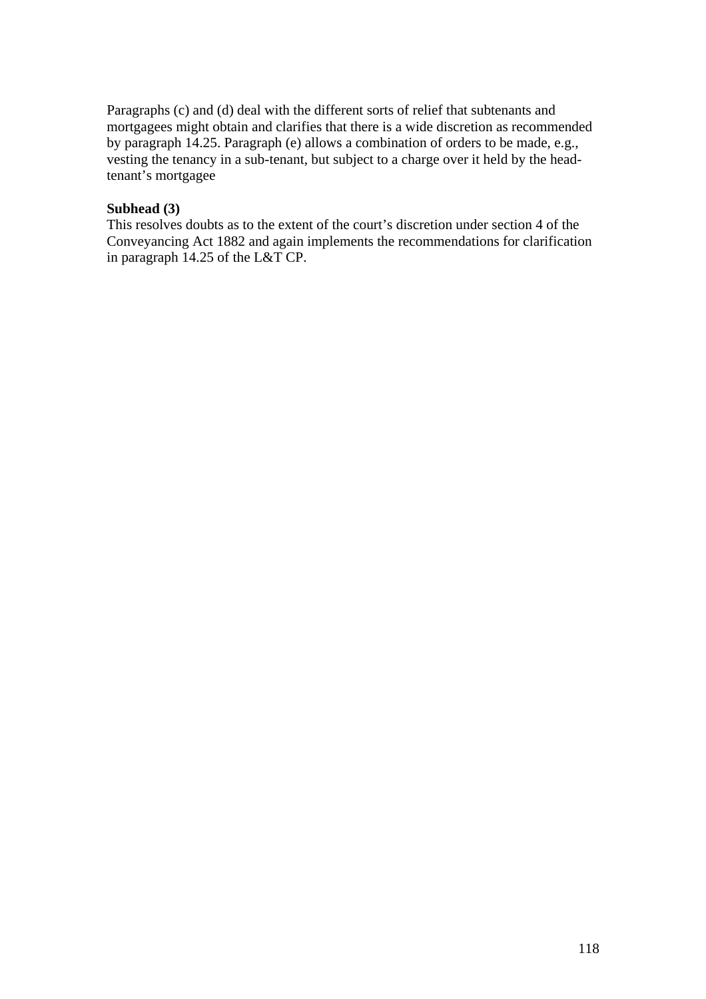Paragraphs (c) and (d) deal with the different sorts of relief that subtenants and mortgagees might obtain and clarifies that there is a wide discretion as recommended by paragraph 14.25. Paragraph (e) allows a combination of orders to be made, e.g., vesting the tenancy in a sub-tenant, but subject to a charge over it held by the headtenant's mortgagee

## **Subhead (3)**

This resolves doubts as to the extent of the court's discretion under section 4 of the Conveyancing Act 1882 and again implements the recommendations for clarification in paragraph 14.25 of the L&T CP.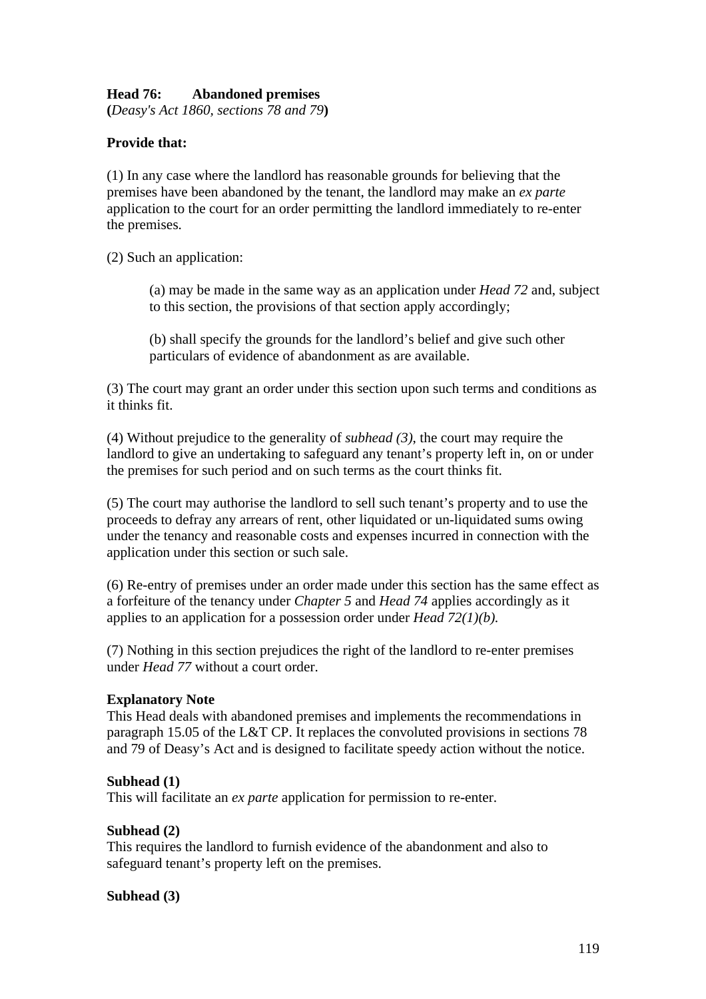## **Head 76: Abandoned premises**

**(***Deasy's Act 1860, sections 78 and 79***)** 

## **Provide that:**

(1) In any case where the landlord has reasonable grounds for believing that the premises have been abandoned by the tenant, the landlord may make an *ex parte*  application to the court for an order permitting the landlord immediately to re-enter the premises.

(2) Such an application:

(a) may be made in the same way as an application under *Head 72* and, subject to this section, the provisions of that section apply accordingly;

(b) shall specify the grounds for the landlord's belief and give such other particulars of evidence of abandonment as are available.

(3) The court may grant an order under this section upon such terms and conditions as it thinks fit.

(4) Without prejudice to the generality of *subhead (3)*, the court may require the landlord to give an undertaking to safeguard any tenant's property left in, on or under the premises for such period and on such terms as the court thinks fit.

(5) The court may authorise the landlord to sell such tenant's property and to use the proceeds to defray any arrears of rent, other liquidated or un-liquidated sums owing under the tenancy and reasonable costs and expenses incurred in connection with the application under this section or such sale.

(6) Re-entry of premises under an order made under this section has the same effect as a forfeiture of the tenancy under *Chapter 5* and *Head 74* applies accordingly as it applies to an application for a possession order under *Head 72(1)(b).* 

(7) Nothing in this section prejudices the right of the landlord to re-enter premises under *Head 77* without a court order.

### **Explanatory Note**

This Head deals with abandoned premises and implements the recommendations in paragraph 15.05 of the L&T CP. It replaces the convoluted provisions in sections 78 and 79 of Deasy's Act and is designed to facilitate speedy action without the notice.

#### **Subhead (1)**

This will facilitate an *ex parte* application for permission to re-enter.

### **Subhead (2)**

This requires the landlord to furnish evidence of the abandonment and also to safeguard tenant's property left on the premises.

### **Subhead (3)**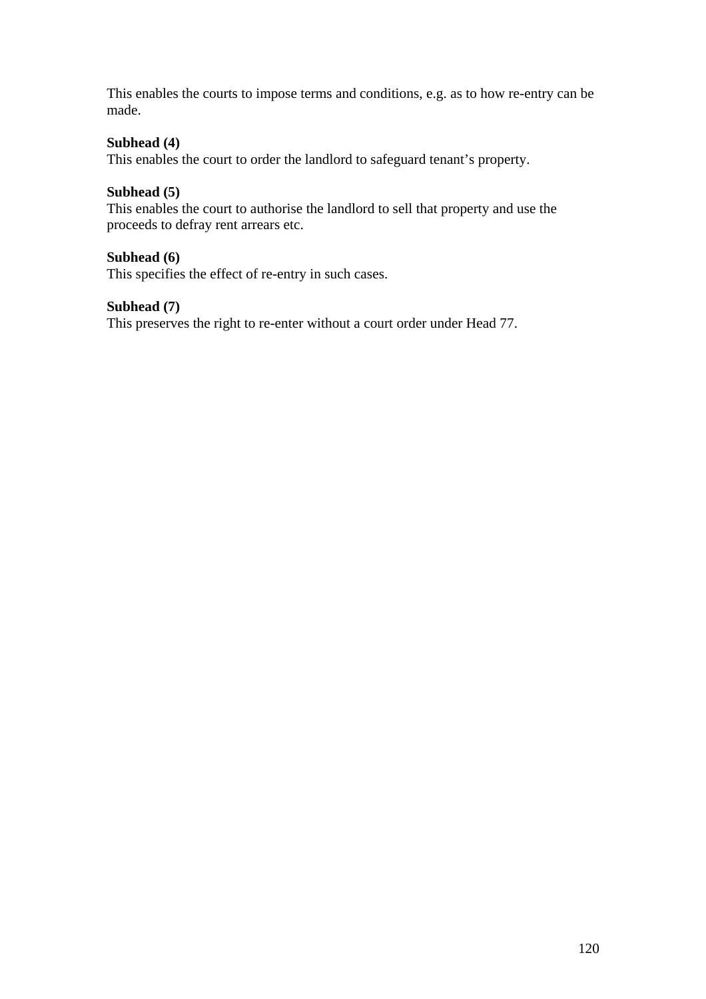This enables the courts to impose terms and conditions, e.g. as to how re-entry can be made.

# **Subhead (4)**

This enables the court to order the landlord to safeguard tenant's property.

## **Subhead (5)**

This enables the court to authorise the landlord to sell that property and use the proceeds to defray rent arrears etc.

# **Subhead (6)**

This specifies the effect of re-entry in such cases.

## **Subhead (7)**

This preserves the right to re-enter without a court order under Head 77.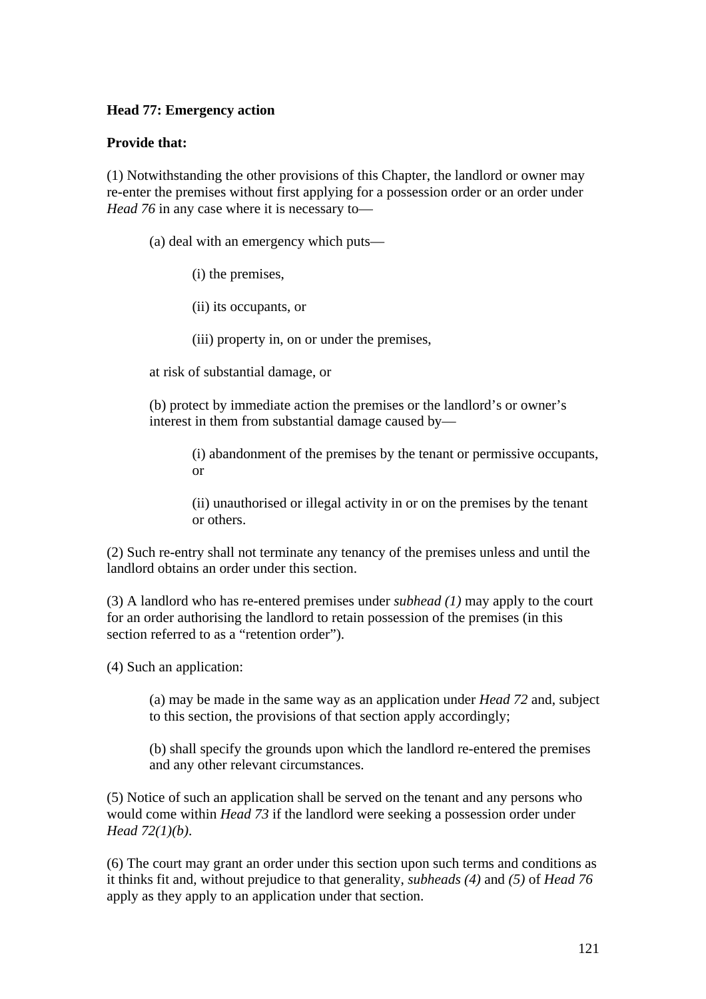## **Head 77: Emergency action**

## **Provide that:**

(1) Notwithstanding the other provisions of this Chapter, the landlord or owner may re-enter the premises without first applying for a possession order or an order under *Head 76* in any case where it is necessary to—

(a) deal with an emergency which puts—

(i) the premises,

(ii) its occupants, or

(iii) property in, on or under the premises,

at risk of substantial damage, or

(b) protect by immediate action the premises or the landlord's or owner's interest in them from substantial damage caused by—

> (i) abandonment of the premises by the tenant or permissive occupants, or

(ii) unauthorised or illegal activity in or on the premises by the tenant or others.

(2) Such re-entry shall not terminate any tenancy of the premises unless and until the landlord obtains an order under this section.

(3) A landlord who has re-entered premises under *subhead (1)* may apply to the court for an order authorising the landlord to retain possession of the premises (in this section referred to as a "retention order").

(4) Such an application:

(a) may be made in the same way as an application under *Head 72* and, subject to this section, the provisions of that section apply accordingly;

(b) shall specify the grounds upon which the landlord re-entered the premises and any other relevant circumstances.

(5) Notice of such an application shall be served on the tenant and any persons who would come within *Head 73* if the landlord were seeking a possession order under *Head 72(1)(b)*.

(6) The court may grant an order under this section upon such terms and conditions as it thinks fit and, without prejudice to that generality, *subheads (4)* and *(5)* of *Head 76*  apply as they apply to an application under that section.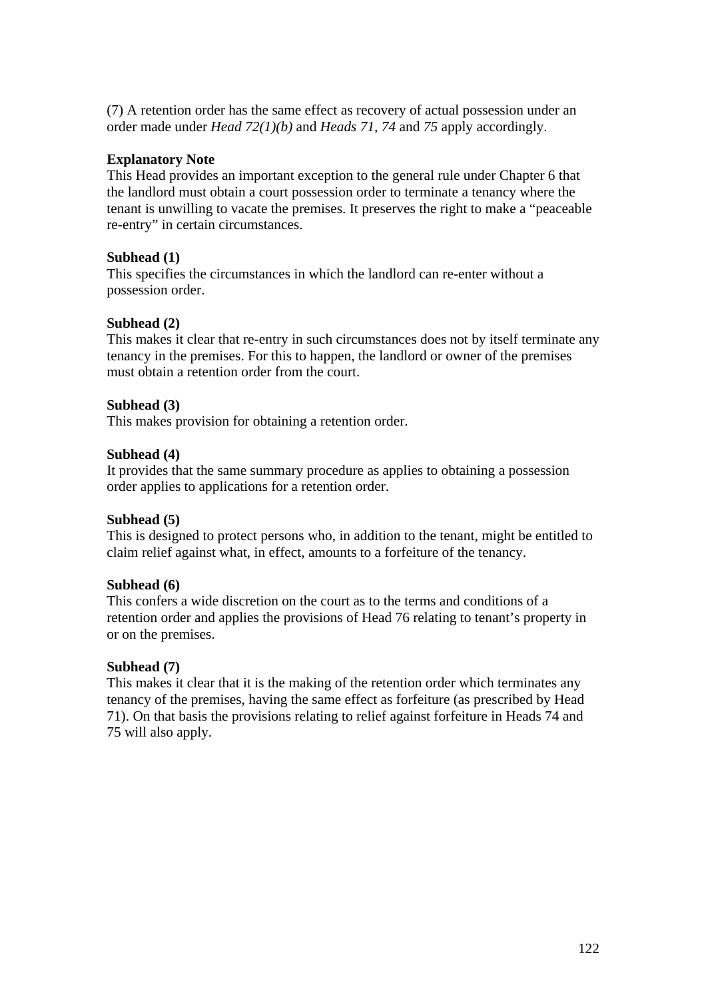(7) A retention order has the same effect as recovery of actual possession under an order made under *Head 72(1)(b)* and *Heads 71, 74* and *75* apply accordingly.

## **Explanatory Note**

This Head provides an important exception to the general rule under Chapter 6 that the landlord must obtain a court possession order to terminate a tenancy where the tenant is unwilling to vacate the premises. It preserves the right to make a "peaceable re-entry" in certain circumstances.

## **Subhead (1)**

This specifies the circumstances in which the landlord can re-enter without a possession order.

## **Subhead (2)**

This makes it clear that re-entry in such circumstances does not by itself terminate any tenancy in the premises. For this to happen, the landlord or owner of the premises must obtain a retention order from the court.

### **Subhead (3)**

This makes provision for obtaining a retention order.

## **Subhead (4)**

It provides that the same summary procedure as applies to obtaining a possession order applies to applications for a retention order.

# **Subhead (5)**

This is designed to protect persons who, in addition to the tenant, might be entitled to claim relief against what, in effect, amounts to a forfeiture of the tenancy.

### **Subhead (6)**

This confers a wide discretion on the court as to the terms and conditions of a retention order and applies the provisions of Head 76 relating to tenant's property in or on the premises.

### **Subhead (7)**

This makes it clear that it is the making of the retention order which terminates any tenancy of the premises, having the same effect as forfeiture (as prescribed by Head 71). On that basis the provisions relating to relief against forfeiture in Heads 74 and 75 will also apply.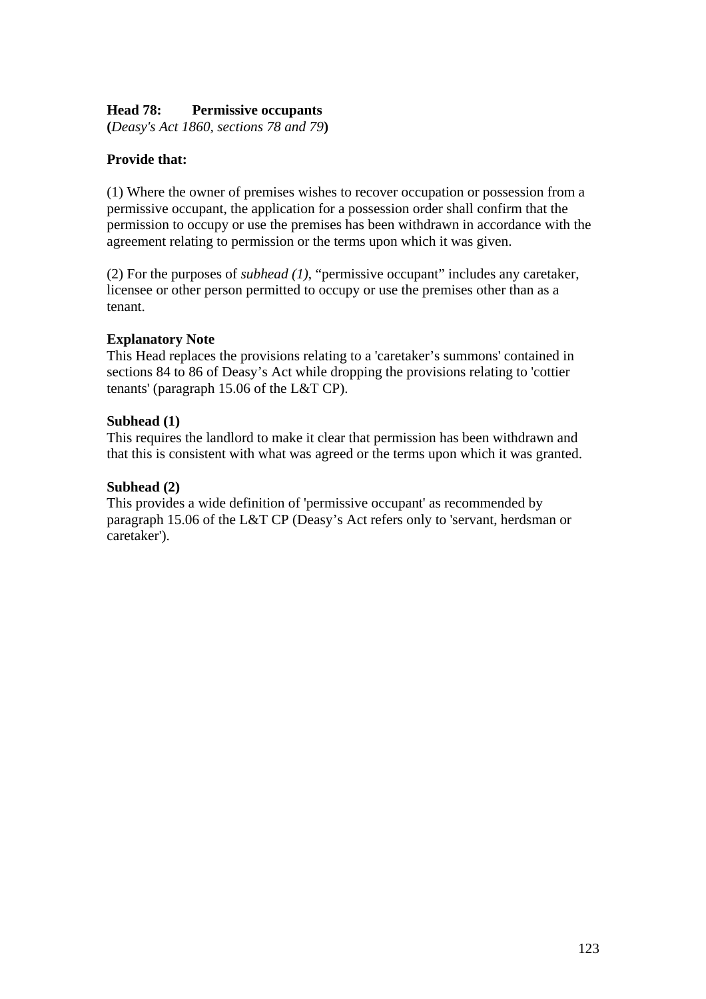## **Head 78: Permissive occupants**

**(***Deasy's Act 1860, sections 78 and 79***)** 

## **Provide that:**

(1) Where the owner of premises wishes to recover occupation or possession from a permissive occupant, the application for a possession order shall confirm that the permission to occupy or use the premises has been withdrawn in accordance with the agreement relating to permission or the terms upon which it was given.

(2) For the purposes of *subhead (1)*, "permissive occupant" includes any caretaker, licensee or other person permitted to occupy or use the premises other than as a tenant.

### **Explanatory Note**

This Head replaces the provisions relating to a 'caretaker's summons' contained in sections 84 to 86 of Deasy's Act while dropping the provisions relating to 'cottier tenants' (paragraph 15.06 of the L&T CP).

### **Subhead (1)**

This requires the landlord to make it clear that permission has been withdrawn and that this is consistent with what was agreed or the terms upon which it was granted.

### **Subhead (2)**

This provides a wide definition of 'permissive occupant' as recommended by paragraph 15.06 of the L&T CP (Deasy's Act refers only to 'servant, herdsman or caretaker').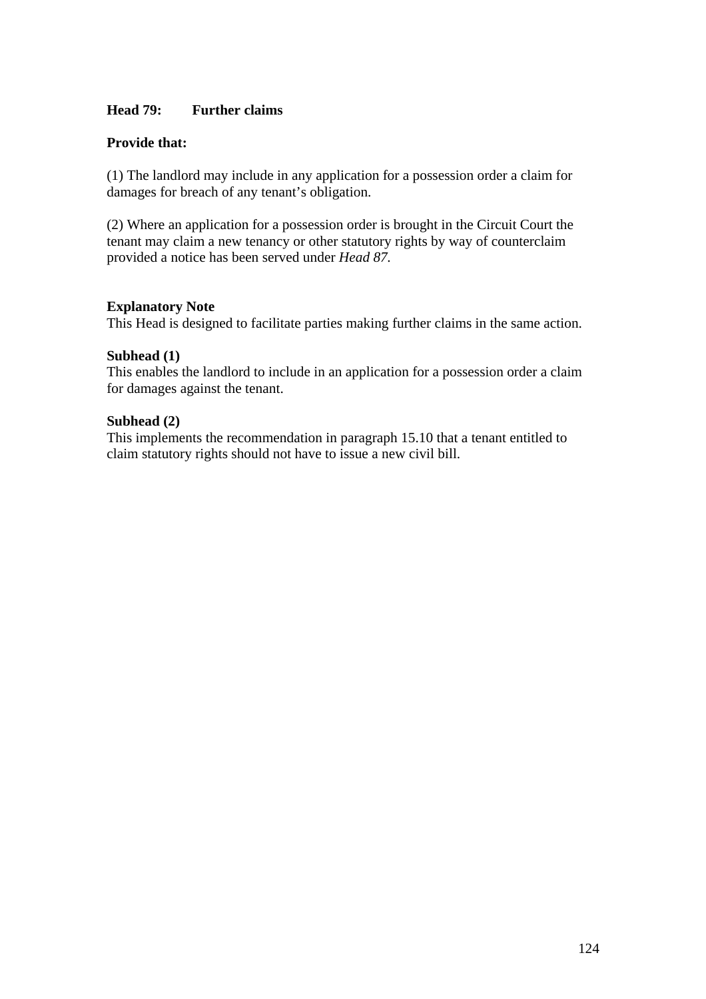## **Head 79: Further claims**

## **Provide that:**

(1) The landlord may include in any application for a possession order a claim for damages for breach of any tenant's obligation.

(2) Where an application for a possession order is brought in the Circuit Court the tenant may claim a new tenancy or other statutory rights by way of counterclaim provided a notice has been served under *Head 87.* 

### **Explanatory Note**

This Head is designed to facilitate parties making further claims in the same action.

#### **Subhead (1)**

This enables the landlord to include in an application for a possession order a claim for damages against the tenant.

## **Subhead (2)**

This implements the recommendation in paragraph 15.10 that a tenant entitled to claim statutory rights should not have to issue a new civil bill.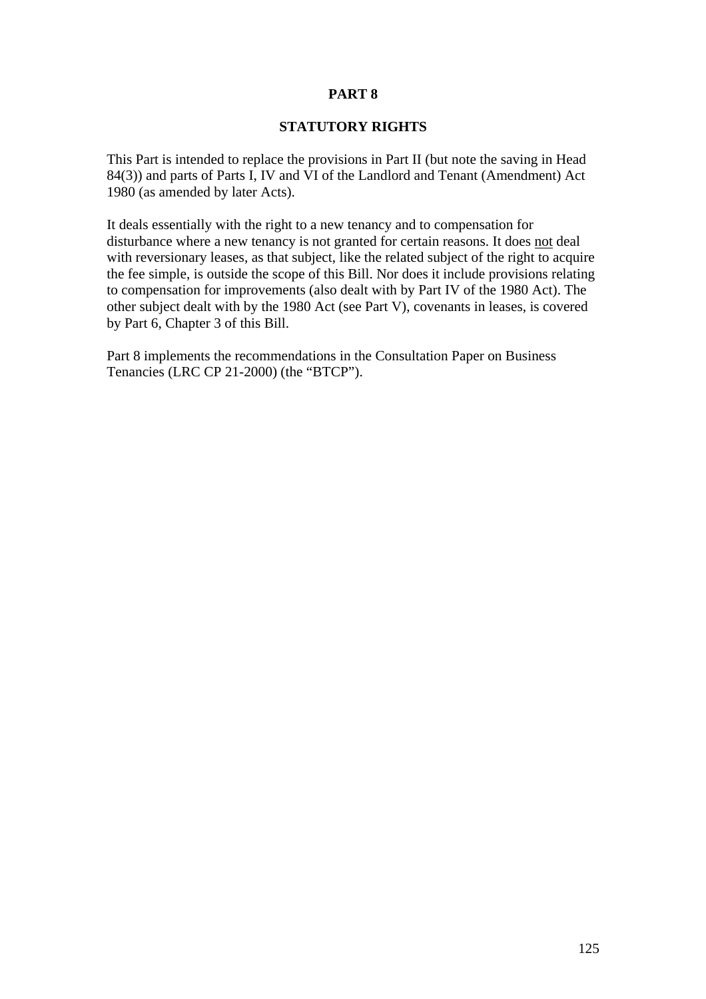# **PART 8**

#### **STATUTORY RIGHTS**

This Part is intended to replace the provisions in Part II (but note the saving in Head 84(3)) and parts of Parts I, IV and VI of the Landlord and Tenant (Amendment) Act 1980 (as amended by later Acts).

It deals essentially with the right to a new tenancy and to compensation for disturbance where a new tenancy is not granted for certain reasons. It does not deal with reversionary leases, as that subject, like the related subject of the right to acquire the fee simple, is outside the scope of this Bill. Nor does it include provisions relating to compensation for improvements (also dealt with by Part IV of the 1980 Act). The other subject dealt with by the 1980 Act (see Part V), covenants in leases, is covered by Part 6, Chapter 3 of this Bill.

Part 8 implements the recommendations in the Consultation Paper on Business Tenancies (LRC CP 21-2000) (the "BTCP").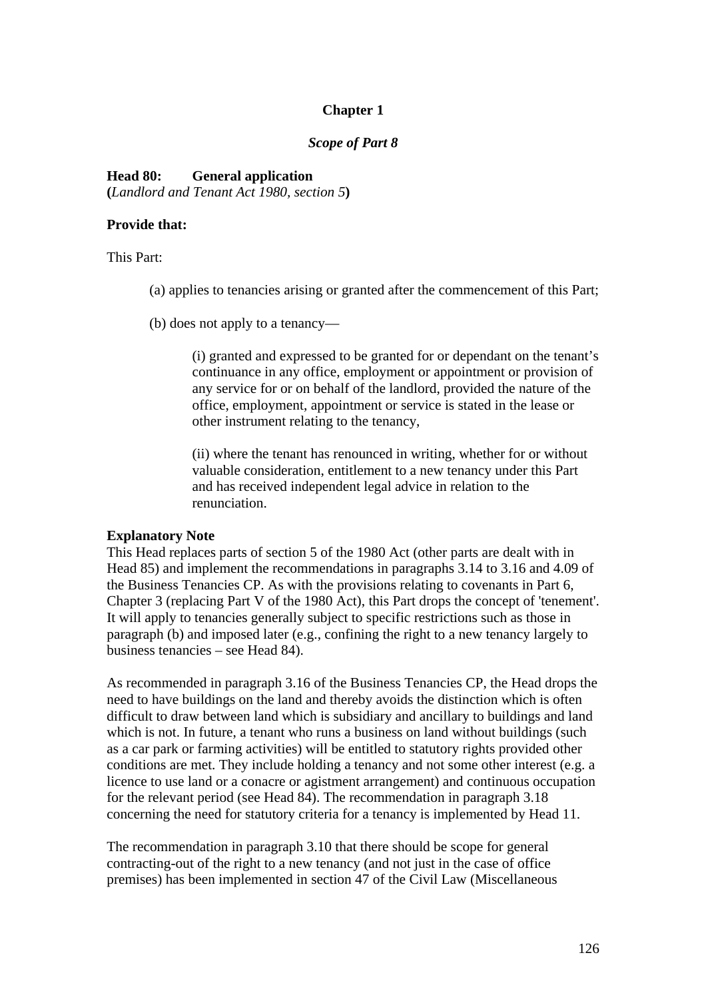## **Chapter 1**

#### *Scope of Part 8*

#### **Head 80: General application**

**(***Landlord and Tenant Act 1980, section 5***)** 

#### **Provide that:**

This Part:

- (a) applies to tenancies arising or granted after the commencement of this Part;
- (b) does not apply to a tenancy—

(i) granted and expressed to be granted for or dependant on the tenant's continuance in any office, employment or appointment or provision of any service for or on behalf of the landlord, provided the nature of the office, employment, appointment or service is stated in the lease or other instrument relating to the tenancy,

(ii) where the tenant has renounced in writing, whether for or without valuable consideration, entitlement to a new tenancy under this Part and has received independent legal advice in relation to the renunciation.

### **Explanatory Note**

This Head replaces parts of section 5 of the 1980 Act (other parts are dealt with in Head 85) and implement the recommendations in paragraphs 3.14 to 3.16 and 4.09 of the Business Tenancies CP. As with the provisions relating to covenants in Part 6, Chapter 3 (replacing Part V of the 1980 Act), this Part drops the concept of 'tenement'. It will apply to tenancies generally subject to specific restrictions such as those in paragraph (b) and imposed later (e.g., confining the right to a new tenancy largely to business tenancies – see Head 84).

As recommended in paragraph 3.16 of the Business Tenancies CP, the Head drops the need to have buildings on the land and thereby avoids the distinction which is often difficult to draw between land which is subsidiary and ancillary to buildings and land which is not. In future, a tenant who runs a business on land without buildings (such as a car park or farming activities) will be entitled to statutory rights provided other conditions are met. They include holding a tenancy and not some other interest (e.g. a licence to use land or a conacre or agistment arrangement) and continuous occupation for the relevant period (see Head 84). The recommendation in paragraph 3.18 concerning the need for statutory criteria for a tenancy is implemented by Head 11.

The recommendation in paragraph 3.10 that there should be scope for general contracting-out of the right to a new tenancy (and not just in the case of office premises) has been implemented in section 47 of the Civil Law (Miscellaneous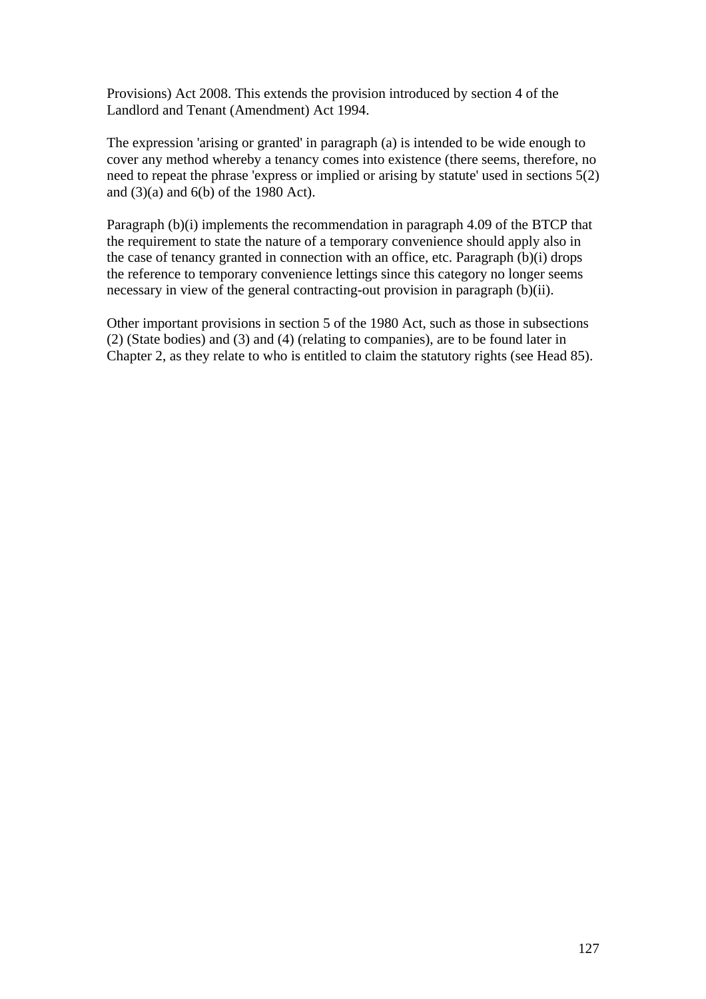Provisions) Act 2008. This extends the provision introduced by section 4 of the Landlord and Tenant (Amendment) Act 1994.

The expression 'arising or granted' in paragraph (a) is intended to be wide enough to cover any method whereby a tenancy comes into existence (there seems, therefore, no need to repeat the phrase 'express or implied or arising by statute' used in sections 5(2) and  $(3)(a)$  and  $6(b)$  of the 1980 Act).

Paragraph (b)(i) implements the recommendation in paragraph 4.09 of the BTCP that the requirement to state the nature of a temporary convenience should apply also in the case of tenancy granted in connection with an office, etc. Paragraph (b)(i) drops the reference to temporary convenience lettings since this category no longer seems necessary in view of the general contracting-out provision in paragraph (b)(ii).

Other important provisions in section 5 of the 1980 Act, such as those in subsections (2) (State bodies) and (3) and (4) (relating to companies), are to be found later in Chapter 2, as they relate to who is entitled to claim the statutory rights (see Head 85).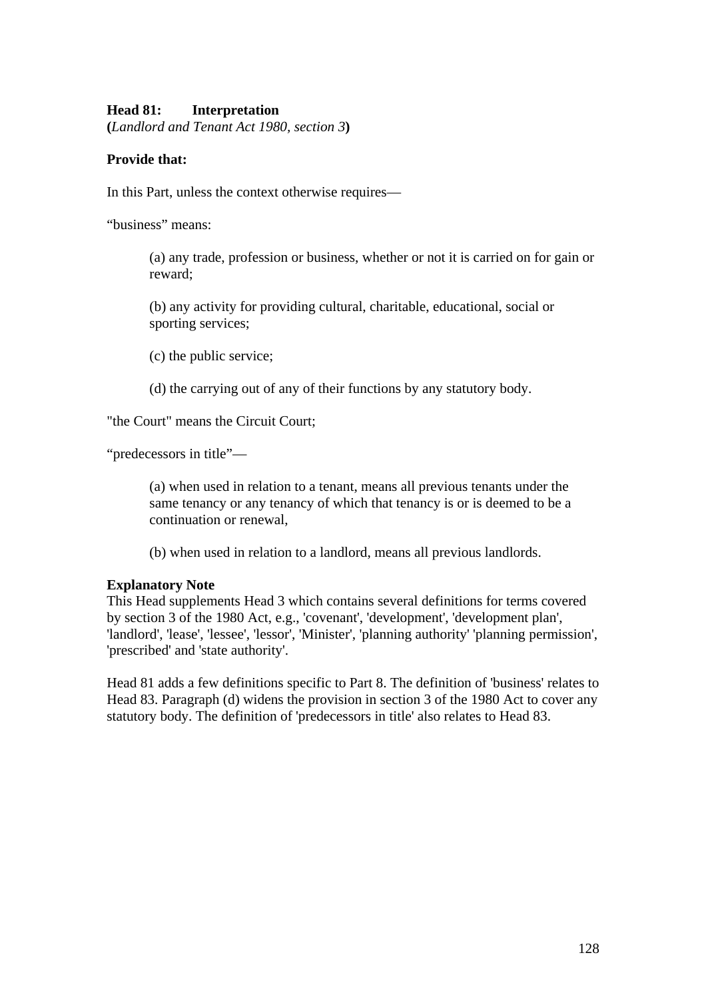## **Head 81: Interpretation**

**(***Landlord and Tenant Act 1980, section 3***)** 

## **Provide that:**

In this Part, unless the context otherwise requires—

"business" means:

(a) any trade, profession or business, whether or not it is carried on for gain or reward;

(b) any activity for providing cultural, charitable, educational, social or sporting services;

(c) the public service;

(d) the carrying out of any of their functions by any statutory body.

"the Court" means the Circuit Court;

"predecessors in title"—

(a) when used in relation to a tenant, means all previous tenants under the same tenancy or any tenancy of which that tenancy is or is deemed to be a continuation or renewal,

(b) when used in relation to a landlord, means all previous landlords.

### **Explanatory Note**

This Head supplements Head 3 which contains several definitions for terms covered by section 3 of the 1980 Act, e.g., 'covenant', 'development', 'development plan', 'landlord', 'lease', 'lessee', 'lessor', 'Minister', 'planning authority' 'planning permission', 'prescribed' and 'state authority'.

Head 81 adds a few definitions specific to Part 8. The definition of 'business' relates to Head 83. Paragraph (d) widens the provision in section 3 of the 1980 Act to cover any statutory body. The definition of 'predecessors in title' also relates to Head 83.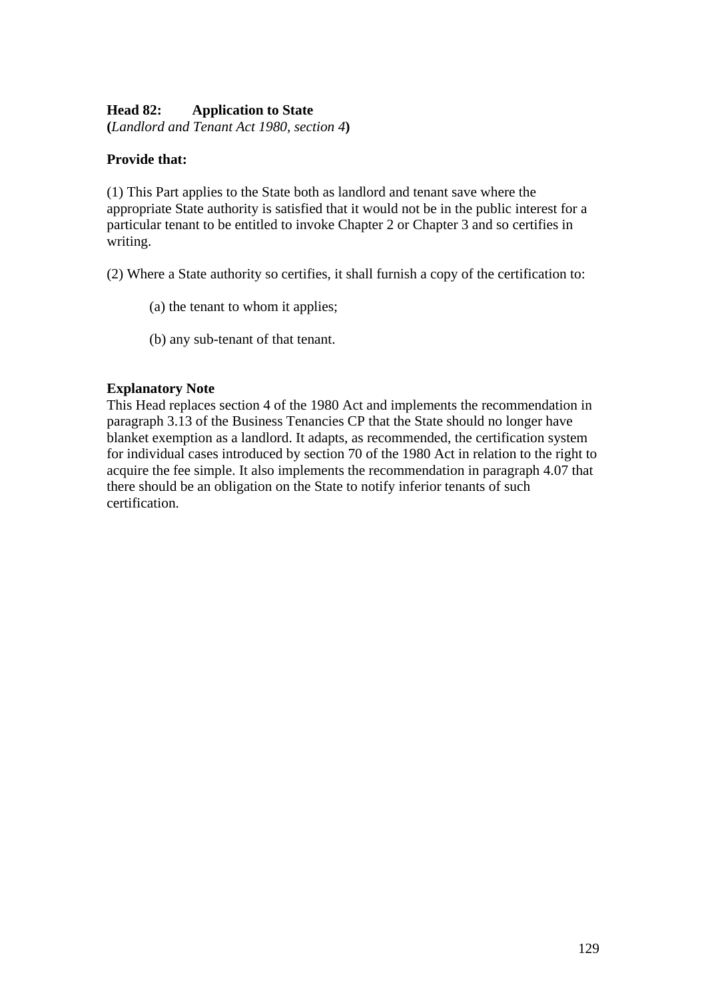# **Head 82: Application to State**

**(***Landlord and Tenant Act 1980, section 4***)** 

# **Provide that:**

(1) This Part applies to the State both as landlord and tenant save where the appropriate State authority is satisfied that it would not be in the public interest for a particular tenant to be entitled to invoke Chapter 2 or Chapter 3 and so certifies in writing.

(2) Where a State authority so certifies, it shall furnish a copy of the certification to:

- (a) the tenant to whom it applies;
- (b) any sub-tenant of that tenant.

## **Explanatory Note**

This Head replaces section 4 of the 1980 Act and implements the recommendation in paragraph 3.13 of the Business Tenancies CP that the State should no longer have blanket exemption as a landlord. It adapts, as recommended, the certification system for individual cases introduced by section 70 of the 1980 Act in relation to the right to acquire the fee simple. It also implements the recommendation in paragraph 4.07 that there should be an obligation on the State to notify inferior tenants of such certification.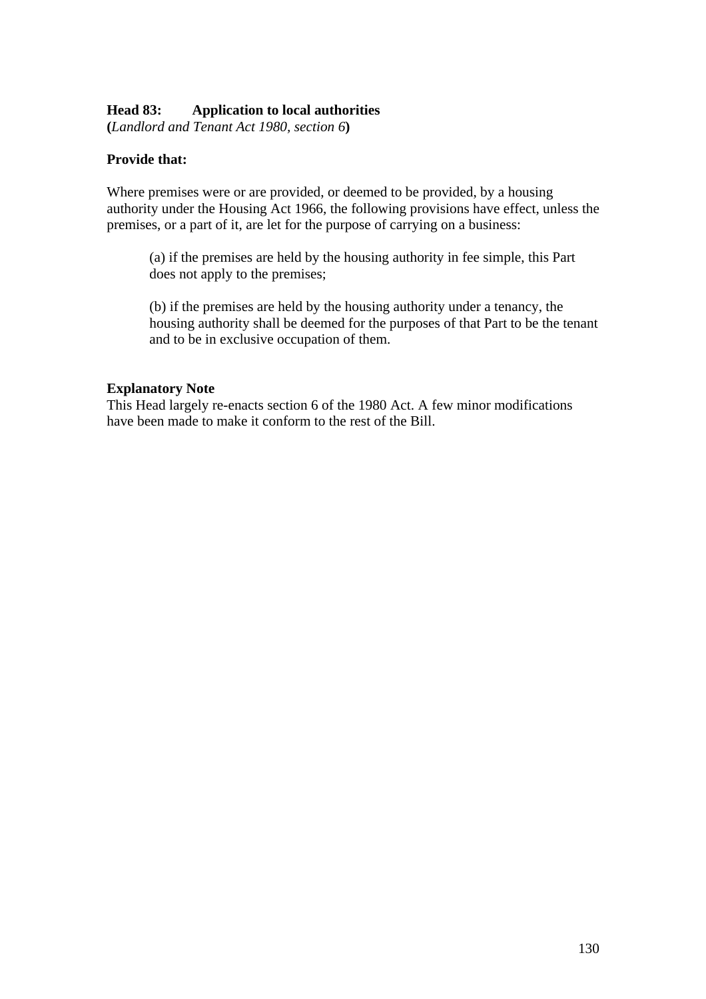## **Head 83: Application to local authorities**

**(***Landlord and Tenant Act 1980, section 6***)** 

## **Provide that:**

Where premises were or are provided, or deemed to be provided, by a housing authority under the Housing Act 1966, the following provisions have effect, unless the premises, or a part of it, are let for the purpose of carrying on a business:

(a) if the premises are held by the housing authority in fee simple, this Part does not apply to the premises;

(b) if the premises are held by the housing authority under a tenancy, the housing authority shall be deemed for the purposes of that Part to be the tenant and to be in exclusive occupation of them.

### **Explanatory Note**

This Head largely re-enacts section 6 of the 1980 Act. A few minor modifications have been made to make it conform to the rest of the Bill.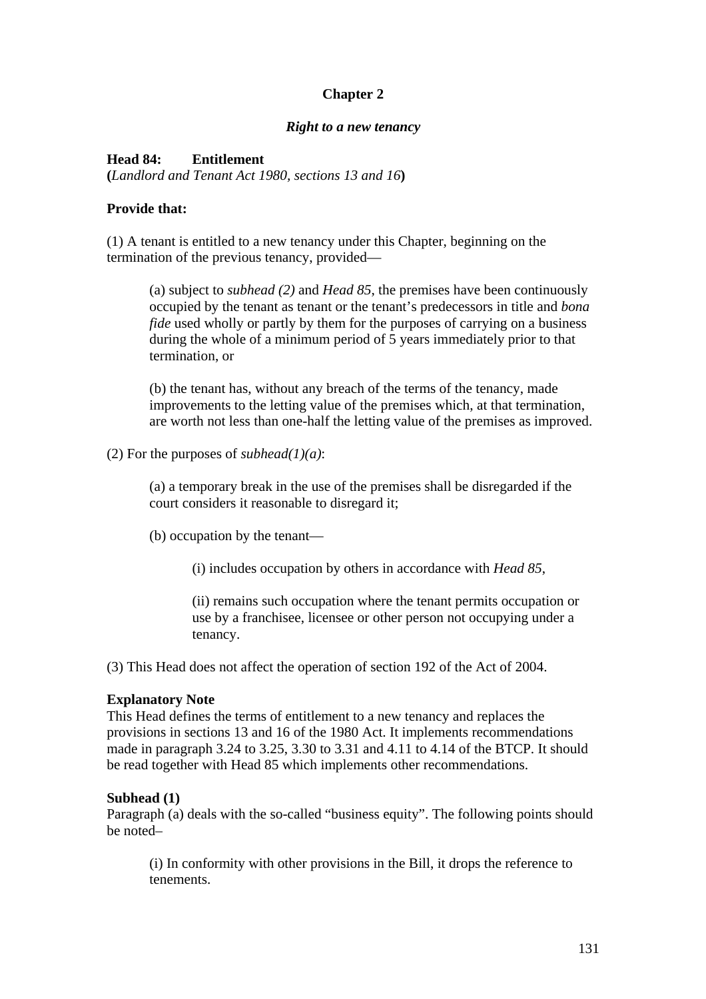# **Chapter 2**

#### *Right to a new tenancy*

### **Head 84: Entitlement**

**(***Landlord and Tenant Act 1980, sections 13 and 16***)** 

### **Provide that:**

(1) A tenant is entitled to a new tenancy under this Chapter, beginning on the termination of the previous tenancy, provided—

(a) subject to *subhead (2)* and *Head 85*, the premises have been continuously occupied by the tenant as tenant or the tenant's predecessors in title and *bona fide* used wholly or partly by them for the purposes of carrying on a business during the whole of a minimum period of 5 years immediately prior to that termination, or

(b) the tenant has, without any breach of the terms of the tenancy, made improvements to the letting value of the premises which, at that termination, are worth not less than one-half the letting value of the premises as improved.

(2) For the purposes of *subhead(1)(a)*:

(a) a temporary break in the use of the premises shall be disregarded if the court considers it reasonable to disregard it;

(b) occupation by the tenant—

(i) includes occupation by others in accordance with *Head 85*,

(ii) remains such occupation where the tenant permits occupation or use by a franchisee, licensee or other person not occupying under a tenancy.

(3) This Head does not affect the operation of section 192 of the Act of 2004.

#### **Explanatory Note**

This Head defines the terms of entitlement to a new tenancy and replaces the provisions in sections 13 and 16 of the 1980 Act. It implements recommendations made in paragraph 3.24 to 3.25, 3.30 to 3.31 and 4.11 to 4.14 of the BTCP. It should be read together with Head 85 which implements other recommendations.

### **Subhead (1)**

Paragraph (a) deals with the so-called "business equity". The following points should be noted–

(i) In conformity with other provisions in the Bill, it drops the reference to tenements.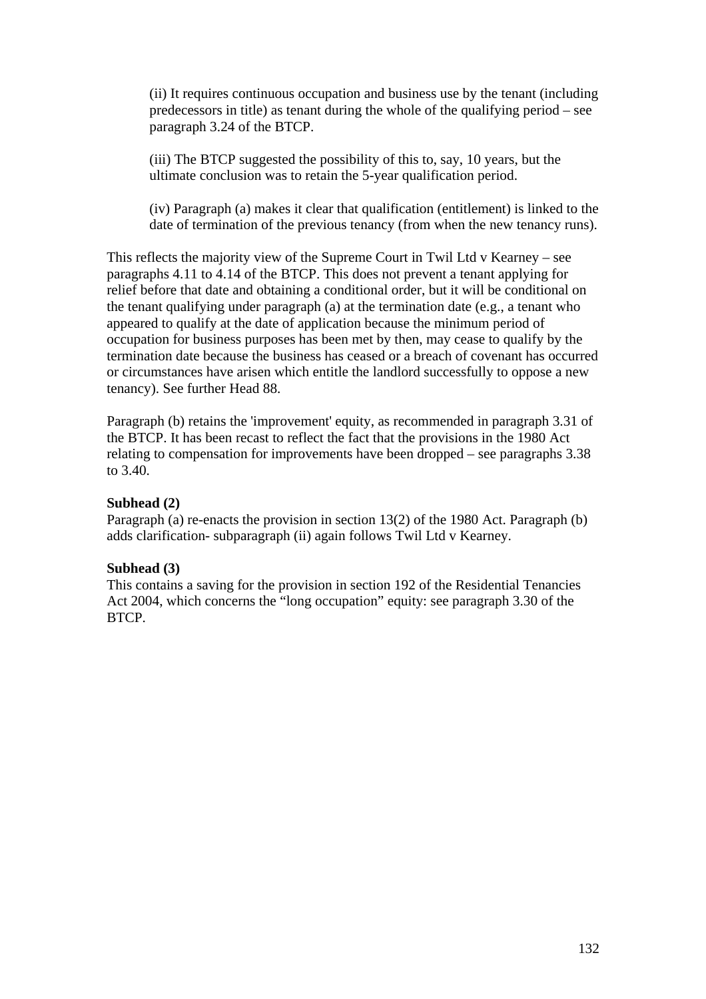(ii) It requires continuous occupation and business use by the tenant (including predecessors in title) as tenant during the whole of the qualifying period – see paragraph 3.24 of the BTCP.

(iii) The BTCP suggested the possibility of this to, say, 10 years, but the ultimate conclusion was to retain the 5-year qualification period.

(iv) Paragraph (a) makes it clear that qualification (entitlement) is linked to the date of termination of the previous tenancy (from when the new tenancy runs).

This reflects the majority view of the Supreme Court in Twil Ltd v Kearney – see paragraphs 4.11 to 4.14 of the BTCP. This does not prevent a tenant applying for relief before that date and obtaining a conditional order, but it will be conditional on the tenant qualifying under paragraph (a) at the termination date (e.g., a tenant who appeared to qualify at the date of application because the minimum period of occupation for business purposes has been met by then, may cease to qualify by the termination date because the business has ceased or a breach of covenant has occurred or circumstances have arisen which entitle the landlord successfully to oppose a new tenancy). See further Head 88.

Paragraph (b) retains the 'improvement' equity, as recommended in paragraph 3.31 of the BTCP. It has been recast to reflect the fact that the provisions in the 1980 Act relating to compensation for improvements have been dropped – see paragraphs 3.38 to 3.40.

### **Subhead (2)**

Paragraph (a) re-enacts the provision in section 13(2) of the 1980 Act. Paragraph (b) adds clarification- subparagraph (ii) again follows Twil Ltd v Kearney.

### **Subhead (3)**

This contains a saving for the provision in section 192 of the Residential Tenancies Act 2004, which concerns the "long occupation" equity: see paragraph 3.30 of the BTCP.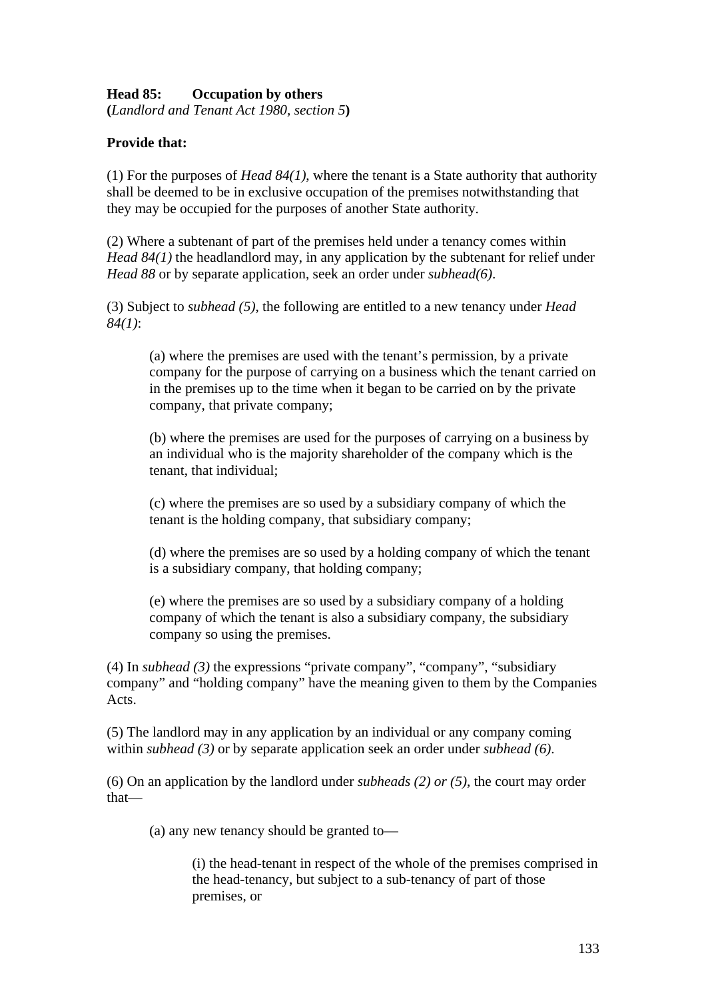# **Head 85: Occupation by others**

**(***Landlord and Tenant Act 1980, section 5***)** 

## **Provide that:**

(1) For the purposes of *Head 84(1)*, where the tenant is a State authority that authority shall be deemed to be in exclusive occupation of the premises notwithstanding that they may be occupied for the purposes of another State authority.

(2) Where a subtenant of part of the premises held under a tenancy comes within *Head 84(1)* the headlandlord may, in any application by the subtenant for relief under *Head 88* or by separate application, seek an order under *subhead(6)*.

(3) Subject to *subhead (5)*, the following are entitled to a new tenancy under *Head 84(1)*:

(a) where the premises are used with the tenant's permission, by a private company for the purpose of carrying on a business which the tenant carried on in the premises up to the time when it began to be carried on by the private company, that private company;

(b) where the premises are used for the purposes of carrying on a business by an individual who is the majority shareholder of the company which is the tenant, that individual;

(c) where the premises are so used by a subsidiary company of which the tenant is the holding company, that subsidiary company;

(d) where the premises are so used by a holding company of which the tenant is a subsidiary company, that holding company;

(e) where the premises are so used by a subsidiary company of a holding company of which the tenant is also a subsidiary company, the subsidiary company so using the premises.

(4) In *subhead (3)* the expressions "private company", "company", "subsidiary company" and "holding company" have the meaning given to them by the Companies Acts.

(5) The landlord may in any application by an individual or any company coming within *subhead (3)* or by separate application seek an order under *subhead (6)*.

(6) On an application by the landlord under *subheads (2) or (5)*, the court may order that—

(a) any new tenancy should be granted to—

(i) the head-tenant in respect of the whole of the premises comprised in the head-tenancy, but subject to a sub-tenancy of part of those premises, or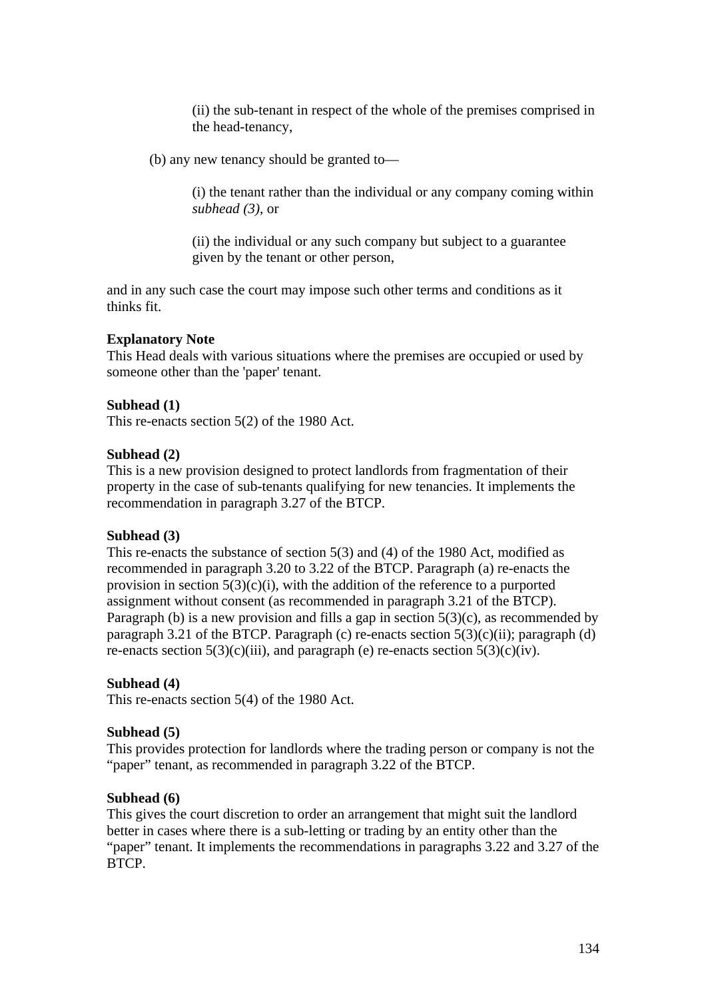(ii) the sub-tenant in respect of the whole of the premises comprised in the head-tenancy,

(b) any new tenancy should be granted to—

(i) the tenant rather than the individual or any company coming within *subhead (3)*, or

(ii) the individual or any such company but subject to a guarantee given by the tenant or other person,

and in any such case the court may impose such other terms and conditions as it thinks fit.

#### **Explanatory Note**

This Head deals with various situations where the premises are occupied or used by someone other than the 'paper' tenant.

#### **Subhead (1)**

This re-enacts section 5(2) of the 1980 Act.

#### **Subhead (2)**

This is a new provision designed to protect landlords from fragmentation of their property in the case of sub-tenants qualifying for new tenancies. It implements the recommendation in paragraph 3.27 of the BTCP.

#### **Subhead (3)**

This re-enacts the substance of section 5(3) and (4) of the 1980 Act, modified as recommended in paragraph 3.20 to 3.22 of the BTCP. Paragraph (a) re-enacts the provision in section  $5(3)(c)(i)$ , with the addition of the reference to a purported assignment without consent (as recommended in paragraph 3.21 of the BTCP). Paragraph (b) is a new provision and fills a gap in section  $5(3)(c)$ , as recommended by paragraph 3.21 of the BTCP. Paragraph (c) re-enacts section  $5(3)(c)(ii)$ ; paragraph (d) re-enacts section  $5(3)(c)(iii)$ , and paragraph (e) re-enacts section  $5(3)(c)(iv)$ .

#### **Subhead (4)**

This re-enacts section 5(4) of the 1980 Act.

#### **Subhead (5)**

This provides protection for landlords where the trading person or company is not the "paper" tenant, as recommended in paragraph 3.22 of the BTCP.

### **Subhead (6)**

This gives the court discretion to order an arrangement that might suit the landlord better in cases where there is a sub-letting or trading by an entity other than the "paper" tenant. It implements the recommendations in paragraphs 3.22 and 3.27 of the BTCP.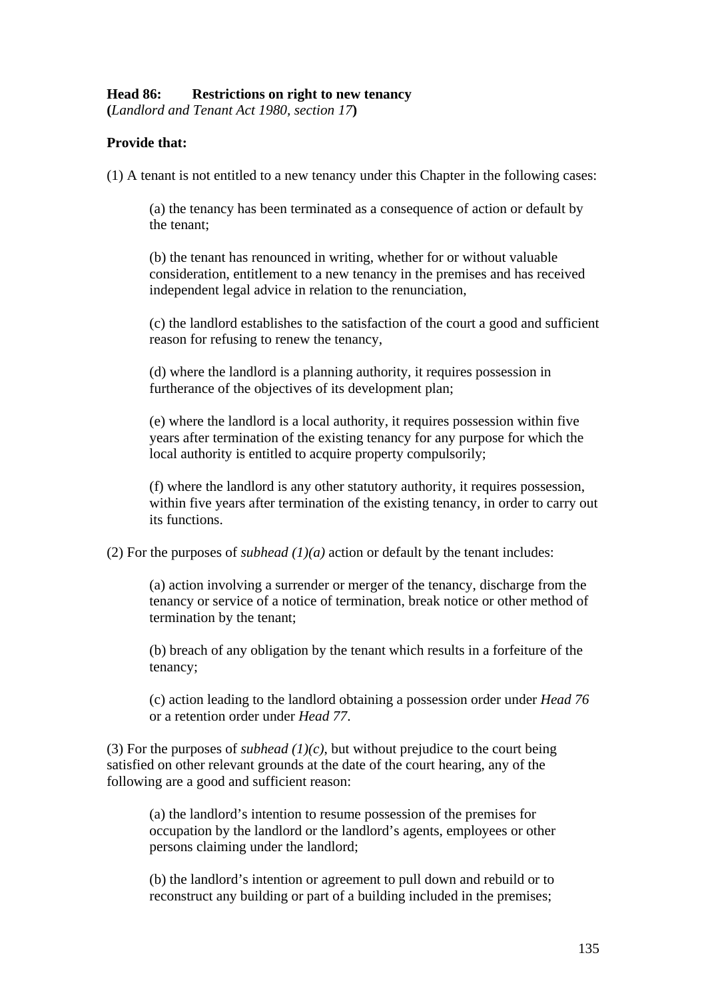## **Head 86: Restrictions on right to new tenancy**

**(***Landlord and Tenant Act 1980, section 17***)** 

## **Provide that:**

(1) A tenant is not entitled to a new tenancy under this Chapter in the following cases:

(a) the tenancy has been terminated as a consequence of action or default by the tenant;

(b) the tenant has renounced in writing, whether for or without valuable consideration, entitlement to a new tenancy in the premises and has received independent legal advice in relation to the renunciation,

(c) the landlord establishes to the satisfaction of the court a good and sufficient reason for refusing to renew the tenancy,

(d) where the landlord is a planning authority, it requires possession in furtherance of the objectives of its development plan;

(e) where the landlord is a local authority, it requires possession within five years after termination of the existing tenancy for any purpose for which the local authority is entitled to acquire property compulsorily;

(f) where the landlord is any other statutory authority, it requires possession, within five years after termination of the existing tenancy, in order to carry out its functions.

(2) For the purposes of *subhead*  $(1)(a)$  action or default by the tenant includes:

(a) action involving a surrender or merger of the tenancy, discharge from the tenancy or service of a notice of termination, break notice or other method of termination by the tenant;

(b) breach of any obligation by the tenant which results in a forfeiture of the tenancy;

(c) action leading to the landlord obtaining a possession order under *Head 76*  or a retention order under *Head 77*.

(3) For the purposes of *subhead (1)(c)*, but without prejudice to the court being satisfied on other relevant grounds at the date of the court hearing, any of the following are a good and sufficient reason:

(a) the landlord's intention to resume possession of the premises for occupation by the landlord or the landlord's agents, employees or other persons claiming under the landlord;

(b) the landlord's intention or agreement to pull down and rebuild or to reconstruct any building or part of a building included in the premises;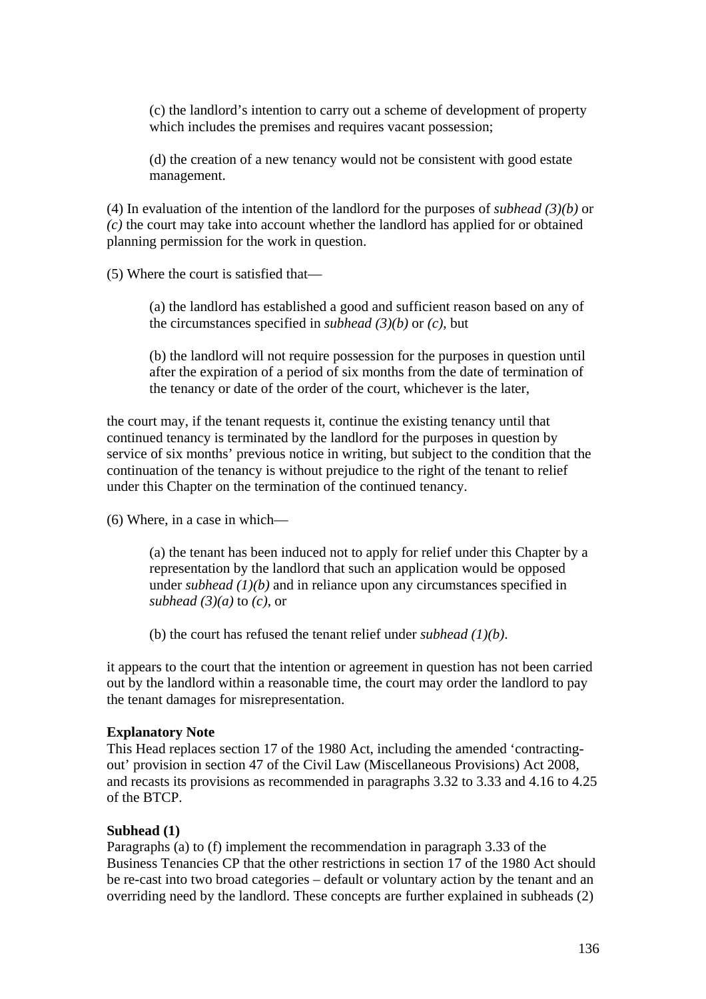(c) the landlord's intention to carry out a scheme of development of property which includes the premises and requires vacant possession;

(d) the creation of a new tenancy would not be consistent with good estate management.

(4) In evaluation of the intention of the landlord for the purposes of *subhead (3)(b)* or *(c)* the court may take into account whether the landlord has applied for or obtained planning permission for the work in question.

(5) Where the court is satisfied that—

(a) the landlord has established a good and sufficient reason based on any of the circumstances specified in *subhead (3)(b)* or *(c)*, but

(b) the landlord will not require possession for the purposes in question until after the expiration of a period of six months from the date of termination of the tenancy or date of the order of the court, whichever is the later,

the court may, if the tenant requests it, continue the existing tenancy until that continued tenancy is terminated by the landlord for the purposes in question by service of six months' previous notice in writing, but subject to the condition that the continuation of the tenancy is without prejudice to the right of the tenant to relief under this Chapter on the termination of the continued tenancy.

(6) Where, in a case in which—

(a) the tenant has been induced not to apply for relief under this Chapter by a representation by the landlord that such an application would be opposed under *subhead (1)(b)* and in reliance upon any circumstances specified in *subhead (3)(a)* to *(c)*, or

(b) the court has refused the tenant relief under *subhead (1)(b)*.

it appears to the court that the intention or agreement in question has not been carried out by the landlord within a reasonable time, the court may order the landlord to pay the tenant damages for misrepresentation.

#### **Explanatory Note**

This Head replaces section 17 of the 1980 Act, including the amended 'contractingout' provision in section 47 of the Civil Law (Miscellaneous Provisions) Act 2008, and recasts its provisions as recommended in paragraphs 3.32 to 3.33 and 4.16 to 4.25 of the BTCP.

#### **Subhead (1)**

Paragraphs (a) to (f) implement the recommendation in paragraph 3.33 of the Business Tenancies CP that the other restrictions in section 17 of the 1980 Act should be re-cast into two broad categories – default or voluntary action by the tenant and an overriding need by the landlord. These concepts are further explained in subheads (2)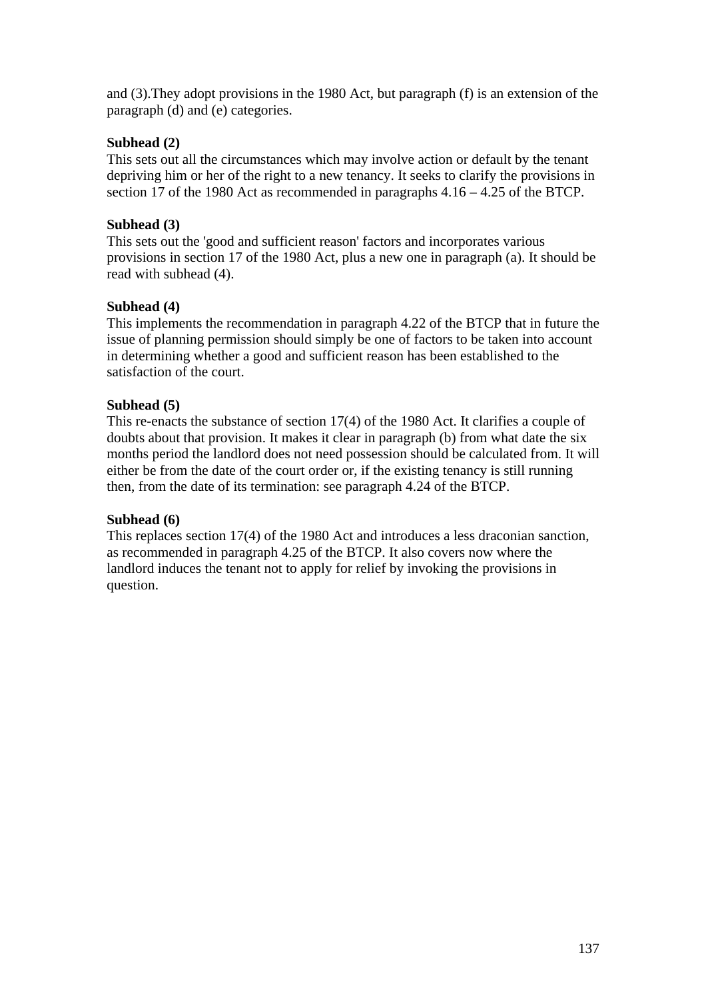and (3).They adopt provisions in the 1980 Act, but paragraph (f) is an extension of the paragraph (d) and (e) categories.

# **Subhead (2)**

This sets out all the circumstances which may involve action or default by the tenant depriving him or her of the right to a new tenancy. It seeks to clarify the provisions in section 17 of the 1980 Act as recommended in paragraphs 4.16 – 4.25 of the BTCP.

# **Subhead (3)**

This sets out the 'good and sufficient reason' factors and incorporates various provisions in section 17 of the 1980 Act, plus a new one in paragraph (a). It should be read with subhead (4).

# **Subhead (4)**

This implements the recommendation in paragraph 4.22 of the BTCP that in future the issue of planning permission should simply be one of factors to be taken into account in determining whether a good and sufficient reason has been established to the satisfaction of the court.

# **Subhead (5)**

This re-enacts the substance of section 17(4) of the 1980 Act. It clarifies a couple of doubts about that provision. It makes it clear in paragraph (b) from what date the six months period the landlord does not need possession should be calculated from. It will either be from the date of the court order or, if the existing tenancy is still running then, from the date of its termination: see paragraph 4.24 of the BTCP.

# **Subhead (6)**

This replaces section 17(4) of the 1980 Act and introduces a less draconian sanction, as recommended in paragraph 4.25 of the BTCP. It also covers now where the landlord induces the tenant not to apply for relief by invoking the provisions in question.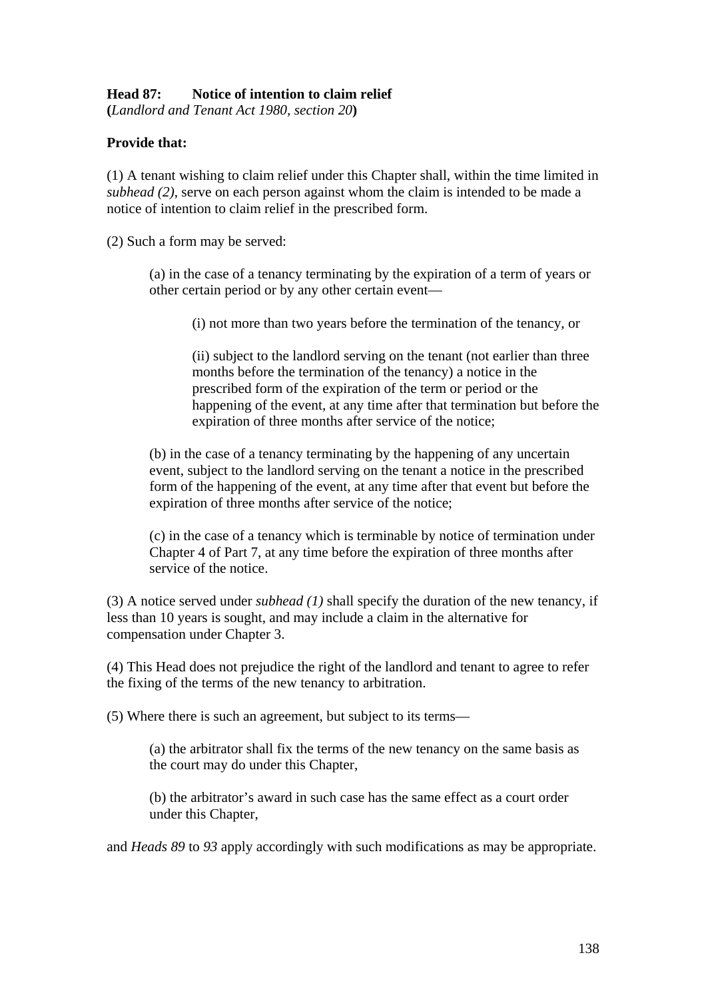## **Head 87: Notice of intention to claim relief**

**(***Landlord and Tenant Act 1980, section 20***)** 

## **Provide that:**

(1) A tenant wishing to claim relief under this Chapter shall, within the time limited in *subhead (2)*, serve on each person against whom the claim is intended to be made a notice of intention to claim relief in the prescribed form.

(2) Such a form may be served:

(a) in the case of a tenancy terminating by the expiration of a term of years or other certain period or by any other certain event—

(i) not more than two years before the termination of the tenancy, or

(ii) subject to the landlord serving on the tenant (not earlier than three months before the termination of the tenancy) a notice in the prescribed form of the expiration of the term or period or the happening of the event, at any time after that termination but before the expiration of three months after service of the notice;

(b) in the case of a tenancy terminating by the happening of any uncertain event, subject to the landlord serving on the tenant a notice in the prescribed form of the happening of the event, at any time after that event but before the expiration of three months after service of the notice;

(c) in the case of a tenancy which is terminable by notice of termination under Chapter 4 of Part 7, at any time before the expiration of three months after service of the notice.

(3) A notice served under *subhead (1)* shall specify the duration of the new tenancy, if less than 10 years is sought, and may include a claim in the alternative for compensation under Chapter 3.

(4) This Head does not prejudice the right of the landlord and tenant to agree to refer the fixing of the terms of the new tenancy to arbitration.

(5) Where there is such an agreement, but subject to its terms—

(a) the arbitrator shall fix the terms of the new tenancy on the same basis as the court may do under this Chapter,

(b) the arbitrator's award in such case has the same effect as a court order under this Chapter,

and *Heads 89* to *93* apply accordingly with such modifications as may be appropriate.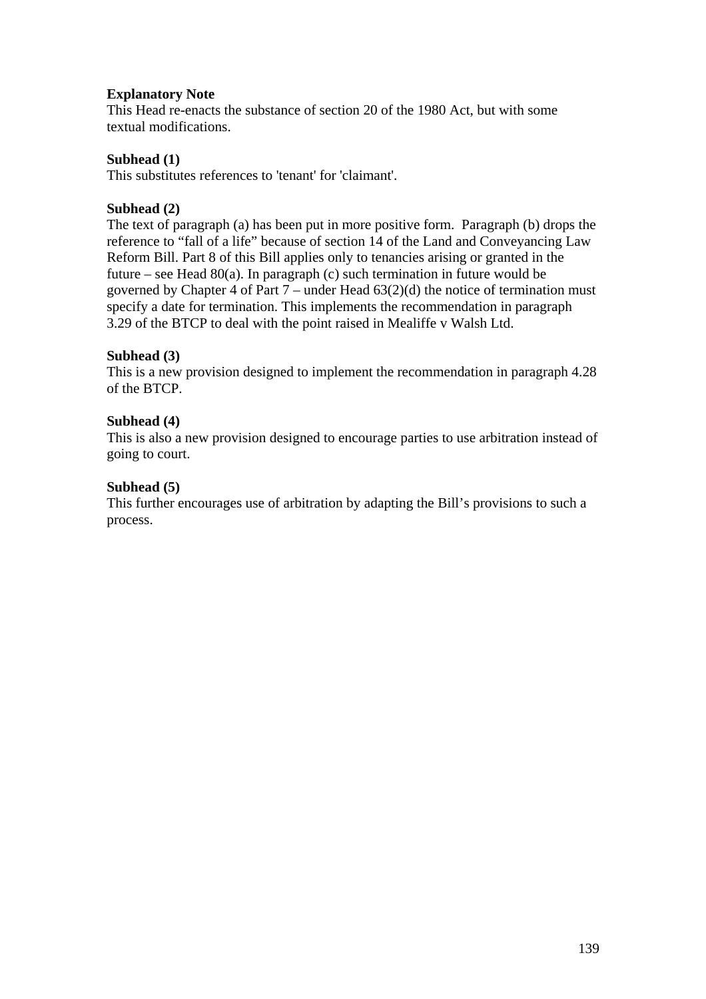## **Explanatory Note**

This Head re-enacts the substance of section 20 of the 1980 Act, but with some textual modifications.

### **Subhead (1)**

This substitutes references to 'tenant' for 'claimant'.

## **Subhead (2)**

The text of paragraph (a) has been put in more positive form. Paragraph (b) drops the reference to "fall of a life" because of section 14 of the Land and Conveyancing Law Reform Bill. Part 8 of this Bill applies only to tenancies arising or granted in the future – see Head  $80(a)$ . In paragraph (c) such termination in future would be governed by Chapter 4 of Part  $7$  – under Head  $63(2)(d)$  the notice of termination must specify a date for termination. This implements the recommendation in paragraph 3.29 of the BTCP to deal with the point raised in Mealiffe v Walsh Ltd.

## **Subhead (3)**

This is a new provision designed to implement the recommendation in paragraph 4.28 of the BTCP.

### **Subhead (4)**

This is also a new provision designed to encourage parties to use arbitration instead of going to court.

### **Subhead (5)**

This further encourages use of arbitration by adapting the Bill's provisions to such a process.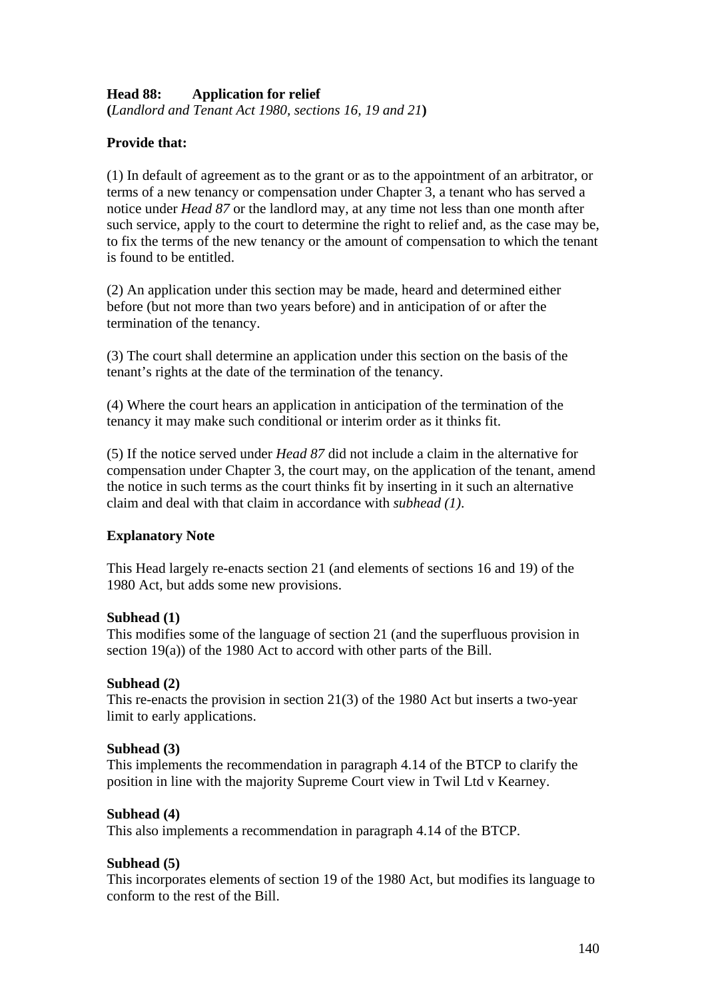# **Head 88: Application for relief**

**(***Landlord and Tenant Act 1980, sections 16, 19 and 21***)** 

# **Provide that:**

(1) In default of agreement as to the grant or as to the appointment of an arbitrator, or terms of a new tenancy or compensation under Chapter 3, a tenant who has served a notice under *Head 87* or the landlord may, at any time not less than one month after such service, apply to the court to determine the right to relief and, as the case may be, to fix the terms of the new tenancy or the amount of compensation to which the tenant is found to be entitled.

(2) An application under this section may be made, heard and determined either before (but not more than two years before) and in anticipation of or after the termination of the tenancy.

(3) The court shall determine an application under this section on the basis of the tenant's rights at the date of the termination of the tenancy.

(4) Where the court hears an application in anticipation of the termination of the tenancy it may make such conditional or interim order as it thinks fit.

(5) If the notice served under *Head 87* did not include a claim in the alternative for compensation under Chapter 3, the court may, on the application of the tenant, amend the notice in such terms as the court thinks fit by inserting in it such an alternative claim and deal with that claim in accordance with *subhead (1)*.

# **Explanatory Note**

This Head largely re-enacts section 21 (and elements of sections 16 and 19) of the 1980 Act, but adds some new provisions.

### **Subhead (1)**

This modifies some of the language of section 21 (and the superfluous provision in section 19(a)) of the 1980 Act to accord with other parts of the Bill.

### **Subhead (2)**

This re-enacts the provision in section 21(3) of the 1980 Act but inserts a two-year limit to early applications.

### **Subhead (3)**

This implements the recommendation in paragraph 4.14 of the BTCP to clarify the position in line with the majority Supreme Court view in Twil Ltd v Kearney.

### **Subhead (4)**

This also implements a recommendation in paragraph 4.14 of the BTCP.

### **Subhead (5)**

This incorporates elements of section 19 of the 1980 Act, but modifies its language to conform to the rest of the Bill.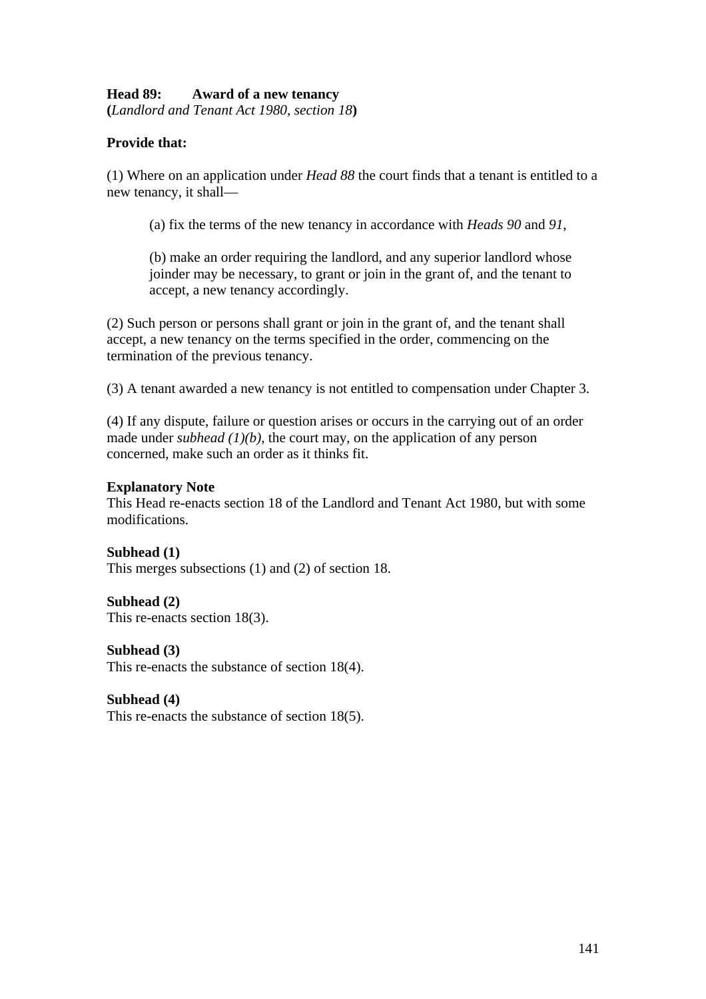## **Head 89: Award of a new tenancy**

**(***Landlord and Tenant Act 1980, section 18***)** 

## **Provide that:**

(1) Where on an application under *Head 88* the court finds that a tenant is entitled to a new tenancy, it shall—

(a) fix the terms of the new tenancy in accordance with *Heads 90* and *91*,

(b) make an order requiring the landlord, and any superior landlord whose joinder may be necessary, to grant or join in the grant of, and the tenant to accept, a new tenancy accordingly.

(2) Such person or persons shall grant or join in the grant of, and the tenant shall accept, a new tenancy on the terms specified in the order, commencing on the termination of the previous tenancy.

(3) A tenant awarded a new tenancy is not entitled to compensation under Chapter 3.

(4) If any dispute, failure or question arises or occurs in the carrying out of an order made under *subhead*  $(1)(b)$ , the court may, on the application of any person concerned, make such an order as it thinks fit.

#### **Explanatory Note**

This Head re-enacts section 18 of the Landlord and Tenant Act 1980, but with some modifications.

**Subhead (1)**  This merges subsections (1) and (2) of section 18.

**Subhead (2)**  This re-enacts section 18(3).

**Subhead (3)**  This re-enacts the substance of section 18(4).

**Subhead (4)** 

This re-enacts the substance of section 18(5).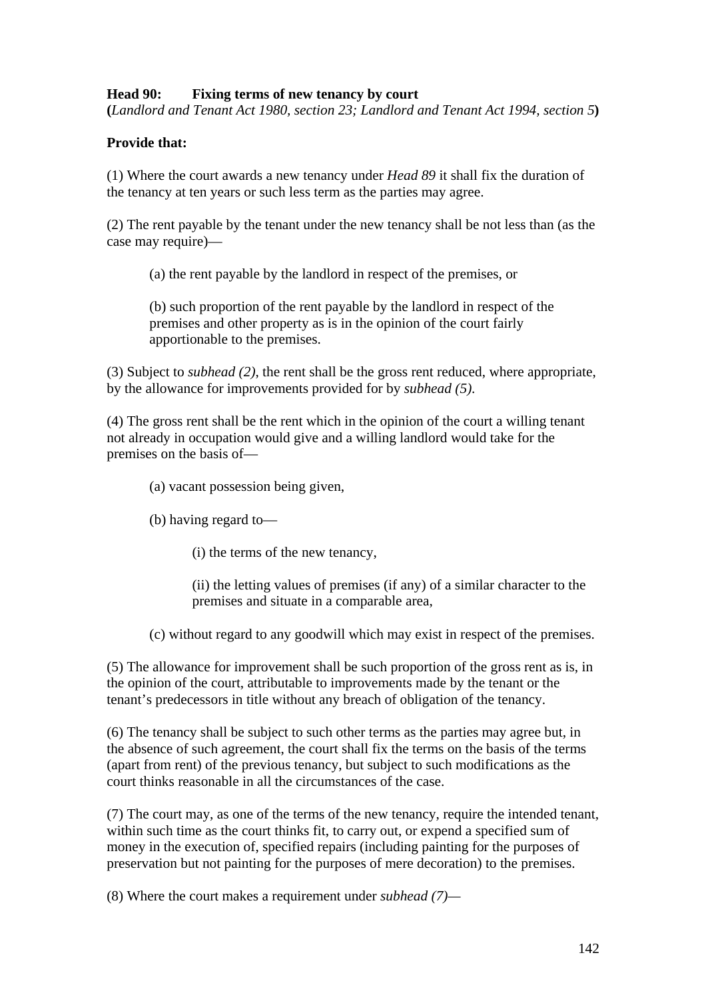## **Head 90: Fixing terms of new tenancy by court**

**(***Landlord and Tenant Act 1980, section 23; Landlord and Tenant Act 1994, section 5***)** 

## **Provide that:**

(1) Where the court awards a new tenancy under *Head 89* it shall fix the duration of the tenancy at ten years or such less term as the parties may agree.

(2) The rent payable by the tenant under the new tenancy shall be not less than (as the case may require)—

(a) the rent payable by the landlord in respect of the premises, or

(b) such proportion of the rent payable by the landlord in respect of the premises and other property as is in the opinion of the court fairly apportionable to the premises.

(3) Subject to *subhead (2)*, the rent shall be the gross rent reduced, where appropriate, by the allowance for improvements provided for by *subhead (5)*.

(4) The gross rent shall be the rent which in the opinion of the court a willing tenant not already in occupation would give and a willing landlord would take for the premises on the basis of—

(a) vacant possession being given,

(b) having regard to—

(i) the terms of the new tenancy,

(ii) the letting values of premises (if any) of a similar character to the premises and situate in a comparable area,

(c) without regard to any goodwill which may exist in respect of the premises.

(5) The allowance for improvement shall be such proportion of the gross rent as is, in the opinion of the court, attributable to improvements made by the tenant or the tenant's predecessors in title without any breach of obligation of the tenancy.

(6) The tenancy shall be subject to such other terms as the parties may agree but, in the absence of such agreement, the court shall fix the terms on the basis of the terms (apart from rent) of the previous tenancy, but subject to such modifications as the court thinks reasonable in all the circumstances of the case.

(7) The court may, as one of the terms of the new tenancy, require the intended tenant, within such time as the court thinks fit, to carry out, or expend a specified sum of money in the execution of, specified repairs (including painting for the purposes of preservation but not painting for the purposes of mere decoration) to the premises.

(8) Where the court makes a requirement under *subhead (7)—*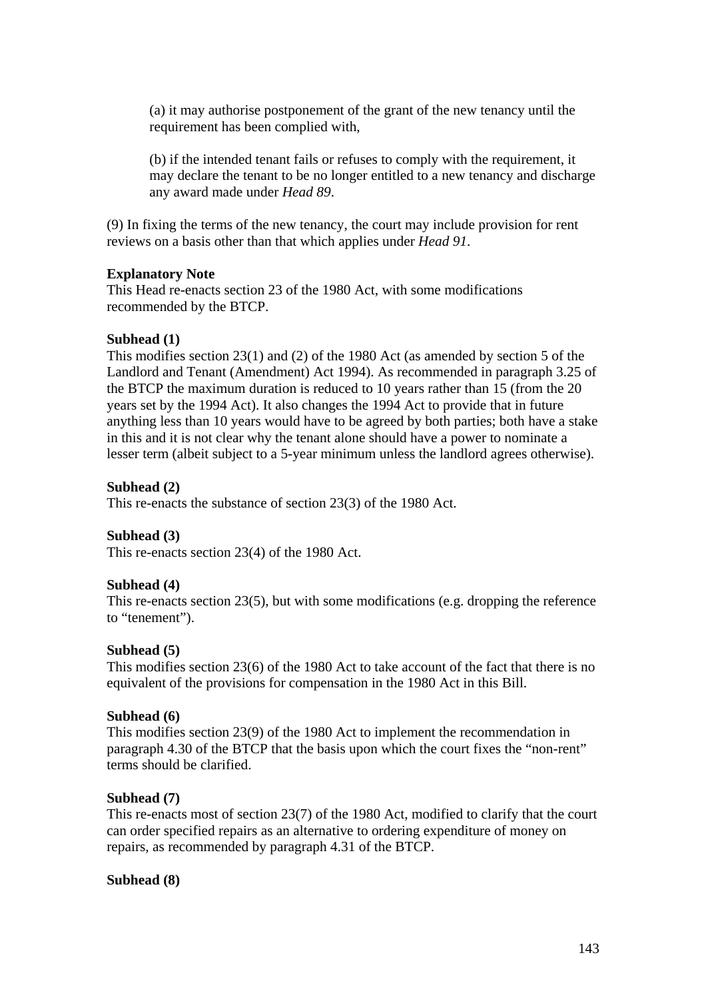(a) it may authorise postponement of the grant of the new tenancy until the requirement has been complied with,

(b) if the intended tenant fails or refuses to comply with the requirement, it may declare the tenant to be no longer entitled to a new tenancy and discharge any award made under *Head 89*.

(9) In fixing the terms of the new tenancy, the court may include provision for rent reviews on a basis other than that which applies under *Head 91*.

#### **Explanatory Note**

This Head re-enacts section 23 of the 1980 Act, with some modifications recommended by the BTCP.

## **Subhead (1)**

This modifies section 23(1) and (2) of the 1980 Act (as amended by section 5 of the Landlord and Tenant (Amendment) Act 1994). As recommended in paragraph 3.25 of the BTCP the maximum duration is reduced to 10 years rather than 15 (from the 20 years set by the 1994 Act). It also changes the 1994 Act to provide that in future anything less than 10 years would have to be agreed by both parties; both have a stake in this and it is not clear why the tenant alone should have a power to nominate a lesser term (albeit subject to a 5-year minimum unless the landlord agrees otherwise).

#### **Subhead (2)**

This re-enacts the substance of section 23(3) of the 1980 Act.

### **Subhead (3)**

This re-enacts section 23(4) of the 1980 Act.

#### **Subhead (4)**

This re-enacts section 23(5), but with some modifications (e.g. dropping the reference to "tenement").

#### **Subhead (5)**

This modifies section 23(6) of the 1980 Act to take account of the fact that there is no equivalent of the provisions for compensation in the 1980 Act in this Bill.

#### **Subhead (6)**

This modifies section 23(9) of the 1980 Act to implement the recommendation in paragraph 4.30 of the BTCP that the basis upon which the court fixes the "non-rent" terms should be clarified.

#### **Subhead (7)**

This re-enacts most of section 23(7) of the 1980 Act, modified to clarify that the court can order specified repairs as an alternative to ordering expenditure of money on repairs, as recommended by paragraph 4.31 of the BTCP.

#### **Subhead (8)**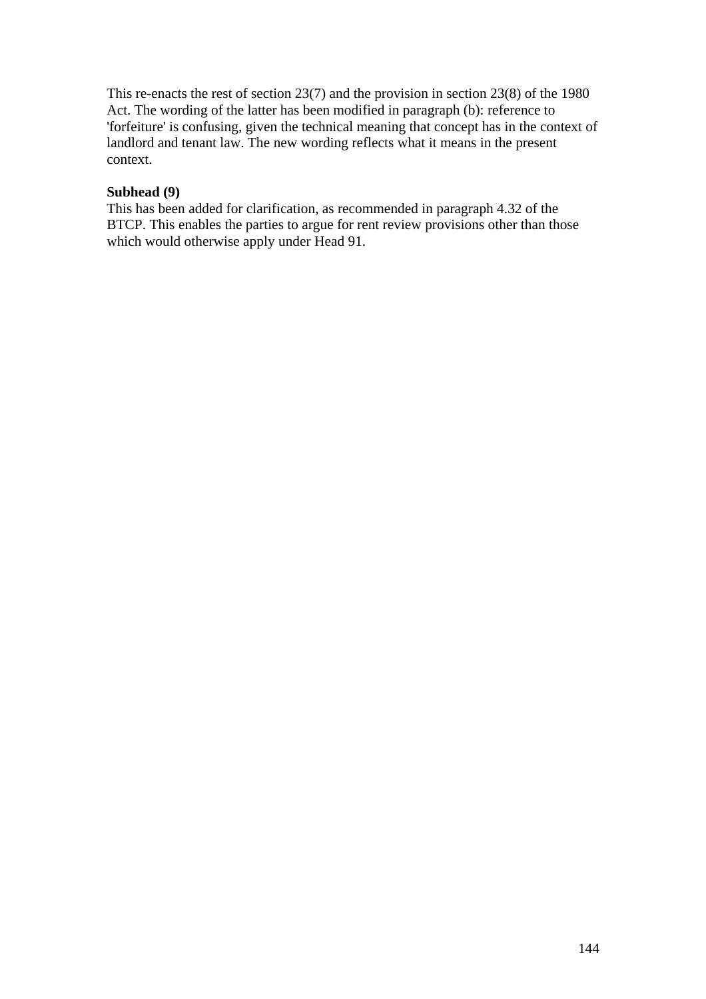This re-enacts the rest of section 23(7) and the provision in section 23(8) of the 1980 Act. The wording of the latter has been modified in paragraph (b): reference to 'forfeiture' is confusing, given the technical meaning that concept has in the context of landlord and tenant law. The new wording reflects what it means in the present context.

## **Subhead (9)**

This has been added for clarification, as recommended in paragraph 4.32 of the BTCP. This enables the parties to argue for rent review provisions other than those which would otherwise apply under Head 91.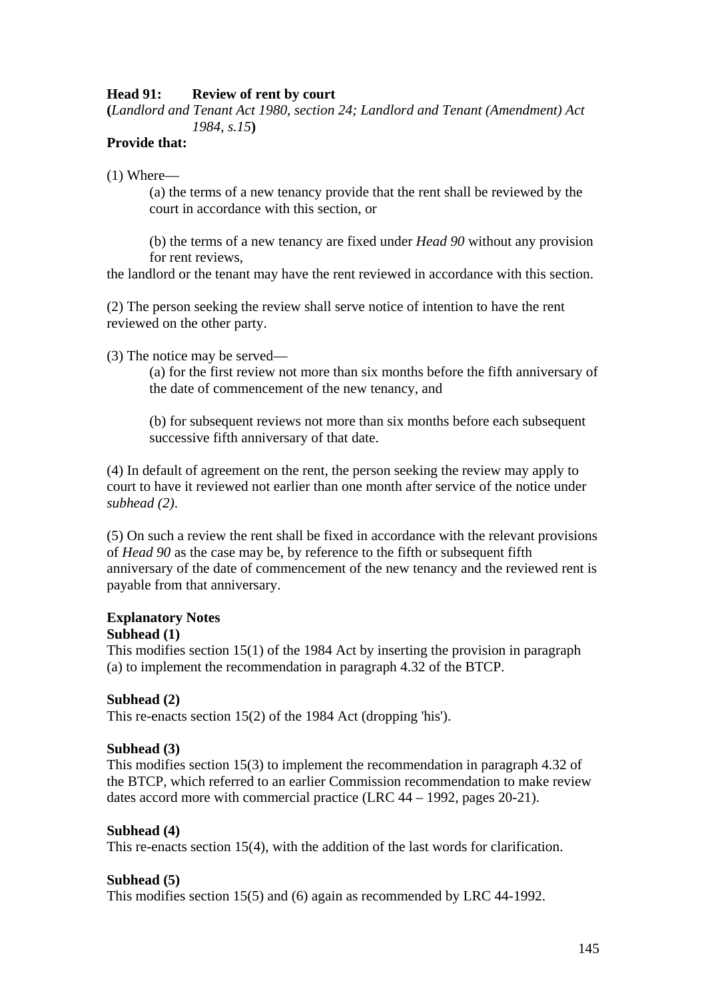## **Head 91: Review of rent by court**

**(***Landlord and Tenant Act 1980, section 24; Landlord and Tenant (Amendment) Act 1984, s.15***)** 

#### **Provide that:**

(1) Where—

(a) the terms of a new tenancy provide that the rent shall be reviewed by the court in accordance with this section, or

(b) the terms of a new tenancy are fixed under *Head 90* without any provision for rent reviews,

the landlord or the tenant may have the rent reviewed in accordance with this section.

(2) The person seeking the review shall serve notice of intention to have the rent reviewed on the other party.

(3) The notice may be served—

(a) for the first review not more than six months before the fifth anniversary of the date of commencement of the new tenancy, and

(b) for subsequent reviews not more than six months before each subsequent successive fifth anniversary of that date.

(4) In default of agreement on the rent, the person seeking the review may apply to court to have it reviewed not earlier than one month after service of the notice under *subhead (2)*.

(5) On such a review the rent shall be fixed in accordance with the relevant provisions of *Head 90* as the case may be, by reference to the fifth or subsequent fifth anniversary of the date of commencement of the new tenancy and the reviewed rent is payable from that anniversary.

#### **Explanatory Notes Subhead (1)**

This modifies section 15(1) of the 1984 Act by inserting the provision in paragraph (a) to implement the recommendation in paragraph 4.32 of the BTCP.

#### **Subhead (2)**

This re-enacts section 15(2) of the 1984 Act (dropping 'his').

#### **Subhead (3)**

This modifies section 15(3) to implement the recommendation in paragraph 4.32 of the BTCP, which referred to an earlier Commission recommendation to make review dates accord more with commercial practice (LRC 44 – 1992, pages 20-21).

#### **Subhead (4)**

This re-enacts section 15(4), with the addition of the last words for clarification.

#### **Subhead (5)**

This modifies section 15(5) and (6) again as recommended by LRC 44-1992.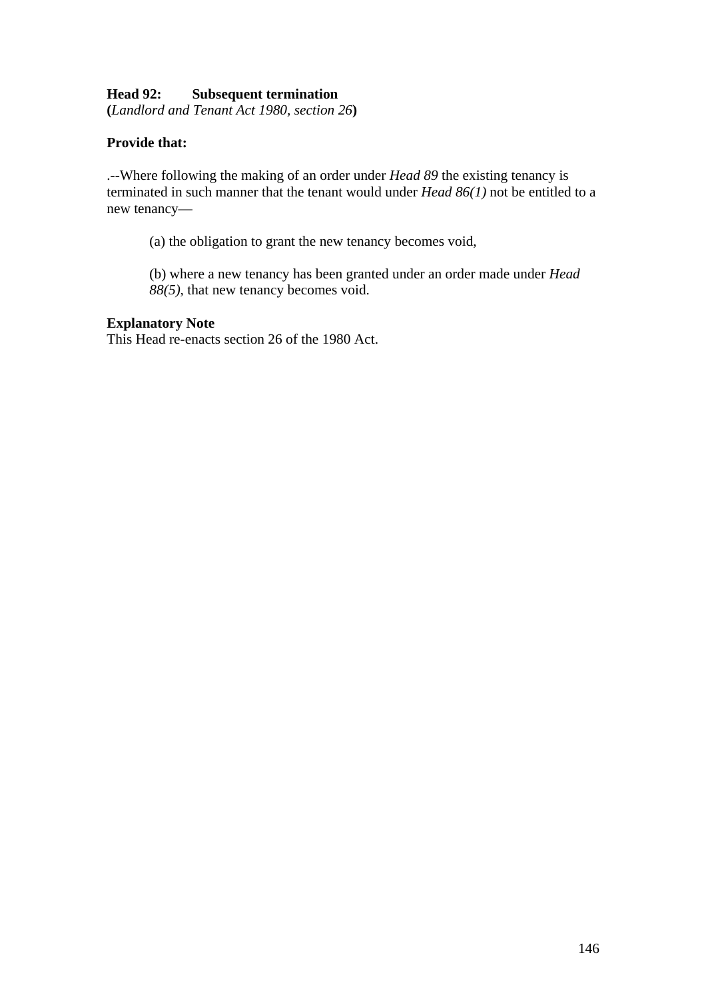## **Head 92: Subsequent termination**

**(***Landlord and Tenant Act 1980, section 26***)** 

## **Provide that:**

.--Where following the making of an order under *Head 89* the existing tenancy is terminated in such manner that the tenant would under *Head 86(1)* not be entitled to a new tenancy—

(a) the obligation to grant the new tenancy becomes void,

(b) where a new tenancy has been granted under an order made under *Head 88(5)*, that new tenancy becomes void.

#### **Explanatory Note**

This Head re-enacts section 26 of the 1980 Act.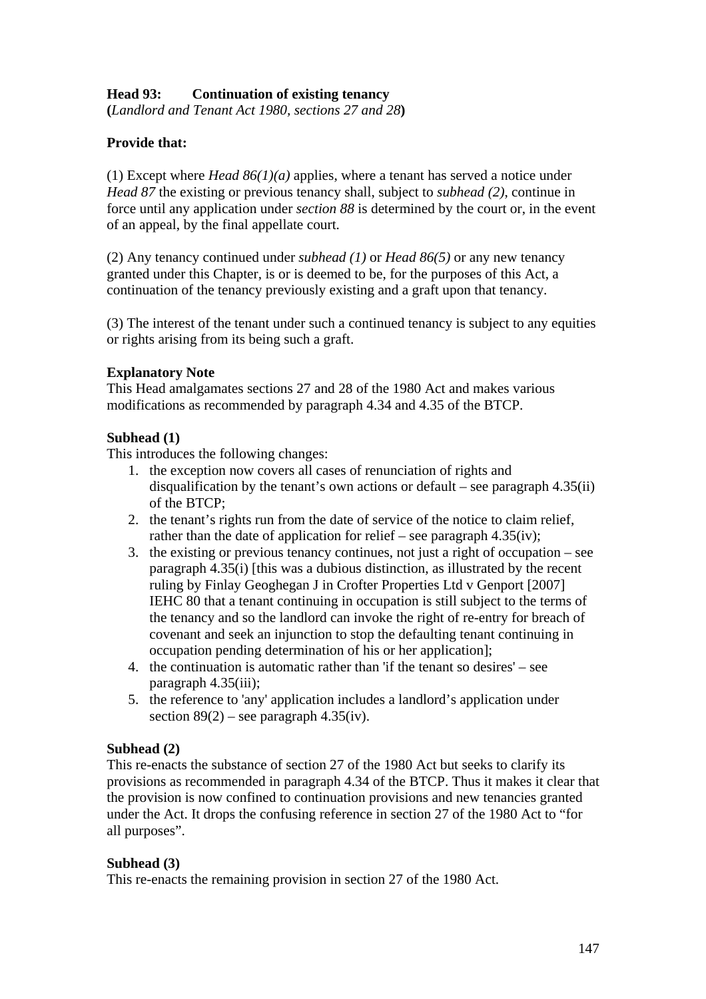## **Head 93: Continuation of existing tenancy**

**(***Landlord and Tenant Act 1980, sections 27 and 28***)** 

## **Provide that:**

(1) Except where *Head 86(1)(a)* applies, where a tenant has served a notice under *Head 87* the existing or previous tenancy shall, subject to *subhead (2)*, continue in force until any application under *section 88* is determined by the court or, in the event of an appeal, by the final appellate court.

(2) Any tenancy continued under *subhead (1)* or *Head 86(5)* or any new tenancy granted under this Chapter, is or is deemed to be, for the purposes of this Act, a continuation of the tenancy previously existing and a graft upon that tenancy.

(3) The interest of the tenant under such a continued tenancy is subject to any equities or rights arising from its being such a graft.

## **Explanatory Note**

This Head amalgamates sections 27 and 28 of the 1980 Act and makes various modifications as recommended by paragraph 4.34 and 4.35 of the BTCP.

## **Subhead (1)**

This introduces the following changes:

- 1. the exception now covers all cases of renunciation of rights and disqualification by the tenant's own actions or default – see paragraph 4.35(ii) of the BTCP;
- 2. the tenant's rights run from the date of service of the notice to claim relief, rather than the date of application for relief – see paragraph  $4.35(iv)$ ;
- 3. the existing or previous tenancy continues, not just a right of occupation see paragraph 4.35(i) [this was a dubious distinction, as illustrated by the recent ruling by Finlay Geoghegan J in Crofter Properties Ltd v Genport [2007] IEHC 80 that a tenant continuing in occupation is still subject to the terms of the tenancy and so the landlord can invoke the right of re-entry for breach of covenant and seek an injunction to stop the defaulting tenant continuing in occupation pending determination of his or her application];
- 4. the continuation is automatic rather than 'if the tenant so desires' see paragraph 4.35(iii);
- 5. the reference to 'any' application includes a landlord's application under section  $89(2)$  – see paragraph 4.35(iv).

#### **Subhead (2)**

This re-enacts the substance of section 27 of the 1980 Act but seeks to clarify its provisions as recommended in paragraph 4.34 of the BTCP. Thus it makes it clear that the provision is now confined to continuation provisions and new tenancies granted under the Act. It drops the confusing reference in section 27 of the 1980 Act to "for all purposes".

#### **Subhead (3)**

This re-enacts the remaining provision in section 27 of the 1980 Act.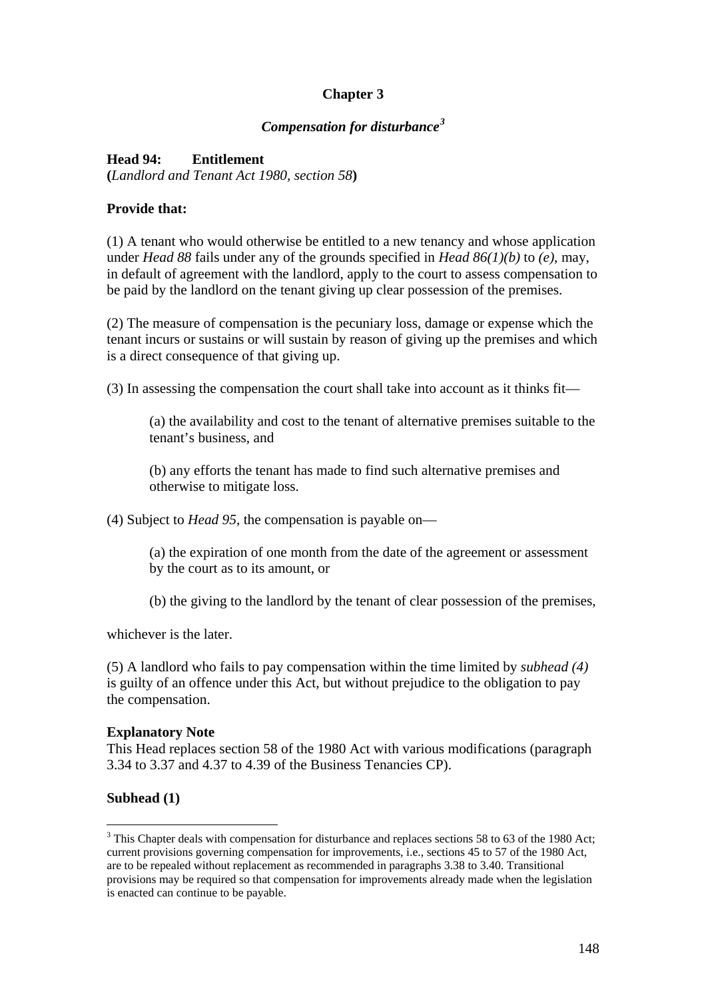# **Chapter 3**

## *Compensation for disturbance[3](#page-147-0)*

## **Head 94: Entitlement**

**(***Landlord and Tenant Act 1980, section 58***)** 

#### **Provide that:**

(1) A tenant who would otherwise be entitled to a new tenancy and whose application under *Head 88* fails under any of the grounds specified in *Head 86(1)(b)* to *(e)*, may, in default of agreement with the landlord, apply to the court to assess compensation to be paid by the landlord on the tenant giving up clear possession of the premises.

(2) The measure of compensation is the pecuniary loss, damage or expense which the tenant incurs or sustains or will sustain by reason of giving up the premises and which is a direct consequence of that giving up.

(3) In assessing the compensation the court shall take into account as it thinks fit—

(a) the availability and cost to the tenant of alternative premises suitable to the tenant's business, and

(b) any efforts the tenant has made to find such alternative premises and otherwise to mitigate loss.

(4) Subject to *Head 95*, the compensation is payable on—

(a) the expiration of one month from the date of the agreement or assessment by the court as to its amount, or

(b) the giving to the landlord by the tenant of clear possession of the premises,

whichever is the later.

(5) A landlord who fails to pay compensation within the time limited by *subhead (4)*  is guilty of an offence under this Act, but without prejudice to the obligation to pay the compensation.

#### **Explanatory Note**

This Head replaces section 58 of the 1980 Act with various modifications (paragraph 3.34 to 3.37 and 4.37 to 4.39 of the Business Tenancies CP).

## **Subhead (1)**

 $\overline{a}$ 

<span id="page-147-0"></span> $3$  This Chapter deals with compensation for disturbance and replaces sections 58 to 63 of the 1980 Act; current provisions governing compensation for improvements, i.e., sections 45 to 57 of the 1980 Act, are to be repealed without replacement as recommended in paragraphs 3.38 to 3.40. Transitional provisions may be required so that compensation for improvements already made when the legislation is enacted can continue to be payable.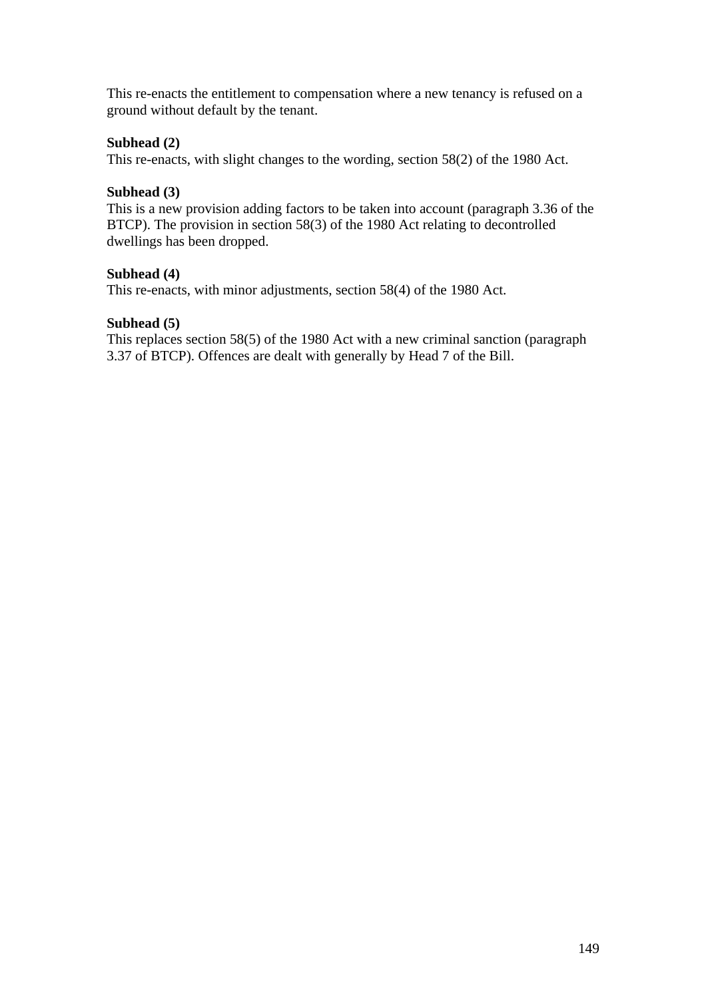This re-enacts the entitlement to compensation where a new tenancy is refused on a ground without default by the tenant.

## **Subhead (2)**

This re-enacts, with slight changes to the wording, section 58(2) of the 1980 Act.

#### **Subhead (3)**

This is a new provision adding factors to be taken into account (paragraph 3.36 of the BTCP). The provision in section 58(3) of the 1980 Act relating to decontrolled dwellings has been dropped.

#### **Subhead (4)**

This re-enacts, with minor adjustments, section 58(4) of the 1980 Act.

#### **Subhead (5)**

This replaces section 58(5) of the 1980 Act with a new criminal sanction (paragraph 3.37 of BTCP). Offences are dealt with generally by Head 7 of the Bill.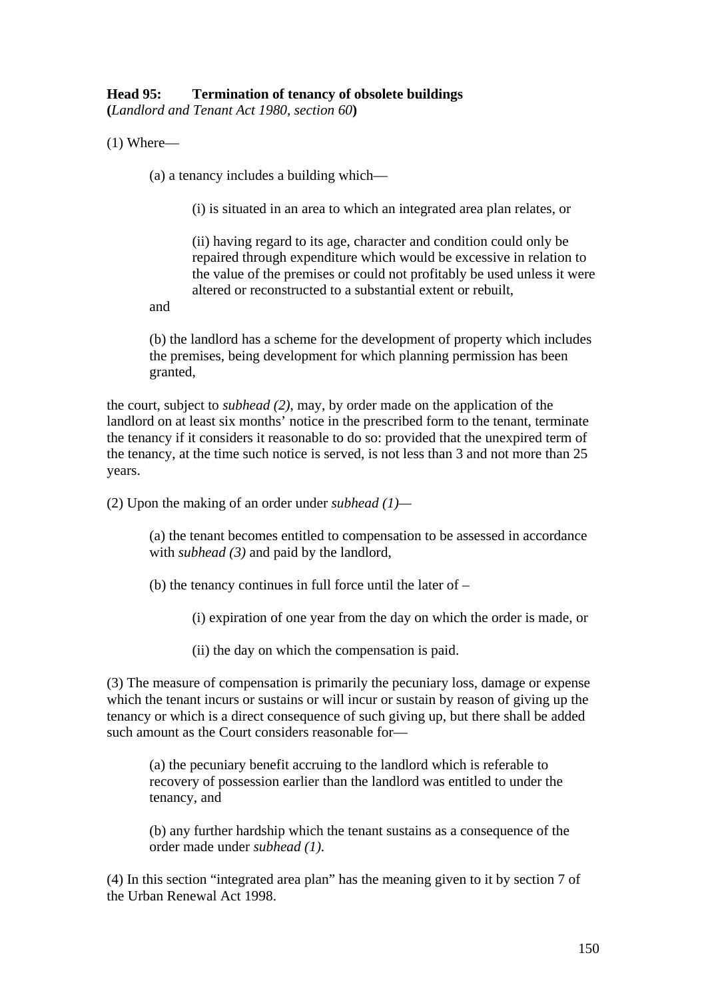## **Head 95: Termination of tenancy of obsolete buildings**

**(***Landlord and Tenant Act 1980, section 60***)** 

(1) Where—

(a) a tenancy includes a building which—

(i) is situated in an area to which an integrated area plan relates, or

(ii) having regard to its age, character and condition could only be repaired through expenditure which would be excessive in relation to the value of the premises or could not profitably be used unless it were altered or reconstructed to a substantial extent or rebuilt,

and

(b) the landlord has a scheme for the development of property which includes the premises, being development for which planning permission has been granted,

the court, subject to *subhead (2)*, may, by order made on the application of the landlord on at least six months' notice in the prescribed form to the tenant, terminate the tenancy if it considers it reasonable to do so: provided that the unexpired term of the tenancy, at the time such notice is served, is not less than 3 and not more than 25 years.

(2) Upon the making of an order under *subhead (1)—*

(a) the tenant becomes entitled to compensation to be assessed in accordance with *subhead* (3) and paid by the landlord,

(b) the tenancy continues in full force until the later of –

(i) expiration of one year from the day on which the order is made, or

(ii) the day on which the compensation is paid.

(3) The measure of compensation is primarily the pecuniary loss, damage or expense which the tenant incurs or sustains or will incur or sustain by reason of giving up the tenancy or which is a direct consequence of such giving up, but there shall be added such amount as the Court considers reasonable for—

(a) the pecuniary benefit accruing to the landlord which is referable to recovery of possession earlier than the landlord was entitled to under the tenancy, and

(b) any further hardship which the tenant sustains as a consequence of the order made under *subhead (1)*.

(4) In this section "integrated area plan" has the meaning given to it by section 7 of the Urban Renewal Act 1998.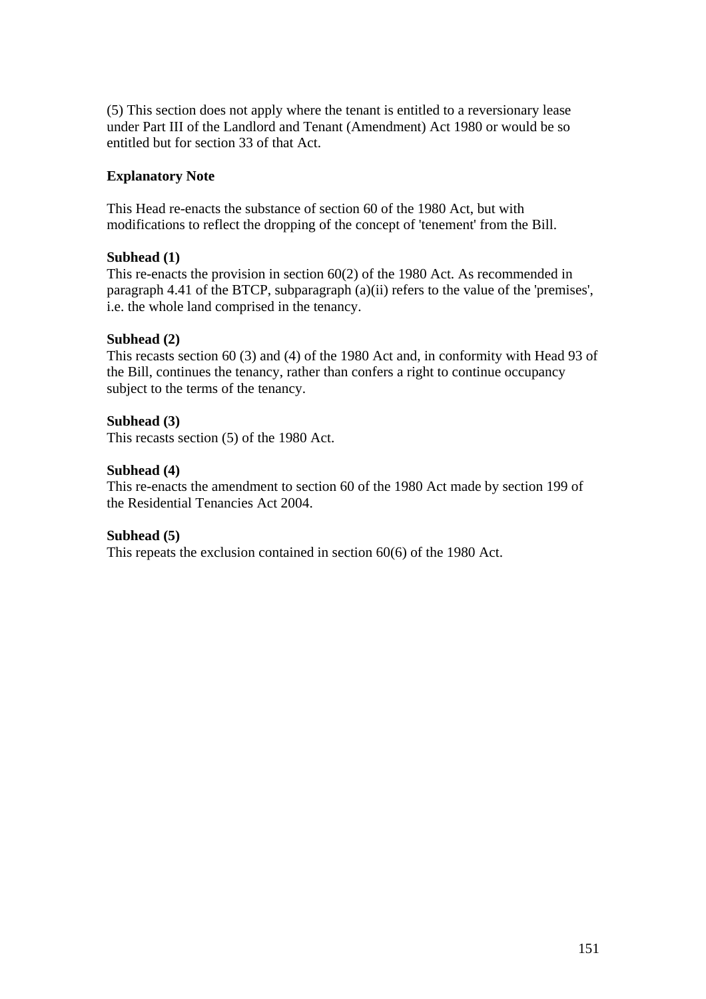(5) This section does not apply where the tenant is entitled to a reversionary lease under Part III of the Landlord and Tenant (Amendment) Act 1980 or would be so entitled but for section 33 of that Act.

## **Explanatory Note**

This Head re-enacts the substance of section 60 of the 1980 Act, but with modifications to reflect the dropping of the concept of 'tenement' from the Bill.

## **Subhead (1)**

This re-enacts the provision in section 60(2) of the 1980 Act. As recommended in paragraph 4.41 of the BTCP, subparagraph (a)(ii) refers to the value of the 'premises', i.e. the whole land comprised in the tenancy.

## **Subhead (2)**

This recasts section 60 (3) and (4) of the 1980 Act and, in conformity with Head 93 of the Bill, continues the tenancy, rather than confers a right to continue occupancy subject to the terms of the tenancy.

## **Subhead (3)**

This recasts section (5) of the 1980 Act.

#### **Subhead (4)**

This re-enacts the amendment to section 60 of the 1980 Act made by section 199 of the Residential Tenancies Act 2004.

#### **Subhead (5)**

This repeats the exclusion contained in section 60(6) of the 1980 Act.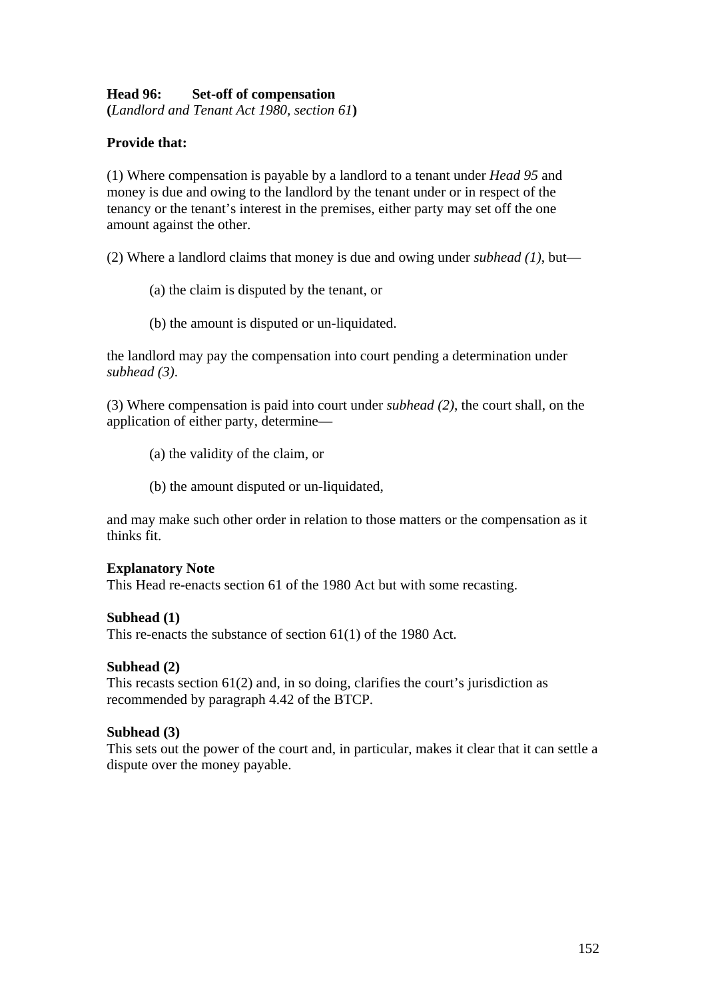## **Head 96: Set-off of compensation**

**(***Landlord and Tenant Act 1980, section 61***)** 

## **Provide that:**

(1) Where compensation is payable by a landlord to a tenant under *Head 95* and money is due and owing to the landlord by the tenant under or in respect of the tenancy or the tenant's interest in the premises, either party may set off the one amount against the other.

(2) Where a landlord claims that money is due and owing under *subhead (1)*, but—

- (a) the claim is disputed by the tenant, or
- (b) the amount is disputed or un-liquidated.

the landlord may pay the compensation into court pending a determination under *subhead (3)*.

(3) Where compensation is paid into court under *subhead (2)*, the court shall, on the application of either party, determine—

- (a) the validity of the claim, or
- (b) the amount disputed or un-liquidated,

and may make such other order in relation to those matters or the compensation as it thinks fit.

#### **Explanatory Note**

This Head re-enacts section 61 of the 1980 Act but with some recasting.

#### **Subhead (1)**

This re-enacts the substance of section 61(1) of the 1980 Act.

#### **Subhead (2)**

This recasts section 61(2) and, in so doing, clarifies the court's jurisdiction as recommended by paragraph 4.42 of the BTCP.

#### **Subhead (3)**

This sets out the power of the court and, in particular, makes it clear that it can settle a dispute over the money payable.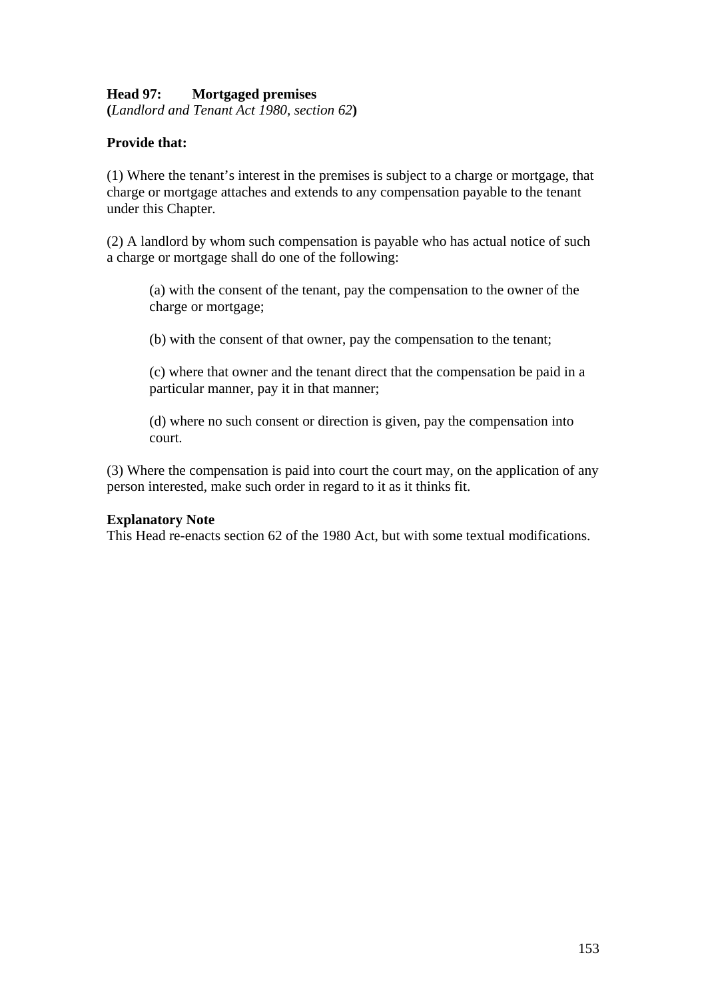## **Head 97: Mortgaged premises**

**(***Landlord and Tenant Act 1980, section 62***)** 

## **Provide that:**

(1) Where the tenant's interest in the premises is subject to a charge or mortgage, that charge or mortgage attaches and extends to any compensation payable to the tenant under this Chapter.

(2) A landlord by whom such compensation is payable who has actual notice of such a charge or mortgage shall do one of the following:

(a) with the consent of the tenant, pay the compensation to the owner of the charge or mortgage;

(b) with the consent of that owner, pay the compensation to the tenant;

(c) where that owner and the tenant direct that the compensation be paid in a particular manner, pay it in that manner;

(d) where no such consent or direction is given, pay the compensation into court.

(3) Where the compensation is paid into court the court may, on the application of any person interested, make such order in regard to it as it thinks fit.

#### **Explanatory Note**

This Head re-enacts section 62 of the 1980 Act, but with some textual modifications.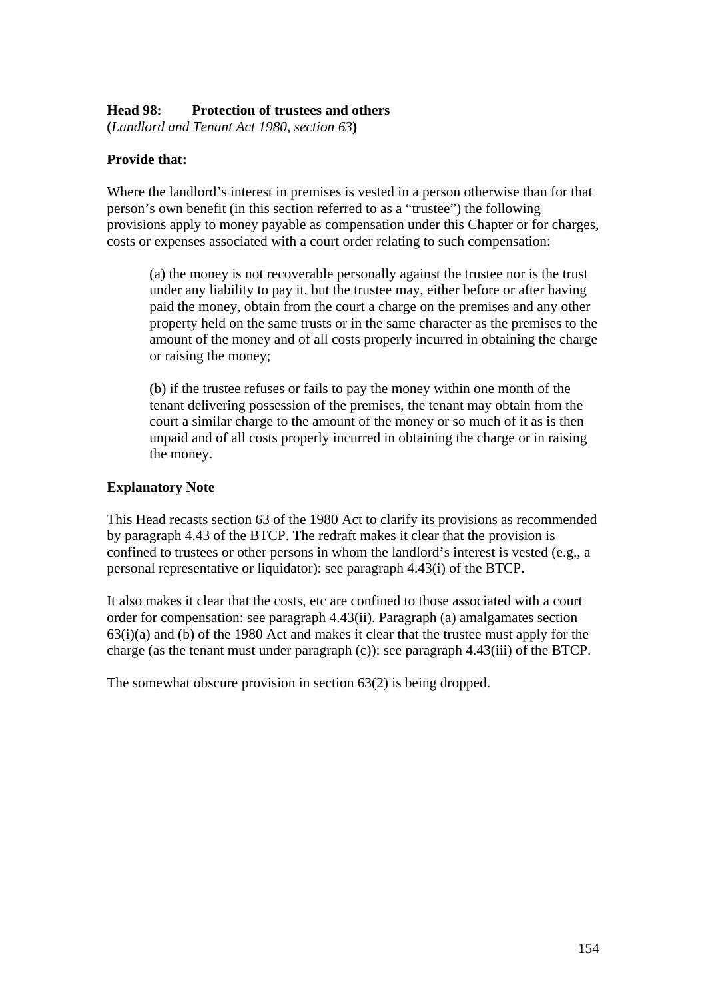#### **Head 98: Protection of trustees and others**

**(***Landlord and Tenant Act 1980, section 63***)** 

## **Provide that:**

Where the landlord's interest in premises is vested in a person otherwise than for that person's own benefit (in this section referred to as a "trustee") the following provisions apply to money payable as compensation under this Chapter or for charges, costs or expenses associated with a court order relating to such compensation:

(a) the money is not recoverable personally against the trustee nor is the trust under any liability to pay it, but the trustee may, either before or after having paid the money, obtain from the court a charge on the premises and any other property held on the same trusts or in the same character as the premises to the amount of the money and of all costs properly incurred in obtaining the charge or raising the money;

(b) if the trustee refuses or fails to pay the money within one month of the tenant delivering possession of the premises, the tenant may obtain from the court a similar charge to the amount of the money or so much of it as is then unpaid and of all costs properly incurred in obtaining the charge or in raising the money.

## **Explanatory Note**

This Head recasts section 63 of the 1980 Act to clarify its provisions as recommended by paragraph 4.43 of the BTCP. The redraft makes it clear that the provision is confined to trustees or other persons in whom the landlord's interest is vested (e.g., a personal representative or liquidator): see paragraph 4.43(i) of the BTCP.

It also makes it clear that the costs, etc are confined to those associated with a court order for compensation: see paragraph 4.43(ii). Paragraph (a) amalgamates section 63(i)(a) and (b) of the 1980 Act and makes it clear that the trustee must apply for the charge (as the tenant must under paragraph (c)): see paragraph 4.43(iii) of the BTCP.

The somewhat obscure provision in section 63(2) is being dropped.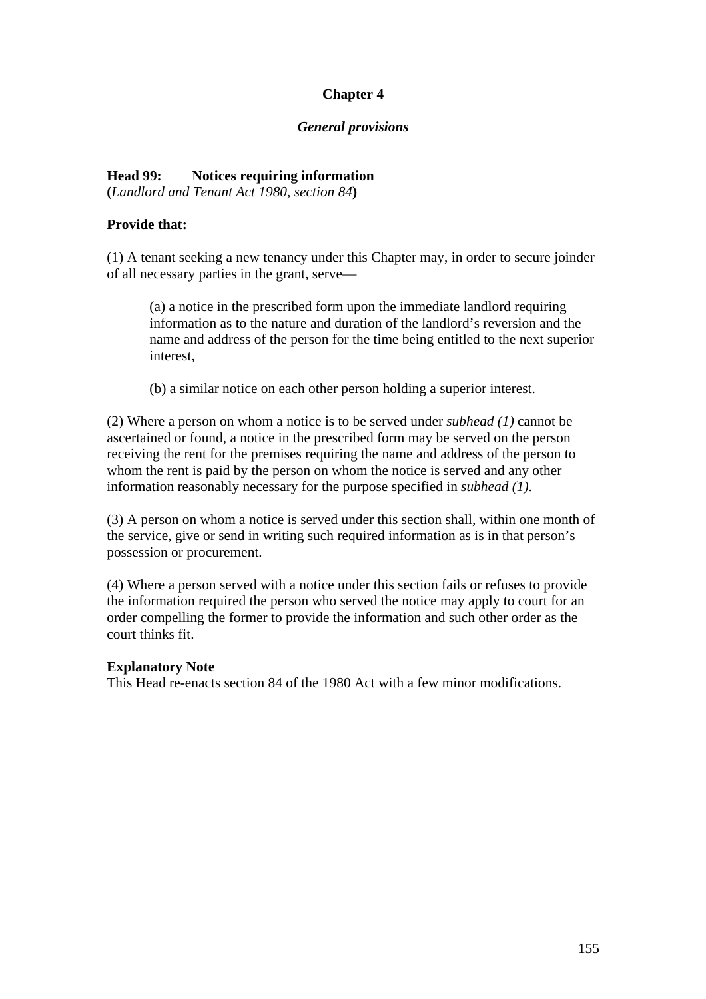# **Chapter 4**

#### *General provisions*

# **Head 99: Notices requiring information**

**(***Landlord and Tenant Act 1980, section 84***)** 

## **Provide that:**

(1) A tenant seeking a new tenancy under this Chapter may, in order to secure joinder of all necessary parties in the grant, serve—

(a) a notice in the prescribed form upon the immediate landlord requiring information as to the nature and duration of the landlord's reversion and the name and address of the person for the time being entitled to the next superior interest,

(b) a similar notice on each other person holding a superior interest.

(2) Where a person on whom a notice is to be served under *subhead (1)* cannot be ascertained or found, a notice in the prescribed form may be served on the person receiving the rent for the premises requiring the name and address of the person to whom the rent is paid by the person on whom the notice is served and any other information reasonably necessary for the purpose specified in *subhead (1)*.

(3) A person on whom a notice is served under this section shall, within one month of the service, give or send in writing such required information as is in that person's possession or procurement.

(4) Where a person served with a notice under this section fails or refuses to provide the information required the person who served the notice may apply to court for an order compelling the former to provide the information and such other order as the court thinks fit.

#### **Explanatory Note**

This Head re-enacts section 84 of the 1980 Act with a few minor modifications.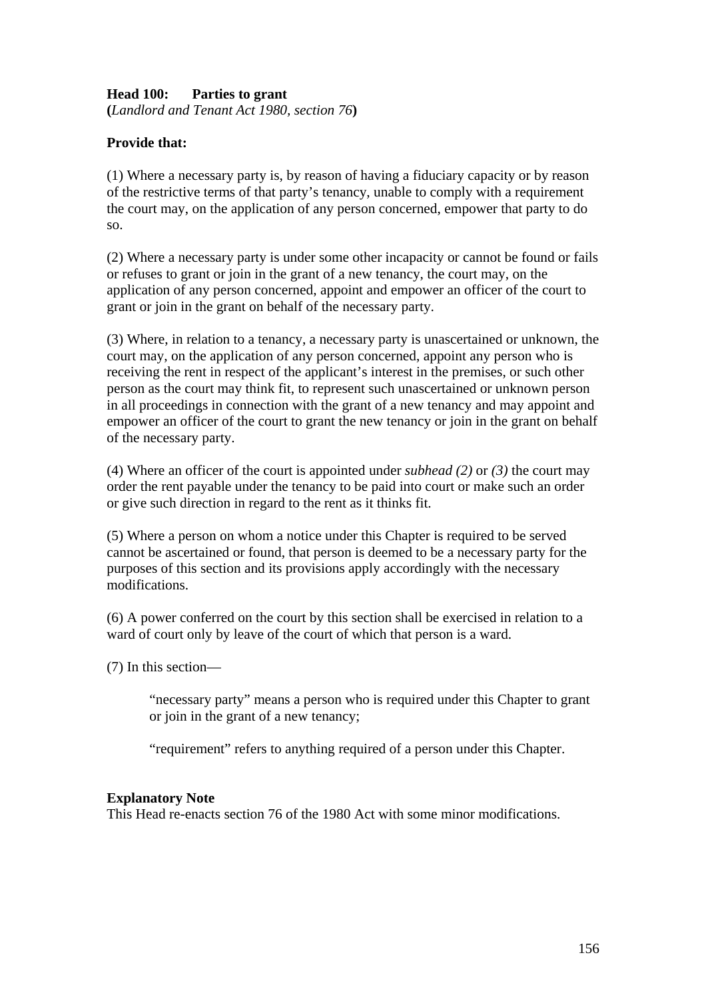## **Head 100: Parties to grant**

**(***Landlord and Tenant Act 1980, section 76***)** 

## **Provide that:**

(1) Where a necessary party is, by reason of having a fiduciary capacity or by reason of the restrictive terms of that party's tenancy, unable to comply with a requirement the court may, on the application of any person concerned, empower that party to do so.

(2) Where a necessary party is under some other incapacity or cannot be found or fails or refuses to grant or join in the grant of a new tenancy, the court may, on the application of any person concerned, appoint and empower an officer of the court to grant or join in the grant on behalf of the necessary party.

(3) Where, in relation to a tenancy, a necessary party is unascertained or unknown, the court may, on the application of any person concerned, appoint any person who is receiving the rent in respect of the applicant's interest in the premises, or such other person as the court may think fit, to represent such unascertained or unknown person in all proceedings in connection with the grant of a new tenancy and may appoint and empower an officer of the court to grant the new tenancy or join in the grant on behalf of the necessary party.

(4) Where an officer of the court is appointed under *subhead (2)* or *(3)* the court may order the rent payable under the tenancy to be paid into court or make such an order or give such direction in regard to the rent as it thinks fit.

(5) Where a person on whom a notice under this Chapter is required to be served cannot be ascertained or found, that person is deemed to be a necessary party for the purposes of this section and its provisions apply accordingly with the necessary modifications.

(6) A power conferred on the court by this section shall be exercised in relation to a ward of court only by leave of the court of which that person is a ward.

(7) In this section—

"necessary party" means a person who is required under this Chapter to grant or join in the grant of a new tenancy;

"requirement" refers to anything required of a person under this Chapter.

#### **Explanatory Note**

This Head re-enacts section 76 of the 1980 Act with some minor modifications.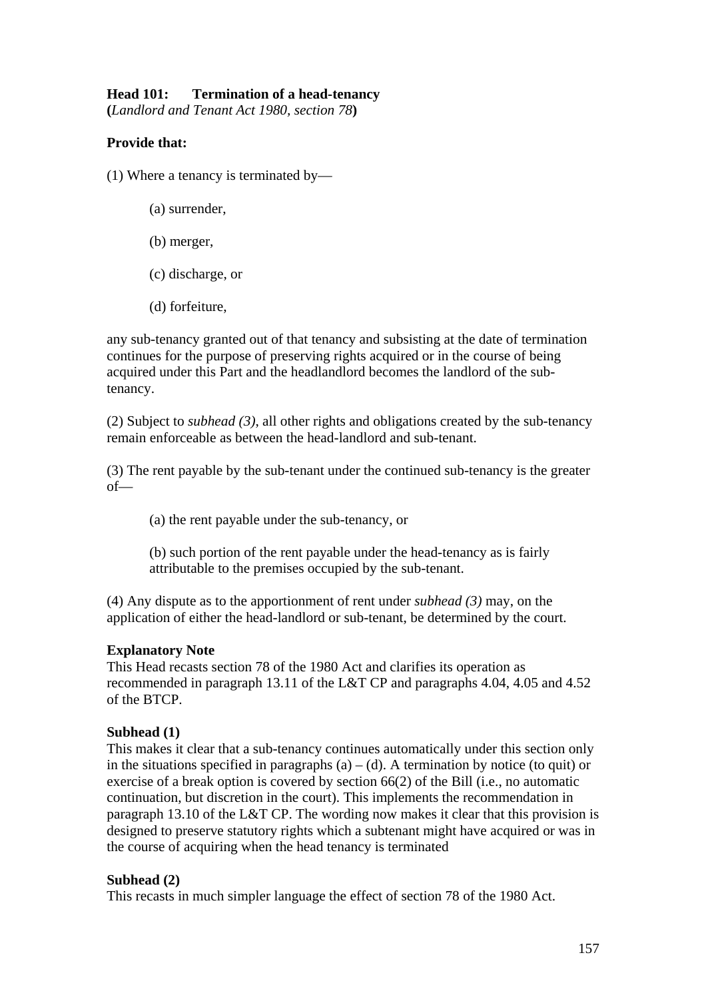# **Head 101: Termination of a head-tenancy**

**(***Landlord and Tenant Act 1980, section 78***)** 

## **Provide that:**

(1) Where a tenancy is terminated by—

- (a) surrender,
- (b) merger,
- (c) discharge, or
- (d) forfeiture,

any sub-tenancy granted out of that tenancy and subsisting at the date of termination continues for the purpose of preserving rights acquired or in the course of being acquired under this Part and the headlandlord becomes the landlord of the subtenancy.

(2) Subject to *subhead (3)*, all other rights and obligations created by the sub-tenancy remain enforceable as between the head-landlord and sub-tenant.

(3) The rent payable by the sub-tenant under the continued sub-tenancy is the greater of—

(a) the rent payable under the sub-tenancy, or

(b) such portion of the rent payable under the head-tenancy as is fairly attributable to the premises occupied by the sub-tenant.

(4) Any dispute as to the apportionment of rent under *subhead (3)* may, on the application of either the head-landlord or sub-tenant, be determined by the court.

## **Explanatory Note**

This Head recasts section 78 of the 1980 Act and clarifies its operation as recommended in paragraph 13.11 of the L&T CP and paragraphs 4.04, 4.05 and 4.52 of the BTCP.

## **Subhead (1)**

This makes it clear that a sub-tenancy continues automatically under this section only in the situations specified in paragraphs (a) – (d). A termination by notice (to quit) or exercise of a break option is covered by section 66(2) of the Bill (i.e., no automatic continuation, but discretion in the court). This implements the recommendation in paragraph 13.10 of the L&T CP. The wording now makes it clear that this provision is designed to preserve statutory rights which a subtenant might have acquired or was in the course of acquiring when the head tenancy is terminated

## **Subhead (2)**

This recasts in much simpler language the effect of section 78 of the 1980 Act.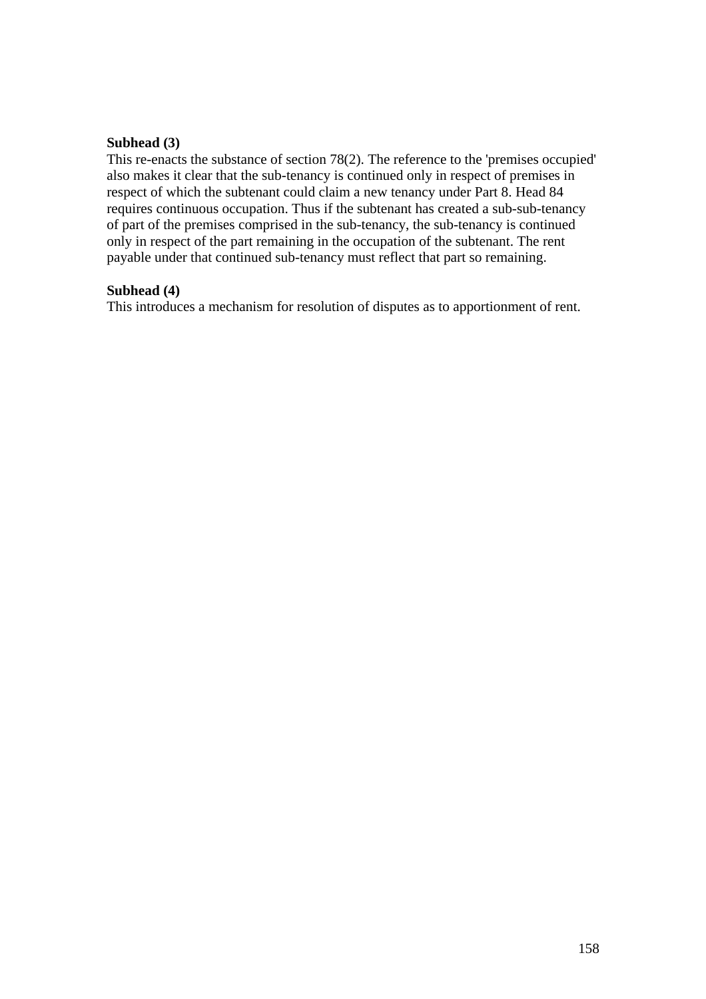## **Subhead (3)**

This re-enacts the substance of section 78(2). The reference to the 'premises occupied' also makes it clear that the sub-tenancy is continued only in respect of premises in respect of which the subtenant could claim a new tenancy under Part 8. Head 84 requires continuous occupation. Thus if the subtenant has created a sub-sub-tenancy of part of the premises comprised in the sub-tenancy, the sub-tenancy is continued only in respect of the part remaining in the occupation of the subtenant. The rent payable under that continued sub-tenancy must reflect that part so remaining.

#### **Subhead (4)**

This introduces a mechanism for resolution of disputes as to apportionment of rent.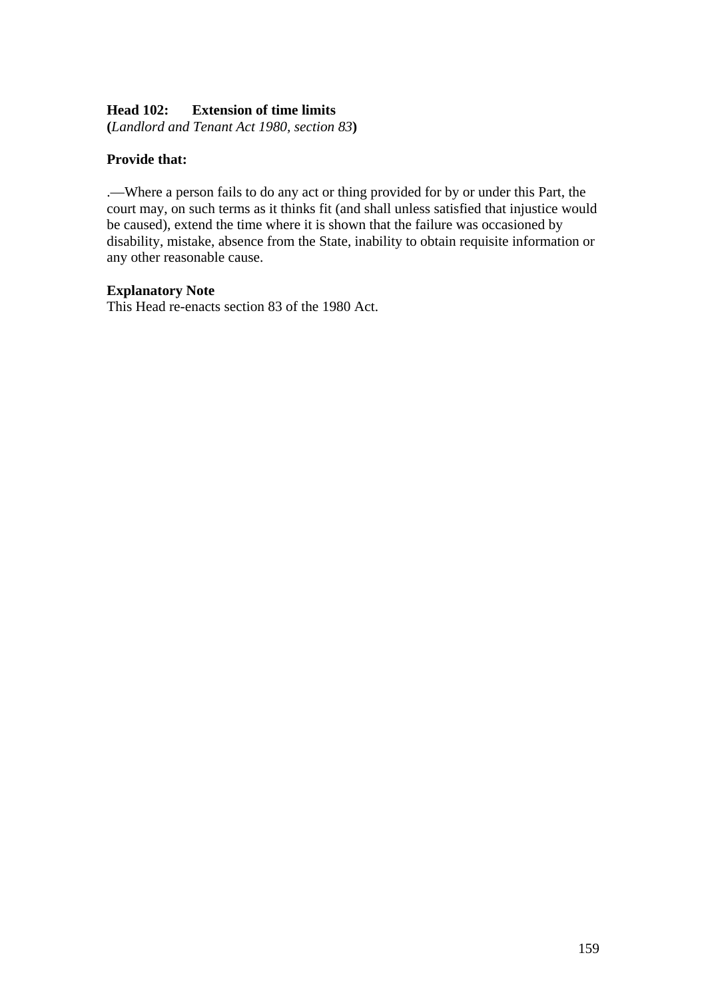## **Head 102: Extension of time limits**

**(***Landlord and Tenant Act 1980, section 83***)** 

## **Provide that:**

.—Where a person fails to do any act or thing provided for by or under this Part, the court may, on such terms as it thinks fit (and shall unless satisfied that injustice would be caused), extend the time where it is shown that the failure was occasioned by disability, mistake, absence from the State, inability to obtain requisite information or any other reasonable cause.

#### **Explanatory Note**

This Head re-enacts section 83 of the 1980 Act.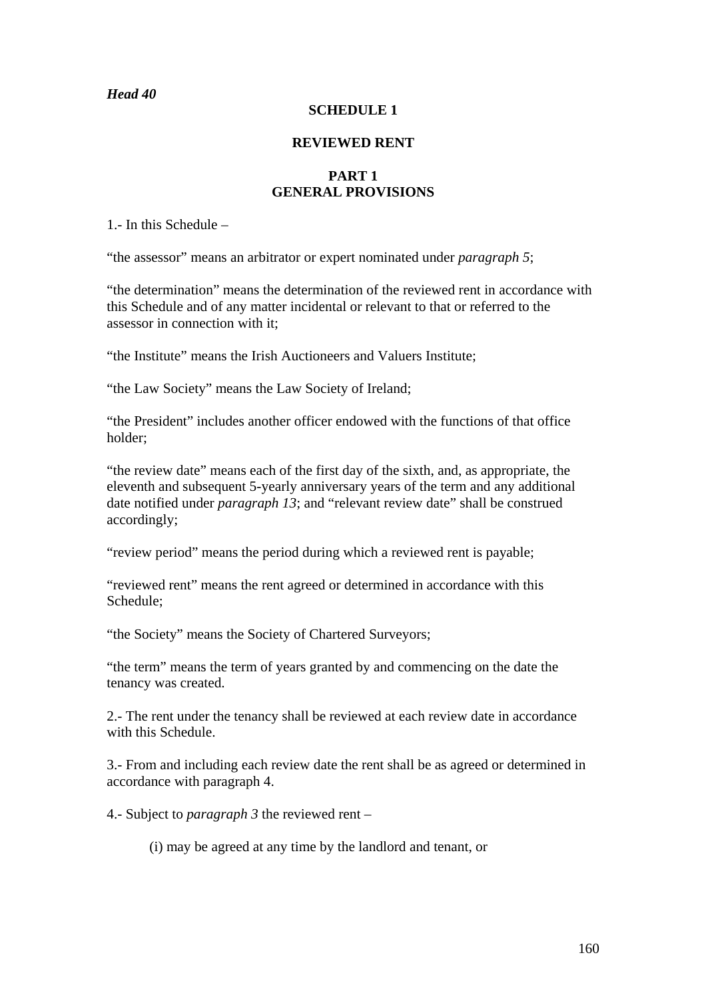## *Head 40*

#### **SCHEDULE 1**

#### **REVIEWED RENT**

#### **PART 1 GENERAL PROVISIONS**

1.- In this Schedule –

"the assessor" means an arbitrator or expert nominated under *paragraph 5*;

"the determination" means the determination of the reviewed rent in accordance with this Schedule and of any matter incidental or relevant to that or referred to the assessor in connection with it;

"the Institute" means the Irish Auctioneers and Valuers Institute;

"the Law Society" means the Law Society of Ireland;

"the President" includes another officer endowed with the functions of that office holder;

"the review date" means each of the first day of the sixth, and, as appropriate, the eleventh and subsequent 5-yearly anniversary years of the term and any additional date notified under *paragraph 13*; and "relevant review date" shall be construed accordingly;

"review period" means the period during which a reviewed rent is payable;

"reviewed rent" means the rent agreed or determined in accordance with this Schedule;

"the Society" means the Society of Chartered Surveyors;

"the term" means the term of years granted by and commencing on the date the tenancy was created.

2.- The rent under the tenancy shall be reviewed at each review date in accordance with this Schedule.

3.- From and including each review date the rent shall be as agreed or determined in accordance with paragraph 4.

4.- Subject to *paragraph 3* the reviewed rent –

(i) may be agreed at any time by the landlord and tenant, or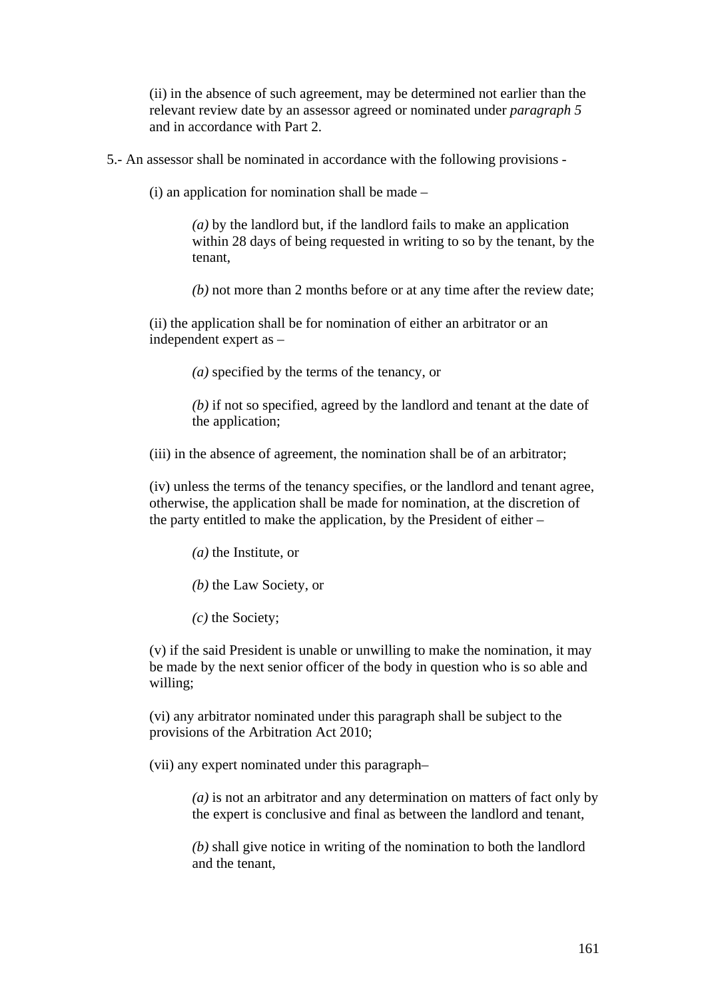(ii) in the absence of such agreement, may be determined not earlier than the relevant review date by an assessor agreed or nominated under *paragraph 5*  and in accordance with Part 2.

5.- An assessor shall be nominated in accordance with the following provisions -

(i) an application for nomination shall be made –

*(a)* by the landlord but, if the landlord fails to make an application within 28 days of being requested in writing to so by the tenant, by the tenant,

*(b)* not more than 2 months before or at any time after the review date;

(ii) the application shall be for nomination of either an arbitrator or an independent expert as –

*(a)* specified by the terms of the tenancy, or

*(b)* if not so specified, agreed by the landlord and tenant at the date of the application;

(iii) in the absence of agreement, the nomination shall be of an arbitrator;

(iv) unless the terms of the tenancy specifies, or the landlord and tenant agree, otherwise, the application shall be made for nomination, at the discretion of the party entitled to make the application, by the President of either –

*(a)* the Institute, or

*(b)* the Law Society, or

*(c)* the Society;

(v) if the said President is unable or unwilling to make the nomination, it may be made by the next senior officer of the body in question who is so able and willing;

(vi) any arbitrator nominated under this paragraph shall be subject to the provisions of the Arbitration Act 2010;

(vii) any expert nominated under this paragraph–

*(a)* is not an arbitrator and any determination on matters of fact only by the expert is conclusive and final as between the landlord and tenant,

*(b)* shall give notice in writing of the nomination to both the landlord and the tenant,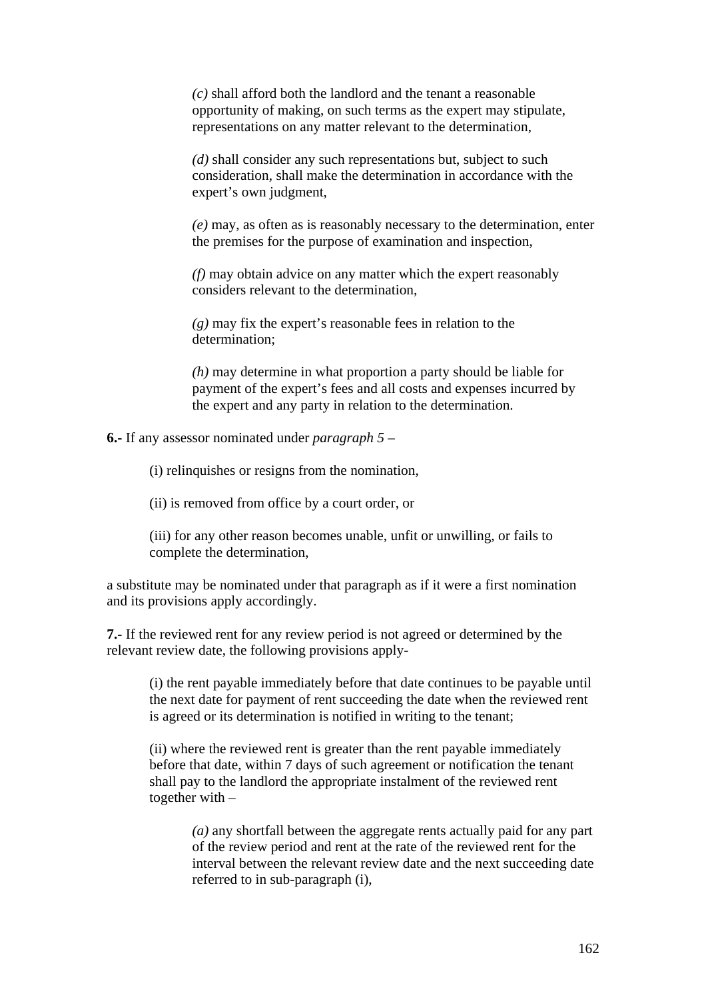*(c)* shall afford both the landlord and the tenant a reasonable opportunity of making, on such terms as the expert may stipulate, representations on any matter relevant to the determination,

*(d)* shall consider any such representations but, subject to such consideration, shall make the determination in accordance with the expert's own judgment,

*(e)* may, as often as is reasonably necessary to the determination, enter the premises for the purpose of examination and inspection,

*(f)* may obtain advice on any matter which the expert reasonably considers relevant to the determination,

*(g)* may fix the expert's reasonable fees in relation to the determination;

*(h)* may determine in what proportion a party should be liable for payment of the expert's fees and all costs and expenses incurred by the expert and any party in relation to the determination.

**6.-** If any assessor nominated under *paragraph 5* –

(i) relinquishes or resigns from the nomination,

(ii) is removed from office by a court order, or

(iii) for any other reason becomes unable, unfit or unwilling, or fails to complete the determination,

a substitute may be nominated under that paragraph as if it were a first nomination and its provisions apply accordingly.

**7.-** If the reviewed rent for any review period is not agreed or determined by the relevant review date, the following provisions apply-

(i) the rent payable immediately before that date continues to be payable until the next date for payment of rent succeeding the date when the reviewed rent is agreed or its determination is notified in writing to the tenant;

(ii) where the reviewed rent is greater than the rent payable immediately before that date, within 7 days of such agreement or notification the tenant shall pay to the landlord the appropriate instalment of the reviewed rent together with –

*(a)* any shortfall between the aggregate rents actually paid for any part of the review period and rent at the rate of the reviewed rent for the interval between the relevant review date and the next succeeding date referred to in sub-paragraph (i),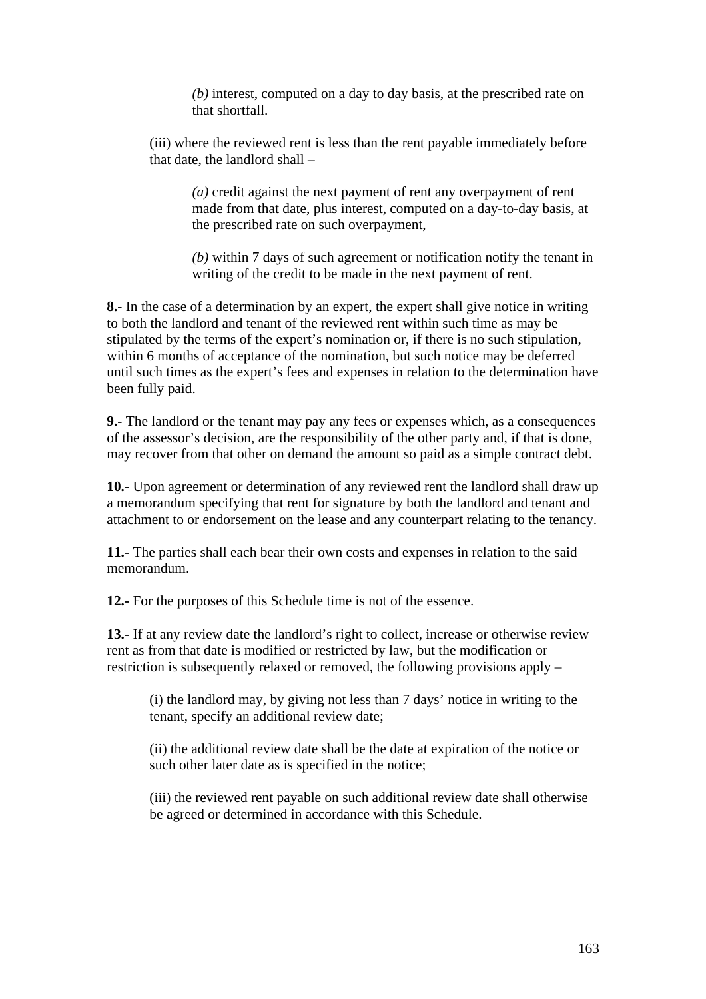*(b)* interest, computed on a day to day basis, at the prescribed rate on that shortfall.

(iii) where the reviewed rent is less than the rent payable immediately before that date, the landlord shall –

*(a)* credit against the next payment of rent any overpayment of rent made from that date, plus interest, computed on a day-to-day basis, at the prescribed rate on such overpayment,

*(b)* within 7 days of such agreement or notification notify the tenant in writing of the credit to be made in the next payment of rent.

**8.-** In the case of a determination by an expert, the expert shall give notice in writing to both the landlord and tenant of the reviewed rent within such time as may be stipulated by the terms of the expert's nomination or, if there is no such stipulation, within 6 months of acceptance of the nomination, but such notice may be deferred until such times as the expert's fees and expenses in relation to the determination have been fully paid.

**9.-** The landlord or the tenant may pay any fees or expenses which, as a consequences of the assessor's decision, are the responsibility of the other party and, if that is done, may recover from that other on demand the amount so paid as a simple contract debt.

**10.-** Upon agreement or determination of any reviewed rent the landlord shall draw up a memorandum specifying that rent for signature by both the landlord and tenant and attachment to or endorsement on the lease and any counterpart relating to the tenancy.

**11.-** The parties shall each bear their own costs and expenses in relation to the said memorandum.

**12.-** For the purposes of this Schedule time is not of the essence.

**13.-** If at any review date the landlord's right to collect, increase or otherwise review rent as from that date is modified or restricted by law, but the modification or restriction is subsequently relaxed or removed, the following provisions apply –

(i) the landlord may, by giving not less than 7 days' notice in writing to the tenant, specify an additional review date;

(ii) the additional review date shall be the date at expiration of the notice or such other later date as is specified in the notice;

(iii) the reviewed rent payable on such additional review date shall otherwise be agreed or determined in accordance with this Schedule.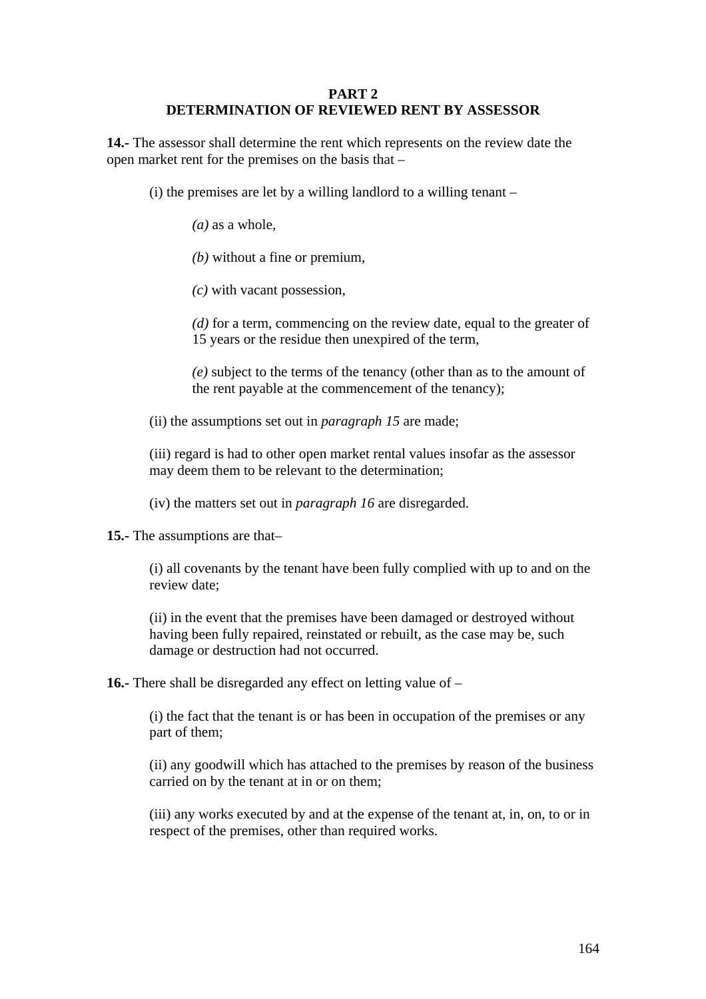#### **PART 2 DETERMINATION OF REVIEWED RENT BY ASSESSOR**

**14.-** The assessor shall determine the rent which represents on the review date the open market rent for the premises on the basis that –

(i) the premises are let by a willing landlord to a willing tenant –

- *(a)* as a whole,
- *(b)* without a fine or premium,
- *(c)* with vacant possession,

*(d)* for a term, commencing on the review date, equal to the greater of 15 years or the residue then unexpired of the term,

*(e)* subject to the terms of the tenancy (other than as to the amount of the rent payable at the commencement of the tenancy);

(ii) the assumptions set out in *paragraph 15* are made;

(iii) regard is had to other open market rental values insofar as the assessor may deem them to be relevant to the determination;

(iv) the matters set out in *paragraph 16* are disregarded.

**15.-** The assumptions are that–

(i) all covenants by the tenant have been fully complied with up to and on the review date;

(ii) in the event that the premises have been damaged or destroyed without having been fully repaired, reinstated or rebuilt, as the case may be, such damage or destruction had not occurred.

**16.-** There shall be disregarded any effect on letting value of –

(i) the fact that the tenant is or has been in occupation of the premises or any part of them;

(ii) any goodwill which has attached to the premises by reason of the business carried on by the tenant at in or on them;

(iii) any works executed by and at the expense of the tenant at, in, on, to or in respect of the premises, other than required works.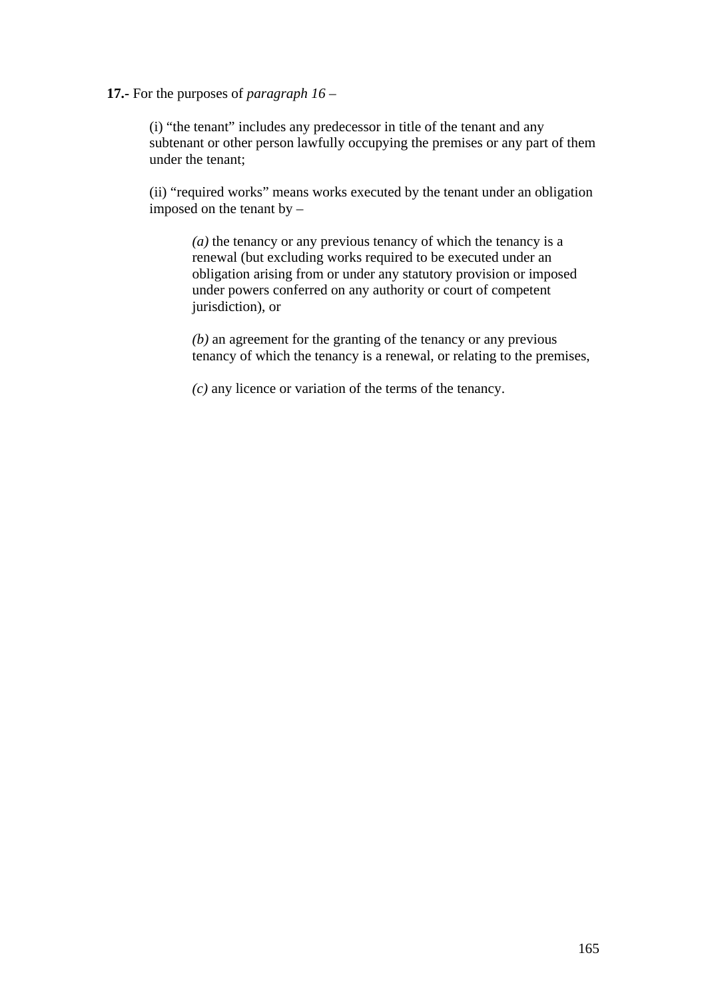#### **17.-** For the purposes of *paragraph 16* –

(i) "the tenant" includes any predecessor in title of the tenant and any subtenant or other person lawfully occupying the premises or any part of them under the tenant;

(ii) "required works" means works executed by the tenant under an obligation imposed on the tenant by –

*(a)* the tenancy or any previous tenancy of which the tenancy is a renewal (but excluding works required to be executed under an obligation arising from or under any statutory provision or imposed under powers conferred on any authority or court of competent jurisdiction), or

*(b)* an agreement for the granting of the tenancy or any previous tenancy of which the tenancy is a renewal, or relating to the premises,

*(c)* any licence or variation of the terms of the tenancy.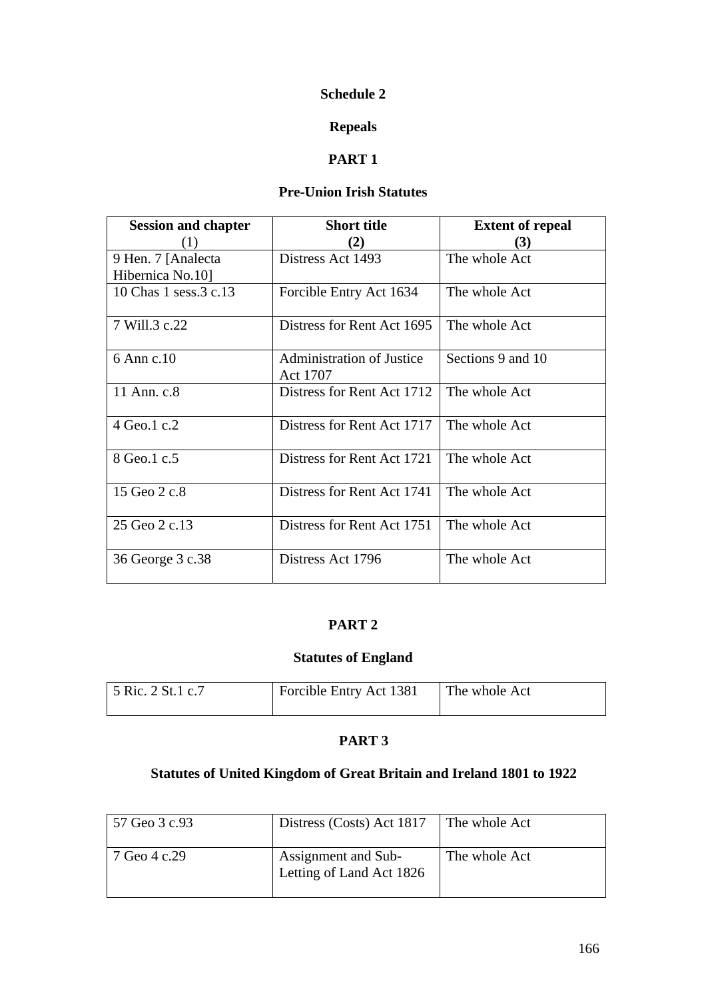## **Schedule 2**

# **Repeals**

# **PART 1**

# **Pre-Union Irish Statutes**

| <b>Session and chapter</b> | <b>Short title</b>                           | <b>Extent of repeal</b> |
|----------------------------|----------------------------------------------|-------------------------|
|                            | 2)                                           | (3)                     |
| 9 Hen. 7 [Analecta]        | Distress Act 1493                            | The whole Act           |
| Hibernica No.10            |                                              |                         |
| 10 Chas 1 sess. 3 c. 13    | Forcible Entry Act 1634                      | The whole Act           |
| 7 Will.3 c.22              | Distress for Rent Act 1695                   | The whole Act           |
| 6 Ann c.10                 | <b>Administration of Justice</b><br>Act 1707 | Sections 9 and 10       |
| 11 Ann. c.8                | Distress for Rent Act 1712                   | The whole Act           |
| 4 Geo.1 c.2                | Distress for Rent Act 1717                   | The whole Act           |
| 8 Geo.1 c.5                | Distress for Rent Act 1721                   | The whole Act           |
| 15 Geo 2 c.8               | Distress for Rent Act 1741                   | The whole Act           |
| 25 Geo 2 c.13              | Distress for Rent Act 1751                   | The whole Act           |
| 36 George 3 c.38           | Distress Act 1796                            | The whole Act           |

## **PART 2**

# **Statutes of England**

| 5 Ric. 2 St. 1 c. 7 | Forcible Entry Act 1381 | The whole Act |
|---------------------|-------------------------|---------------|
|                     |                         |               |

# **PART 3**

# **Statutes of United Kingdom of Great Britain and Ireland 1801 to 1922**

| 57 Geo 3 c.93 | Distress (Costs) Act 1817                       | The whole Act |
|---------------|-------------------------------------------------|---------------|
| 7 Geo 4 c.29  | Assignment and Sub-<br>Letting of Land Act 1826 | The whole Act |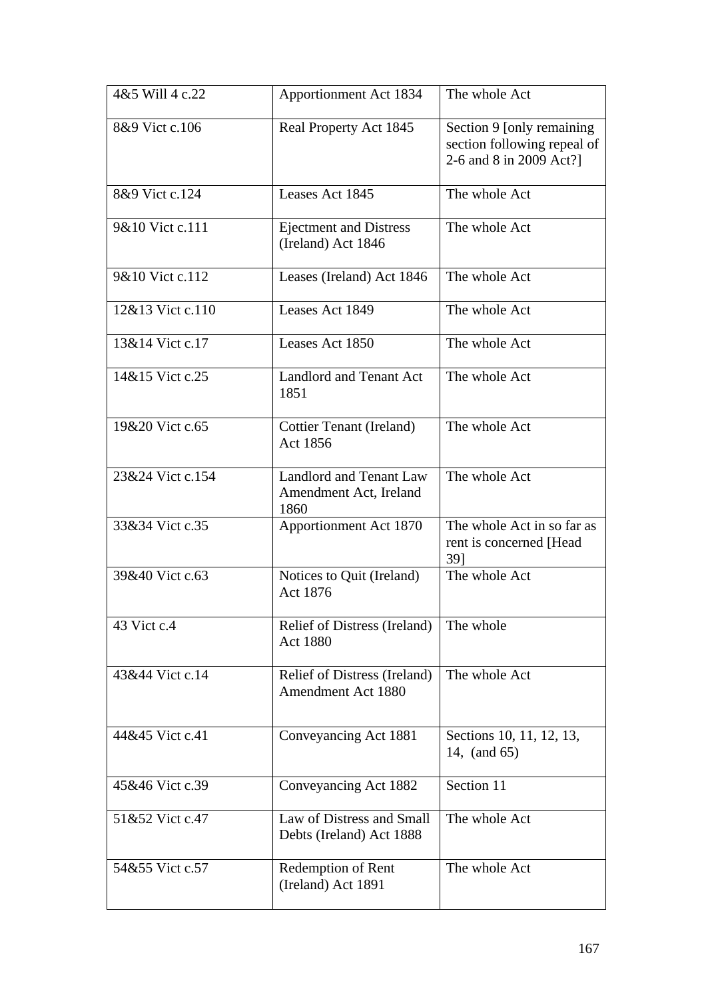| 4&5 Will 4 c.22  | Apportionment Act 1834                                           | The whole Act                                                                       |
|------------------|------------------------------------------------------------------|-------------------------------------------------------------------------------------|
| 8&9 Vict c.106   | Real Property Act 1845                                           | Section 9 [only remaining<br>section following repeal of<br>2-6 and 8 in 2009 Act?] |
| 8&9 Vict c.124   | Leases Act 1845                                                  | The whole Act                                                                       |
| 9&10 Vict c.111  | <b>Ejectment and Distress</b><br>(Ireland) Act 1846              | The whole Act                                                                       |
| 9&10 Vict c.112  | Leases (Ireland) Act 1846                                        | The whole Act                                                                       |
| 12&13 Vict c.110 | Leases Act 1849                                                  | The whole Act                                                                       |
| 13&14 Vict c.17  | Leases Act 1850                                                  | The whole Act                                                                       |
| 14&15 Vict c.25  | <b>Landlord and Tenant Act</b><br>1851                           | The whole Act                                                                       |
| 19&20 Vict c.65  | Cottier Tenant (Ireland)<br>Act 1856                             | The whole Act                                                                       |
| 23&24 Vict c.154 | <b>Landlord and Tenant Law</b><br>Amendment Act, Ireland<br>1860 | The whole Act                                                                       |
| 33&34 Vict c.35  | Apportionment Act 1870                                           | The whole Act in so far as<br>rent is concerned [Head]<br>39]                       |
| 39&40 Vict c.63  | Notices to Quit (Ireland)<br>Act 1876                            | The whole Act                                                                       |
| 43 Vict c.4      | Relief of Distress (Ireland)<br><b>Act 1880</b>                  | The whole                                                                           |
| 43&44 Vict c.14  | Relief of Distress (Ireland)<br>Amendment Act 1880               | The whole Act                                                                       |
| 44&45 Vict c.41  | Conveyancing Act 1881                                            | Sections 10, 11, 12, 13,<br>14, (and 65)                                            |
| 45&46 Vict c.39  | Conveyancing Act 1882                                            | Section 11                                                                          |
| 51&52 Vict c.47  | Law of Distress and Small<br>Debts (Ireland) Act 1888            | The whole Act                                                                       |
| 54&55 Vict c.57  | Redemption of Rent<br>(Ireland) Act 1891                         | The whole Act                                                                       |